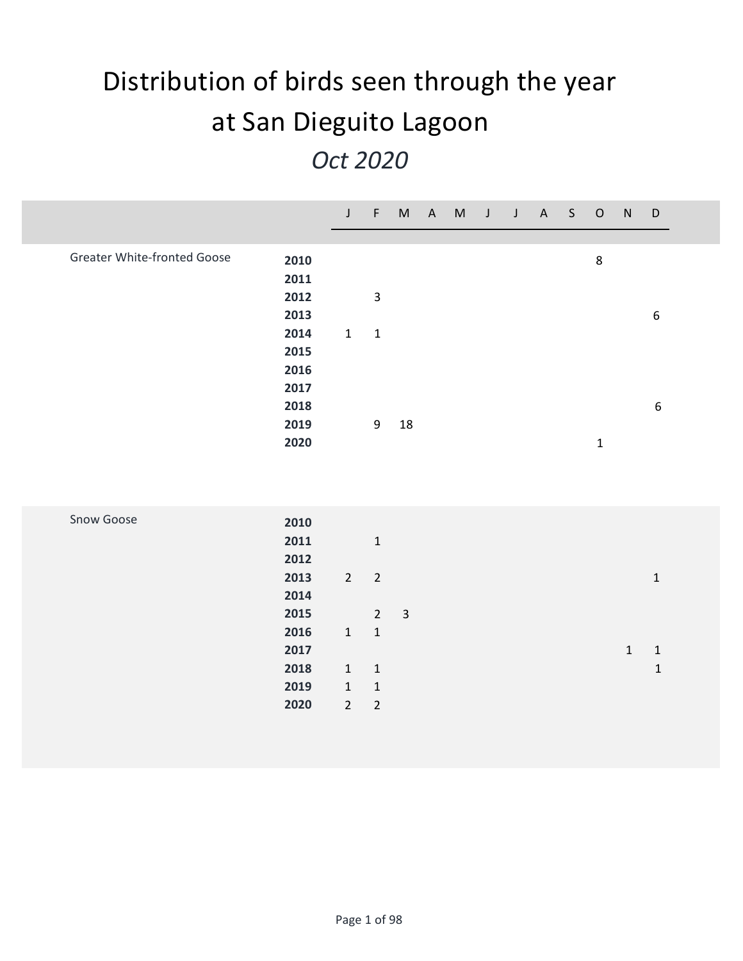## **Distribution of birds seen through the year at San Dieguito Lagoon** *Oct 2020*

|                                    |                      | $\mathsf{J}$                | $-$ F $-$                   |              | M A M J J A S |  |  | $\circ$     | N           | $\mathsf D$      |
|------------------------------------|----------------------|-----------------------------|-----------------------------|--------------|---------------|--|--|-------------|-------------|------------------|
| <b>Greater White-fronted Goose</b> | 2010<br>2011<br>2012 |                             | $\mathsf 3$                 |              |               |  |  | $\,8\,$     |             |                  |
|                                    | 2013                 |                             |                             |              |               |  |  |             |             | $\boldsymbol{6}$ |
|                                    | 2014<br>2015         | $\mathbf 1$                 | $\mathbf 1$                 |              |               |  |  |             |             |                  |
|                                    | 2016<br>2017         |                             |                             |              |               |  |  |             |             |                  |
|                                    | 2018<br>2019         |                             | 9                           | $18\,$       |               |  |  |             |             | $\boldsymbol{6}$ |
|                                    | 2020                 |                             |                             |              |               |  |  | $\mathbf 1$ |             |                  |
|                                    |                      |                             |                             |              |               |  |  |             |             |                  |
| Snow Goose                         | 2010                 |                             |                             |              |               |  |  |             |             |                  |
|                                    | 2011<br>2012         |                             | $\mathbf 1$                 |              |               |  |  |             |             |                  |
|                                    | 2013<br>2014         | $\overline{2}$              | $\overline{2}$              |              |               |  |  |             |             | $\mathbf 1$      |
|                                    | 2015                 |                             | $2^{\circ}$                 | $\mathbf{3}$ |               |  |  |             |             |                  |
|                                    | 2016<br>2017         | $\mathbf{1}$                | $\mathbf 1$                 |              |               |  |  |             | $\mathbf 1$ | $\mathbf 1$      |
|                                    | 2018<br>2019         | $\mathbf{1}$<br>$\mathbf 1$ | $\mathbf 1$<br>$\mathbf{1}$ |              |               |  |  |             |             | $\mathbf 1$      |
|                                    | 2020                 | $\overline{2}$              | $\sqrt{2}$                  |              |               |  |  |             |             |                  |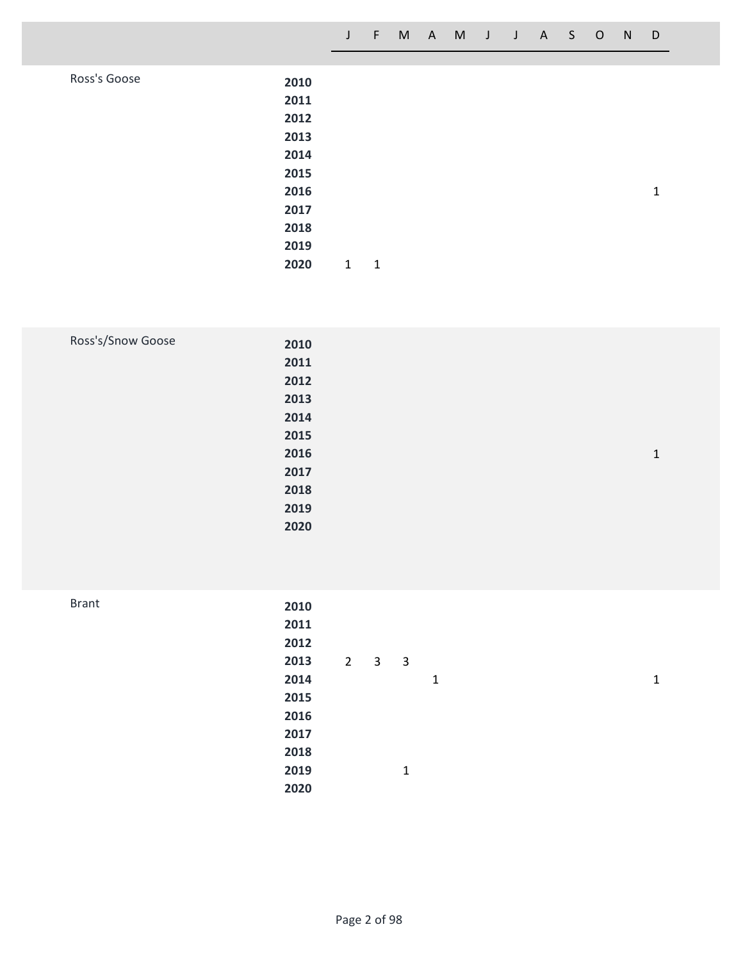| Ross's Goose | 2010 |   |   |  |  |   |
|--------------|------|---|---|--|--|---|
|              | 2011 |   |   |  |  |   |
|              | 2012 |   |   |  |  |   |
|              | 2013 |   |   |  |  |   |
|              | 2014 |   |   |  |  |   |
|              | 2015 |   |   |  |  |   |
|              | 2016 |   |   |  |  | 1 |
|              | 2017 |   |   |  |  |   |
|              | 2018 |   |   |  |  |   |
|              | 2019 |   |   |  |  |   |
|              | 2020 | 1 | 1 |  |  |   |

| Ross's/Snow Goose | 2010 |  |              |
|-------------------|------|--|--------------|
|                   | 2011 |  |              |
|                   | 2012 |  |              |
|                   | 2013 |  |              |
|                   | 2014 |  |              |
|                   | 2015 |  |              |
|                   | 2016 |  | $\mathbf{1}$ |
|                   | 2017 |  |              |
|                   | 2018 |  |              |
|                   | 2019 |  |              |
|                   | 2020 |  |              |
|                   |      |  |              |

| 2012         |                |              |                |  |              |
|--------------|----------------|--------------|----------------|--|--------------|
| 2013         | $\overline{2}$ |              |                |  |              |
| 2014         |                |              | 1              |  | $\mathbf{1}$ |
| 2015         |                |              |                |  |              |
| 2016         |                |              |                |  |              |
| 2017         |                |              |                |  |              |
| 2018         |                |              |                |  |              |
| 2019         |                | $\mathbf{1}$ |                |  |              |
| 2020         |                |              |                |  |              |
| <b>Brant</b> | 2010<br>2011   |              | 3 <sub>3</sub> |  |              |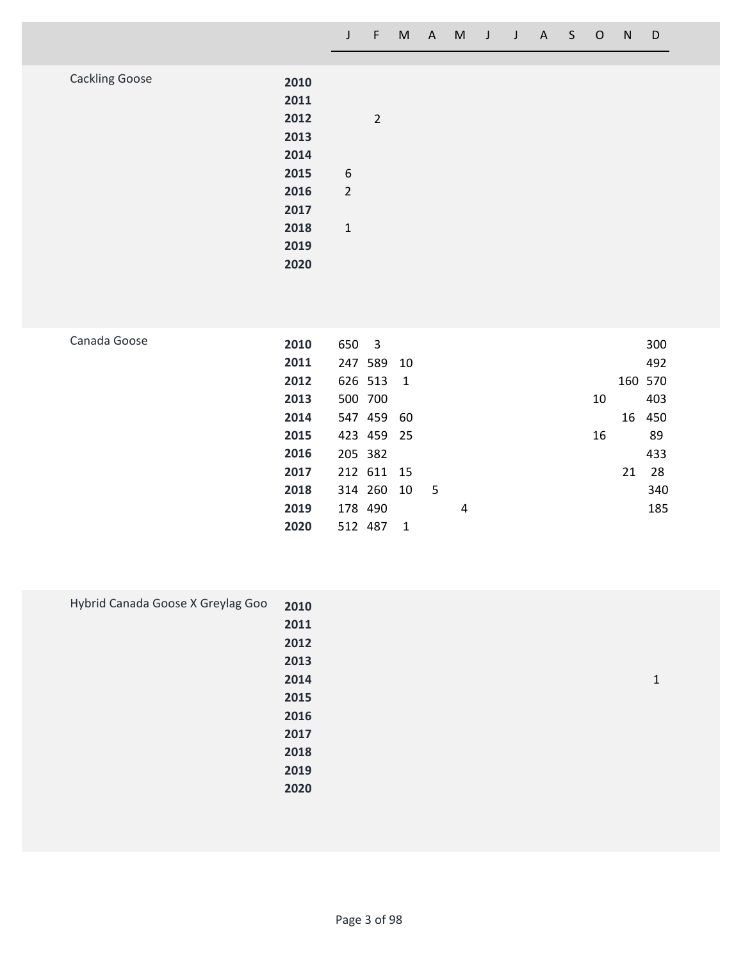| <b>Cackling Goose</b> |      |                  |                |  |  |  |  |
|-----------------------|------|------------------|----------------|--|--|--|--|
|                       | 2010 |                  |                |  |  |  |  |
|                       | 2011 |                  |                |  |  |  |  |
|                       | 2012 |                  | $\overline{2}$ |  |  |  |  |
|                       | 2013 |                  |                |  |  |  |  |
|                       |      |                  |                |  |  |  |  |
|                       | 2014 |                  |                |  |  |  |  |
|                       | 2015 | $\boldsymbol{6}$ |                |  |  |  |  |
|                       | 2016 | $\overline{2}$   |                |  |  |  |  |
|                       | 2017 |                  |                |  |  |  |  |
|                       | 2018 | $\mathbf{1}$     |                |  |  |  |  |
|                       | 2019 |                  |                |  |  |  |  |
|                       |      |                  |                |  |  |  |  |
|                       | 2020 |                  |                |  |  |  |  |
|                       |      |                  |                |  |  |  |  |

| Canada Goose | 2010 | 650 3   |            |                |      |   |    |    | 300     |
|--------------|------|---------|------------|----------------|------|---|----|----|---------|
|              | 2011 |         | 247 589 10 |                |      |   |    |    | 492     |
|              | 2012 |         | 626 513    | $\overline{1}$ |      |   |    |    | 160 570 |
|              | 2013 |         | 500 700    |                |      |   | 10 |    | 403     |
|              | 2014 |         | 547 459 60 |                |      |   |    |    | 16 450  |
|              | 2015 |         | 423 459 25 |                |      |   | 16 |    | 89      |
|              | 2016 |         | 205 382    |                |      |   |    |    | 433     |
|              | 2017 |         | 212 611 15 |                |      |   |    | 21 | 28      |
|              | 2018 |         | 314 260    | 10             | $-5$ |   |    |    | 340     |
|              | 2019 | 178 490 |            |                |      | 4 |    |    | 185     |
|              | 2020 | 512 487 |            | - 1            |      |   |    |    |         |
|              |      |         |            |                |      |   |    |    |         |

| Hybrid Canada Goose X Greylag Goo | 2010 |   |
|-----------------------------------|------|---|
|                                   | 2011 |   |
|                                   | 2012 |   |
|                                   | 2013 |   |
|                                   | 2014 | 1 |
|                                   | 2015 |   |
|                                   | 2016 |   |
|                                   | 2017 |   |
|                                   | 2018 |   |
|                                   | 2019 |   |
|                                   | 2020 |   |
|                                   |      |   |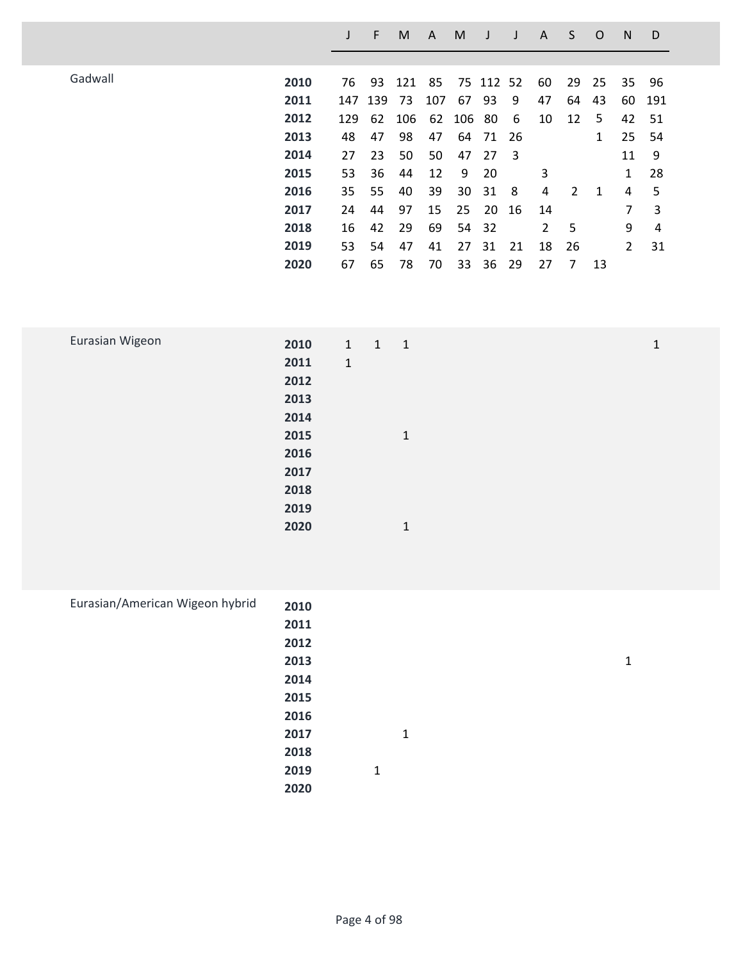|         |      |     | F   | M   | A   | M   |           |                         | A              | S              | O  | N              | D   |
|---------|------|-----|-----|-----|-----|-----|-----------|-------------------------|----------------|----------------|----|----------------|-----|
|         |      |     |     |     |     |     |           |                         |                |                |    |                |     |
| Gadwall | 2010 | 76  | 93  | 121 | 85  |     | 75 112 52 |                         | 60             | 29             | 25 | 35             | 96  |
|         | 2011 | 147 | 139 | 73  | 107 | 67  | 93        | 9                       | 47             | 64             | 43 | 60             | 191 |
|         | 2012 | 129 | 62  | 106 | 62  | 106 | 80        | 6                       | 10             | 12             | 5  | 42             | 51  |
|         | 2013 | 48  | 47  | 98  | 47  | 64  | 71        | 26                      |                |                | 1  | 25             | 54  |
|         | 2014 | 27  | 23  | 50  | 50  | 47  | 27        | $\overline{\mathbf{3}}$ |                |                |    | 11             | 9   |
|         | 2015 | 53  | 36  | 44  | 12  | 9   | 20        |                         | 3              |                |    | $\mathbf{1}$   | 28  |
|         | 2016 | 35  | 55  | 40  | 39  | 30  | 31        | 8                       | 4              | $\overline{2}$ | 1  | 4              | 5   |
|         | 2017 | 24  | 44  | 97  | 15  | 25  | 20        | 16                      | 14             |                |    | 7              | 3   |
|         | 2018 | 16  | 42  | 29  | 69  | 54  | -32       |                         | $\overline{2}$ | 5              |    | 9              | 4   |
|         | 2019 | 53  | 54  | 47  | 41  | 27  | 31        | 21                      | 18             | 26             |    | $\overline{2}$ | 31  |
|         | 2020 | 67  | 65  | 78  | 70  | 33  | 36        | 29                      | 27             | 7              | 13 |                |     |
|         |      |     |     |     |     |     |           |                         |                |                |    |                |     |
|         |      |     |     |     |     |     |           |                         |                |                |    |                |     |

| Eurasian Wigeon | 2010 | $1 \quad 1$ | $\overline{1}$ | 1 |
|-----------------|------|-------------|----------------|---|
|                 | 2011 | $\mathbf 1$ |                |   |
|                 | 2012 |             |                |   |
|                 | 2013 |             |                |   |
|                 | 2014 |             |                |   |
|                 | 2015 |             | $\mathbf 1$    |   |
|                 | 2016 |             |                |   |
|                 | 2017 |             |                |   |
|                 | 2018 |             |                |   |
|                 | 2019 |             |                |   |
|                 | 2020 |             | 1              |   |
|                 |      |             |                |   |

| Eurasian/American Wigeon hybrid | 2010 |   |              |  |   |
|---------------------------------|------|---|--------------|--|---|
|                                 | 2011 |   |              |  |   |
|                                 | 2012 |   |              |  |   |
|                                 | 2013 |   |              |  | 1 |
|                                 | 2014 |   |              |  |   |
|                                 | 2015 |   |              |  |   |
|                                 | 2016 |   |              |  |   |
|                                 | 2017 |   | $\mathbf{1}$ |  |   |
|                                 | 2018 |   |              |  |   |
|                                 | 2019 | 1 |              |  |   |
|                                 | 2020 |   |              |  |   |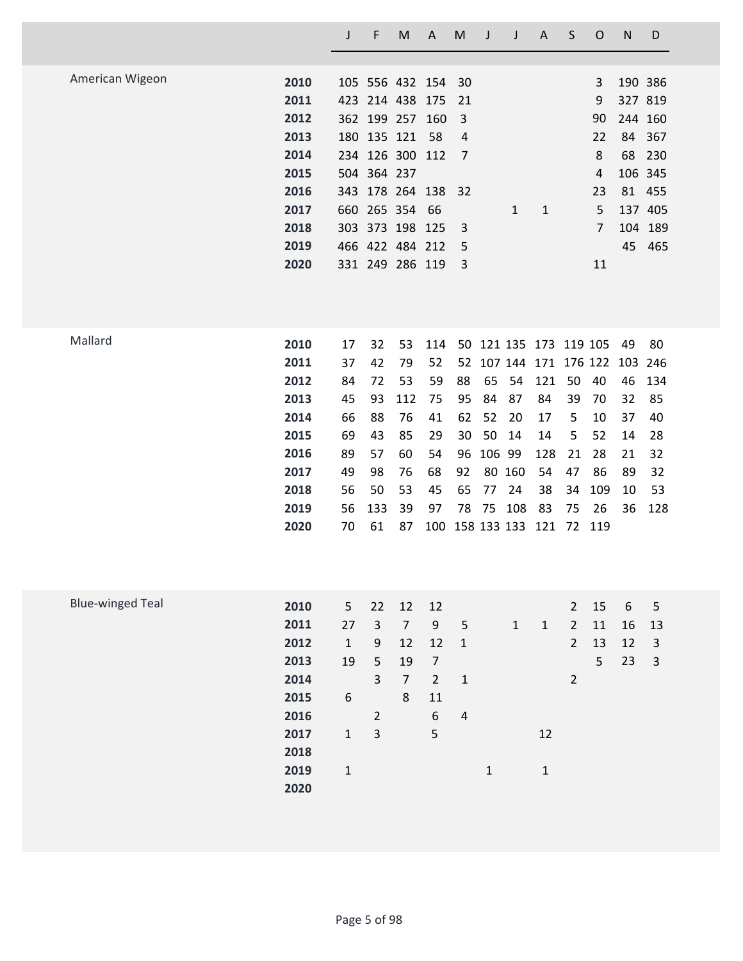|                         |                                                                                      | J                                                                                 | F                                                                       | M                                                                                                                                                               | A                                                                 | M                                                         | J                                          | J                                                                             | A                                                                                           | S                                                                 | $\mathsf{O}$                                                                 | N                                                          | D                                                           |
|-------------------------|--------------------------------------------------------------------------------------|-----------------------------------------------------------------------------------|-------------------------------------------------------------------------|-----------------------------------------------------------------------------------------------------------------------------------------------------------------|-------------------------------------------------------------------|-----------------------------------------------------------|--------------------------------------------|-------------------------------------------------------------------------------|---------------------------------------------------------------------------------------------|-------------------------------------------------------------------|------------------------------------------------------------------------------|------------------------------------------------------------|-------------------------------------------------------------|
| American Wigeon         | 2010<br>2011<br>2012<br>2013<br>2014<br>2015<br>2016<br>2017<br>2018<br>2019<br>2020 |                                                                                   | 180 135 121<br>504 364 237                                              | 105 556 432 154<br>423 214 438 175<br>362 199 257<br>234 126 300 112<br>343 178 264 138<br>660 265 354<br>303 373 198 125<br>466 422 484 212<br>331 249 286 119 | 160<br>58<br>66                                                   | 30<br>21<br>3<br>4<br>$\overline{7}$<br>32<br>3<br>5<br>3 |                                            | $\mathbf{1}$                                                                  | $\mathbf{1}$                                                                                |                                                                   | 3<br>9<br>90<br>22<br>8<br>$\overline{4}$<br>23<br>5<br>$\overline{7}$<br>11 | 190 386<br>327 819<br>244 160<br>84<br>68<br>106 345<br>45 | 367<br>230<br>81 455<br>137 405<br>104 189<br>465           |
| Mallard                 | 2010<br>2011<br>2012<br>2013<br>2014<br>2015<br>2016<br>2017<br>2018<br>2019<br>2020 | 17<br>37<br>84<br>45<br>66<br>69<br>89<br>49<br>56<br>56<br>70                    | 32<br>42<br>72<br>93<br>88<br>43<br>57<br>98<br>50<br>133<br>61         | 53<br>79<br>53<br>112<br>76<br>85<br>60<br>76<br>53<br>39<br>87                                                                                                 | 114<br>52<br>59<br>75<br>41<br>29<br>54<br>68<br>45<br>97         | 52<br>88<br>95<br>62<br>30<br>96<br>92<br>65<br>78        | 65<br>84<br>52<br>50<br>106 99<br>77<br>75 | 107 144<br>54<br>87<br>20<br>14<br>80 160<br>24<br>108<br>100 158 133 133 121 | 50 121 135 173 119 105<br>171 176 122 103<br>121<br>84<br>17<br>14<br>128<br>54<br>38<br>83 | 50<br>39<br>5<br>5<br>21<br>47<br>34<br>75<br>72 119              | 40<br>70<br>10<br>52<br>28<br>86<br>109<br>26                                | 49<br>46<br>32<br>37<br>14<br>21<br>89<br>10<br>36         | 80<br>246<br>134<br>85<br>40<br>28<br>32<br>32<br>53<br>128 |
| <b>Blue-winged Teal</b> | 2010<br>2011<br>2012<br>2013<br>2014<br>2015<br>2016<br>2017<br>2018<br>2019<br>2020 | 5<br>27<br>$\mathbf{1}$<br>19<br>$\boldsymbol{6}$<br>$\mathbf{1}$<br>$\mathbf{1}$ | 22<br>$\overline{3}$<br>9<br>5<br>$\overline{3}$<br>$\overline{2}$<br>3 | 12<br>$\overline{7}$<br>12<br>19<br>$\overline{7}$<br>8                                                                                                         | 12<br>9<br>12<br>$\overline{7}$<br>$\overline{2}$<br>11<br>6<br>5 | 5<br>$\mathbf 1$<br>$\mathbf 1$<br>$\overline{4}$         | $\mathbf{1}$                               | $\mathbf{1}$                                                                  | $\mathbf{1}$<br>12<br>$\mathbf 1$                                                           | $2^{\circ}$<br>$\overline{2}$<br>$\overline{2}$<br>$\overline{2}$ | 15<br>11<br>13<br>5                                                          | $\boldsymbol{6}$<br>16<br>12<br>23                         | 5<br>13<br>$\mathsf{3}$<br>$\overline{3}$                   |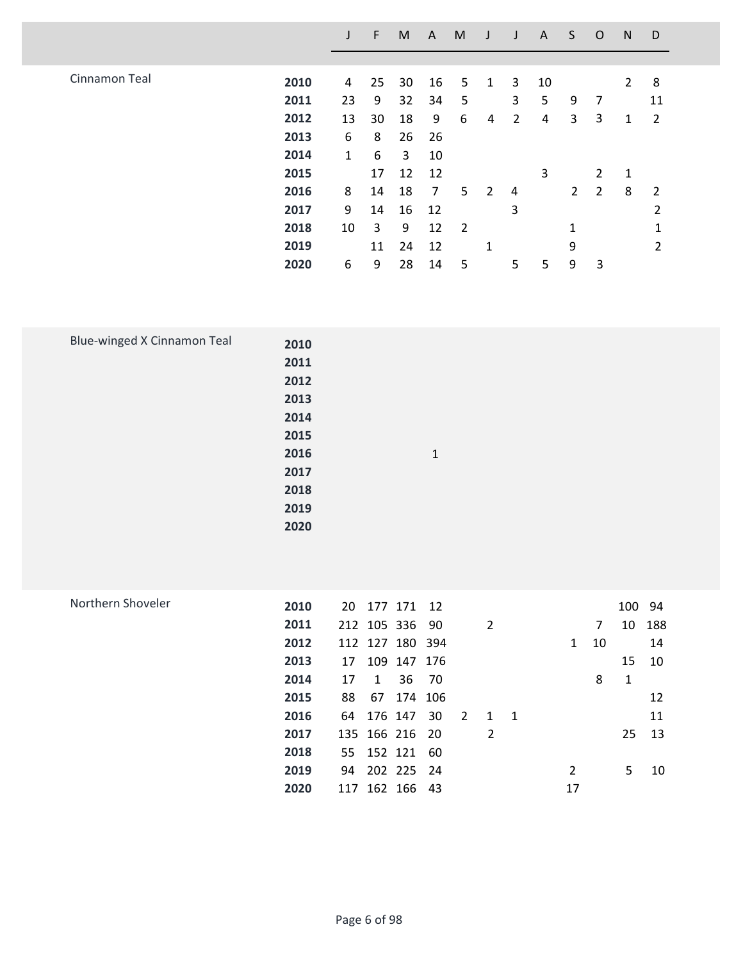|               |      |    | F  | M  | A  | M              | J              | J              | A  | S.           | $\circ$        | N           | D              |  |
|---------------|------|----|----|----|----|----------------|----------------|----------------|----|--------------|----------------|-------------|----------------|--|
|               |      |    |    |    |    |                |                |                |    |              |                |             |                |  |
| Cinnamon Teal | 2010 | 4  | 25 | 30 | 16 | 5              | 1              | 3              | 10 |              |                | $2^{\circ}$ | 8              |  |
|               | 2011 | 23 | 9  | 32 | 34 | 5              |                | 3              | 5  | 9            | 7              |             | 11             |  |
|               | 2012 | 13 | 30 | 18 | 9  | 6              | 4              | $\overline{2}$ | 4  | 3            | 3              | 1           | $\overline{2}$ |  |
|               | 2013 | 6  | 8  | 26 | 26 |                |                |                |    |              |                |             |                |  |
|               | 2014 | 1  | 6  | 3  | 10 |                |                |                |    |              |                |             |                |  |
|               | 2015 |    | 17 | 12 | 12 |                |                |                | 3  |              | $\overline{2}$ | 1           |                |  |
|               | 2016 | 8  | 14 | 18 | 7  | 5              | $\overline{2}$ | $\overline{4}$ |    |              | 2 <sub>2</sub> | 8           | 2              |  |
|               | 2017 | 9  | 14 | 16 | 12 |                |                | 3              |    |              |                |             | $\mathfrak{p}$ |  |
|               | 2018 | 10 | 3  | 9  | 12 | $\overline{2}$ |                |                |    | $\mathbf{1}$ |                |             | 1              |  |
|               | 2019 |    | 11 | 24 | 12 |                | 1              |                |    | 9            |                |             | $\overline{2}$ |  |
|               | 2020 | 6  | 9  | 28 | 14 | 5              |                | 5              | 5  | 9            | 3              |             |                |  |

| Blue-winged X Cinnamon Teal | 2010 |       |  |  |
|-----------------------------|------|-------|--|--|
|                             | 2011 |       |  |  |
|                             | 2012 |       |  |  |
|                             | 2013 |       |  |  |
|                             | 2014 |       |  |  |
|                             | 2015 |       |  |  |
|                             | 2016 | $1\,$ |  |  |
|                             | 2017 |       |  |  |
|                             | 2018 |       |  |  |
|                             | 2019 |       |  |  |
|                             | 2020 |       |  |  |
|                             |      |       |  |  |

| Northern Shoveler | 2010 | 20 |   | 177 171 12      |     |                |     |  |              |                | 100 94 |     |
|-------------------|------|----|---|-----------------|-----|----------------|-----|--|--------------|----------------|--------|-----|
|                   | 2011 |    |   | 212 105 336 90  |     |                | 2   |  |              | $\overline{7}$ | 10     | 188 |
|                   | 2012 |    |   | 112 127 180 394 |     |                |     |  | $\mathbf{1}$ | 10             |        | 14  |
|                   | 2013 | 17 |   | 109 147 176     |     |                |     |  |              |                | 15     | 10  |
|                   | 2014 | 17 | 1 | 36 70           |     |                |     |  |              | 8              | 1      |     |
|                   | 2015 | 88 |   | 67 174 106      |     |                |     |  |              |                |        | 12  |
|                   | 2016 |    |   | 64 176 147      | -30 | $\overline{2}$ | 1 1 |  |              |                |        | 11  |
|                   | 2017 |    |   | 135 166 216 20  |     |                | 2   |  |              |                | 25     | 13  |
|                   | 2018 |    |   | 55 152 121 60   |     |                |     |  |              |                |        |     |
|                   | 2019 | 94 |   | 202 225 24      |     |                |     |  | 2            |                | 5      | 10  |
|                   | 2020 |    |   | 117 162 166 43  |     |                |     |  | 17           |                |        |     |
|                   |      |    |   |                 |     |                |     |  |              |                |        |     |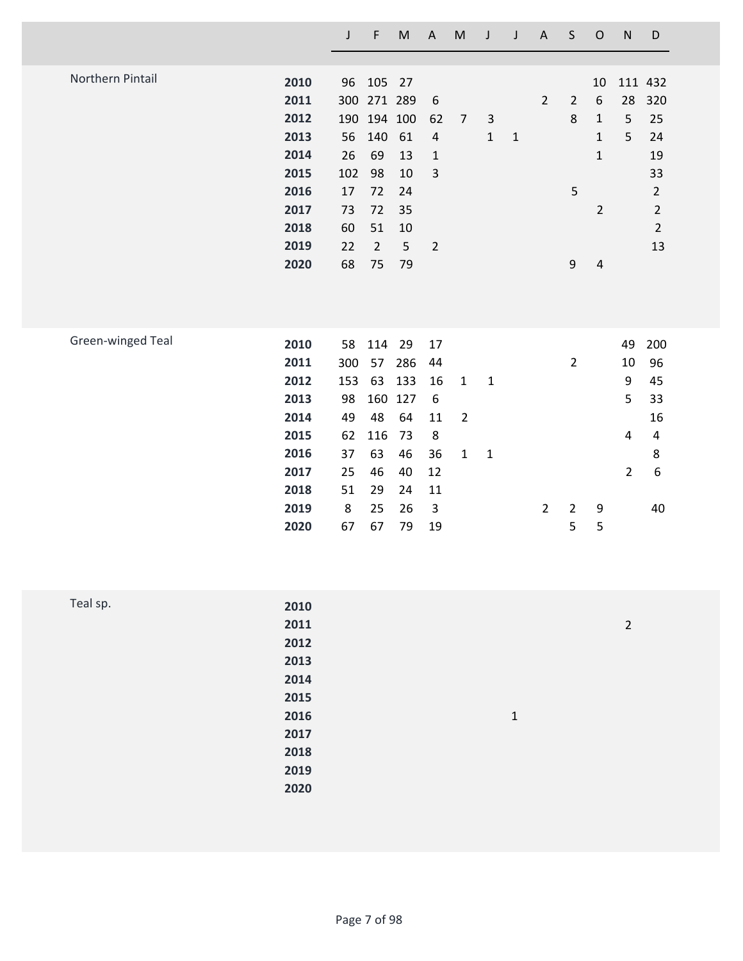|                   |      | $\mathsf J$ | $\mathsf F$    | ${\sf M}$ | $\boldsymbol{\mathsf{A}}$ | ${\sf M}$      | $\mathsf J$  | J           | $\mathsf{A}$   | $\sf S$        | $\mathsf O$    | ${\sf N}$      | D                       |
|-------------------|------|-------------|----------------|-----------|---------------------------|----------------|--------------|-------------|----------------|----------------|----------------|----------------|-------------------------|
|                   |      |             |                |           |                           |                |              |             |                |                |                |                |                         |
| Northern Pintail  | 2010 | 96          | 105            | 27        |                           |                |              |             |                |                | 10             |                | 111 432                 |
|                   | 2011 | 300         | 271 289        |           | $6\,$                     |                |              |             | $\overline{2}$ | $\overline{2}$ | 6              | 28             | 320                     |
|                   | 2012 | 190         | 194 100        |           | 62                        | $\overline{7}$ | $\mathbf{3}$ |             |                | 8              | $\mathbf{1}$   | 5              | 25                      |
|                   | 2013 | 56          | 140            | 61        | $\sqrt{4}$                |                | $\mathbf{1}$ | $\mathbf 1$ |                |                | $\mathbf{1}$   | 5              | 24                      |
|                   | 2014 | 26          | 69             | 13        | $\mathbf{1}$              |                |              |             |                |                | $\mathbf{1}$   |                | 19                      |
|                   | 2015 | 102         | 98             | 10        | $\overline{3}$            |                |              |             |                |                |                |                | 33                      |
|                   | 2016 | 17          | 72             | 24        |                           |                |              |             |                | 5              |                |                | $\overline{2}$          |
|                   | 2017 | 73          | 72             | 35        |                           |                |              |             |                |                | $\overline{2}$ |                | $\overline{2}$          |
|                   | 2018 | 60          | 51             | 10        |                           |                |              |             |                |                |                |                | $\overline{2}$          |
|                   | 2019 | 22          | $\overline{2}$ | 5         | $\overline{2}$            |                |              |             |                |                |                |                | 13                      |
|                   | 2020 | 68          | 75             | 79        |                           |                |              |             |                | 9              | $\overline{4}$ |                |                         |
|                   |      |             |                |           |                           |                |              |             |                |                |                |                |                         |
|                   |      |             |                |           |                           |                |              |             |                |                |                |                |                         |
| Green-winged Teal | 2010 | 58          | 114            | 29        | 17                        |                |              |             |                |                |                | 49             | 200                     |
|                   | 2011 | 300         | 57             | 286       | 44                        |                |              |             |                | $\overline{2}$ |                | 10             | 96                      |
|                   | 2012 | 153         | 63             | 133       | 16                        | $\mathbf{1}$   | $\mathbf{1}$ |             |                |                |                | 9              | 45                      |
|                   | 2013 | 98          | 160            | 127       | 6                         |                |              |             |                |                |                | 5              | 33                      |
|                   | 2014 | 49          | 48             | 64        | 11                        | $\overline{2}$ |              |             |                |                |                |                | 16                      |
|                   | 2015 | 62          | 116            | 73        | 8                         |                |              |             |                |                |                | 4              | $\overline{\mathbf{4}}$ |
|                   | 2016 | 37          | 63             | 46        | 36                        | $\mathbf{1}$   | $\mathbf{1}$ |             |                |                |                |                | 8                       |
|                   | 2017 | 25          | 46             | 40        | 12                        |                |              |             |                |                |                | $\overline{2}$ | 6                       |
|                   | 2018 | 51          | 29             | 24        | 11                        |                |              |             |                |                |                |                |                         |
|                   | 2019 | 8           | 25             | 26        | $\mathsf{3}$              |                |              |             | $\overline{2}$ | $\overline{2}$ | 9              |                | 40                      |
|                   | 2020 | 67          | 67             | 79        | 19                        |                |              |             |                | 5              | 5              |                |                         |
|                   |      |             |                |           |                           |                |              |             |                |                |                |                |                         |

| Teal sp. | 2010 |              |                |
|----------|------|--------------|----------------|
|          | 2011 |              | $\overline{2}$ |
|          | 2012 |              |                |
|          | 2013 |              |                |
|          | 2014 |              |                |
|          | 2015 |              |                |
|          | 2016 | $\mathbf{1}$ |                |
|          | 2017 |              |                |
|          | 2018 |              |                |
|          | 2019 |              |                |
|          | 2020 |              |                |
|          |      |              |                |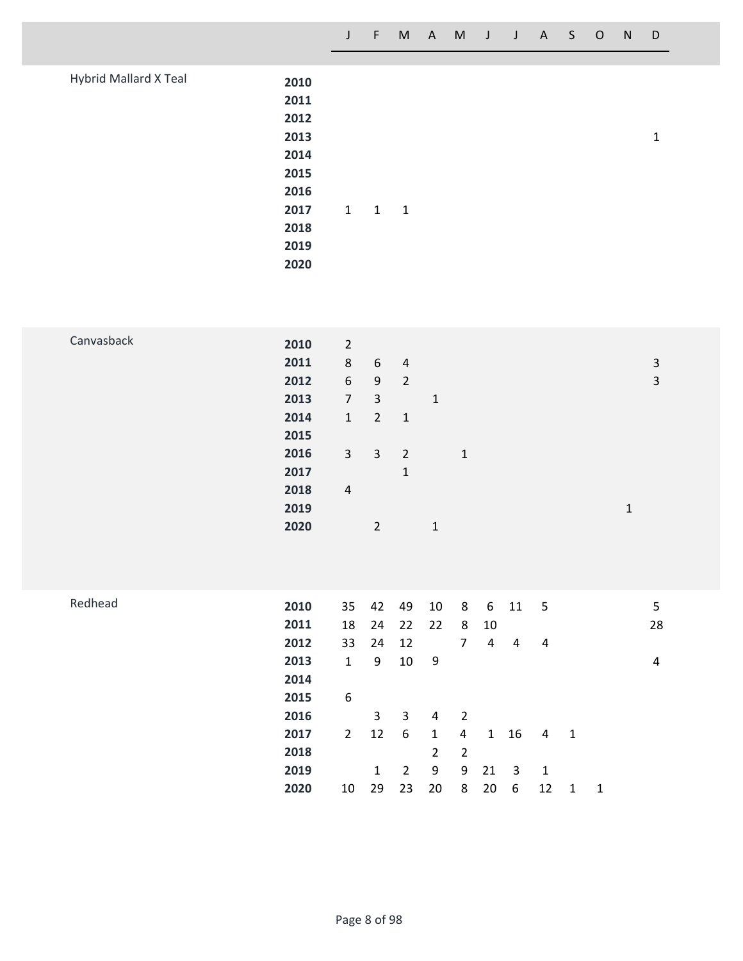|                       |                                                              | J                                                                              | F                                                                      | M                                               | $\mathsf{A}$ | M | J | $\mathsf{J}$ | $\mathsf{A}$ | S. | $\circ$ | <sub>N</sub> | D            |  |
|-----------------------|--------------------------------------------------------------|--------------------------------------------------------------------------------|------------------------------------------------------------------------|-------------------------------------------------|--------------|---|---|--------------|--------------|----|---------|--------------|--------------|--|
| Hybrid Mallard X Teal | 2010<br>2011<br>2012<br>2013<br>2014<br>2015<br>2016<br>2017 | $\mathbf{1}$                                                                   | $\mathbf{1}$                                                           | $\overline{\phantom{0}}$                        |              |   |   |              |              |    |         |              | $\mathbf{1}$ |  |
|                       | 2018<br>2019<br>2020                                         |                                                                                |                                                                        |                                                 |              |   |   |              |              |    |         |              |              |  |
| Canvasback            | 2010<br>2011<br>2012<br>2013<br>2014                         | $\overline{2}$<br>$\,8\,$<br>$\boldsymbol{6}$<br>$\overline{7}$<br>$\mathbf 1$ | $\boldsymbol{6}$<br>$\boldsymbol{9}$<br>$\mathbf{3}$<br>$\overline{2}$ | $\overline{4}$<br>$\overline{2}$<br>$\mathbf 1$ | $\mathbf 1$  |   |   |              |              |    |         |              | 3<br>3       |  |

**3 3 2 1**

**1**

**1**

**2 1**

**4**

| Redhead | 2010 | 35             | 42 | 49 | 10           | 8              | 6            | 11 | - 5 |    |    | 5  |
|---------|------|----------------|----|----|--------------|----------------|--------------|----|-----|----|----|----|
|         | 2011 | 18             | 24 | 22 | 22           | 8              | 10           |    |     |    |    | 28 |
|         | 2012 | 33             | 24 | 12 |              | 7              | 4            | 4  | 4   |    |    |    |
|         | 2013 | $\mathbf{1}$   | 9  | 10 | 9            |                |              |    |     |    |    | 4  |
|         | 2014 |                |    |    |              |                |              |    |     |    |    |    |
|         | 2015 | 6              |    |    |              |                |              |    |     |    |    |    |
|         | 2016 |                | 3  | 3  | 4            | 2              |              |    |     |    |    |    |
|         | 2017 | $\overline{2}$ | 12 | 6  | $\mathbf{1}$ | 4              | $\mathbf{1}$ | 16 | 4   | -1 |    |    |
|         | 2018 |                |    |    | $\mathbf{2}$ | $\overline{2}$ |              |    |     |    |    |    |
|         | 2019 |                | 1  | 2  | 9            | 9              | $21 \quad 3$ |    | -1  |    |    |    |
|         | 2020 | 10             | 29 | 23 | 20           | 8              | 20           | 6  | 12  | 1  | -1 |    |
|         |      |                |    |    |              |                |              |    |     |    |    |    |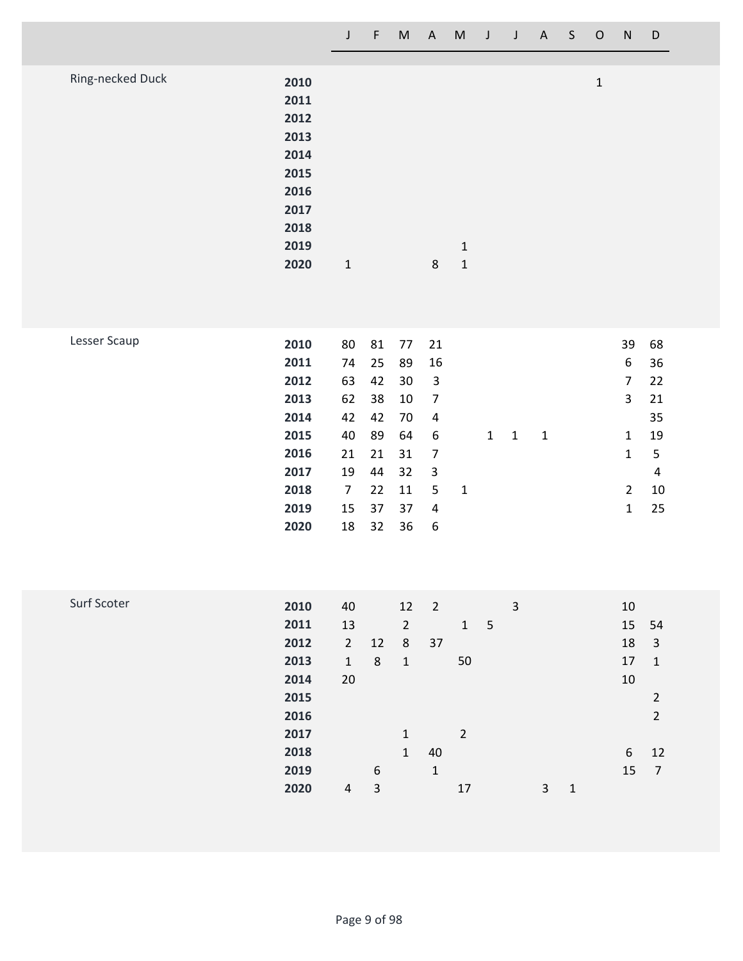| Ring-necked Duck | 2010 |              |   |              | 1 |  |
|------------------|------|--------------|---|--------------|---|--|
|                  | 2011 |              |   |              |   |  |
|                  | 2012 |              |   |              |   |  |
|                  | 2013 |              |   |              |   |  |
|                  | 2014 |              |   |              |   |  |
|                  | 2015 |              |   |              |   |  |
|                  | 2016 |              |   |              |   |  |
|                  | 2017 |              |   |              |   |  |
|                  | 2018 |              |   |              |   |  |
|                  | 2019 |              |   | $\mathbf{1}$ |   |  |
|                  | 2020 | $\mathbf{1}$ | 8 | $\mathbf{1}$ |   |  |
|                  |      |              |   |              |   |  |

| Lesser Scaup | 2010 | 80 | 81 | 77 | 21                      |   |   |   |    | 39 | 68 |
|--------------|------|----|----|----|-------------------------|---|---|---|----|----|----|
|              | 2011 | 74 | 25 | 89 | 16                      |   |   |   |    | 6  | 36 |
|              | 2012 | 63 | 42 | 30 | 3                       |   |   |   |    | 7  | 22 |
|              | 2013 | 62 | 38 | 10 | 7                       |   |   |   |    | 3  | 21 |
|              | 2014 | 42 | 42 | 70 | 4                       |   |   |   |    |    | 35 |
|              | 2015 | 40 | 89 | 64 | 6                       |   | 1 | 1 | -1 | 1  | 19 |
|              | 2016 | 21 | 21 | 31 | 7                       |   |   |   |    | 1  | 5  |
|              | 2017 | 19 | 44 | 32 | $\overline{\mathbf{3}}$ |   |   |   |    |    | 4  |
|              | 2018 | 7  | 22 | 11 | 5                       | 1 |   |   |    | 2  | 10 |
|              | 2019 | 15 | 37 | 37 | $\overline{4}$          |   |   |   |    | 1  | 25 |
|              | 2020 | 18 | 32 | 36 | 6                       |   |   |   |    |    |    |
|              |      |    |    |    |                         |   |   |   |    |    |    |

| Surf Scoter |      |              |    |                |                |                |   |   |   |   |    |                |
|-------------|------|--------------|----|----------------|----------------|----------------|---|---|---|---|----|----------------|
|             | 2010 | 40           |    | 12             | $\overline{2}$ |                |   | 3 |   |   | 10 |                |
|             | 2011 | 13           |    | $\overline{2}$ |                | $\mathbf{1}$   | 5 |   |   |   | 15 | 54             |
|             | 2012 | $2^{\circ}$  | 12 | 8              | 37             |                |   |   |   |   | 18 | 3              |
|             | 2013 | $\mathbf{1}$ | 8  | 1              |                | 50             |   |   |   |   | 17 | 1              |
|             | 2014 | 20           |    |                |                |                |   |   |   |   | 10 |                |
|             | 2015 |              |    |                |                |                |   |   |   |   |    | 2              |
|             | 2016 |              |    |                |                |                |   |   |   |   |    | $\overline{2}$ |
|             | 2017 |              |    | 1              |                | $\overline{2}$ |   |   |   |   |    |                |
|             | 2018 |              |    | $\mathbf{1}$   | 40             |                |   |   |   |   | 6  | 12             |
|             | 2019 |              | 6  |                | $\mathbf 1$    |                |   |   |   |   | 15 | 7              |
|             | 2020 | 4            | 3  |                |                | 17             |   |   | 3 | 1 |    |                |
|             |      |              |    |                |                |                |   |   |   |   |    |                |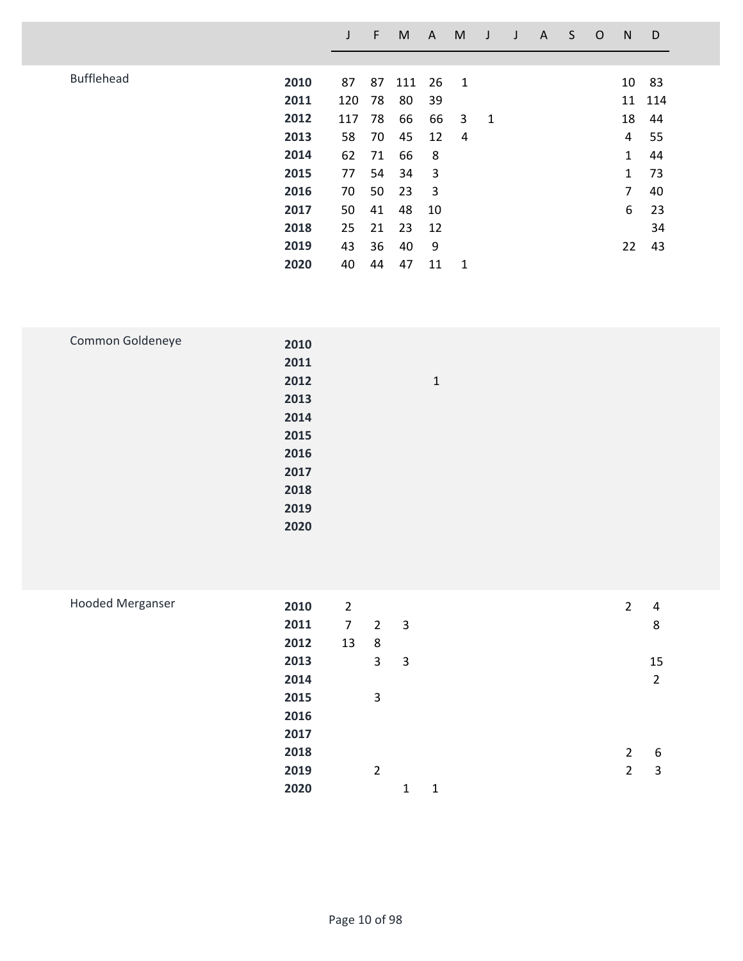|                   |      |        | F  | M   | A  | M |              | A | S | O | N            | D      |
|-------------------|------|--------|----|-----|----|---|--------------|---|---|---|--------------|--------|
|                   |      |        |    |     |    |   |              |   |   |   |              |        |
| <b>Bufflehead</b> | 2010 | 87     | 87 | 111 | 26 | 1 |              |   |   |   | 10           | 83     |
|                   | 2011 | 120 78 |    | 80  | 39 |   |              |   |   |   |              | 11 114 |
|                   | 2012 | 117    | 78 | 66  | 66 | 3 | $\mathbf{1}$ |   |   |   | 18           | 44     |
|                   | 2013 | 58     | 70 | 45  | 12 | 4 |              |   |   |   | 4            | 55     |
|                   | 2014 | 62     | 71 | 66  | 8  |   |              |   |   |   | 1            | 44     |
|                   | 2015 | 77     | 54 | 34  | 3  |   |              |   |   |   | $\mathbf{1}$ | 73     |
|                   | 2016 | 70     | 50 | 23  | 3  |   |              |   |   |   | 7            | 40     |
|                   | 2017 | 50     | 41 | 48  | 10 |   |              |   |   |   | 6            | 23     |
|                   | 2018 | 25     | 21 | 23  | 12 |   |              |   |   |   |              | 34     |
|                   | 2019 | 43     | 36 | 40  | 9  |   |              |   |   |   | 22           | 43     |
|                   | 2020 | 40     | 44 | 47  | 11 | 1 |              |   |   |   |              |        |

| Common Goldeneye | 2010 |              |
|------------------|------|--------------|
|                  | 2011 |              |
|                  | 2012 | $\mathbf{1}$ |
|                  | 2013 |              |
|                  | 2014 |              |
|                  | 2015 |              |
|                  | 2016 |              |
|                  | 2017 |              |
|                  | 2018 |              |
|                  | 2019 |              |
|                  | 2020 |              |
|                  |      |              |

| <b>Hooded Merganser</b> | 2010 | $\overline{2}$ |                |                |   | $\overline{2}$ | 4              |
|-------------------------|------|----------------|----------------|----------------|---|----------------|----------------|
|                         | 2011 | $\overline{7}$ | $\overline{2}$ | $\overline{3}$ |   |                | 8              |
|                         | 2012 | 13             | 8              |                |   |                |                |
|                         | 2013 |                | 3              | 3              |   |                | 15             |
|                         | 2014 |                |                |                |   |                | $\overline{2}$ |
|                         | 2015 |                | 3              |                |   |                |                |
|                         | 2016 |                |                |                |   |                |                |
|                         | 2017 |                |                |                |   |                |                |
|                         | 2018 |                |                |                |   | $\overline{2}$ | 6              |
|                         | 2019 |                | 2              |                |   | $\overline{2}$ | 3              |
|                         | 2020 |                |                | 1              | 1 |                |                |
|                         |      |                |                |                |   |                |                |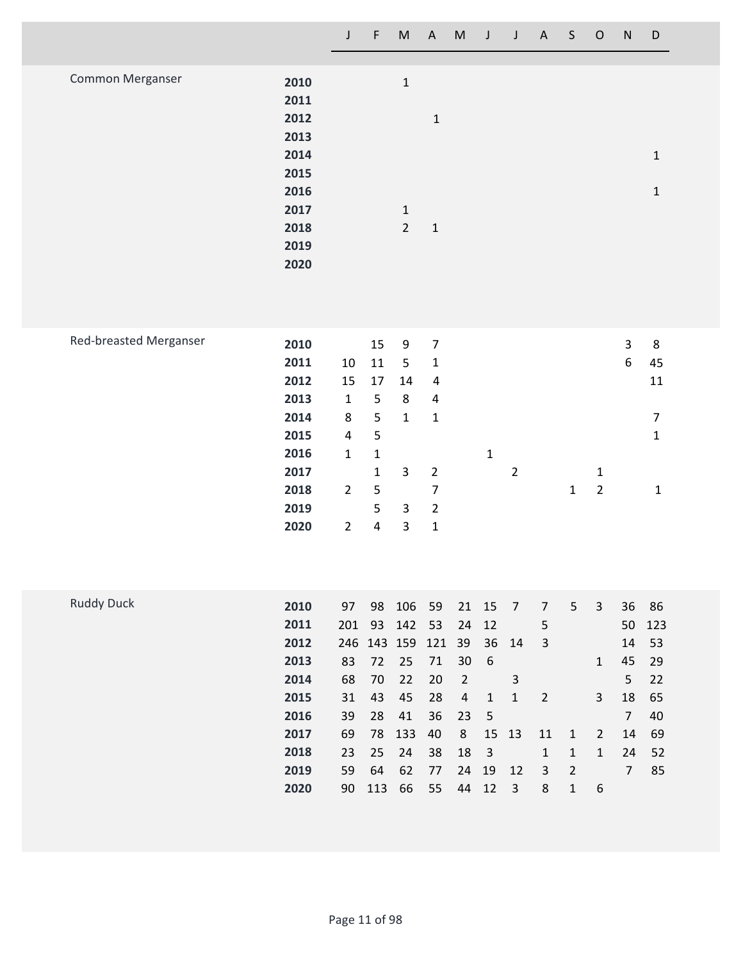|                  |      | J | F | M              | $\mathsf{A}$ | M | J | $\mathsf{A}$ | S. | $\circ$ | N <sub>1</sub> | D |
|------------------|------|---|---|----------------|--------------|---|---|--------------|----|---------|----------------|---|
|                  |      |   |   |                |              |   |   |              |    |         |                |   |
| Common Merganser | 2010 |   |   | $1\,$          |              |   |   |              |    |         |                |   |
|                  | 2011 |   |   |                |              |   |   |              |    |         |                |   |
|                  | 2012 |   |   |                | 1            |   |   |              |    |         |                |   |
|                  | 2013 |   |   |                |              |   |   |              |    |         |                |   |
|                  | 2014 |   |   |                |              |   |   |              |    |         |                | 1 |
|                  | 2015 |   |   |                |              |   |   |              |    |         |                |   |
|                  | 2016 |   |   |                |              |   |   |              |    |         |                | 1 |
|                  | 2017 |   |   | $\mathbf{1}$   |              |   |   |              |    |         |                |   |
|                  | 2018 |   |   | $\overline{2}$ | $\mathbf{1}$ |   |   |              |    |         |                |   |
|                  | 2019 |   |   |                |              |   |   |              |    |         |                |   |
|                  | 2020 |   |   |                |              |   |   |              |    |         |                |   |
|                  |      |   |   |                |              |   |   |              |    |         |                |   |
|                  |      |   |   |                |              |   |   |              |    |         |                |   |

|      |                |              |    |   |   |                |   |   |   | 8  |
|------|----------------|--------------|----|---|---|----------------|---|---|---|----|
|      |                |              |    |   |   |                |   |   |   |    |
| 2011 | 10             | 11           | 5  | 1 |   |                |   |   | 6 | 45 |
| 2012 | 15             | 17           | 14 | 4 |   |                |   |   |   | 11 |
| 2013 | 1              | 5            | 8  | 4 |   |                |   |   |   |    |
| 2014 | 8              | 5            | 1  | 1 |   |                |   |   |   |    |
| 2015 | 4              | 5            |    |   |   |                |   |   |   | 1  |
| 2016 | 1              | 1            |    |   | 1 |                |   |   |   |    |
| 2017 |                | $\mathbf{1}$ | 3  | 2 |   | $\overline{2}$ |   | 1 |   |    |
| 2018 | $\overline{2}$ | 5            |    | 7 |   |                | 1 | 2 |   | 1  |
| 2019 |                | 5            | 3  | 2 |   |                |   |   |   |    |
| 2020 | 2              | 4            | 3  | 1 |   |                |   |   |   |    |
|      | 2010           |              | 15 | 9 | 7 |                |   |   |   | 3  |

| <b>Ruddy Duck</b> | 2010 | 97  | 98  | 106 59          |    | 21             | - 15                    | $\overline{7}$ | 7  | 5              | 3            | 36             | 86     |
|-------------------|------|-----|-----|-----------------|----|----------------|-------------------------|----------------|----|----------------|--------------|----------------|--------|
|                   | 2011 | 201 |     | 93 142 53       |    | 24             | 12                      |                | 5  |                |              |                | 50 123 |
|                   | 2012 |     |     | 246 143 159 121 |    | 39             |                         | 36 14          | 3  |                |              |                | 14 53  |
|                   | 2013 | 83  | 72  | 25              | 71 | 30             | - 6                     |                |    |                | $\mathbf{1}$ | 45             | - 29   |
|                   | 2014 | 68  | 70  | 22              | 20 | $\overline{2}$ |                         | 3              |    |                |              | 5              | 22     |
|                   | 2015 | 31  | 43  | 45              | 28 | 4              | $\left  \right $        | 1              | 2  |                | 3            | 18             | 65     |
|                   | 2016 | 39  | 28  | 41              | 36 | 23             | - 5                     |                |    |                |              | $\overline{7}$ | 40     |
|                   | 2017 | 69  | 78  | 133             | 40 | 8              |                         | 15 13          | 11 | 1              | 2            | 14             | 69     |
|                   | 2018 | 23  |     | 25 24           | 38 | 18             | $\overline{\mathbf{3}}$ |                | 1  | $\mathbf{1}$   | $\mathbf{1}$ | 24             | 52     |
|                   | 2019 | 59  | 64  | 62              | 77 | 24             | 19                      | 12             | 3  | $\overline{2}$ |              | $\overline{7}$ | 85     |
|                   | 2020 | 90  | 113 | 66              | 55 | 44             | 12                      | 3              | 8  | 1              | 6            |                |        |
|                   |      |     |     |                 |    |                |                         |                |    |                |              |                |        |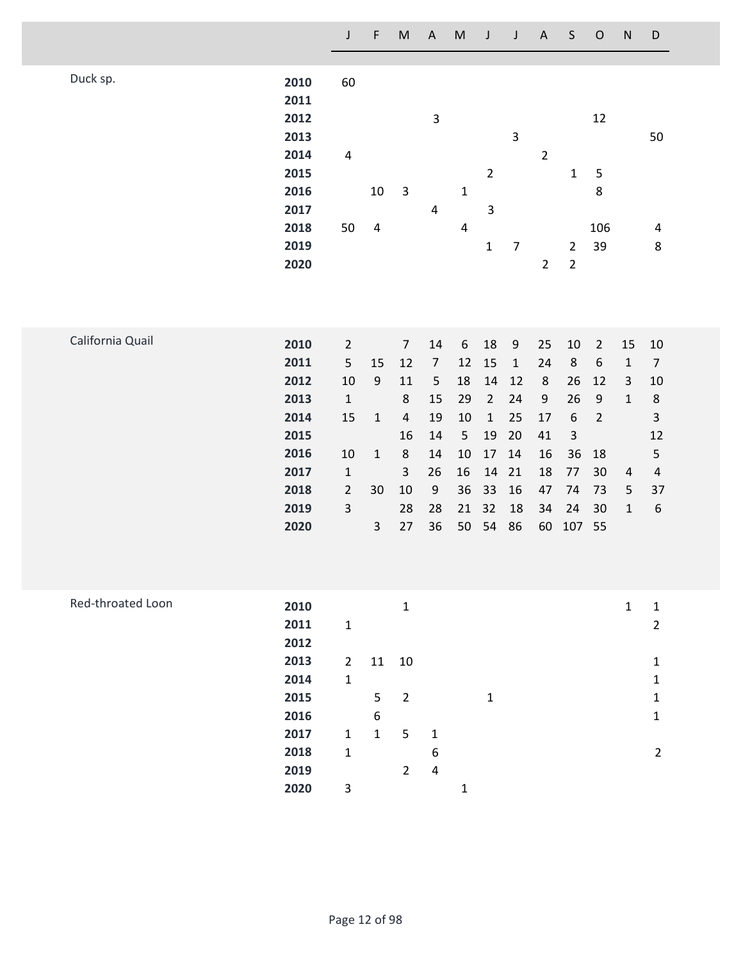|                   |                                                      | J                                                        | F                                                      | $\mathsf{M}% _{T}=\mathsf{M}_{T}\!\left( a,b\right) ,\ \mathsf{M}_{T}=\mathsf{M}_{T}\!\left( a,b\right) ,$ | $\mathsf A$                                                   | ${\sf M}$                                               | J                                                           | $\mathsf J$                                                   | $\mathsf A$                                | $\mathsf S$                                                             | $\mathsf O$                                                                          | ${\sf N}$                                         | $\mathsf D$                                                               |
|-------------------|------------------------------------------------------|----------------------------------------------------------|--------------------------------------------------------|------------------------------------------------------------------------------------------------------------|---------------------------------------------------------------|---------------------------------------------------------|-------------------------------------------------------------|---------------------------------------------------------------|--------------------------------------------|-------------------------------------------------------------------------|--------------------------------------------------------------------------------------|---------------------------------------------------|---------------------------------------------------------------------------|
| Duck sp.          | 2010<br>2011<br>2012<br>2013                         | 60                                                       |                                                        |                                                                                                            | $\overline{\mathbf{3}}$                                       |                                                         |                                                             | 3                                                             |                                            |                                                                         | 12                                                                                   |                                                   | 50                                                                        |
|                   | 2014<br>2015<br>2016<br>2017                         | $\pmb{4}$                                                | 10                                                     | $\mathsf 3$                                                                                                | $\overline{\mathbf{4}}$                                       | $\mathbf 1$                                             | $\overline{2}$<br>$\overline{\mathbf{3}}$                   |                                                               | $\overline{2}$                             | $\mathbf 1$                                                             | 5<br>$\bf 8$                                                                         |                                                   |                                                                           |
|                   | 2018<br>2019<br>2020                                 | 50                                                       | $\overline{\mathbf{4}}$                                |                                                                                                            |                                                               | $\overline{4}$                                          | $\mathbf 1$                                                 | $\overline{7}$                                                | $\overline{2}$                             | $\overline{2}$<br>$\overline{2}$                                        | 106<br>39                                                                            |                                                   | 4<br>$\bf 8$                                                              |
| California Quail  | 2010<br>2011<br>2012<br>2013<br>2014<br>2015<br>2016 | $\overline{2}$<br>5<br>10<br>$\mathbf 1$<br>15<br>$10\,$ | 15<br>$\boldsymbol{9}$<br>$\mathbf{1}$<br>$\mathbf{1}$ | $\overline{7}$<br>12<br>11<br>$\,8\,$<br>$\sqrt{4}$<br>16<br>$\,8\,$                                       | 14<br>$\boldsymbol{7}$<br>$\mathsf S$<br>15<br>19<br>14<br>14 | $\boldsymbol{6}$<br>12<br>18<br>29<br>10<br>5<br>$10\,$ | 18<br>15<br>14<br>$\overline{2}$<br>$\mathbf 1$<br>19<br>17 | $\boldsymbol{9}$<br>$\mathbf 1$<br>12<br>24<br>25<br>20<br>14 | 25<br>24<br>$\,8\,$<br>9<br>17<br>41<br>16 | $10\,$<br>$\,8\,$<br>26<br>26<br>$\boldsymbol{6}$<br>$\mathsf{3}$<br>36 | $\overline{2}$<br>$\boldsymbol{6}$<br>12<br>$\boldsymbol{9}$<br>$\overline{2}$<br>18 | 15<br>$\mathbf 1$<br>$\mathsf{3}$<br>$\mathbf{1}$ | 10<br>$\overline{7}$<br>10<br>$\,8\,$<br>$\mathsf 3$<br>12<br>$\mathsf S$ |
|                   | 2017<br>2018<br>2019<br>2020                         | $\mathbf 1$<br>$\overline{2}$<br>$\mathsf 3$             | 30<br>$\mathsf{3}$                                     | $\mathsf{3}$<br>$10\,$<br>28<br>27                                                                         | 26<br>$\boldsymbol{9}$<br>28<br>36                            | 16<br>36<br>21<br>50                                    | 14<br>33<br>32<br>54                                        | 21<br>16<br>18<br>86                                          | 18<br>47<br>34<br>60                       | 77<br>74<br>24<br>107                                                   | 30<br>73<br>30<br>55                                                                 | 4<br>5<br>$\mathbf 1$                             | $\overline{4}$<br>37<br>6                                                 |
| Red-throated Loon | 2010<br>2011<br>2012                                 | $\mathbf{1}$                                             |                                                        | $\mathbf 1$                                                                                                |                                                               |                                                         |                                                             |                                                               |                                            |                                                                         |                                                                                      | $\mathbf 1$                                       | $\mathbf 1$<br>$\overline{2}$                                             |
|                   | 2013<br>2014<br>2015<br>2016                         | $\overline{2}$<br>$\mathbf 1$                            | 11<br>5<br>$\boldsymbol{6}$                            | $10\,$<br>$\overline{2}$                                                                                   |                                                               |                                                         | $\mathbf{1}$                                                |                                                               |                                            |                                                                         |                                                                                      |                                                   | $\mathbf 1$<br>$\mathbf 1$<br>$\mathbf{1}$<br>$\mathbf 1$                 |
|                   | 2017<br>2018<br>2019                                 | $1\,$<br>$\mathbf 1$                                     | $\mathbf 1$                                            | 5<br>$\overline{2}$                                                                                        | $\mathbf 1$<br>$\boldsymbol{6}$<br>$\pmb{4}$                  |                                                         |                                                             |                                                               |                                            |                                                                         |                                                                                      |                                                   | $\overline{2}$                                                            |
|                   | 2020                                                 | 3                                                        |                                                        |                                                                                                            |                                                               | $\mathbf{1}$                                            |                                                             |                                                               |                                            |                                                                         |                                                                                      |                                                   |                                                                           |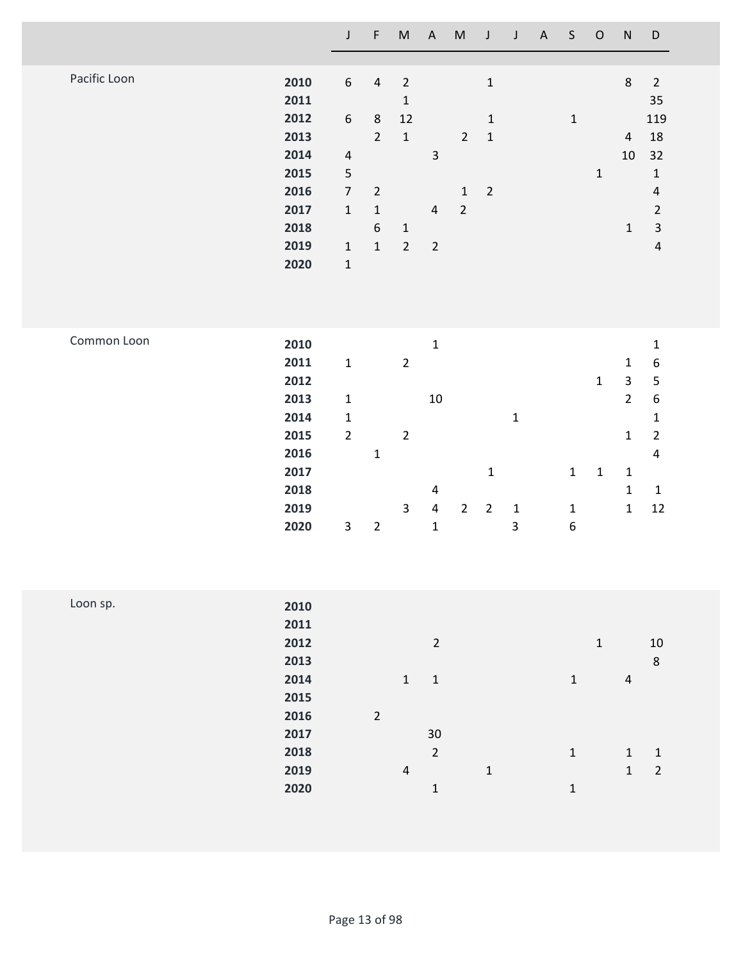|              |                                                                                      | $\mathsf J$                                                                 | $\mathsf F$                   | $\sf M$                                          | $\mathsf A$                                                                  | ${\sf M}$      | $\mathsf J$                   | $\mathsf J$                                            | $\boldsymbol{\mathsf{A}}$ | $\mathsf S$                                     | $\mathsf O$                | ${\sf N}$                                                                                                             | $\mathsf D$                                                                                                                     |
|--------------|--------------------------------------------------------------------------------------|-----------------------------------------------------------------------------|-------------------------------|--------------------------------------------------|------------------------------------------------------------------------------|----------------|-------------------------------|--------------------------------------------------------|---------------------------|-------------------------------------------------|----------------------------|-----------------------------------------------------------------------------------------------------------------------|---------------------------------------------------------------------------------------------------------------------------------|
| Pacific Loon | 2010<br>2011                                                                         | $\boldsymbol{6}$                                                            | $\sqrt{4}$                    | $\sqrt{2}$<br>$\mathbf 1$                        |                                                                              |                | $\mathbf{1}$                  |                                                        |                           |                                                 |                            | $\,8\,$                                                                                                               | $\overline{2}$<br>35                                                                                                            |
|              | 2012<br>2013                                                                         | $\boldsymbol{6}$                                                            | $\,8\,$<br>$\overline{2}$     | 12<br>$\mathbf 1$                                |                                                                              | $\overline{2}$ | $\mathbf 1$<br>$\mathbf 1$    |                                                        |                           | $\mathbf 1$                                     |                            | $\overline{4}$                                                                                                        | 119<br>18                                                                                                                       |
|              | 2014<br>2015<br>2016                                                                 | $\overline{4}$<br>$\mathsf S$<br>$\overline{7}$                             | $\overline{2}$                |                                                  | $\ensuremath{\mathsf{3}}$                                                    | $\mathbf 1$    | $\mathbf 2$                   |                                                        |                           |                                                 | $\mathbf 1$                | $10\,$                                                                                                                | 32<br>$\mathbf 1$<br>$\sqrt{4}$                                                                                                 |
|              | 2017<br>2018                                                                         | $\mathbf 1$                                                                 | $\mathbf 1$<br>$6\phantom{1}$ | $\mathbf 1$                                      | $\overline{4}$                                                               | $\overline{2}$ |                               |                                                        |                           |                                                 |                            | $\mathbf 1$                                                                                                           | $\overline{2}$<br>$\ensuremath{\mathsf{3}}$                                                                                     |
|              | 2019<br>2020                                                                         | $\mathbf{1}$<br>$\mathbf 1$                                                 | $\mathbf{1}$                  | $\overline{2}$                                   | $\sqrt{2}$                                                                   |                |                               |                                                        |                           |                                                 |                            |                                                                                                                       | $\sqrt{4}$                                                                                                                      |
| Common Loon  | 2010<br>2011<br>2012<br>2013<br>2014<br>2015<br>2016<br>2017<br>2018<br>2019<br>2020 | $\mathbf 1$<br>$\mathbf 1$<br>$\mathbf 1$<br>$\overline{2}$<br>$\mathbf{3}$ | $\mathbf 1$<br>$\mathbf 2$    | $\overline{2}$<br>$\overline{2}$<br>$\mathsf{3}$ | $\mathbf 1$<br>$10\,$<br>$\overline{\mathbf{4}}$<br>$\pmb{4}$<br>$\mathbf 1$ | $\overline{2}$ | $\mathbf 1$<br>$\overline{2}$ | $\mathbf{1}$<br>$\mathbf 1$<br>$\overline{\mathbf{3}}$ |                           | $\mathbf 1$<br>$\mathbf{1}$<br>$\boldsymbol{6}$ | $\mathbf 1$<br>$\mathbf 1$ | $\mathbf 1$<br>$\overline{\mathbf{3}}$<br>$\overline{2}$<br>$\mathbf 1$<br>$\mathbf{1}$<br>$\mathbf 1$<br>$\mathbf 1$ | $\mathbf 1$<br>$\boldsymbol{6}$<br>5<br>$\boldsymbol{6}$<br>$\mathbf 1$<br>$\overline{2}$<br>$\pmb{4}$<br>$\mathbf 1$<br>$12\,$ |
| Loon sp.     | 2010<br>2011<br>2012<br>2013<br>2014<br>2015<br>2016                                 |                                                                             | $\mathbf 2$                   | $\mathbf{1}$                                     | $\overline{2}$<br>$\mathbf 1$                                                |                |                               |                                                        |                           | $\mathbf 1$                                     | $\mathbf 1$                | $\overline{a}$                                                                                                        | $10\,$<br>$\,8\,$                                                                                                               |
|              | 2017<br>2018<br>2019<br>2020                                                         |                                                                             |                               | $\sqrt{4}$                                       | $30\,$<br>$\sqrt{2}$<br>$\mathbf 1$                                          |                | $\mathbf 1$                   |                                                        |                           | $\mathbf 1$<br>$\mathbf 1$                      |                            | $\mathbf 1$<br>$\mathbf 1$                                                                                            | $\mathbf 1$<br>$\overline{c}$                                                                                                   |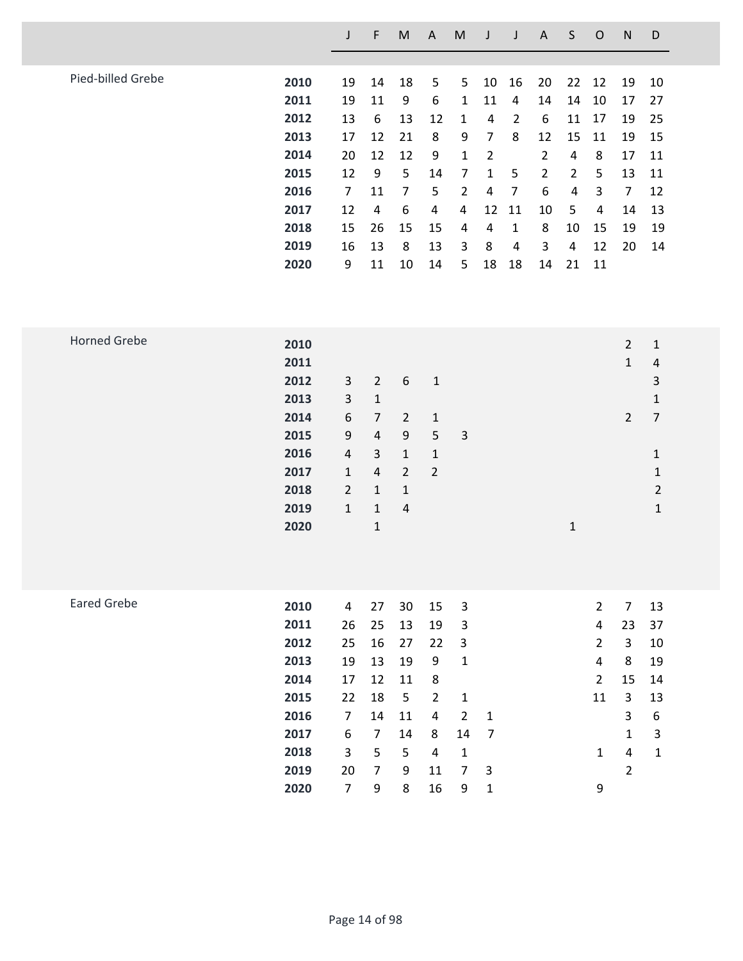|                   |      |    | F  | M  | A  | M |    |                | A              | S  | O  | N              | D  |
|-------------------|------|----|----|----|----|---|----|----------------|----------------|----|----|----------------|----|
|                   |      |    |    |    |    |   |    |                |                |    |    |                |    |
| Pied-billed Grebe | 2010 | 19 | 14 | 18 | 5  | 5 | 10 | 16             | 20             | 22 | 12 | 19             | 10 |
|                   | 2011 | 19 | 11 | 9  | 6  | 1 | 11 | 4              | 14             | 14 | 10 | 17             | 27 |
|                   | 2012 | 13 | 6  | 13 | 12 | 1 | 4  | $\overline{2}$ | 6              | 11 | 17 | 19             | 25 |
|                   | 2013 | 17 | 12 | 21 | 8  | 9 | 7  | 8              | 12             | 15 | 11 | 19             | 15 |
|                   | 2014 | 20 | 12 | 12 | 9  | 1 | 2  |                | 2              | 4  | 8  | 17             | 11 |
|                   | 2015 | 12 | 9  | 5  | 14 | 7 | 1  | 5              | $\overline{2}$ | 2  | 5  | 13             | 11 |
|                   | 2016 | 7  | 11 | 7  | 5  | 2 | 4  | 7              | 6              | 4  | 3  | $\overline{7}$ | 12 |
|                   | 2017 | 12 | 4  | 6  | 4  | 4 | 12 | 11             | 10             | 5  | 4  | 14             | 13 |
|                   | 2018 | 15 | 26 | 15 | 15 | 4 | 4  | 1              | 8              | 10 | 15 | 19             | 19 |
|                   | 2019 | 16 | 13 | 8  | 13 | 3 | 8  | 4              | 3              | 4  | 12 | 20             | 14 |
|                   | 2020 | 9  | 11 | 10 | 14 | 5 | 18 | 18             | 14             | 21 | 11 |                |    |
|                   |      |    |    |    |    |   |    |                |                |    |    |                |    |

| <b>Horned Grebe</b> | 2010 |                  |                |                |                |   |  |              | $\overline{2}$ | 1              |
|---------------------|------|------------------|----------------|----------------|----------------|---|--|--------------|----------------|----------------|
|                     | 2011 |                  |                |                |                |   |  |              | 1              | $\overline{4}$ |
|                     | 2012 | $\mathbf{3}$     | $\overline{2}$ | 6              | $\mathbf{1}$   |   |  |              |                | 3              |
|                     | 2013 | $\overline{3}$   | $\mathbf{1}$   |                |                |   |  |              |                | $\mathbf{1}$   |
|                     | 2014 | $\boldsymbol{6}$ | $\overline{7}$ | $\overline{2}$ | $1\,$          |   |  |              | $2^{\circ}$    | $\overline{7}$ |
|                     | 2015 | 9                | $\overline{4}$ | 9              | 5              | 3 |  |              |                |                |
|                     | 2016 | $\overline{a}$   | 3              | $\mathbf{1}$   | $\mathbf{1}$   |   |  |              |                | 1              |
|                     | 2017 | $\mathbf{1}$     | $\overline{4}$ | $\overline{2}$ | $\overline{2}$ |   |  |              |                | 1              |
|                     | 2018 | $2^{\circ}$      | $\mathbf{1}$   | $\mathbf{1}$   |                |   |  |              |                | $\overline{2}$ |
|                     | 2019 | $\mathbf{1}$     | $\mathbf{1}$   | $\overline{4}$ |                |   |  |              |                | $\mathbf{1}$   |
|                     | 2020 |                  | $\mathbf{1}$   |                |                |   |  | $\mathbf{1}$ |                |                |
|                     |      |                  |                |                |                |   |  |              |                |                |
|                     |      |                  |                |                |                |   |  |              |                |                |
|                     |      |                  |                |                |                |   |  |              |                |                |
| $   -$              |      |                  |                |                |                |   |  |              |                |                |

| <b>Eared Grebe</b> | 2010 | 4  | 27             | 30 | 15 | 3   |                         | 2              | 7            | 13 |
|--------------------|------|----|----------------|----|----|-----|-------------------------|----------------|--------------|----|
|                    | 2011 | 26 | 25             | 13 | 19 | 3   |                         | 4              | 23           | 37 |
|                    | 2012 | 25 | 16             | 27 | 22 | - 3 |                         | $\overline{2}$ | 3            | 10 |
|                    | 2013 | 19 | 13             | 19 | 9  | 1   |                         | 4              | 8            | 19 |
|                    | 2014 | 17 | 12             | 11 | 8  |     |                         | $\overline{2}$ | 15           | 14 |
|                    | 2015 | 22 | 18             | 5  | 2  | 1   |                         | 11             | 3            | 13 |
|                    | 2016 | 7  | 14             | 11 | 4  | 2   | - 1                     |                | 3            | 6  |
|                    | 2017 | 6  | $\overline{7}$ | 14 | 8  | 14  | $\overline{7}$          |                | $\mathbf{1}$ | 3  |
|                    | 2018 | 3  | 5              | 5  | 4  | 1   |                         | 1              | 4            | 1  |
|                    | 2019 | 20 | 7              | 9  | 11 | 7   | $\overline{\mathbf{3}}$ |                | 2            |    |
|                    | 2020 | 7  | 9              | 8  | 16 | 9   | 1                       | 9              |              |    |
|                    |      |    |                |    |    |     |                         |                |              |    |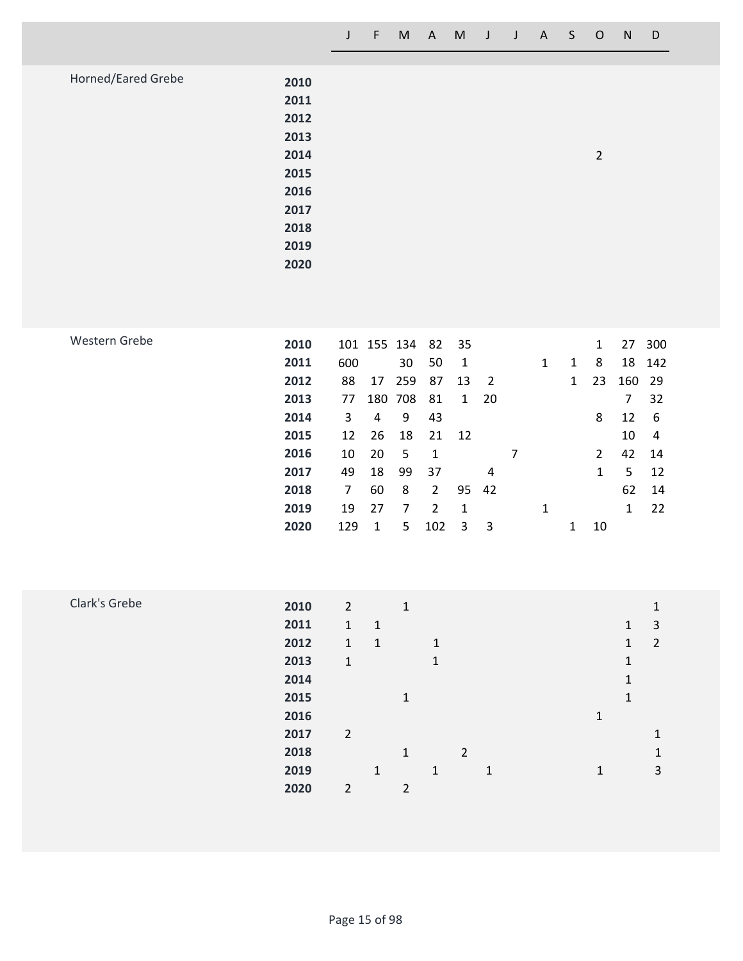| 2010<br>2011 |      |                |  |
|--------------|------|----------------|--|
| 2012         |      |                |  |
| 2013         |      |                |  |
| 2014         |      | $\overline{2}$ |  |
| 2015         |      |                |  |
| 2016         |      |                |  |
| 2017         |      |                |  |
| 2018         |      |                |  |
| 2019         |      |                |  |
|              |      |                |  |
|              | 2020 |                |  |

| Western Grebe | 2010 |     |     | 101 155 134 | - 82                  | 35           |                |   |   |              | 1              | 27  | 300  |
|---------------|------|-----|-----|-------------|-----------------------|--------------|----------------|---|---|--------------|----------------|-----|------|
|               | 2011 | 600 |     | 30          | 50                    | 1            |                |   | 1 | 1            | 8              | 18  | 142  |
|               | 2012 | 88  | 17  | 259         | 87                    | 13           | $\overline{2}$ |   |   | $\mathbf{1}$ | 23             | 160 | - 29 |
|               | 2013 | 77  | 180 | 708         | 81                    | $\mathbf{1}$ | 20             |   |   |              |                | 7   | 32   |
|               | 2014 | 3   | 4   | 9           | 43                    |              |                |   |   |              | 8              | 12  | -6   |
|               | 2015 | 12  | 26  | 18          | 21                    | -12          |                |   |   |              |                | 10  | 4    |
|               | 2016 | 10  | 20  | 5           | 1                     |              |                | 7 |   |              | $\overline{2}$ | 42  | 14   |
|               | 2017 | 49  | 18  | 99          | 37                    |              | 4              |   |   |              | 1              | 5   | 12   |
|               | 2018 | 7   | 60  | 8           | $\mathbf{2}^{\prime}$ |              | 95 42          |   |   |              |                | 62  | 14   |
|               | 2019 | 19  | 27  | 7           | 2                     | 1            |                |   | 1 |              |                | 1   | 22   |
|               | 2020 | 129 |     | 5           | 102                   | 3            | 3              |   |   | 1            | 10             |     |      |

| Clark's Grebe | 2010 | $\overline{2}$ |              | 1 |              |                |   |  |   |              | 1              |
|---------------|------|----------------|--------------|---|--------------|----------------|---|--|---|--------------|----------------|
|               | 2011 | $\mathbf{1}$   | $\mathbf{1}$ |   |              |                |   |  |   | 1            | 3              |
|               | 2012 | 1              | $\mathbf{1}$ |   | $\mathbf{1}$ |                |   |  |   | 1            | $\overline{2}$ |
|               | 2013 | $\mathbf{1}$   |              |   | $\mathbf{1}$ |                |   |  |   | $\mathbf{1}$ |                |
|               | 2014 |                |              |   |              |                |   |  |   | 1            |                |
|               | 2015 |                |              | 1 |              |                |   |  |   | 1            |                |
|               | 2016 |                |              |   |              |                |   |  | 1 |              |                |
|               | 2017 | $\overline{2}$ |              |   |              |                |   |  |   |              | 1              |
|               | 2018 |                |              | 1 |              | $\overline{2}$ |   |  |   |              | 1              |
|               | 2019 |                | 1            |   | $\mathbf{1}$ |                | 1 |  | 1 |              | 3              |
|               | 2020 | $\overline{2}$ |              | 2 |              |                |   |  |   |              |                |
|               |      |                |              |   |              |                |   |  |   |              |                |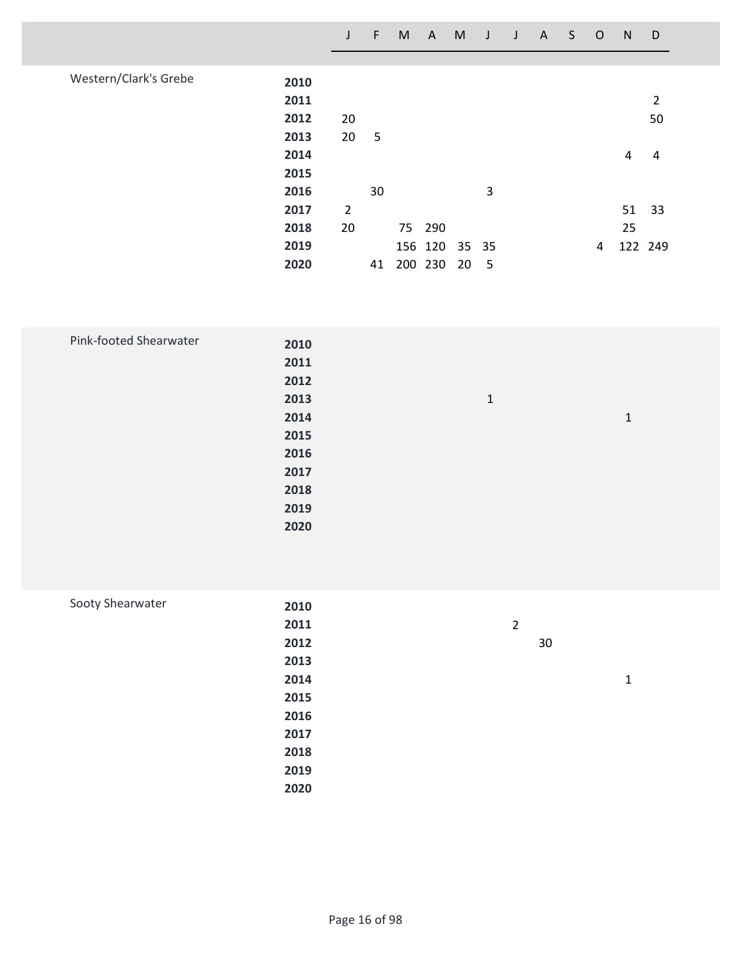|                       |      | $\mathsf{J}$ | F  | M | $\mathsf{A}$ | M  | J                        | $\mathsf{J}$ | $\mathsf{A}$ | S | $\circ$ | N  | D              |
|-----------------------|------|--------------|----|---|--------------|----|--------------------------|--------------|--------------|---|---------|----|----------------|
|                       |      |              |    |   |              |    |                          |              |              |   |         |    |                |
| Western/Clark's Grebe | 2010 |              |    |   |              |    |                          |              |              |   |         |    |                |
|                       | 2011 |              |    |   |              |    |                          |              |              |   |         |    | $\overline{2}$ |
|                       | 2012 | 20           |    |   |              |    |                          |              |              |   |         |    | 50             |
|                       | 2013 | 20           | 5  |   |              |    |                          |              |              |   |         |    |                |
|                       | 2014 |              |    |   |              |    |                          |              |              |   |         | 4  | 4              |
|                       | 2015 |              |    |   |              |    |                          |              |              |   |         |    |                |
|                       | 2016 |              | 30 |   |              |    | 3                        |              |              |   |         |    |                |
|                       | 2017 | 2            |    |   |              |    |                          |              |              |   |         | 51 | 33             |
|                       | 2018 | 20           |    |   | 75 290       |    |                          |              |              |   |         | 25 |                |
|                       | 2019 |              |    |   | 156 120      |    | 35 35                    |              |              |   | 4       |    | 122 249        |
|                       | 2020 |              | 41 |   | 200 230      | 20 | $\overline{\phantom{0}}$ |              |              |   |         |    |                |

| Pink-footed Shearwater |      |              |       |  |
|------------------------|------|--------------|-------|--|
|                        | 2010 |              |       |  |
|                        | 2011 |              |       |  |
|                        | 2012 |              |       |  |
|                        | 2013 | $\mathbf{1}$ |       |  |
|                        | 2014 |              | $1\,$ |  |
|                        | 2015 |              |       |  |
|                        | 2016 |              |       |  |
|                        | 2017 |              |       |  |
|                        | 2018 |              |       |  |
|                        | 2019 |              |       |  |
|                        | 2020 |              |       |  |
|                        |      |              |       |  |

| Sooty Shearwater | 2010 |                |   |
|------------------|------|----------------|---|
|                  | 2011 | $\overline{2}$ |   |
|                  | 2012 | 30             |   |
|                  | 2013 |                |   |
|                  | 2014 |                | 1 |
|                  | 2015 |                |   |
|                  | 2016 |                |   |
|                  | 2017 |                |   |
|                  | 2018 |                |   |
|                  | 2019 |                |   |
|                  | 2020 |                |   |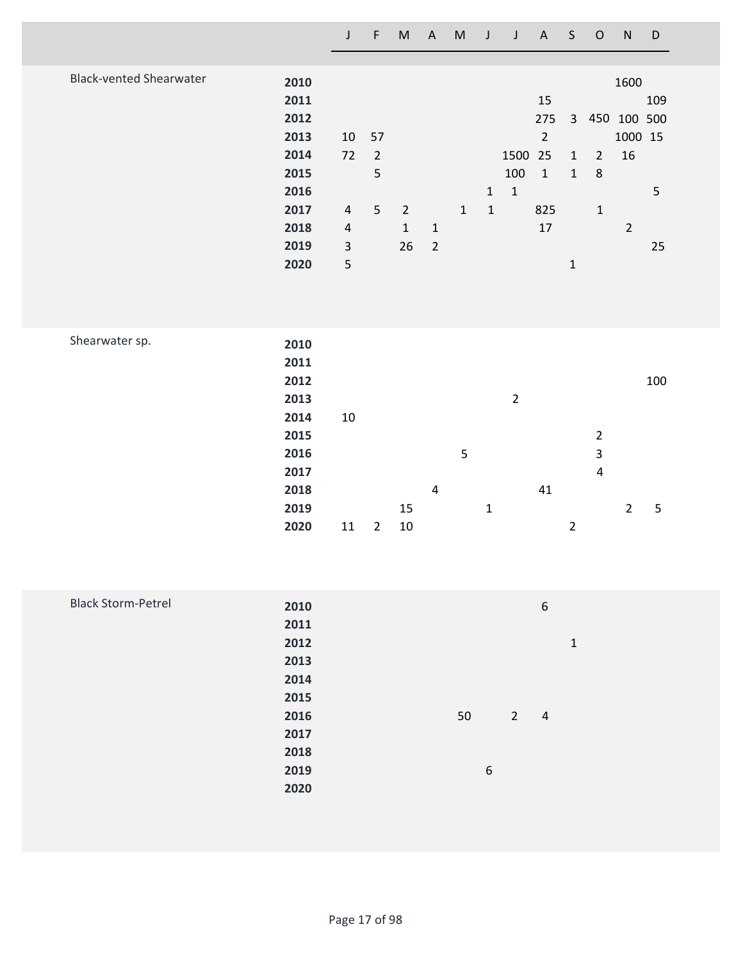|                                |              | $\mathsf{J}$   | F              | M              | A              | M            | J            | $\mathsf{J}$   | A              | S              | $\circ$                 | N              | D   |
|--------------------------------|--------------|----------------|----------------|----------------|----------------|--------------|--------------|----------------|----------------|----------------|-------------------------|----------------|-----|
|                                |              |                |                |                |                |              |              |                |                |                |                         |                |     |
| <b>Black-vented Shearwater</b> | 2010         |                |                |                |                |              |              |                |                |                |                         | 1600           |     |
|                                | 2011         |                |                |                |                |              |              |                | 15             |                |                         |                | 109 |
|                                | 2012         |                |                |                |                |              |              |                | 275            | $\mathbf{3}$   | 450                     | 100 500        |     |
|                                | 2013         | 10             | 57             |                |                |              |              |                | $\overline{2}$ |                |                         | 1000 15        |     |
|                                | 2014         | 72             | $\overline{2}$ |                |                |              |              | 1500           | 25             | $\mathbf 1$    | $\overline{2}$          | 16             |     |
|                                | 2015         |                | 5              |                |                |              |              | 100            | $\mathbf 1$    | $1\,$          | $\,8\,$                 |                |     |
|                                | 2016         |                |                |                |                |              | $\mathbf{1}$ | $\mathbf 1$    |                |                |                         |                | 5   |
|                                | 2017         | $\overline{4}$ | 5              | $\overline{2}$ |                | $\mathbf{1}$ | $\mathbf{1}$ |                | 825            |                | $\mathbf{1}$            |                |     |
|                                | 2018         | $\sqrt{4}$     |                | $\mathbf{1}$   | $\mathbf 1$    |              |              |                | 17             |                |                         | $\overline{2}$ |     |
|                                | 2019         | $\mathsf{3}$   |                | 26             | $\overline{2}$ |              |              |                |                |                |                         |                | 25  |
|                                | 2020         | 5              |                |                |                |              |              |                |                | $\mathbf 1$    |                         |                |     |
|                                |              |                |                |                |                |              |              |                |                |                |                         |                |     |
|                                |              |                |                |                |                |              |              |                |                |                |                         |                |     |
|                                |              |                |                |                |                |              |              |                |                |                |                         |                |     |
| Shearwater sp.                 | 2010         |                |                |                |                |              |              |                |                |                |                         |                |     |
|                                | 2011         |                |                |                |                |              |              |                |                |                |                         |                |     |
|                                | 2012         |                |                |                |                |              |              |                |                |                |                         |                | 100 |
|                                | 2013         |                |                |                |                |              |              | $\overline{2}$ |                |                |                         |                |     |
|                                | 2014         | 10             |                |                |                |              |              |                |                |                |                         |                |     |
|                                | 2015         |                |                |                |                |              |              |                |                |                | $\overline{2}$          |                |     |
|                                | 2016         |                |                |                |                | 5            |              |                |                |                | 3                       |                |     |
|                                | 2017<br>2018 |                |                |                | $\pmb{4}$      |              |              |                |                |                | $\overline{\mathbf{4}}$ |                |     |
|                                | 2019         |                |                | 15             |                |              | $\mathbf 1$  |                | $41\,$         |                |                         | $\overline{2}$ | 5   |
|                                | 2020         | $11\,$         | $\overline{2}$ | $10\,$         |                |              |              |                |                | $\overline{2}$ |                         |                |     |
|                                |              |                |                |                |                |              |              |                |                |                |                         |                |     |

| <b>Black Storm-Petrel</b> | 2010 |                  |                | $\boldsymbol{6}$ |             |  |
|---------------------------|------|------------------|----------------|------------------|-------------|--|
|                           | 2011 |                  |                |                  |             |  |
|                           | 2012 |                  |                |                  | $\mathbf 1$ |  |
|                           | 2013 |                  |                |                  |             |  |
|                           | 2014 |                  |                |                  |             |  |
|                           | 2015 |                  |                |                  |             |  |
|                           | 2016 | 50               | $\overline{2}$ | $\overline{4}$   |             |  |
|                           | 2017 |                  |                |                  |             |  |
|                           | 2018 |                  |                |                  |             |  |
|                           | 2019 | $\boldsymbol{6}$ |                |                  |             |  |
|                           | 2020 |                  |                |                  |             |  |
|                           |      |                  |                |                  |             |  |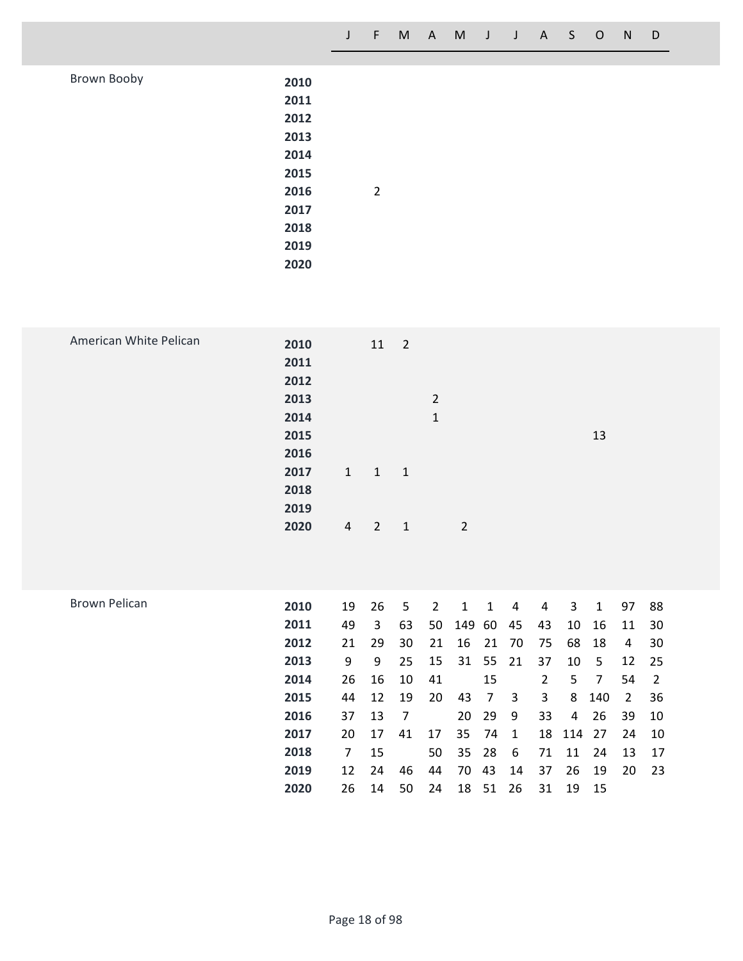| Brown Booby | 2010 |                |  |  |
|-------------|------|----------------|--|--|
|             | 2011 |                |  |  |
|             | 2012 |                |  |  |
|             | 2013 |                |  |  |
|             | 2014 |                |  |  |
|             | 2015 |                |  |  |
|             | 2016 | $\overline{2}$ |  |  |
|             | 2017 |                |  |  |
|             | 2018 |                |  |  |
|             | 2019 |                |  |  |
|             | 2020 |                |  |  |
|             |      |                |  |  |

| 2010                   |                      |             |                                     |                |    |  |
|------------------------|----------------------|-------------|-------------------------------------|----------------|----|--|
| 2011                   |                      |             |                                     |                |    |  |
| 2012                   |                      |             |                                     |                |    |  |
| 2013                   |                      |             | $\overline{2}$                      |                |    |  |
| 2014                   |                      |             | $\mathbf{1}$                        |                |    |  |
| 2015                   |                      |             |                                     |                | 13 |  |
| 2016                   |                      |             |                                     |                |    |  |
| 2017                   |                      |             |                                     |                |    |  |
|                        |                      |             |                                     |                |    |  |
|                        |                      |             |                                     |                |    |  |
|                        |                      |             |                                     |                |    |  |
|                        |                      |             |                                     |                |    |  |
| American White Pelican | 2018<br>2019<br>2020 | $1 \quad 1$ | $11$ 2<br>$\overline{1}$<br>$4$ 2 1 | $\overline{2}$ |    |  |

| <b>Brown Pelican</b> | 2010 | 19 | 26 | 5  | 2  | 1     | 1  | 4   | 4  | 3   | 1   | 97  | 88  |
|----------------------|------|----|----|----|----|-------|----|-----|----|-----|-----|-----|-----|
|                      | 2011 | 49 | 3  | 63 | 50 | 149   | 60 | 45  | 43 | 10  | 16  | -11 | -30 |
|                      | 2012 | 21 | 29 | 30 | 21 | 16    | 21 | 70  | 75 | 68  | 18  | 4   | 30  |
|                      | 2013 | 9  | 9  | 25 | 15 | 31    | 55 | -21 | 37 | 10  | 5   | 12  | -25 |
|                      | 2014 | 26 | 16 | 10 | 41 |       | 15 |     | 2  | 5.  | 7   | 54  | 2   |
|                      | 2015 | 44 | 12 | 19 | 20 | 43    | 7  | 3   | 3  | 8   | 140 | 2   | 36  |
|                      | 2016 | 37 | 13 | 7  |    | 20    | 29 | -9  | 33 | 4   | 26  | 39  | 10  |
|                      | 2017 | 20 | 17 | 41 | 17 | 35    | 74 | -1  | 18 | 114 | 27  | 24  | -10 |
|                      | 2018 | 7  | 15 |    | 50 | 35 28 |    | 6   | 71 | 11  | 24  | 13  | 17  |
|                      | 2019 | 12 | 24 | 46 | 44 | 70    | 43 | 14  | 37 | 26  | 19  | 20  | -23 |
|                      | 2020 | 26 | 14 | 50 | 24 | 18    | 51 | 26  | 31 | 19  | -15 |     |     |
|                      |      |    |    |    |    |       |    |     |    |     |     |     |     |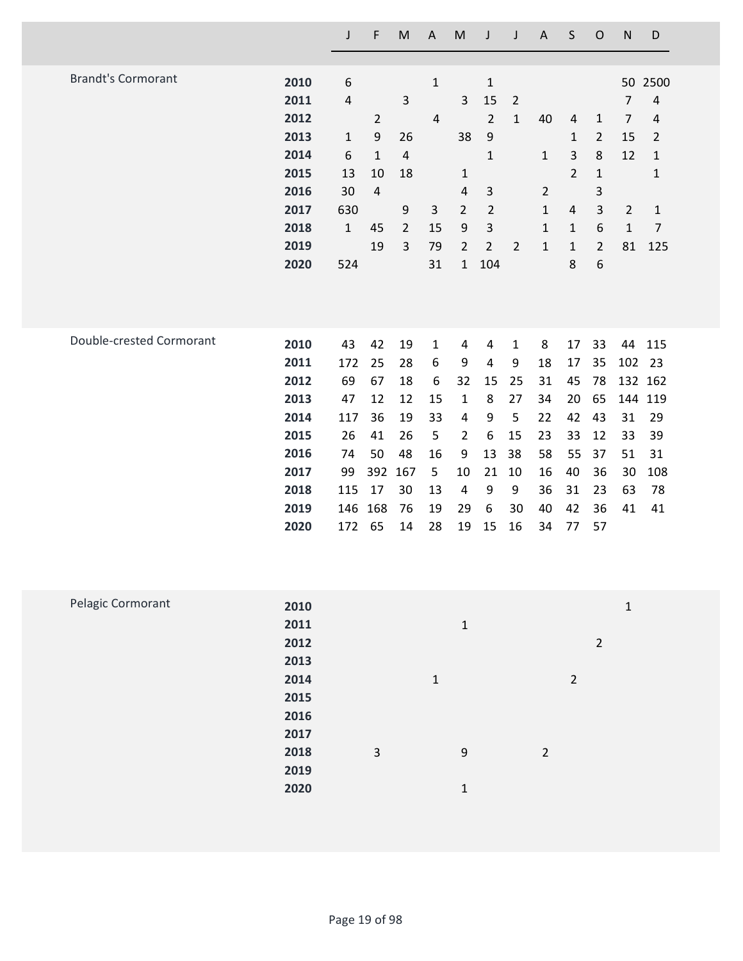|                           |              | J            | F              | $\sf M$        | $\boldsymbol{\mathsf{A}}$ | M                       | J                | J              | $\mathsf A$    | $\sf S$        | $\mathsf{O}$   | ${\sf N}$      | D              |
|---------------------------|--------------|--------------|----------------|----------------|---------------------------|-------------------------|------------------|----------------|----------------|----------------|----------------|----------------|----------------|
|                           |              |              |                |                |                           |                         |                  |                |                |                |                |                |                |
| <b>Brandt's Cormorant</b> | 2010         | 6            |                |                | $\mathbf 1$               |                         | $\mathbf{1}$     |                |                |                |                | 50             | 2500           |
|                           | 2011         | $\sqrt{4}$   |                | $\mathsf{3}$   |                           | 3                       | 15               | $\overline{2}$ |                |                |                | 7              | $\overline{4}$ |
|                           | 2012         |              | $\overline{2}$ |                | $\overline{4}$            |                         | $\overline{2}$   | $\mathbf{1}$   | 40             | $\overline{a}$ | $\mathbf{1}$   | 7              | $\overline{4}$ |
|                           | 2013         | $\mathbf{1}$ | 9              | 26             |                           | 38                      | $\boldsymbol{9}$ |                |                | $\mathbf{1}$   | $\overline{2}$ | 15             | $\overline{2}$ |
|                           | 2014         | 6            | $\mathbf{1}$   | $\overline{4}$ |                           |                         | $\mathbf{1}$     |                | $\mathbf{1}$   | 3              | $\,8\,$        | 12             | $\mathbf{1}$   |
|                           | 2015         | 13           | 10             | 18             |                           | $\mathbf{1}$            |                  |                |                | $\overline{2}$ | $\mathbf{1}$   |                | $\mathbf 1$    |
|                           | 2016         | 30           | $\overline{4}$ |                |                           | $\sqrt{4}$              | $\mathsf{3}$     |                | $\overline{2}$ |                | $\mathsf 3$    |                |                |
|                           | 2017         | 630          |                | 9              | $\mathsf{3}$              | $\overline{2}$          | $\overline{2}$   |                | $\mathbf{1}$   | $\overline{4}$ | $\mathsf{3}$   | $\overline{2}$ | $\mathbf{1}$   |
|                           | 2018         | $\mathbf 1$  | 45             | $\overline{2}$ | 15                        | 9                       | 3                |                | $\mathbf{1}$   | $\mathbf{1}$   | 6              | $\mathbf 1$    | $\overline{7}$ |
|                           | 2019         |              | 19             | 3              | 79                        | $\overline{2}$          | $\overline{2}$   | $\overline{2}$ | $\mathbf 1$    | $\mathbf 1$    | $\overline{2}$ | 81             | 125            |
|                           | 2020         | 524          |                |                | 31                        | $\mathbf{1}$            | 104              |                |                | 8              | 6              |                |                |
|                           |              |              |                |                |                           |                         |                  |                |                |                |                |                |                |
|                           |              |              |                |                |                           |                         |                  |                |                |                |                |                |                |
| Double-crested Cormorant  | 2010         | 43           | 42             | 19             | $\mathbf{1}$              | 4                       | 4                | $\mathbf 1$    | 8              | 17             | 33             | 44             | 115            |
|                           | 2011         | 172          | 25             | 28             | 6                         | 9                       | 4                | 9              | 18             | 17             | 35             | 102            | 23             |
|                           | 2012         | 69           | 67             | 18             | 6                         | 32                      | 15               | 25             | 31             | 45             | 78             |                | 132 162        |
|                           | 2013         | 47           | 12             | 12             | 15                        | $\mathbf{1}$            | 8                | 27             | 34             | 20             | 65             |                | 144 119        |
|                           | 2014         | 117          | 36             | 19             | 33                        | 4                       | 9                | 5              | 22             | 42             | 43             | 31             | 29             |
|                           | 2015         | 26           | 41             | 26             | $\mathsf S$               | $\overline{2}$          | 6                | 15             | 23             | 33             | 12             | 33             | 39             |
|                           | 2016         | 74           | 50             | 48             | 16                        | 9                       | 13               | 38             | 58             | 55             | 37             | 51             | 31             |
|                           | 2017         | 99           | 392            | 167            | 5                         | 10                      | 21               | 10             | 16             | 40             | 36             | 30             | 108            |
|                           | 2018         | 115          | 17             | 30             | 13                        | $\overline{\mathbf{4}}$ | 9                | 9              | 36             | 31             | 23             | 63             | 78             |
|                           | 2019         | 146          | 168            | 76             | 19                        | 29                      | 6                | 30             | 40             | 42             | 36             | 41             | 41             |
|                           | 2020         | 172          | 65             | 14             | 28                        | 19                      | 15               | 16             | 34             | 77             | 57             |                |                |
|                           |              |              |                |                |                           |                         |                  |                |                |                |                |                |                |
|                           |              |              |                |                |                           |                         |                  |                |                |                |                |                |                |
| Pelagic Cormorant         |              |              |                |                |                           |                         |                  |                |                |                |                |                |                |
|                           | 2010         |              |                |                |                           |                         |                  |                |                |                |                | $\mathbf{1}$   |                |
|                           | 2011<br>2012 |              |                |                |                           | $\mathbf 1$             |                  |                |                |                |                |                |                |
|                           | 2013         |              |                |                |                           |                         |                  |                |                |                | $\overline{2}$ |                |                |
|                           | 2014         |              |                |                |                           |                         |                  |                |                |                |                |                |                |
|                           |              |              |                |                | $\mathbf 1$               |                         |                  |                |                | $\overline{2}$ |                |                |                |

| --- - | $\sim$ |              |                |
|-------|--------|--------------|----------------|
| 2015  |        |              |                |
| 2016  |        |              |                |
| 2017  |        |              |                |
| 2018  | 3      | 9            | $\overline{a}$ |
| 2019  |        |              |                |
| 2020  |        | $\mathbf{1}$ |                |
|       |        |              |                |
|       |        |              |                |
|       |        |              |                |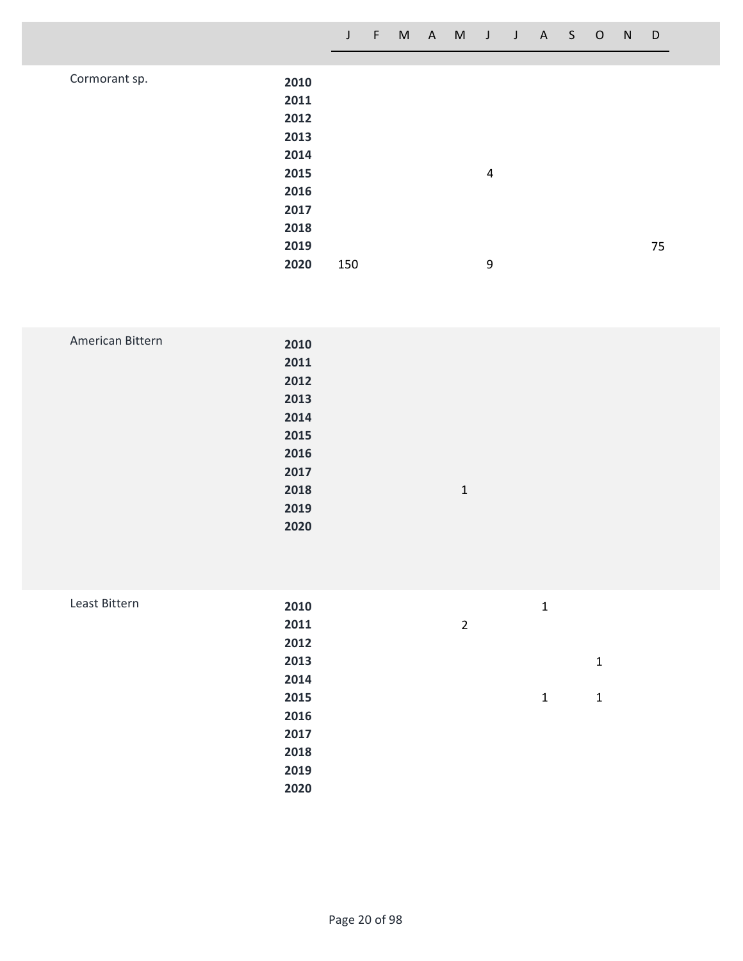| Cormorant sp. | 2010 |     |   |    |
|---------------|------|-----|---|----|
|               | 2011 |     |   |    |
|               | 2012 |     |   |    |
|               | 2013 |     |   |    |
|               | 2014 |     |   |    |
|               | 2015 |     | 4 |    |
|               | 2016 |     |   |    |
|               | 2017 |     |   |    |
|               | 2018 |     |   |    |
|               | 2019 |     |   | 75 |
|               | 2020 | 150 | 9 |    |
|               |      |     |   |    |

| American Bittern | 2010 |              |  |
|------------------|------|--------------|--|
|                  | 2011 |              |  |
|                  | 2012 |              |  |
|                  | 2013 |              |  |
|                  | 2014 |              |  |
|                  | 2015 |              |  |
|                  | 2016 |              |  |
|                  | 2017 |              |  |
|                  | 2018 | $\mathbf{1}$ |  |
|                  | 2019 |              |  |
|                  | 2020 |              |  |
|                  |      |              |  |

| Least Bittern | 2010 |                | $\mathbf{1}$ |   |
|---------------|------|----------------|--------------|---|
|               | 2011 | $\overline{2}$ |              |   |
|               | 2012 |                |              |   |
|               | 2013 |                |              | 1 |
|               | 2014 |                |              |   |
|               | 2015 |                | $\mathbf{1}$ | 1 |
|               | 2016 |                |              |   |
|               | 2017 |                |              |   |
|               | 2018 |                |              |   |
|               | 2019 |                |              |   |
|               | 2020 |                |              |   |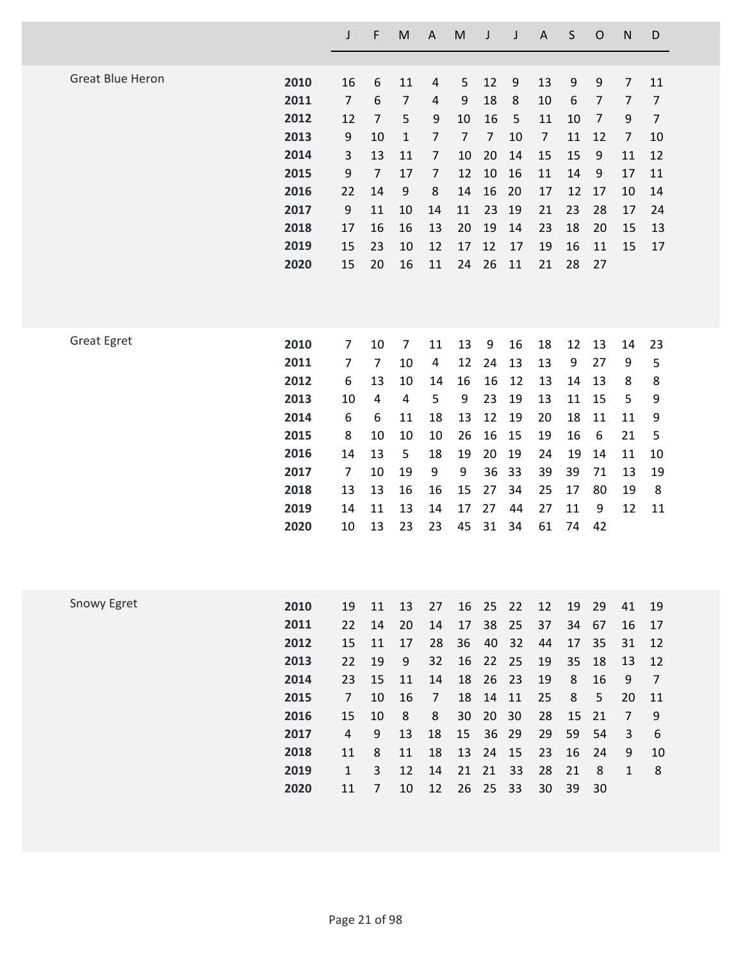|                         |      | J                       | F              | M              | $\mathsf A$    | M              | J              | J  | $\mathsf A$    | S       | $\mathsf{O}$   | $\mathsf{N}$   | D              |
|-------------------------|------|-------------------------|----------------|----------------|----------------|----------------|----------------|----|----------------|---------|----------------|----------------|----------------|
|                         |      |                         |                |                |                |                |                |    |                |         |                |                |                |
| <b>Great Blue Heron</b> | 2010 | 16                      | 6              | 11             | $\overline{4}$ | 5              | 12             | 9  | 13             | 9       | 9              | $\overline{7}$ | 11             |
|                         | 2011 | $\overline{7}$          | 6              | 7              | $\overline{4}$ | 9              | 18             | 8  | 10             | 6       | $\overline{7}$ | $\overline{7}$ | $\overline{7}$ |
|                         | 2012 | 12                      | $\overline{7}$ | 5              | 9              | 10             | 16             | 5  | 11             | 10      | $\overline{7}$ | 9              | $\overline{7}$ |
|                         | 2013 | 9                       | 10             | $\mathbf{1}$   | $\overline{7}$ | $\overline{7}$ | $\overline{7}$ | 10 | $\overline{7}$ | 11      | 12             | $\overline{7}$ | 10             |
|                         | 2014 | $\mathsf{3}$            | 13             | 11             | $\overline{7}$ | 10             | 20             | 14 | 15             | 15      | 9              | 11             | 12             |
|                         | 2015 | 9                       | $\overline{7}$ | 17             | $\overline{7}$ | 12             | 10             | 16 | 11             | 14      | 9              | 17             | 11             |
|                         | 2016 | 22                      | 14             | 9              | $\bf 8$        | 14             | 16             | 20 | 17             | 12      | 17             | 10             | 14             |
|                         | 2017 | 9                       | 11             | 10             | 14             | 11             | 23             | 19 | 21             | 23      | 28             | 17             | 24             |
|                         | 2018 | 17                      | 16             | 16             | 13             | 20             | 19             | 14 | 23             | 18      | 20             | 15             | 13             |
|                         | 2019 | 15                      | 23             | 10             | 12             | 17             | 12             | 17 | 19             | 16      | 11             | 15             | 17             |
|                         | 2020 | 15                      | 20             | 16             | 11             | 24             | 26             | 11 | 21             | 28      | 27             |                |                |
|                         |      |                         |                |                |                |                |                |    |                |         |                |                |                |
| <b>Great Egret</b>      | 2010 | $\overline{7}$          | 10             | $\overline{7}$ | 11             | 13             | 9              | 16 | 18             | 12      | 13             | 14             | 23             |
|                         | 2011 | $\overline{7}$          | $\overline{7}$ | 10             | 4              | 12             | 24             | 13 | 13             | 9       | 27             | 9              | 5              |
|                         | 2012 | 6                       | 13             | 10             | 14             | 16             | 16             | 12 | 13             | 14      | 13             | 8              | 8              |
|                         | 2013 | 10                      | 4              | 4              | 5              | 9              | 23             | 19 | 13             | 11      | 15             | 5              | 9              |
|                         | 2014 | 6                       | 6              | 11             | 18             | 13             | 12             | 19 | 20             | 18      | 11             | 11             | 9              |
|                         | 2015 | 8                       | 10             | 10             | 10             | 26             | 16             | 15 | 19             | 16      | 6              | 21             | 5              |
|                         | 2016 | 14                      | 13             | 5              | 18             | 19             | 20             | 19 | 24             | 19      | 14             | 11             | 10             |
|                         | 2017 | $\overline{7}$          | 10             | 19             | 9              | 9              | 36             | 33 | 39             | 39      | 71             | 13             | 19             |
|                         | 2018 | 13                      | 13             | 16             | 16             | 15             | 27             | 34 | 25             | 17      | 80             | 19             | 8              |
|                         | 2019 | 14                      | 11             | 13             | 14             | 17             | 27             | 44 | 27             | 11      | 9              | 12             | 11             |
|                         | 2020 | 10                      | 13             | 23             | 23             | 45             | 31             | 34 | 61             | 74      | 42             |                |                |
|                         |      |                         |                |                |                |                |                |    |                |         |                |                |                |
| Snowy Egret             | 2010 | 19                      | 11             | 13             | 27             | 16             | 25             | 22 | 12             | 19      | 29             | 41             | 19             |
|                         | 2011 | 22                      | 14             | 20             | 14             | 17             | 38             | 25 | 37             | 34      | 67             | 16             | 17             |
|                         | 2012 | 15                      | 11             | 17             | 28             | 36             | 40             | 32 | 44             | 17      | 35             | 31             | 12             |
|                         | 2013 | 22                      | 19             | 9              | 32             | 16             | 22             | 25 | 19             | 35      | 18             | 13             | 12             |
|                         | 2014 | 23                      | 15             | 11             | 14             | 18             | 26             | 23 | 19             | $\,8\,$ | 16             | 9              | $\overline{7}$ |
|                         | 2015 | $\overline{7}$          | 10             | 16             | $\overline{7}$ | 18             | 14             | 11 | 25             | $\,8\,$ | 5              | 20             | 11             |
|                         | 2016 | 15                      | 10             | 8              | 8              | 30             | 20             | 30 | 28             | 15      | 21             | $\overline{7}$ | 9              |
|                         | 2017 | $\overline{\mathbf{4}}$ | 9              | 13             | 18             | 15             | 36             | 29 | 29             | 59      | 54             | 3              | 6              |
|                         | 2018 | 11                      | 8              | 11             | 18             | 13             | 24             | 15 | 23             | 16      | 24             | 9              | 10             |
|                         | 2019 | $\mathbf 1$             | 3              | 12             | 14             | 21             | 21             | 33 | 28             | 21      | 8              | $\mathbf{1}$   | 8              |
|                         | 2020 | 11                      | $\overline{7}$ | 10             | 12             | 26             | 25             | 33 | 30             | 39      | 30             |                |                |
|                         |      |                         |                |                |                |                |                |    |                |         |                |                |                |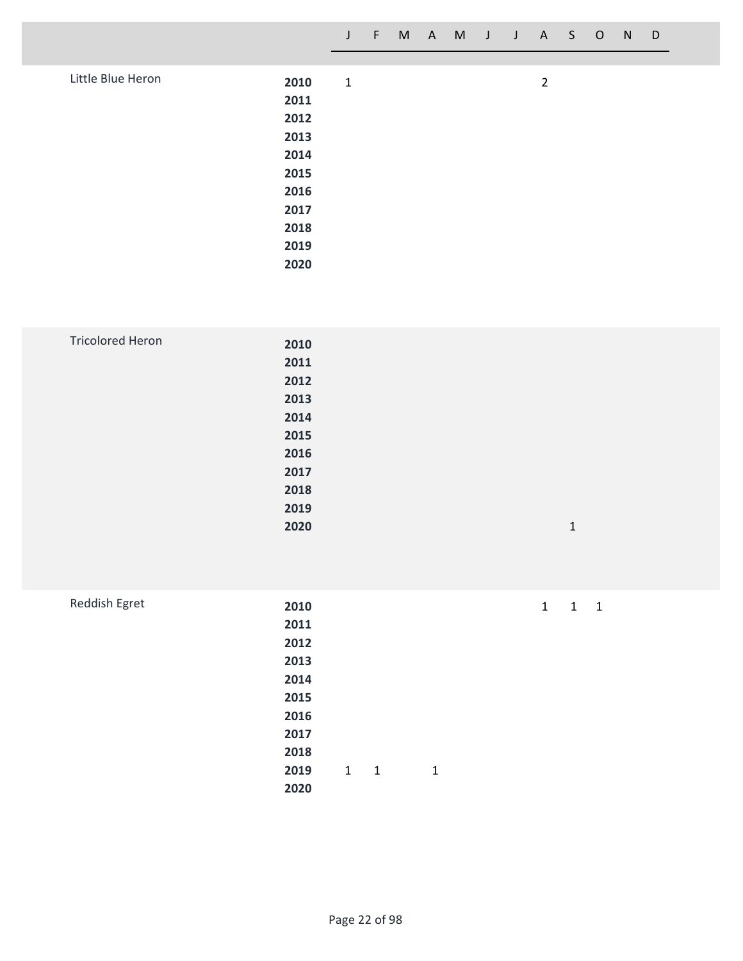| Little Blue Heron |      |             |                |
|-------------------|------|-------------|----------------|
|                   | 2010 | $\mathbf 1$ | $\overline{2}$ |
|                   | 2011 |             |                |
|                   | 2012 |             |                |
|                   | 2013 |             |                |
|                   | 2014 |             |                |
|                   | 2015 |             |                |
|                   | 2016 |             |                |
|                   | 2017 |             |                |
|                   | 2018 |             |                |
|                   | 2019 |             |                |
|                   | 2020 |             |                |
|                   |      |             |                |

| <b>Tricolored Heron</b> | 2010 |   |  |
|-------------------------|------|---|--|
|                         | 2011 |   |  |
|                         | 2012 |   |  |
|                         | 2013 |   |  |
|                         | 2014 |   |  |
|                         | 2015 |   |  |
|                         | 2016 |   |  |
|                         | 2017 |   |  |
|                         | 2018 |   |  |
|                         | 2019 |   |  |
|                         | 2020 | 1 |  |
|                         |      |   |  |

| Reddish Egret | 2010 |             |              |  | $1 \quad 1$ | $\overline{1}$ |  |
|---------------|------|-------------|--------------|--|-------------|----------------|--|
|               | 2011 |             |              |  |             |                |  |
|               | 2012 |             |              |  |             |                |  |
|               | 2013 |             |              |  |             |                |  |
|               | 2014 |             |              |  |             |                |  |
|               | 2015 |             |              |  |             |                |  |
|               | 2016 |             |              |  |             |                |  |
|               | 2017 |             |              |  |             |                |  |
|               | 2018 |             |              |  |             |                |  |
|               | 2019 | $1 \quad 1$ | $\mathbf{1}$ |  |             |                |  |
|               | 2020 |             |              |  |             |                |  |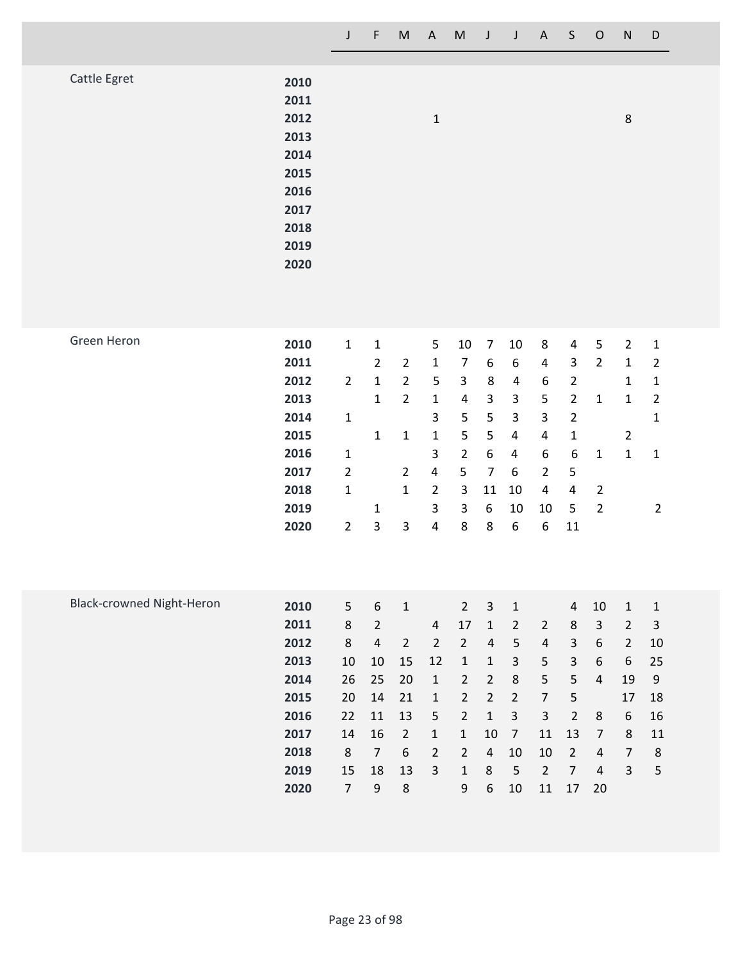|                                  |                                                                                      | $\mathsf J$                                                                                           | $\mathsf F$                                                                                                     | $\sf M$                                                                                                      | $\mathsf A$                                                                                                                            | M                                                                                                                                                          | $\mathsf J$                                                                                                                                                        | J                                                                                                                                       | $\boldsymbol{\mathsf{A}}$                                                                                                            | $\sf S$                                                                                                                                          | $\mathsf O$                                                                                                     | ${\sf N}$                                                                                                      | D                                                                                                                |
|----------------------------------|--------------------------------------------------------------------------------------|-------------------------------------------------------------------------------------------------------|-----------------------------------------------------------------------------------------------------------------|--------------------------------------------------------------------------------------------------------------|----------------------------------------------------------------------------------------------------------------------------------------|------------------------------------------------------------------------------------------------------------------------------------------------------------|--------------------------------------------------------------------------------------------------------------------------------------------------------------------|-----------------------------------------------------------------------------------------------------------------------------------------|--------------------------------------------------------------------------------------------------------------------------------------|--------------------------------------------------------------------------------------------------------------------------------------------------|-----------------------------------------------------------------------------------------------------------------|----------------------------------------------------------------------------------------------------------------|------------------------------------------------------------------------------------------------------------------|
| Cattle Egret                     | 2010<br>2011<br>2012<br>2013<br>2014<br>2015<br>2016<br>2017<br>2018<br>2019<br>2020 |                                                                                                       |                                                                                                                 |                                                                                                              | $\mathbf 1$                                                                                                                            |                                                                                                                                                            |                                                                                                                                                                    |                                                                                                                                         |                                                                                                                                      |                                                                                                                                                  |                                                                                                                 | 8                                                                                                              |                                                                                                                  |
| Green Heron                      | 2010<br>2011<br>2012<br>2013<br>2014<br>2015<br>2016<br>2017<br>2018<br>2019<br>2020 | $\mathbf 1$<br>$\overline{2}$<br>$\mathbf 1$<br>$\mathbf{1}$<br>$\overline{2}$<br>1<br>$\overline{2}$ | $\mathbf{1}$<br>$\overline{2}$<br>$\mathbf 1$<br>$\mathbf{1}$<br>$\mathbf{1}$<br>$\mathbf{1}$<br>3              | $\overline{2}$<br>$\overline{2}$<br>$\overline{2}$<br>$\mathbf 1$<br>$\overline{2}$<br>$\mathbf{1}$<br>3     | 5<br>$\mathbf{1}$<br>$\mathsf S$<br>$\mathbf{1}$<br>3<br>$\mathbf{1}$<br>3<br>4<br>$\overline{2}$<br>3<br>4                            | $10\,$<br>$\overline{7}$<br>3<br>4<br>5<br>5<br>$\overline{2}$<br>5<br>3<br>3<br>8                                                                         | $\overline{7}$<br>$\boldsymbol{6}$<br>$\bf 8$<br>$\mathsf 3$<br>5<br>5<br>$\boldsymbol{6}$<br>$\overline{7}$<br>11<br>6<br>8                                       | 10<br>6<br>4<br>3<br>3<br>4<br>4<br>6<br>10<br>10<br>$\boldsymbol{6}$                                                                   | 8<br>$\overline{\mathbf{4}}$<br>6<br>5<br>3<br>4<br>6<br>$\overline{2}$<br>4<br>10<br>6                                              | 4<br>3<br>$\overline{2}$<br>$\overline{2}$<br>$\overline{2}$<br>$\mathbf 1$<br>$\boldsymbol{6}$<br>5<br>$\overline{\mathbf{4}}$<br>5<br>$11\,$   | 5<br>$\overline{2}$<br>$\mathbf 1$<br>$\mathbf{1}$<br>$\overline{2}$<br>$\overline{2}$                          | $\overline{2}$<br>$\mathbf 1$<br>$\mathbf{1}$<br>$\mathbf{1}$<br>$\overline{2}$<br>$\mathbf{1}$                | $\mathbf 1$<br>$\overline{2}$<br>$\mathbf 1$<br>$\overline{2}$<br>$\mathbf{1}$<br>$\mathbf{1}$<br>$\overline{2}$ |
| <b>Black-crowned Night-Heron</b> | 2010<br>2011<br>2012<br>2013<br>2014<br>2015<br>2016<br>2017<br>2018<br>2019<br>2020 | 5 <sub>1</sub><br>8<br>8<br>10<br>26<br>20<br>22<br>14<br>8<br>15<br>$\overline{7}$                   | 6<br>$\overline{2}$<br>$\overline{4}$<br>10<br>25<br>14<br>11<br>16<br>$\overline{7}$<br>18<br>$\boldsymbol{9}$ | $\mathbf 1$<br>$\overline{2}$<br>15<br>20<br>21<br>13<br>$\overline{2}$<br>$\boldsymbol{6}$<br>13<br>$\bf 8$ | $\overline{\mathbf{r}}$<br>$\overline{2}$<br>12<br>$\mathbf 1$<br>$\mathbf{1}$<br>5<br>$\mathbf 1$<br>$\overline{2}$<br>$\overline{3}$ | $\overline{2}$<br>17<br>$\overline{2}$<br>$\mathbf 1$<br>$\overline{2}$<br>$\overline{2}$<br>$\overline{2}$<br>$\mathbf 1$<br>$\overline{2}$<br>$1\,$<br>9 | $\mathbf{3}$<br>$\mathbf 1$<br>$\sqrt{4}$<br>$\mathbf 1$<br>$\overline{2}$<br>$\overline{2}$<br>$\mathbf 1$<br>10<br>$\overline{4}$<br>$\bf 8$<br>$\boldsymbol{6}$ | $1\,$<br>$\overline{2}$<br>5<br>$\overline{\mathbf{3}}$<br>$\,8\,$<br>$\overline{2}$<br>$\mathsf{3}$<br>$\overline{7}$<br>10<br>5<br>10 | $\overline{2}$<br>$\sqrt{4}$<br>$\mathsf S$<br>$\mathsf S$<br>$\overline{7}$<br>$\mathbf{3}$<br>11<br>$10\,$<br>$\overline{2}$<br>11 | $\overline{4}$<br>$\,8\,$<br>$\mathsf{3}$<br>$\overline{\mathbf{3}}$<br>5<br>5<br>$\overline{2}$<br>13<br>$\overline{2}$<br>$\overline{7}$<br>17 | 10<br>$\mathbf{3}$<br>6<br>6<br>$\overline{4}$<br>8<br>$\overline{7}$<br>$\overline{4}$<br>$\overline{4}$<br>20 | $\mathbf 1$<br>$\overline{2}$<br>$\overline{2}$<br>6<br>19<br>17<br>6<br>8<br>$\overline{7}$<br>$\overline{3}$ | $\mathbf{1}$<br>$\mathsf{3}$<br>10<br>25<br>$\mathsf 9$<br>18<br>16<br>$11\,$<br>$\bf 8$<br>5                    |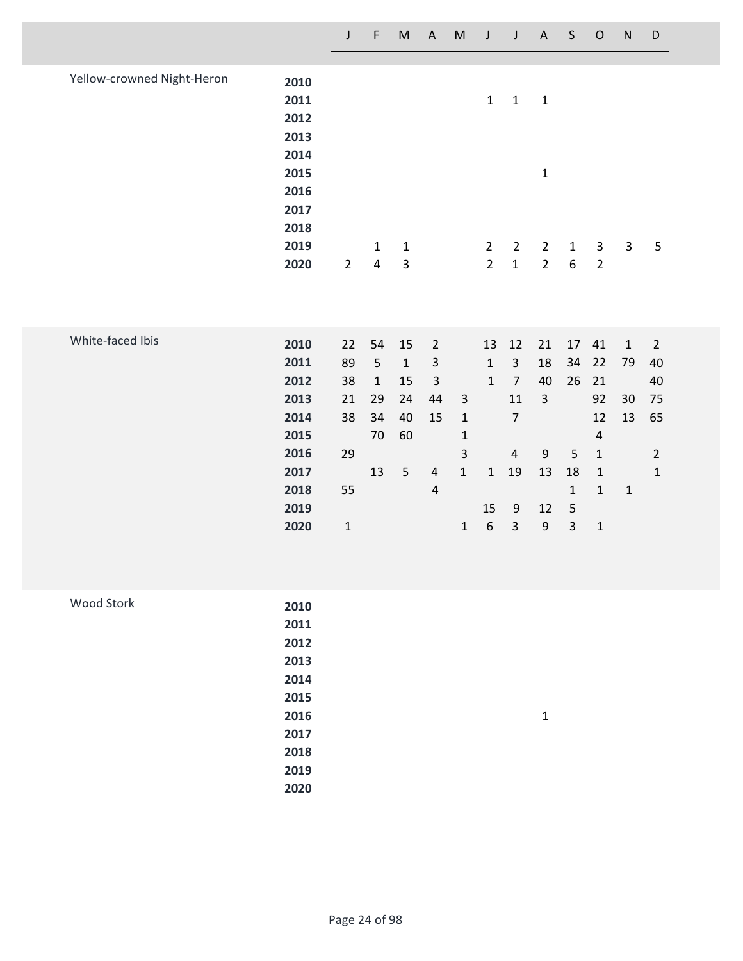|                            |              | J              | F                       | $\mathsf{M}% _{T}=\mathsf{M}_{T}\!\left( a,b\right) ,\ \mathsf{M}_{T}=\mathsf{M}_{T}\!\left( a,b\right) ,$ | $\boldsymbol{\mathsf{A}}$ | $\mathsf{M}% _{T}=\mathsf{M}_{T}\!\left( a,b\right) ,\ \mathsf{M}_{T}=\mathsf{M}_{T}\!\left( a,b\right) ,$ | J                | J                    | $\mathsf A$      | $\sf S$          | $\mathsf O$    | ${\sf N}$    | D              |
|----------------------------|--------------|----------------|-------------------------|------------------------------------------------------------------------------------------------------------|---------------------------|------------------------------------------------------------------------------------------------------------|------------------|----------------------|------------------|------------------|----------------|--------------|----------------|
|                            |              |                |                         |                                                                                                            |                           |                                                                                                            |                  |                      |                  |                  |                |              |                |
| Yellow-crowned Night-Heron | 2010         |                |                         |                                                                                                            |                           |                                                                                                            |                  |                      |                  |                  |                |              |                |
|                            | 2011         |                |                         |                                                                                                            |                           |                                                                                                            | $\mathbf{1}$     | $\mathbf 1$          | $\mathbf 1$      |                  |                |              |                |
|                            | 2012         |                |                         |                                                                                                            |                           |                                                                                                            |                  |                      |                  |                  |                |              |                |
|                            | 2013         |                |                         |                                                                                                            |                           |                                                                                                            |                  |                      |                  |                  |                |              |                |
|                            | 2014         |                |                         |                                                                                                            |                           |                                                                                                            |                  |                      |                  |                  |                |              |                |
|                            | 2015         |                |                         |                                                                                                            |                           |                                                                                                            |                  |                      | $\mathbf 1$      |                  |                |              |                |
|                            | 2016         |                |                         |                                                                                                            |                           |                                                                                                            |                  |                      |                  |                  |                |              |                |
|                            | 2017         |                |                         |                                                                                                            |                           |                                                                                                            |                  |                      |                  |                  |                |              |                |
|                            | 2018         |                |                         |                                                                                                            |                           |                                                                                                            |                  |                      |                  |                  |                |              |                |
|                            | 2019         |                | $\mathbf{1}$            | $\mathbf{1}$                                                                                               |                           |                                                                                                            | $\overline{2}$   | $\overline{2}$       | $\overline{2}$   | $\mathbf 1$      | $\mathbf{3}$   | $\mathbf{3}$ | $\mathsf S$    |
|                            | 2020         | $\overline{2}$ | $\overline{\mathbf{4}}$ | $\mathsf{3}$                                                                                               |                           |                                                                                                            | $\overline{2}$   | $\mathbf{1}$         | $\overline{2}$   | $\boldsymbol{6}$ | $\overline{2}$ |              |                |
|                            |              |                |                         |                                                                                                            |                           |                                                                                                            |                  |                      |                  |                  |                |              |                |
|                            |              |                |                         |                                                                                                            |                           |                                                                                                            |                  |                      |                  |                  |                |              |                |
| White-faced Ibis           |              |                |                         |                                                                                                            |                           |                                                                                                            |                  |                      |                  |                  |                |              |                |
|                            | 2010         | 22             | 54                      | 15                                                                                                         | $\overline{2}$            |                                                                                                            | 13               | 12                   | 21               | 17               | 41             | $\mathbf{1}$ | $\overline{2}$ |
|                            | 2011         | 89             | 5                       | $\mathbf 1$                                                                                                | $\mathsf 3$               |                                                                                                            | $\mathbf 1$      | $\overline{3}$       | 18               | 34               | 22             | 79           | 40             |
|                            | 2012         | 38             | $\mathbf 1$             | 15                                                                                                         | $\mathsf 3$               |                                                                                                            | $\mathbf{1}$     | $\overline{7}$       | 40               | 26               | 21             |              | 40             |
|                            | 2013<br>2014 | 21             | 29<br>34                | 24<br>40                                                                                                   | 44                        | $\overline{3}$                                                                                             |                  | 11<br>$\overline{7}$ | $\overline{3}$   |                  | 92<br>12       | 30<br>13     | 75             |
|                            | 2015         | 38             | 70                      | 60                                                                                                         | 15                        | $\mathbf 1$<br>$\mathbf 1$                                                                                 |                  |                      |                  |                  | $\sqrt{4}$     |              | 65             |
|                            | 2016         | 29             |                         |                                                                                                            |                           | $\overline{\mathbf{3}}$                                                                                    |                  | $\overline{4}$       | $\boldsymbol{9}$ | $\overline{5}$   | $\mathbf 1$    |              | $\overline{2}$ |
|                            | 2017         |                | 13                      | 5                                                                                                          | $\sqrt{4}$                | $\mathbf{1}$                                                                                               | $\mathbf{1}$     | 19                   | 13               | 18               | $\mathbf 1$    |              | $\mathbf 1$    |
|                            | 2018         | 55             |                         |                                                                                                            | $\sqrt{4}$                |                                                                                                            |                  |                      |                  | $\mathbf 1$      | $\mathbf 1$    | $\mathbf 1$  |                |
|                            | 2019         |                |                         |                                                                                                            |                           |                                                                                                            | 15               | $9\,$                | 12               | 5                |                |              |                |
|                            | 2020         | $\mathbf 1$    |                         |                                                                                                            |                           | $\mathbf 1$                                                                                                | $\boldsymbol{6}$ | $\mathsf{3}$         | $\boldsymbol{9}$ | $\overline{3}$   | $\mathbf 1$    |              |                |
|                            |              |                |                         |                                                                                                            |                           |                                                                                                            |                  |                      |                  |                  |                |              |                |
|                            |              |                |                         |                                                                                                            |                           |                                                                                                            |                  |                      |                  |                  |                |              |                |
|                            |              |                |                         |                                                                                                            |                           |                                                                                                            |                  |                      |                  |                  |                |              |                |

| Wood Stork | 2010 |              |
|------------|------|--------------|
|            | 2011 |              |
|            | 2012 |              |
|            | 2013 |              |
|            | 2014 |              |
|            | 2015 |              |
|            | 2016 | $\mathbf{1}$ |
|            | 2017 |              |
|            | 2018 |              |
|            | 2019 |              |
|            | 2020 |              |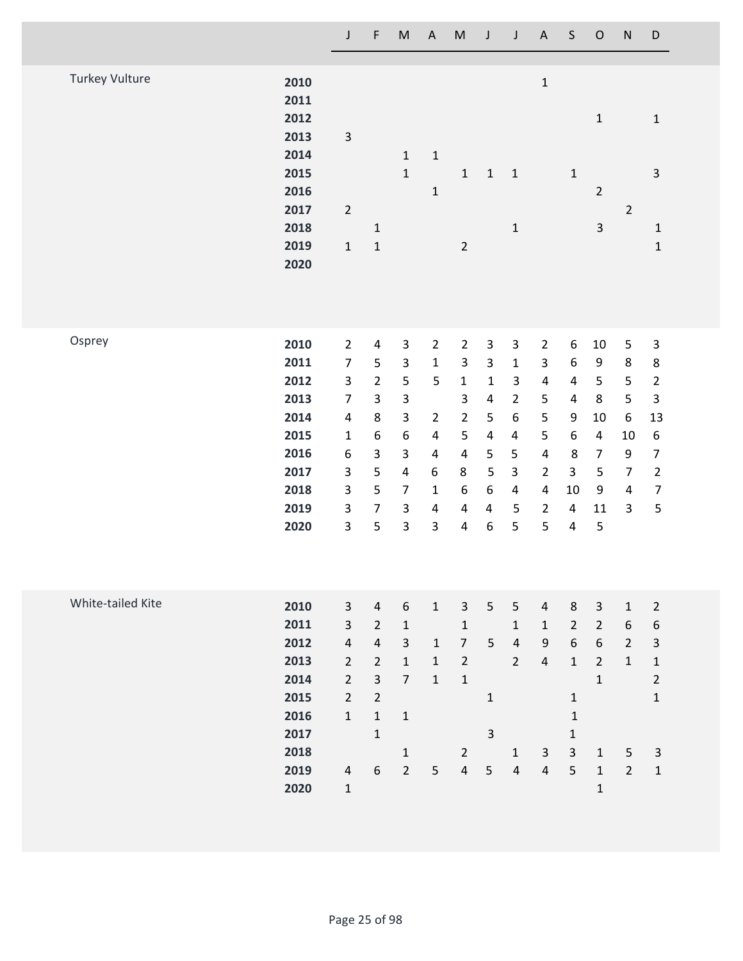|                       |                                                                                      | J                                                                                                                                                          | F                                                                                                                                                        | $\mathsf{M}% _{T}=\mathsf{M}_{T}\!\left( a,b\right) ,\ \mathsf{M}_{T}=\mathsf{M}_{T}\!\left( a,b\right) ,$                                                                | $\boldsymbol{\mathsf{A}}$                                                                                                                     | ${\sf M}$                                                                                                                      | J                                                                                                                                               | $\mathsf J$                                                                                                                                                | $\mathsf A$                                                                                                                                                               | $\mathsf S$                                                                                                                               | ${\mathsf O}$                                                                                                         | ${\sf N}$                                                                                                | $\mathsf D$                                                                                                                                         |
|-----------------------|--------------------------------------------------------------------------------------|------------------------------------------------------------------------------------------------------------------------------------------------------------|----------------------------------------------------------------------------------------------------------------------------------------------------------|---------------------------------------------------------------------------------------------------------------------------------------------------------------------------|-----------------------------------------------------------------------------------------------------------------------------------------------|--------------------------------------------------------------------------------------------------------------------------------|-------------------------------------------------------------------------------------------------------------------------------------------------|------------------------------------------------------------------------------------------------------------------------------------------------------------|---------------------------------------------------------------------------------------------------------------------------------------------------------------------------|-------------------------------------------------------------------------------------------------------------------------------------------|-----------------------------------------------------------------------------------------------------------------------|----------------------------------------------------------------------------------------------------------|-----------------------------------------------------------------------------------------------------------------------------------------------------|
| <b>Turkey Vulture</b> | 2010<br>2011<br>2012<br>2013<br>2014<br>2015<br>2016<br>2017<br>2018<br>2019<br>2020 | $\mathsf 3$<br>$\overline{2}$<br>$\mathbf 1$                                                                                                               | $\mathbf{1}$<br>$\mathbf 1$                                                                                                                              | $\mathbf 1$<br>$\mathbf 1$                                                                                                                                                | $\mathbf 1$<br>$\mathbf 1$                                                                                                                    | $\mathbf 1$<br>$\overline{2}$                                                                                                  | $\mathbf 1$                                                                                                                                     | $\mathbf 1$<br>$\mathbf 1$                                                                                                                                 | $\mathbf 1$                                                                                                                                                               | $\mathbf 1$                                                                                                                               | $\mathbf 1$<br>$\overline{2}$<br>$\mathsf 3$                                                                          | $\overline{2}$                                                                                           | $\mathbf 1$<br>3<br>$\mathbf 1$<br>$\mathbf 1$                                                                                                      |
| Osprey                | 2010<br>2011<br>2012<br>2013<br>2014<br>2015<br>2016<br>2017<br>2018<br>2019<br>2020 | $\overline{2}$<br>$\overline{7}$<br>3<br>$\overline{7}$<br>$\pmb{4}$<br>$\mathbf{1}$<br>$\boldsymbol{6}$<br>3<br>$\mathsf 3$<br>$\mathsf 3$<br>$\mathsf 3$ | $\pmb{4}$<br>5<br>$\overline{2}$<br>3<br>$\,8\,$<br>$\boldsymbol{6}$<br>3<br>5<br>5<br>$\overline{7}$<br>5                                               | $\mathsf 3$<br>$\mathsf 3$<br>$\mathsf S$<br>$\mathsf 3$<br>$\mathsf 3$<br>$\boldsymbol{6}$<br>$\mathsf{3}$<br>$\pmb{4}$<br>$\overline{7}$<br>$\mathbf{3}$<br>$\mathsf 3$ | $\overline{2}$<br>$\mathbf 1$<br>5<br>$\overline{2}$<br>$\pmb{4}$<br>$\pmb{4}$<br>6<br>$\mathbf 1$<br>$\overline{\mathbf{4}}$<br>$\mathsf{3}$ | $\overline{2}$<br>$\mathsf{3}$<br>$\mathbf{1}$<br>3<br>$\overline{2}$<br>5<br>$\pmb{4}$<br>8<br>6<br>4<br>$\pmb{4}$            | $\mathsf{3}$<br>$\mathsf{3}$<br>$\mathbf 1$<br>$\pmb{4}$<br>5<br>$\pmb{4}$<br>5<br>$\overline{\mathbf{5}}$<br>6<br>$\overline{\mathbf{4}}$<br>6 | $\mathsf{3}$<br>$\mathbf 1$<br>$\mathsf 3$<br>$\overline{2}$<br>$\boldsymbol{6}$<br>4<br>5<br>$\overline{\mathbf{3}}$<br>$\overline{\mathbf{4}}$<br>5<br>5 | $\overline{2}$<br>$\overline{3}$<br>$\overline{\mathbf{4}}$<br>5<br>5<br>5<br>$\overline{\mathbf{4}}$<br>$\overline{2}$<br>$\overline{\mathbf{4}}$<br>$\overline{2}$<br>5 | $\boldsymbol{6}$<br>$\boldsymbol{6}$<br>4<br>$\pmb{4}$<br>9<br>$\boldsymbol{6}$<br>$\bf 8$<br>3<br>$10\,$<br>4<br>$\overline{\mathbf{4}}$ | 10<br>9<br>5<br>$\,8\,$<br>10<br>$\overline{4}$<br>$\overline{7}$<br>5<br>$\boldsymbol{9}$<br>11<br>5                 | $\mathsf S$<br>$\bf 8$<br>5<br>5<br>$\boldsymbol{6}$<br>10<br>9<br>$\overline{7}$<br>$\overline{4}$<br>3 | $\mathsf 3$<br>8<br>$\mathbf 2$<br>3<br>13<br>$\boldsymbol{6}$<br>$\boldsymbol{7}$<br>$\mathbf 2$<br>$\boldsymbol{7}$<br>$\mathsf S$                |
| White-tailed Kite     | 2010<br>2011<br>2012<br>2013<br>2014<br>2015<br>2016<br>2017<br>2018<br>2019<br>2020 | $\mathbf{3}$<br>$\mathbf{3}$<br>$\overline{4}$<br>$\overline{2}$<br>$\overline{2}$<br>$\overline{2}$<br>$\mathbf{1}$<br>$\overline{4}$<br>$\mathbf 1$      | $\overline{4}$<br>$\overline{2}$<br>$\sqrt{4}$<br>$\overline{2}$<br>$\overline{3}$<br>$\overline{2}$<br>$\mathbf{1}$<br>$\mathbf{1}$<br>$\boldsymbol{6}$ | $\boldsymbol{6}$<br>$\mathbf 1$<br>$\mathsf 3$<br>$\mathbf 1$<br>$\overline{7}$<br>$\mathbf 1$<br>$\mathbf 1$<br>$\overline{2}$                                           | $\mathbf{1}$<br>$\mathbf 1$<br>$\mathbf{1}$<br>$\mathbf{1}$<br>5                                                                              | $\overline{3}$<br>$\mathbf{1}$<br>$\overline{7}$<br>$\overline{2}$<br>$\mathbf 1$<br>$\overline{2}$<br>$\overline{\mathbf{4}}$ | 5<br>5<br>$\mathbf 1$<br>$\mathsf{3}$<br>$\sqrt{5}$                                                                                             | 5<br>$1\,$<br>$\overline{4}$<br>$\overline{2}$<br>$\mathbf{1}$<br>$\overline{4}$                                                                           | $\overline{a}$<br>$\mathbf{1}$<br>$\boldsymbol{9}$<br>$\overline{4}$<br>$\mathbf{3}$<br>$\pmb{4}$                                                                         | $\,8\,$<br>$\overline{2}$<br>$\boldsymbol{6}$<br>$\mathbf 1$<br>$\mathbf{1}$<br>$\mathbf{1}$<br>$\mathbf 1$<br>$\mathbf{3}$<br>5          | $\mathbf{3}$<br>$\overline{2}$<br>6<br>$\overline{2}$<br>$\mathbf{1}$<br>$\mathbf{1}$<br>$\mathbf{1}$<br>$\mathbf{1}$ | $\mathbf 1$<br>$\boldsymbol{6}$<br>$2\overline{ }$<br>$\mathbf{1}$<br>$\sqrt{5}$<br>$\overline{2}$       | $\overline{2}$<br>$\,$ 6 $\,$<br>$\ensuremath{\mathsf{3}}$<br>$\mathbf 1$<br>$\mathbf 2$<br>$\mathbf 1$<br>$\ensuremath{\mathsf{3}}$<br>$\mathbf 1$ |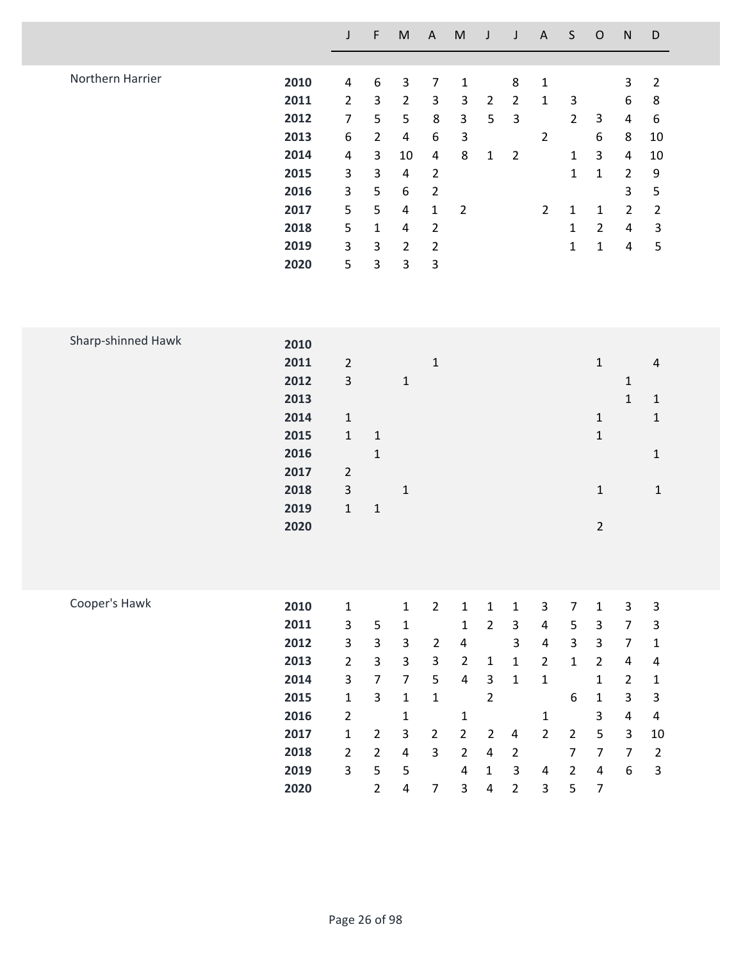|                    |                                                                                      | $\mathsf J$                                                                                                                                            | $\mathsf F$                                                                                                                                               | ${\sf M}$                                                                                                                                       | $\boldsymbol{\mathsf{A}}$                                                                                                                                                            | ${\sf M}$                                                                                                                                                         | J                                                                                                                                         | $\mathsf J$                                                                                                                       | A                                                                                                                                                     | $\mathsf S$                                                                                                                       | $\mathsf O$                                                                                                                                                | ${\sf N}$                                                                                                                                                     | D                                                                                                                              |
|--------------------|--------------------------------------------------------------------------------------|--------------------------------------------------------------------------------------------------------------------------------------------------------|-----------------------------------------------------------------------------------------------------------------------------------------------------------|-------------------------------------------------------------------------------------------------------------------------------------------------|--------------------------------------------------------------------------------------------------------------------------------------------------------------------------------------|-------------------------------------------------------------------------------------------------------------------------------------------------------------------|-------------------------------------------------------------------------------------------------------------------------------------------|-----------------------------------------------------------------------------------------------------------------------------------|-------------------------------------------------------------------------------------------------------------------------------------------------------|-----------------------------------------------------------------------------------------------------------------------------------|------------------------------------------------------------------------------------------------------------------------------------------------------------|---------------------------------------------------------------------------------------------------------------------------------------------------------------|--------------------------------------------------------------------------------------------------------------------------------|
| Northern Harrier   | 2010<br>2011<br>2012<br>2013<br>2014<br>2015<br>2016<br>2017<br>2018<br>2019<br>2020 | $\overline{4}$<br>$\overline{2}$<br>$\overline{7}$<br>6<br>4<br>3<br>$\overline{\mathbf{3}}$<br>5<br>5<br>3<br>5                                       | $\boldsymbol{6}$<br>$\overline{3}$<br>5<br>$\overline{2}$<br>$\overline{3}$<br>$\overline{3}$<br>5<br>5<br>$\mathbf{1}$<br>$\mathsf{3}$<br>$\overline{3}$ | 3<br>$\overline{2}$<br>5<br>$\overline{4}$<br>10<br>$\overline{4}$<br>6<br>4<br>4<br>$\overline{2}$<br>3                                        | $\overline{7}$<br>$\mathbf{3}$<br>$\,8\,$<br>$\boldsymbol{6}$<br>$\overline{\mathbf{4}}$<br>$\overline{2}$<br>$\overline{2}$<br>$\mathbf 1$<br>$\overline{2}$<br>$\overline{2}$<br>3 | $\mathbf 1$<br>$\mathsf 3$<br>$\mathsf{3}$<br>$\mathsf 3$<br>8<br>$\overline{2}$                                                                                  | $\overline{2}$<br>5<br>$\mathbf 1$                                                                                                        | 8<br>$\overline{2}$<br>$\mathsf{3}$<br>$\overline{2}$                                                                             | $\mathbf{1}$<br>$\mathbf{1}$<br>$\overline{2}$<br>$\overline{2}$                                                                                      | $\mathbf{3}$<br>$\overline{2}$<br>$\mathbf{1}$<br>$\mathbf{1}$<br>$\mathbf 1$<br>$\mathbf 1$<br>$\mathbf{1}$                      | 3<br>6<br>3<br>$\mathbf 1$<br>$\mathbf{1}$<br>$2^{\circ}$<br>$\mathbf 1$                                                                                   | 3<br>6<br>4<br>8<br>$\overline{4}$<br>$\overline{2}$<br>3<br>$\overline{2}$<br>$\overline{4}$<br>$\overline{4}$                                               | $\overline{2}$<br>$\bf 8$<br>$\boldsymbol{6}$<br>10<br>10<br>9<br>$\mathsf S$<br>$\overline{2}$<br>3<br>5                      |
| Sharp-shinned Hawk | 2010<br>2011<br>2012<br>2013<br>2014<br>2015<br>2016<br>2017<br>2018<br>2019<br>2020 | $\overline{2}$<br>3<br>$\mathbf{1}$<br>$\mathbf 1$<br>$\overline{2}$<br>$\mathsf 3$<br>$\mathbf 1$                                                     | $\mathbf 1$<br>$\mathbf 1$<br>$\mathbf 1$                                                                                                                 | $\mathbf 1$<br>$\mathbf{1}$                                                                                                                     | $\mathbf{1}$                                                                                                                                                                         |                                                                                                                                                                   |                                                                                                                                           |                                                                                                                                   |                                                                                                                                                       |                                                                                                                                   | $\mathbf 1$<br>$\mathbf{1}$<br>$\mathbf{1}$<br>$\mathbf{1}$<br>$\overline{2}$                                                                              | $\mathbf{1}$<br>$\mathbf{1}$                                                                                                                                  | $\sqrt{4}$<br>$\mathbf 1$<br>$\mathbf 1$<br>$\mathbf 1$<br>$\mathbf 1$                                                         |
| Cooper's Hawk      | 2010<br>2011<br>2012<br>2013<br>2014<br>2015<br>2016<br>2017<br>2018<br>2019<br>2020 | $\mathbf 1$<br>$\mathsf{3}$<br>3<br>$\overline{2}$<br>3<br>$\mathbf{1}$<br>$\overline{2}$<br>$\mathbf{1}$<br>$\overline{2}$<br>$\overline{\mathbf{3}}$ | 5<br>$\overline{3}$<br>$\overline{3}$<br>$\overline{7}$<br>$\overline{3}$<br>$\overline{2}$<br>$\overline{2}$<br>5<br>$\overline{2}$                      | $\mathbf 1$<br>$\mathbf 1$<br>3<br>$\mathbf{3}$<br>$\overline{7}$<br>$\mathbf{1}$<br>$\mathbf{1}$<br>3<br>$\overline{4}$<br>5<br>$\overline{4}$ | 2 <sup>1</sup><br>$\overline{2}$<br>$\overline{3}$<br>5<br>$\mathbf 1$<br>$\overline{2}$<br>$\overline{3}$<br>$\overline{7}$                                                         | $\mathbf{1}$<br>$\mathbf 1$<br>$\overline{\mathbf{4}}$<br>$\overline{2}$<br>$\overline{4}$<br>$\mathbf 1$<br>$\overline{2}$<br>$2^{\circ}$<br>$\overline{4}$<br>3 | $\mathbf{1}$<br>$\overline{2}$<br>$\mathbf{1}$<br>$\mathbf{3}$<br>$\overline{2}$<br>$\overline{2}$<br>$\overline{4}$<br>$\mathbf{1}$<br>4 | $\mathbf 1$<br>$\mathbf{3}$<br>$\overline{3}$<br>$\mathbf{1}$<br>$\mathbf{1}$<br>4<br>$\overline{2}$<br>$\overline{3}$<br>$2^{1}$ | $\mathsf{3}$<br>$\overline{4}$<br>$\overline{4}$<br>$\overline{2}$<br>$\mathbf{1}$<br>$\mathbf 1$<br>$\overline{2}$<br>$\overline{4}$<br>$\mathbf{3}$ | $\overline{7}$<br>$5\phantom{.0}$<br>$\mathbf{3}$<br>$\mathbf{1}$<br>6<br>$\overline{2}$<br>$\overline{7}$<br>$\overline{2}$<br>5 | $\mathbf{1}$<br>$\mathbf{3}$<br>$\mathbf{3}$<br>$2^{\circ}$<br>$\mathbf{1}$<br>$\mathbf 1$<br>3<br>5<br>$\overline{7}$<br>$\overline{4}$<br>$\overline{7}$ | $\mathsf{3}$<br>$\overline{7}$<br>$\overline{7}$<br>$\overline{4}$<br>$\overline{2}$<br>$\mathbf{3}$<br>$\overline{4}$<br>$\mathbf{3}$<br>$\overline{7}$<br>6 | $\mathsf 3$<br>$\mathsf 3$<br>$\mathbf 1$<br>$\pmb{4}$<br>$\mathbf 1$<br>$\mathsf 3$<br>$\pmb{4}$<br>10<br>$\overline{2}$<br>3 |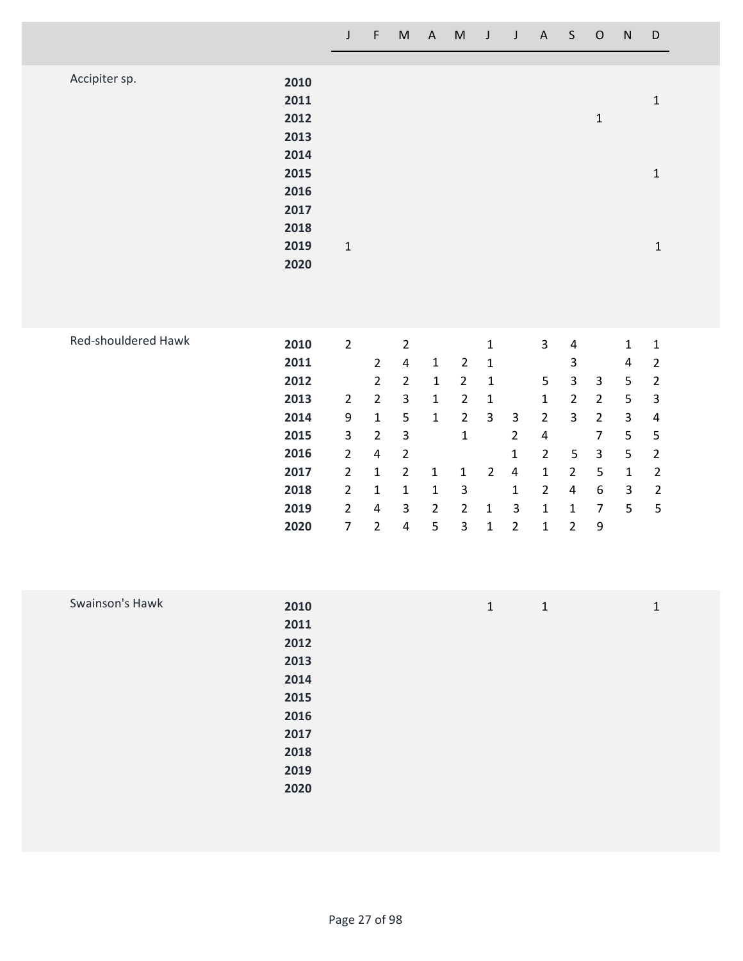|                     |                                                                                      | $\mathsf J$                                                                                                                          | $\mathsf F$                                                                                                                                     | $\mathsf{M}% _{H}=\mathsf{M}_{H}$                                                                                                                                                  | A                                                                                                                | M                                                                                                                                         | $\mathsf J$                                                                                                                 | $\mathbf{J}$                                                                                                | $\mathsf{A}$                                                                                                                                         | $\mathsf S$                                                                                                                                                       | $\mathsf O$                                                                                                                                        | ${\sf N}$                                                                                          | D                                                                                                                                                      |
|---------------------|--------------------------------------------------------------------------------------|--------------------------------------------------------------------------------------------------------------------------------------|-------------------------------------------------------------------------------------------------------------------------------------------------|------------------------------------------------------------------------------------------------------------------------------------------------------------------------------------|------------------------------------------------------------------------------------------------------------------|-------------------------------------------------------------------------------------------------------------------------------------------|-----------------------------------------------------------------------------------------------------------------------------|-------------------------------------------------------------------------------------------------------------|------------------------------------------------------------------------------------------------------------------------------------------------------|-------------------------------------------------------------------------------------------------------------------------------------------------------------------|----------------------------------------------------------------------------------------------------------------------------------------------------|----------------------------------------------------------------------------------------------------|--------------------------------------------------------------------------------------------------------------------------------------------------------|
| Accipiter sp.       | 2010<br>2011<br>2012<br>2013<br>2014                                                 |                                                                                                                                      |                                                                                                                                                 |                                                                                                                                                                                    |                                                                                                                  |                                                                                                                                           |                                                                                                                             |                                                                                                             |                                                                                                                                                      |                                                                                                                                                                   | $\mathbf 1$                                                                                                                                        |                                                                                                    | $\mathbf 1$                                                                                                                                            |
|                     | 2015<br>2016<br>2017<br>2018                                                         |                                                                                                                                      |                                                                                                                                                 |                                                                                                                                                                                    |                                                                                                                  |                                                                                                                                           |                                                                                                                             |                                                                                                             |                                                                                                                                                      |                                                                                                                                                                   |                                                                                                                                                    |                                                                                                    | $\mathbf 1$                                                                                                                                            |
|                     | 2019<br>2020                                                                         | $\mathbf 1$                                                                                                                          |                                                                                                                                                 |                                                                                                                                                                                    |                                                                                                                  |                                                                                                                                           |                                                                                                                             |                                                                                                             |                                                                                                                                                      |                                                                                                                                                                   |                                                                                                                                                    |                                                                                                    | $\mathbf 1$                                                                                                                                            |
| Red-shouldered Hawk | 2010<br>2011<br>2012<br>2013<br>2014<br>2015<br>2016<br>2017<br>2018<br>2019<br>2020 | $\overline{2}$<br>$\overline{2}$<br>9<br>3<br>$\overline{2}$<br>$\overline{2}$<br>$\overline{2}$<br>$\overline{2}$<br>$\overline{7}$ | $\overline{2}$<br>$\overline{2}$<br>$\overline{2}$<br>$\mathbf 1$<br>$\overline{2}$<br>4<br>$\mathbf{1}$<br>$\mathbf{1}$<br>4<br>$\overline{2}$ | $\overline{2}$<br>$\overline{\mathbf{4}}$<br>$\overline{2}$<br>$\mathbf{3}$<br>5<br>$\ensuremath{\mathsf{3}}$<br>$\overline{2}$<br>$\overline{2}$<br>$\mathbf 1$<br>3<br>$\pmb{4}$ | $\mathbf 1$<br>$\mathbf{1}$<br>$\mathbf{1}$<br>$\mathbf 1$<br>$\mathbf{1}$<br>$\mathbf 1$<br>$\overline{2}$<br>5 | $\overline{2}$<br>$\overline{2}$<br>$\overline{2}$<br>$\overline{2}$<br>$\mathbf 1$<br>$\mathbf 1$<br>$\mathbf{3}$<br>$\overline{2}$<br>3 | $\mathbf 1$<br>$\mathbf 1$<br>$\mathbf{1}$<br>$\mathbf{1}$<br>$\mathbf{3}$<br>$\overline{2}$<br>$\mathbf{1}$<br>$\mathbf 1$ | $\mathsf 3$<br>$\overline{2}$<br>$\mathbf{1}$<br>$\pmb{4}$<br>$\mathbf{1}$<br>$\mathsf 3$<br>$\overline{2}$ | $\overline{\mathbf{3}}$<br>5<br>$\mathbf 1$<br>$\overline{2}$<br>4<br>$\overline{2}$<br>$\mathbf{1}$<br>$\overline{2}$<br>$\mathbf 1$<br>$\mathbf 1$ | $\pmb{4}$<br>$\mathsf 3$<br>$\mathsf{3}$<br>$\overline{2}$<br>$\overline{3}$<br>$\mathsf S$<br>$\overline{2}$<br>$\overline{a}$<br>$\mathbf{1}$<br>$\overline{2}$ | 3<br>$\overline{2}$<br>$\overline{2}$<br>$\overline{7}$<br>$\mathsf{3}$<br>$\mathsf S$<br>$\boldsymbol{6}$<br>$\boldsymbol{7}$<br>$\boldsymbol{9}$ | $\mathbf 1$<br>4<br>5<br>$\mathsf S$<br>$\mathsf{3}$<br>5<br>5<br>$\mathbf 1$<br>$\mathbf{3}$<br>5 | $\mathbf 1$<br>$\mathbf 2$<br>$\sqrt{2}$<br>$\ensuremath{\mathsf{3}}$<br>$\pmb{4}$<br>5<br>$\mathbf 2$<br>$\mathbf 2$<br>$\overline{2}$<br>$\mathsf S$ |
| Swainson's Hawk     | 2010<br>2011<br>2012<br>2013                                                         |                                                                                                                                      |                                                                                                                                                 |                                                                                                                                                                                    |                                                                                                                  |                                                                                                                                           | $\mathbf 1$                                                                                                                 |                                                                                                             | $\mathbf 1$                                                                                                                                          |                                                                                                                                                                   |                                                                                                                                                    |                                                                                                    | $\mathbf 1$                                                                                                                                            |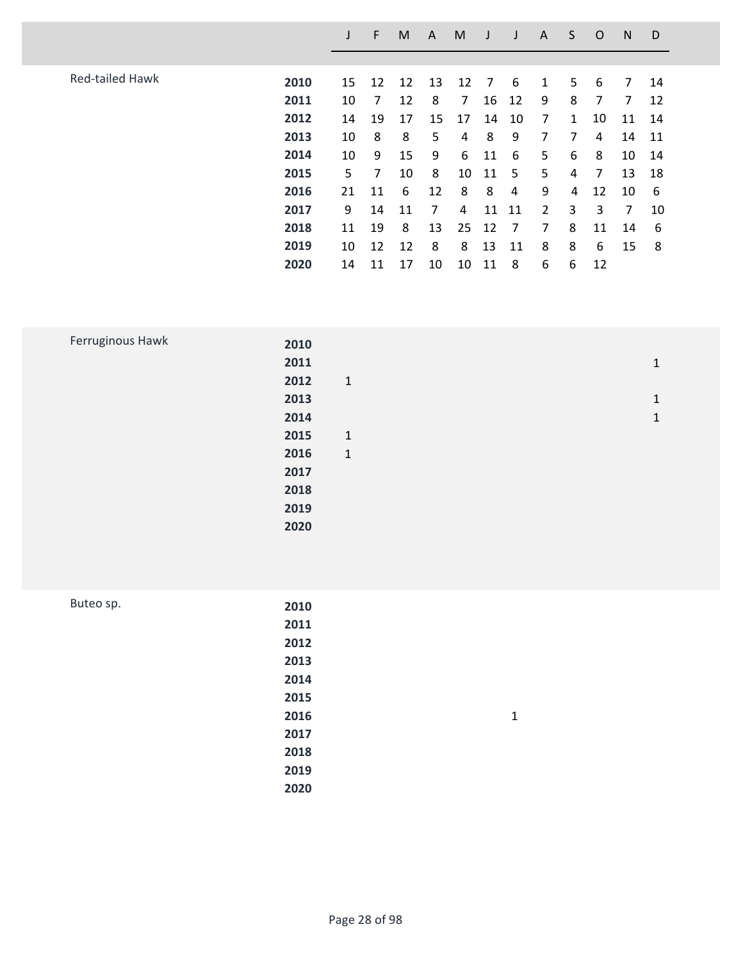|                        |      |    | F  | M  | A  | M  |    |    | A              | S | O  | N  | D  |
|------------------------|------|----|----|----|----|----|----|----|----------------|---|----|----|----|
|                        |      |    |    |    |    |    |    |    |                |   |    |    |    |
| <b>Red-tailed Hawk</b> | 2010 | 15 | 12 | 12 | 13 | 12 | 7  | 6  | 1              | 5 | 6  | 7  | 14 |
|                        | 2011 | 10 | 7  | 12 | 8  | 7  | 16 | 12 | 9              | 8 | 7  | 7  | 12 |
|                        | 2012 | 14 | 19 | 17 | 15 | 17 | 14 | 10 | 7              | 1 | 10 | 11 | 14 |
|                        | 2013 | 10 | 8  | 8  | 5  | 4  | 8  | 9  | 7              | 7 | 4  | 14 | 11 |
|                        | 2014 | 10 | 9  | 15 | 9  | 6  | 11 | 6  | 5              | 6 | 8  | 10 | 14 |
|                        | 2015 | 5  | 7  | 10 | 8  | 10 | 11 | 5  | 5              | 4 | 7  | 13 | 18 |
|                        | 2016 | 21 | 11 | 6  | 12 | 8  | 8  | 4  | 9              | 4 | 12 | 10 | 6  |
|                        | 2017 | 9  | 14 | 11 | 7  | 4  | 11 | 11 | $\overline{2}$ | 3 | 3  | 7  | 10 |
|                        | 2018 | 11 | 19 | 8  | 13 | 25 | 12 | 7  | 7              | 8 | 11 | 14 | 6  |
|                        | 2019 | 10 | 12 | 12 | 8  | 8  | 13 | 11 | 8              | 8 | 6  | 15 | 8  |
|                        | 2020 | 14 | 11 | 17 | 10 | 10 | 11 | 8  | 6              | 6 | 12 |    |    |

| Ferruginous Hawk | 2010 |              |              |
|------------------|------|--------------|--------------|
|                  | 2011 |              | 1            |
|                  | 2012 | $\mathbf{1}$ |              |
|                  | 2013 |              | $\mathbf{1}$ |
|                  | 2014 |              | 1            |
|                  | 2015 | $\mathbf{1}$ |              |
|                  | 2016 | $\mathbf{1}$ |              |
|                  | 2017 |              |              |
|                  | 2018 |              |              |
|                  | 2019 |              |              |
|                  | 2020 |              |              |
|                  |      |              |              |

| Buteo sp. | 2010 |   |
|-----------|------|---|
|           | 2011 |   |
|           | 2012 |   |
|           | 2013 |   |
|           | 2014 |   |
|           | 2015 |   |
|           | 2016 | 1 |
|           | 2017 |   |
|           | 2018 |   |
|           | 2019 |   |
|           | 2020 |   |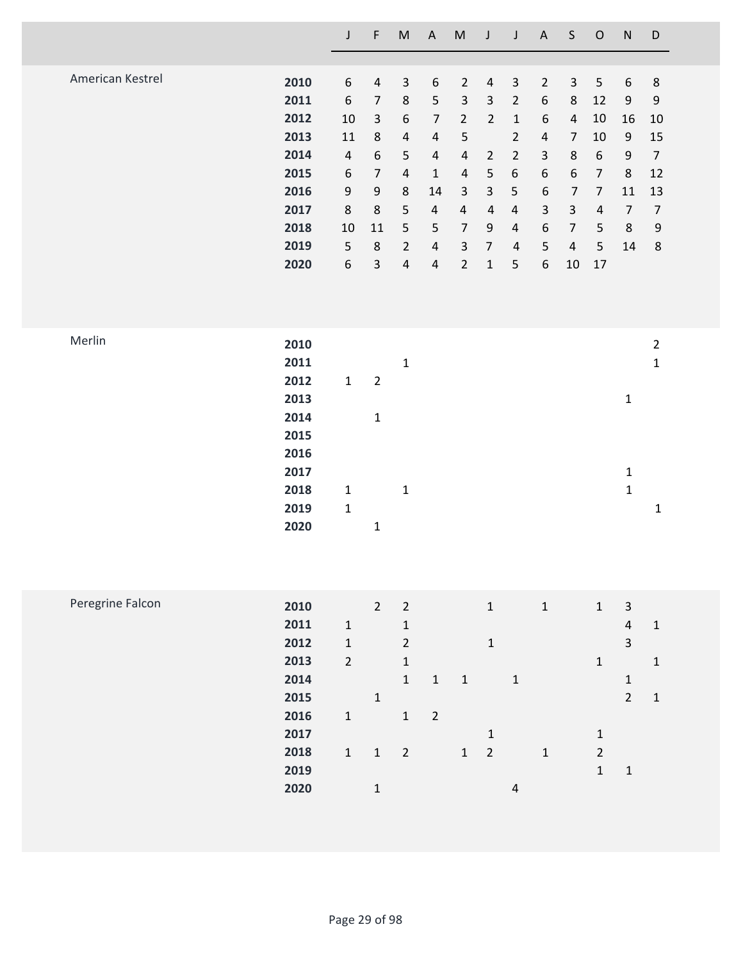|                  |                                                                                      | $\mathsf J$                                                                                         | $\mathsf F$                                                                                                                                                  | ${\sf M}$                                                                                                            | $\mathsf A$                                                                                                                                                     | ${\sf M}$                                                                                                                                                                                    | J                                                                                                                                               | $\mathsf J$                                                                                                                                                          | $\boldsymbol{\mathsf{A}}$                                                                                                                                                                 | $\mathsf S$                                                                                                                                                               | $\mathsf O$                                                                                                             | ${\sf N}$                                                                                     | D                                                                                                       |
|------------------|--------------------------------------------------------------------------------------|-----------------------------------------------------------------------------------------------------|--------------------------------------------------------------------------------------------------------------------------------------------------------------|----------------------------------------------------------------------------------------------------------------------|-----------------------------------------------------------------------------------------------------------------------------------------------------------------|----------------------------------------------------------------------------------------------------------------------------------------------------------------------------------------------|-------------------------------------------------------------------------------------------------------------------------------------------------|----------------------------------------------------------------------------------------------------------------------------------------------------------------------|-------------------------------------------------------------------------------------------------------------------------------------------------------------------------------------------|---------------------------------------------------------------------------------------------------------------------------------------------------------------------------|-------------------------------------------------------------------------------------------------------------------------|-----------------------------------------------------------------------------------------------|---------------------------------------------------------------------------------------------------------|
| American Kestrel | 2010<br>2011<br>2012<br>2013<br>2014<br>2015<br>2016<br>2017<br>2018<br>2019<br>2020 | 6<br>$\boldsymbol{6}$<br>10<br>11<br>$\sqrt{4}$<br>$\boldsymbol{6}$<br>9<br>$\,8\,$<br>10<br>5<br>6 | $\sqrt{4}$<br>$\overline{7}$<br>$\mathsf{3}$<br>$\,8\,$<br>$\boldsymbol{6}$<br>$\overline{7}$<br>$\boldsymbol{9}$<br>$\bf 8$<br>11<br>$\,8\,$<br>$\mathsf 3$ | $\mathsf{3}$<br>$\,8\,$<br>6<br>$\sqrt{4}$<br>5<br>$\overline{4}$<br>8<br>5<br>5<br>$\overline{2}$<br>$\overline{4}$ | $\boldsymbol{6}$<br>$\mathsf S$<br>$\overline{7}$<br>$\overline{4}$<br>$\sqrt{4}$<br>$\mathbf 1$<br>14<br>$\sqrt{4}$<br>$\mathsf S$<br>$\sqrt{4}$<br>$\sqrt{4}$ | $\overline{2}$<br>$\mathsf{3}$<br>$\overline{2}$<br>5<br>$\sqrt{4}$<br>$\overline{\mathbf{4}}$<br>$\mathsf{3}$<br>$\overline{\mathbf{4}}$<br>$\overline{7}$<br>$\mathsf 3$<br>$\overline{2}$ | $\overline{a}$<br>$\mathbf{3}$<br>$\overline{2}$<br>$\overline{2}$<br>5<br>$\mathsf{3}$<br>$\overline{4}$<br>9<br>$\overline{7}$<br>$\mathbf 1$ | $\mathsf 3$<br>$\overline{2}$<br>$1\,$<br>$\overline{2}$<br>$\overline{2}$<br>$\boldsymbol{6}$<br>$\mathsf S$<br>$\sqrt{4}$<br>$\overline{4}$<br>$\overline{4}$<br>5 | $\overline{2}$<br>$\boldsymbol{6}$<br>$\boldsymbol{6}$<br>$\sqrt{4}$<br>$\mathsf{3}$<br>$\boldsymbol{6}$<br>$\boldsymbol{6}$<br>$\mathsf{3}$<br>$\boldsymbol{6}$<br>5<br>$\boldsymbol{6}$ | $\mathsf 3$<br>$\bf 8$<br>$\overline{4}$<br>$\overline{7}$<br>$\,8\,$<br>$\boldsymbol{6}$<br>$\overline{7}$<br>$\mathsf{3}$<br>$\overline{7}$<br>$\overline{a}$<br>$10\,$ | 5<br>12<br>10<br>10<br>$\boldsymbol{6}$<br>$\overline{7}$<br>$\overline{7}$<br>$\sqrt{4}$<br>$\mathsf S$<br>5<br>$17\,$ | 6<br>$\boldsymbol{9}$<br>16<br>9<br>9<br>$\,8\,$<br>11<br>$\overline{7}$<br>$\,8\,$<br>14     | $\,8\,$<br>$\boldsymbol{9}$<br>10<br>15<br>$\overline{7}$<br>12<br>13<br>$\overline{7}$<br>9<br>$\bf 8$ |
| Merlin           | 2010<br>2011<br>2012<br>2013<br>2014<br>2015<br>2016<br>2017<br>2018<br>2019<br>2020 | $\mathbf 1$<br>$\mathbf{1}$<br>$\mathbf 1$                                                          | $\overline{2}$<br>$\mathbf 1$<br>$\mathbf 1$                                                                                                                 | $\mathbf{1}$<br>$\mathbf{1}$                                                                                         |                                                                                                                                                                 |                                                                                                                                                                                              |                                                                                                                                                 |                                                                                                                                                                      |                                                                                                                                                                                           |                                                                                                                                                                           |                                                                                                                         | $\mathbf 1$<br>$\mathbf 1$<br>$\mathbf 1$                                                     | $\overline{2}$<br>$\mathbf 1$<br>$\mathbf 1$                                                            |
| Peregrine Falcon | 2010<br>2011<br>2012<br>2013<br>2014<br>2015<br>2016<br>2017<br>2018<br>2019<br>2020 | $\mathbf 1$<br>$\mathbf 1$<br>$\overline{2}$<br>$\mathbf 1$<br>$\mathbf{1}$                         | $2^{\circ}$<br>$\mathbf{1}$<br>$\mathbf{1}$<br>$1\,$                                                                                                         | $\overline{2}$<br>$\mathbf 1$<br>$\overline{2}$<br>$\mathbf 1$<br>$\mathbf{1}$<br>$\mathbf{1}$<br>$\overline{2}$     | $\mathbf 1$<br>$\overline{2}$                                                                                                                                   | $\mathbf 1$<br>$\mathbf 1$                                                                                                                                                                   | $\mathbf{1}$<br>$\mathbf 1$<br>$\mathbf 1$<br>$\overline{2}$                                                                                    | $\mathbf{1}$<br>$\overline{4}$                                                                                                                                       | $\mathbf 1$<br>$\mathbf 1$                                                                                                                                                                |                                                                                                                                                                           | $\mathbf 1$<br>$\mathbf 1$<br>$1\,$<br>$\overline{2}$<br>$\mathbf 1$                                                    | $\mathbf{3}$<br>$\sqrt{4}$<br>$\overline{3}$<br>$\mathbf{1}$<br>$\overline{2}$<br>$\mathbf 1$ | $\mathbf 1$<br>$\mathbf 1$<br>$\mathbf 1$                                                               |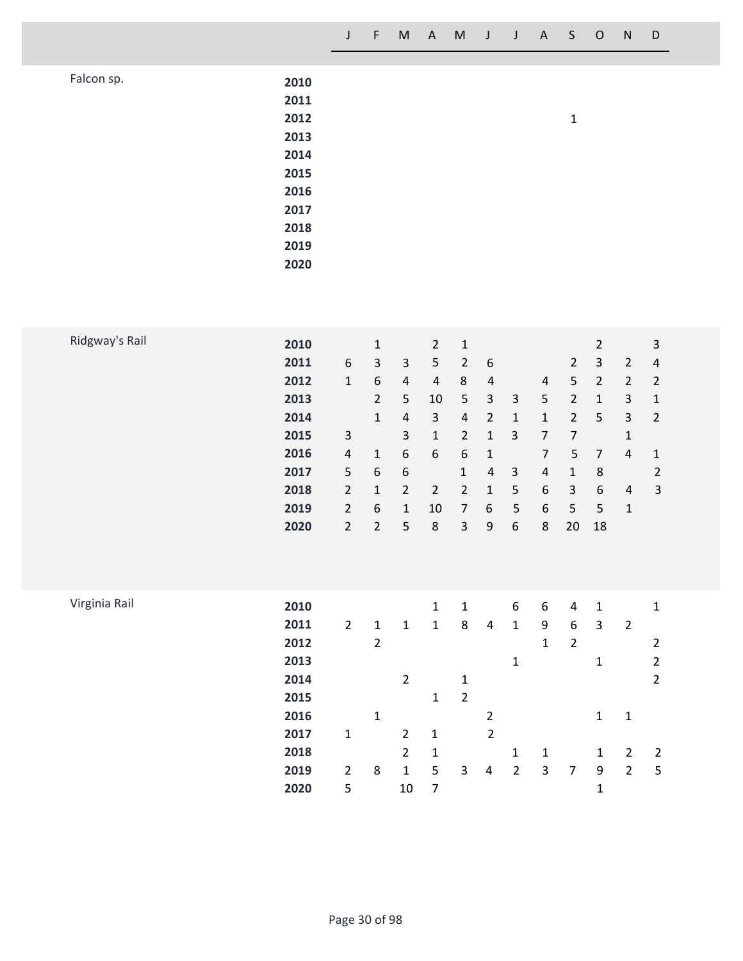|            |                                                                                      | $\mathsf{J}$ | $\left\langle \mathsf{F} \right\rangle$ |  | M A M J |  | $J$ $A$ $S$ $O$ |              | ${\sf N}$ | D |
|------------|--------------------------------------------------------------------------------------|--------------|-----------------------------------------|--|---------|--|-----------------|--------------|-----------|---|
| Falcon sp. | 2010<br>2011<br>2012<br>2013<br>2014<br>2015<br>2016<br>2017<br>2018<br>2019<br>2020 |              |                                         |  |         |  |                 | $\mathbf{1}$ |           |   |

| 6<br>2011<br>3<br>3<br>5<br>$\overline{2}$<br>6<br>$\overline{2}$<br>3<br>$\overline{2}$<br>4<br>6<br>8<br>5<br>$\overline{2}$<br>$\mathbf{1}$<br>$\overline{2}$<br>$\overline{2}$<br>2012<br>$\overline{4}$<br>4<br>4<br>4<br>$\overline{2}$<br>5<br>5<br>3<br>5<br>2013<br>10<br>3<br>$\overline{2}$<br>3<br>1<br>1<br>2<br>5<br>3<br>2014<br>3<br>$\overline{2}$<br>$\overline{2}$<br>$\mathbf{1}$<br>$\overline{4}$<br>4<br>1<br>1<br>3<br>3<br>$\overline{2}$<br>2015<br>3<br>7<br>7<br>1<br>1<br>1<br>6<br>6<br>6<br>$\overline{7}$<br>5<br>2016<br>7<br>4<br>$\mathbf{1}$<br>4<br>$\mathbf{1}$<br>1<br>5<br>6<br>6<br>3<br>$\overline{4}$<br>8<br>$\overline{2}$<br>2017<br>$\mathbf{1}$<br>$\mathbf 1$<br>4<br>$\overline{2}$<br>$\overline{2}$<br>6<br>$\overline{3}$<br>6<br>3<br>$\overline{2}$<br>5<br>2018<br>$\overline{2}$<br>1<br>1<br>$\overline{4}$<br>$\overline{2}$<br>6<br>5<br>6<br>5<br>2019<br>10<br>$\overline{7}$<br>6<br>5<br>$\mathbf{1}$<br>1<br>$\overline{2}$<br>5<br>3<br>9<br>6<br>8<br>2020<br>$\overline{2}$<br>8<br>18<br>20 | Ridgway's Rail | 2010 | 1 | $\overline{2}$ | $\mathbf{1}$ |  |  | $\overline{2}$ | 3 |
|------------------------------------------------------------------------------------------------------------------------------------------------------------------------------------------------------------------------------------------------------------------------------------------------------------------------------------------------------------------------------------------------------------------------------------------------------------------------------------------------------------------------------------------------------------------------------------------------------------------------------------------------------------------------------------------------------------------------------------------------------------------------------------------------------------------------------------------------------------------------------------------------------------------------------------------------------------------------------------------------------------------------------------------------------------------|----------------|------|---|----------------|--------------|--|--|----------------|---|
|                                                                                                                                                                                                                                                                                                                                                                                                                                                                                                                                                                                                                                                                                                                                                                                                                                                                                                                                                                                                                                                                  |                |      |   |                |              |  |  |                |   |
|                                                                                                                                                                                                                                                                                                                                                                                                                                                                                                                                                                                                                                                                                                                                                                                                                                                                                                                                                                                                                                                                  |                |      |   |                |              |  |  |                |   |
|                                                                                                                                                                                                                                                                                                                                                                                                                                                                                                                                                                                                                                                                                                                                                                                                                                                                                                                                                                                                                                                                  |                |      |   |                |              |  |  |                |   |
|                                                                                                                                                                                                                                                                                                                                                                                                                                                                                                                                                                                                                                                                                                                                                                                                                                                                                                                                                                                                                                                                  |                |      |   |                |              |  |  |                |   |
|                                                                                                                                                                                                                                                                                                                                                                                                                                                                                                                                                                                                                                                                                                                                                                                                                                                                                                                                                                                                                                                                  |                |      |   |                |              |  |  |                |   |
|                                                                                                                                                                                                                                                                                                                                                                                                                                                                                                                                                                                                                                                                                                                                                                                                                                                                                                                                                                                                                                                                  |                |      |   |                |              |  |  |                |   |
|                                                                                                                                                                                                                                                                                                                                                                                                                                                                                                                                                                                                                                                                                                                                                                                                                                                                                                                                                                                                                                                                  |                |      |   |                |              |  |  |                |   |
|                                                                                                                                                                                                                                                                                                                                                                                                                                                                                                                                                                                                                                                                                                                                                                                                                                                                                                                                                                                                                                                                  |                |      |   |                |              |  |  |                |   |
|                                                                                                                                                                                                                                                                                                                                                                                                                                                                                                                                                                                                                                                                                                                                                                                                                                                                                                                                                                                                                                                                  |                |      |   |                |              |  |  |                |   |
|                                                                                                                                                                                                                                                                                                                                                                                                                                                                                                                                                                                                                                                                                                                                                                                                                                                                                                                                                                                                                                                                  |                |      |   |                |              |  |  |                |   |
|                                                                                                                                                                                                                                                                                                                                                                                                                                                                                                                                                                                                                                                                                                                                                                                                                                                                                                                                                                                                                                                                  |                |      |   |                |              |  |  |                |   |
|                                                                                                                                                                                                                                                                                                                                                                                                                                                                                                                                                                                                                                                                                                                                                                                                                                                                                                                                                                                                                                                                  |                |      |   |                |              |  |  |                |   |

| Virginia Rail | 2010 |                |                |                | $\mathbf{1}$ | 1              |                | 6              | 6 | 4 | -1           |                | 1              |
|---------------|------|----------------|----------------|----------------|--------------|----------------|----------------|----------------|---|---|--------------|----------------|----------------|
|               | 2011 | $\overline{2}$ | 1              | 1              | 1            | 8              | 4              | 1              | 9 | 6 | 3            | $\overline{2}$ |                |
|               | 2012 |                | $\overline{2}$ |                |              |                |                |                | 1 | 2 |              |                | 2              |
|               | 2013 |                |                |                |              |                |                | 1              |   |   | 1            |                | 2              |
|               | 2014 |                |                | 2              |              | 1              |                |                |   |   |              |                | 2              |
|               | 2015 |                |                |                | $\mathbf{1}$ | $\overline{2}$ |                |                |   |   |              |                |                |
|               | 2016 |                | 1              |                |              |                | 2              |                |   |   | 1            | 1              |                |
|               | 2017 | 1              |                | $\overline{2}$ | $\mathbf{1}$ |                | $\overline{2}$ |                |   |   |              |                |                |
|               | 2018 |                |                | $\overline{2}$ | 1            |                |                | 1              | 1 |   | $\mathbf{1}$ | 2              | $\overline{2}$ |
|               | 2019 | $\overline{2}$ | 8              | 1              | 5            | 3              | 4              | $\overline{2}$ | 3 | 7 | 9            | $\overline{2}$ | 5              |
|               | 2020 | 5              |                | 10             | 7            |                |                |                |   |   | 1            |                |                |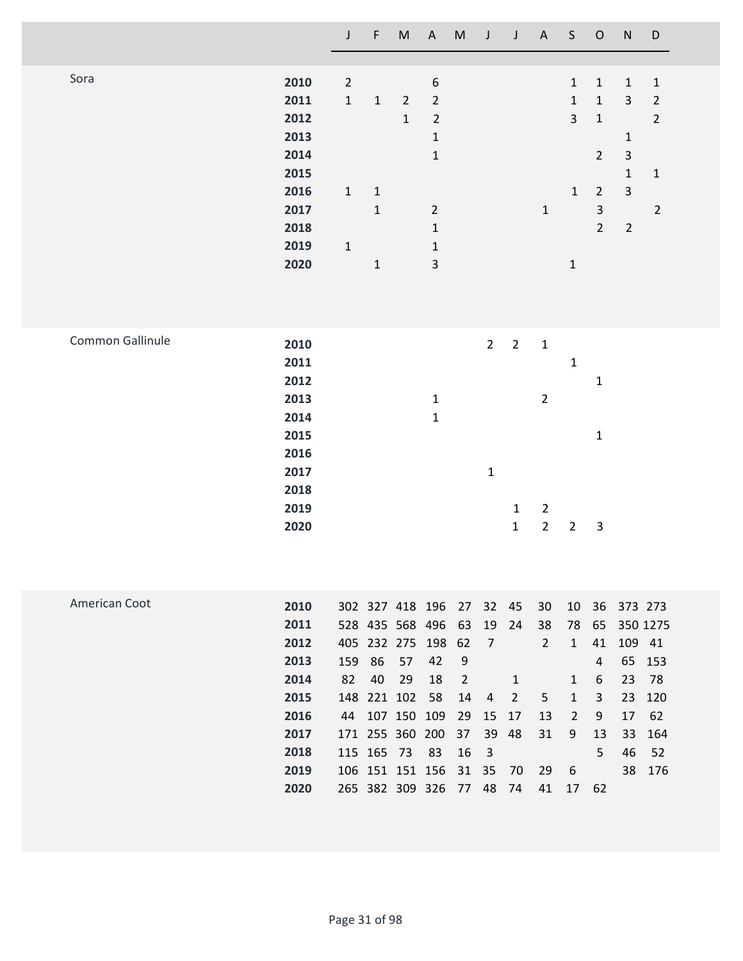|                  |                                                                                      | $\mathsf{J}$                                            | F                                                          |                                                                                                                                                                            | M A                                                                                                                                    | M                                                       | $\overline{J}$                                                                            | J                                                            | A                                                                 | S                                                                                          | $\mathsf O$                                                                                                       | ${\sf N}$                                                                                                      | $\mathsf D$                                                                       |  |
|------------------|--------------------------------------------------------------------------------------|---------------------------------------------------------|------------------------------------------------------------|----------------------------------------------------------------------------------------------------------------------------------------------------------------------------|----------------------------------------------------------------------------------------------------------------------------------------|---------------------------------------------------------|-------------------------------------------------------------------------------------------|--------------------------------------------------------------|-------------------------------------------------------------------|--------------------------------------------------------------------------------------------|-------------------------------------------------------------------------------------------------------------------|----------------------------------------------------------------------------------------------------------------|-----------------------------------------------------------------------------------|--|
| Sora             | 2010<br>2011<br>2012<br>2013<br>2014<br>2015<br>2016<br>2017<br>2018<br>2019<br>2020 | $\overline{2}$<br>$\mathbf{1}$<br>$\mathbf{1}$<br>$1\,$ | $\mathbf 1$<br>$\mathbf{1}$<br>$\mathbf{1}$<br>$\mathbf 1$ | $\overline{2}$<br>$\mathbf{1}$                                                                                                                                             | 6<br>$\overline{2}$<br>$\overline{2}$<br>$\mathbf 1$<br>$\mathbf{1}$<br>$\overline{2}$<br>$\mathbf 1$<br>$\mathbf 1$<br>$\overline{3}$ |                                                         |                                                                                           |                                                              | $\mathbf 1$                                                       | $\mathbf{1}$<br>$\mathbf{1}$<br>$\overline{3}$<br>$\mathbf{1}$<br>$\mathbf 1$              | $\mathbf 1$<br>$\mathbf{1}$<br>$\mathbf{1}$<br>$\overline{2}$<br>$\overline{2}$<br>$\mathsf{3}$<br>$\overline{2}$ | $\mathbf 1$<br>$\mathsf{3}$<br>$\mathbf 1$<br>$\mathsf{3}$<br>$\mathbf{1}$<br>$\overline{3}$<br>$\overline{2}$ | $\mathbf 1$<br>$\overline{2}$<br>$\overline{2}$<br>$\mathbf{1}$<br>$\overline{2}$ |  |
| Common Gallinule | 2010<br>2011<br>2012<br>2013<br>2014<br>2015<br>2016<br>2017<br>2018<br>2019<br>2020 |                                                         |                                                            |                                                                                                                                                                            | $1\,$<br>$\mathbf{1}$                                                                                                                  |                                                         | $\overline{2}$<br>$\mathbf{1}$                                                            | $\overline{2}$<br>$\mathbf{1}$<br>$\mathbf 1$                | $\mathbf 1$<br>$\overline{2}$<br>$\overline{2}$<br>$\overline{2}$ | $\mathbf 1$<br>$\overline{2}$                                                              | $\mathbf 1$<br>$\mathbf 1$<br>$\mathbf{3}$                                                                        |                                                                                                                |                                                                                   |  |
| American Coot    | 2010<br>2011<br>2012<br>2013<br>2014<br>2015<br>2016<br>2017<br>2018<br>2019<br>2020 | 159 86<br>82<br>115 165 73                              | 40                                                         | 302 327 418 196 27 32 45<br>528 435 568 496 63<br>405 232 275 198 62<br>57<br>29<br>148 221 102<br>44 107 150 109<br>171 255 360 200<br>106 151 151 156<br>265 382 309 326 | 42<br>18<br>58<br>83                                                                                                                   | 9<br>$\overline{2}$<br>14<br>29<br>37<br>16<br>31<br>77 | 19<br>$\overline{7}$<br>$\overline{4}$<br>15<br>39<br>$\overline{\mathbf{3}}$<br>35<br>48 | 24<br>$\mathbf{1}$<br>$\overline{2}$<br>17<br>48<br>70<br>74 | 30<br>38<br>$\overline{2}$<br>5<br>13<br>31<br>29<br>41           | 10<br>78<br>$\mathbf{1}$<br>$\mathbf{1}$<br>$\mathbf{1}$<br>$\overline{2}$<br>9<br>6<br>17 | 36<br>65<br>41<br>4<br>6<br>3<br>9<br>13<br>5<br>62                                                               | 373 273<br>109 41<br>23<br>23<br>17<br>33<br>46<br>38                                                          | 350 1275<br>65 153<br>78<br>120<br>62<br>164<br>52<br>176                         |  |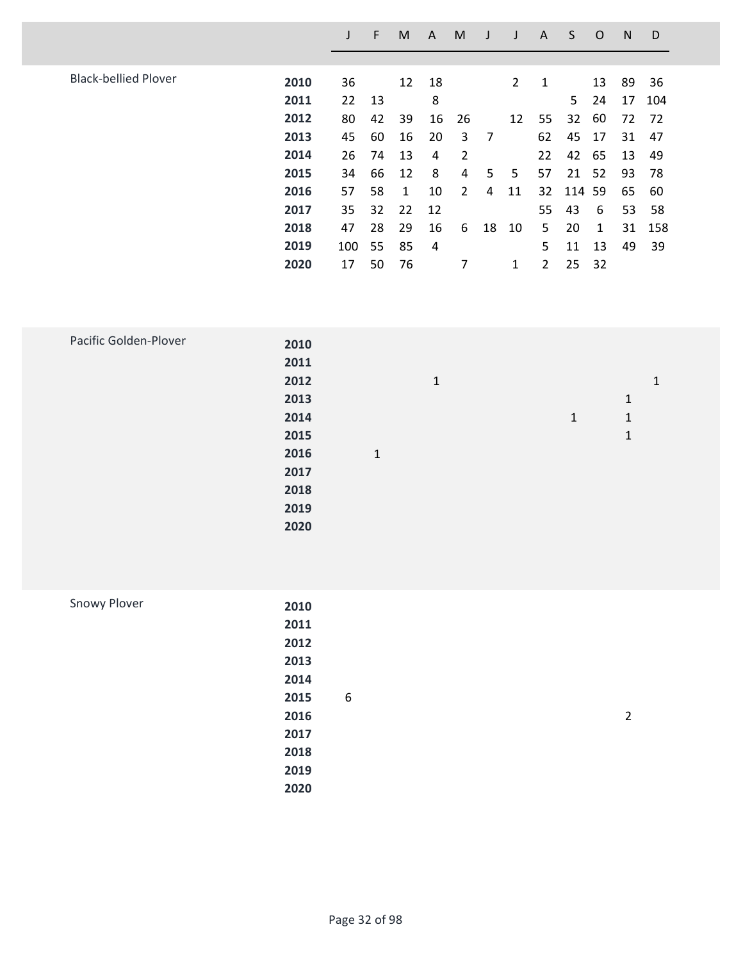|                             |      |     | F  | M  | A  | M              |    |    | A  | S      | O  | N  | D   |
|-----------------------------|------|-----|----|----|----|----------------|----|----|----|--------|----|----|-----|
|                             |      |     |    |    |    |                |    |    |    |        |    |    |     |
| <b>Black-bellied Plover</b> | 2010 | 36  |    | 12 | 18 |                |    | 2  | 1  |        | 13 | 89 | 36  |
|                             | 2011 | 22  | 13 |    | 8  |                |    |    |    | 5      | 24 | 17 | 104 |
|                             | 2012 | 80  | 42 | 39 | 16 | 26             |    | 12 | 55 | 32     | 60 | 72 | 72  |
|                             | 2013 | 45  | 60 | 16 | 20 | 3              | 7  |    | 62 | 45     | 17 | 31 | 47  |
|                             | 2014 | 26  | 74 | 13 | 4  | 2              |    |    | 22 | 42     | 65 | 13 | 49  |
|                             | 2015 | 34  | 66 | 12 | 8  | 4              | 5  | 5  | 57 | 21 52  |    | 93 | 78  |
|                             | 2016 | 57  | 58 | 1  | 10 | $\overline{2}$ | 4  | 11 | 32 | 114 59 |    | 65 | 60  |
|                             | 2017 | 35  | 32 | 22 | 12 |                |    |    | 55 | 43     | 6  | 53 | 58  |
|                             | 2018 | 47  | 28 | 29 | 16 | 6              | 18 | 10 | 5  | 20     | 1  | 31 | 158 |
|                             | 2019 | 100 | 55 | 85 | 4  |                |    |    | 5  | 11     | 13 | 49 | 39  |
|                             | 2020 | 17  | 50 | 76 |    | 7              |    | 1  | 2  | 25     | 32 |    |     |
|                             |      |     |    |    |    |                |    |    |    |        |    |    |     |

| Pacific Golden-Plover | 2010 |              |              |              |   |
|-----------------------|------|--------------|--------------|--------------|---|
|                       | 2011 |              |              |              |   |
|                       | 2012 |              | $\mathbf{1}$ |              | 1 |
|                       | 2013 |              |              |              | 1 |
|                       | 2014 |              |              | $\mathbf{1}$ | 1 |
|                       | 2015 |              |              |              | 1 |
|                       | 2016 | $\mathbf{1}$ |              |              |   |
|                       | 2017 |              |              |              |   |
|                       | 2018 |              |              |              |   |
|                       | 2019 |              |              |              |   |
|                       | 2020 |              |              |              |   |
|                       |      |              |              |              |   |

| Snowy Plover | 2010 |   |  |                |
|--------------|------|---|--|----------------|
|              |      |   |  |                |
|              | 2011 |   |  |                |
|              | 2012 |   |  |                |
|              | 2013 |   |  |                |
|              | 2014 |   |  |                |
|              | 2015 | 6 |  |                |
|              | 2016 |   |  | $\overline{2}$ |
|              | 2017 |   |  |                |
|              | 2018 |   |  |                |
|              | 2019 |   |  |                |
|              | 2020 |   |  |                |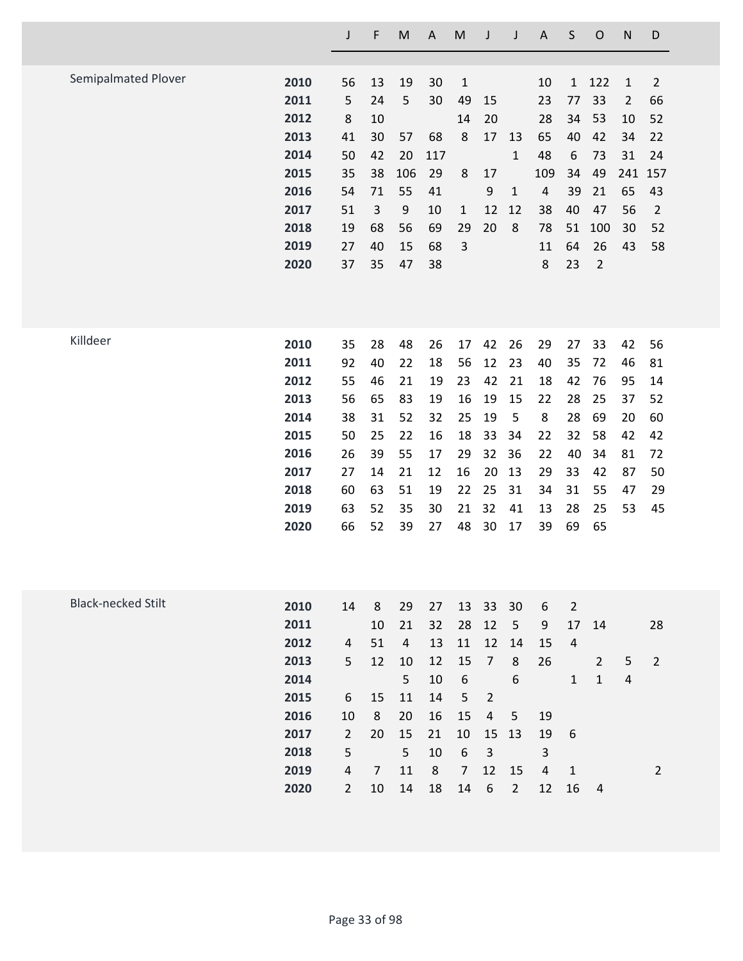|                           |      | J              | F              | M              | A   | M                | J              | J                | A                       | S              | $\mathsf O$    | $\mathsf{N}$   | D              |
|---------------------------|------|----------------|----------------|----------------|-----|------------------|----------------|------------------|-------------------------|----------------|----------------|----------------|----------------|
|                           |      |                |                |                |     |                  |                |                  |                         |                |                |                |                |
| Semipalmated Plover       | 2010 | 56             | 13             | 19             | 30  | $\mathbf{1}$     |                |                  | 10                      | $\mathbf{1}$   | 122            | $\mathbf{1}$   | $\overline{2}$ |
|                           | 2011 | 5              | 24             | 5              | 30  | 49               | 15             |                  | 23                      | 77             | 33             | $\overline{2}$ | 66             |
|                           | 2012 | 8              | 10             |                |     | 14               | 20             |                  | 28                      | 34             | 53             | 10             | 52             |
|                           | 2013 | 41             | 30             | 57             | 68  | 8                | 17             | 13               | 65                      | 40             | 42             | 34             | 22             |
|                           | 2014 | 50             | 42             | 20             | 117 |                  |                | $\mathbf{1}$     | 48                      | 6              | 73             | 31             | 24             |
|                           | 2015 | 35             | 38             | 106            | 29  | 8                | 17             |                  | 109                     | 34             | 49             | 241            | 157            |
|                           | 2016 | 54             | 71             | 55             | 41  |                  | 9              | $\mathbf{1}$     | $\overline{\mathbf{4}}$ | 39             | 21             | 65             | 43             |
|                           | 2017 | 51             | 3              | 9              | 10  | $\mathbf{1}$     | 12             | 12               | 38                      | 40             | 47             | 56             | $\overline{2}$ |
|                           | 2018 | 19             | 68             | 56             | 69  | 29               | 20             | 8                | 78                      | 51             | 100            | 30             | 52             |
|                           | 2019 | 27             | 40             | 15             | 68  | 3                |                |                  | 11                      | 64             | 26             | 43             | 58             |
|                           | 2020 | 37             | 35             | 47             | 38  |                  |                |                  | 8                       | 23             | $\overline{2}$ |                |                |
|                           |      |                |                |                |     |                  |                |                  |                         |                |                |                |                |
| Killdeer                  | 2010 | 35             | 28             | 48             | 26  | 17               | 42             | 26               | 29                      | 27             | 33             | 42             | 56             |
|                           | 2011 | 92             | 40             | 22             | 18  | 56               | 12             | 23               | 40                      | 35             | 72             | 46             | 81             |
|                           | 2012 | 55             | 46             | 21             | 19  | 23               | 42             | 21               | 18                      | 42             | 76             | 95             | 14             |
|                           | 2013 | 56             | 65             | 83             | 19  | 16               | 19             | 15               | 22                      | 28             | 25             | 37             | 52             |
|                           | 2014 | 38             | 31             | 52             | 32  | 25               | 19             | 5                | 8                       | 28             | 69             | 20             | 60             |
|                           | 2015 | 50             | 25             | 22             | 16  | 18               | 33             | 34               | 22                      | 32             | 58             | 42             | 42             |
|                           | 2016 | 26             | 39             | 55             | 17  | 29               | 32             | 36               | 22                      | 40             | 34             | 81             | 72             |
|                           | 2017 | 27             | 14             | 21             | 12  | 16               | 20             | 13               | 29                      | 33             | 42             | 87             | 50             |
|                           | 2018 | 60             | 63             | 51             | 19  | 22               | 25             | 31               | 34                      | 31             | 55             | 47             | 29             |
|                           | 2019 | 63             | 52             | 35             | 30  | 21               | 32             | 41               | 13                      | 28             | 25             | 53             | 45             |
|                           | 2020 | 66             | 52             | 39             | 27  | 48               | 30             | 17               | 39                      | 69             | 65             |                |                |
|                           |      |                |                |                |     |                  |                |                  |                         |                |                |                |                |
| <b>Black-necked Stilt</b> | 2010 | 14             | 8              | 29             | 27  | 13               | 33             | 30               | 6                       | $\overline{2}$ |                |                |                |
|                           | 2011 |                | 10             | 21             | 32  | 28               | 12             | 5                | 9                       | 17             | 14             |                | 28             |
|                           | 2012 | 4              | 51             | $\overline{4}$ | 13  | 11               | 12             | 14               | 15                      | $\overline{4}$ |                |                |                |
|                           | 2013 | 5              | 12             | 10             | 12  | 15               | $\overline{7}$ | 8                | 26                      |                | $\overline{2}$ | 5              | $\overline{2}$ |
|                           | 2014 |                |                | 5              | 10  | $\boldsymbol{6}$ |                | $\boldsymbol{6}$ |                         | $\mathbf{1}$   | $\mathbf{1}$   | $\overline{4}$ |                |
|                           | 2015 | 6              | 15             | 11             | 14  | 5                | $\overline{2}$ |                  |                         |                |                |                |                |
|                           | 2016 | 10             | 8              | 20             | 16  | 15               | $\overline{4}$ | 5                | 19                      |                |                |                |                |
|                           | 2017 | $\overline{2}$ | 20             | 15             | 21  | 10               | 15             | 13               | 19                      | 6              |                |                |                |
|                           | 2018 | 5              |                | 5              | 10  | $\boldsymbol{6}$ | $\overline{3}$ |                  | 3                       |                |                |                |                |
|                           | 2019 | $\pmb{4}$      | $\overline{7}$ | 11             | 8   | $\overline{7}$   | 12             | 15               | $\overline{4}$          | $\mathbf{1}$   |                |                | $\overline{2}$ |
|                           | 2020 | $\overline{2}$ | 10             | 14             | 18  | 14               | 6              | $\overline{2}$   | 12                      | 16             | $\overline{4}$ |                |                |
|                           |      |                |                |                |     |                  |                |                  |                         |                |                |                |                |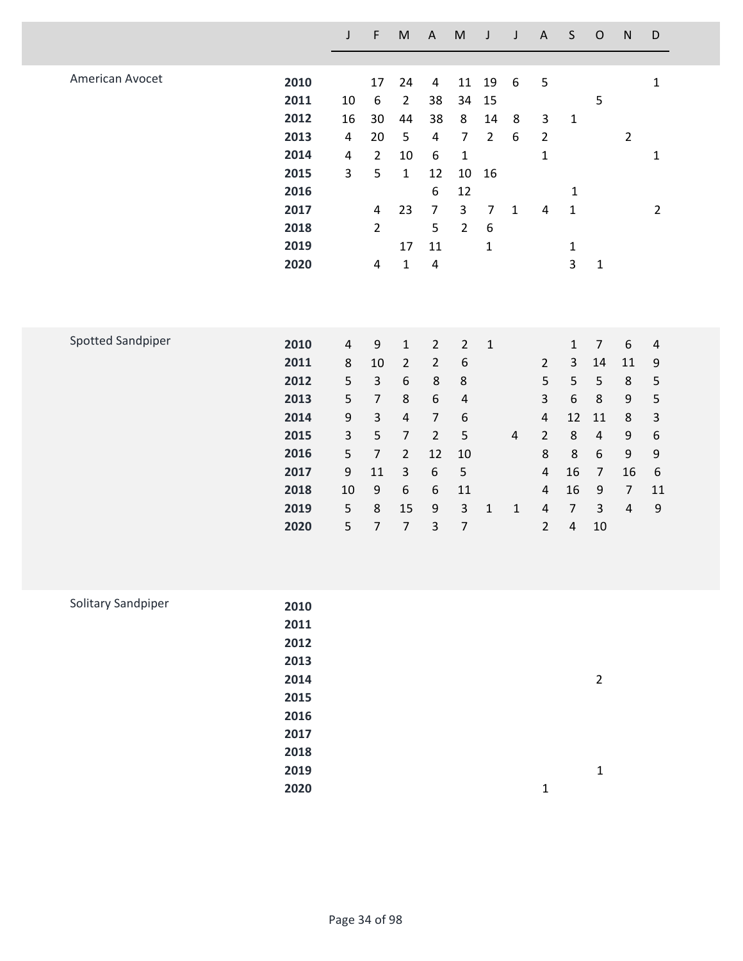|                    |                                                                                      | $\mathsf J$                                                                                       | F                                                                                                                              | $\mathsf{M}% _{T}=\mathsf{M}_{T}\!\left( a,b\right) ,\ \mathsf{M}_{T}=\mathsf{M}_{T}\!\left( a,b\right) ,$                                                  | $\mathsf A$                                                                                                                                          | $\mathsf{M}% _{T}=\mathsf{M}_{T}\!\left( a,b\right) ,\ \mathsf{M}_{T}=\mathsf{M}_{T}\!\left( a,b\right) ,$                     | J                                                                                            | J                                | $\mathsf A$                                                                                                                               | $\mathsf S$                                                                                                              | $\mathsf O$                                                                                                          | ${\sf N}$                                                                                                                      | D                                                                                                                            |  |
|--------------------|--------------------------------------------------------------------------------------|---------------------------------------------------------------------------------------------------|--------------------------------------------------------------------------------------------------------------------------------|-------------------------------------------------------------------------------------------------------------------------------------------------------------|------------------------------------------------------------------------------------------------------------------------------------------------------|--------------------------------------------------------------------------------------------------------------------------------|----------------------------------------------------------------------------------------------|----------------------------------|-------------------------------------------------------------------------------------------------------------------------------------------|--------------------------------------------------------------------------------------------------------------------------|----------------------------------------------------------------------------------------------------------------------|--------------------------------------------------------------------------------------------------------------------------------|------------------------------------------------------------------------------------------------------------------------------|--|
|                    |                                                                                      |                                                                                                   |                                                                                                                                |                                                                                                                                                             |                                                                                                                                                      |                                                                                                                                |                                                                                              |                                  |                                                                                                                                           |                                                                                                                          |                                                                                                                      |                                                                                                                                |                                                                                                                              |  |
| American Avocet    | 2010<br>2011<br>2012<br>2013<br>2014<br>2015<br>2016<br>2017<br>2018<br>2019<br>2020 | 10<br>16<br>$\overline{4}$<br>4<br>3                                                              | 17<br>$\boldsymbol{6}$<br>30<br>20<br>$\overline{2}$<br>5<br>$\overline{a}$<br>$\overline{2}$<br>$\overline{a}$                | 24<br>$\overline{2}$<br>44<br>5<br>10<br>$\mathbf 1$<br>23<br>17<br>$\mathbf{1}$                                                                            | $\overline{4}$<br>38<br>38<br>$\overline{4}$<br>6<br>12<br>6<br>$\overline{7}$<br>5<br>11<br>4                                                       | 11<br>34<br>8<br>$\overline{7}$<br>$\mathbf 1$<br>$10\,$<br>12<br>3<br>$\overline{2}$                                          | 19<br>15<br>14<br>$\overline{2}$<br>16<br>$\overline{7}$<br>$\boldsymbol{6}$<br>$\mathbf{1}$ | 6<br>$\bf 8$<br>6<br>$\mathbf 1$ | 5<br>3<br>$\overline{2}$<br>$\mathbf{1}$<br>$\overline{4}$                                                                                | $\mathbf{1}$<br>1<br>$\mathbf{1}$<br>$\mathbf{1}$<br>3                                                                   | 5<br>$\mathbf 1$                                                                                                     | $\overline{2}$                                                                                                                 | $\mathbf 1$<br>$\mathbf{1}$<br>$\overline{2}$                                                                                |  |
| Spotted Sandpiper  | 2010<br>2011<br>2012<br>2013<br>2014<br>2015<br>2016<br>2017<br>2018<br>2019<br>2020 | $\overline{4}$<br>$\,8\,$<br>5<br>5<br>$\boldsymbol{9}$<br>$\mathsf{3}$<br>5<br>9<br>10<br>5<br>5 | $\boldsymbol{9}$<br>10<br>$\overline{3}$<br>$\overline{7}$<br>3<br>5<br>$\overline{7}$<br>11<br>9<br>$\bf 8$<br>$\overline{7}$ | $\mathbf 1$<br>$\overline{2}$<br>$\boldsymbol{6}$<br>$\bf 8$<br>$\sqrt{4}$<br>$\overline{7}$<br>$\overline{2}$<br>$\mathsf{3}$<br>6<br>15<br>$\overline{7}$ | $\overline{2}$<br>$\overline{2}$<br>$\,8\,$<br>6<br>$\overline{7}$<br>$\overline{2}$<br>12<br>$\boldsymbol{6}$<br>6<br>$\mathsf 9$<br>$\overline{3}$ | $\overline{2}$<br>$\boldsymbol{6}$<br>$\,8\,$<br>$\sqrt{4}$<br>6<br>5<br>$10\,$<br>5<br>11<br>$\overline{3}$<br>$\overline{7}$ | $\mathbf{1}$<br>$\mathbf 1$                                                                  | $\overline{4}$<br>$1\,$          | $\overline{2}$<br>5<br>3<br>$\overline{4}$<br>$\overline{2}$<br>8<br>$\overline{4}$<br>$\overline{4}$<br>$\overline{4}$<br>$\overline{2}$ | $\mathbf 1$<br>3<br>5<br>$\boldsymbol{6}$<br>12<br>$\,8\,$<br>8<br>16<br>16<br>$\overline{7}$<br>$\overline{\mathbf{4}}$ | $\overline{7}$<br>14<br>5<br>$\,8\,$<br>11<br>$\overline{4}$<br>6<br>$\overline{7}$<br>9<br>$\overline{3}$<br>$10\,$ | $\boldsymbol{6}$<br>11<br>$\,8\,$<br>$\mathsf 9$<br>$\,8\,$<br>$\boldsymbol{9}$<br>9<br>16<br>$\overline{7}$<br>$\overline{4}$ | $\overline{\mathbf{r}}$<br>9<br>5<br>5<br>3<br>$\boldsymbol{6}$<br>$\mathsf 9$<br>$\boldsymbol{6}$<br>11<br>$\boldsymbol{9}$ |  |
| Solitary Sandpiper | 2010<br>2011<br>2012<br>2013<br>2014<br>2015<br>2016                                 |                                                                                                   |                                                                                                                                |                                                                                                                                                             |                                                                                                                                                      |                                                                                                                                |                                                                                              |                                  |                                                                                                                                           |                                                                                                                          | $\overline{2}$                                                                                                       |                                                                                                                                |                                                                                                                              |  |

**1**

**1**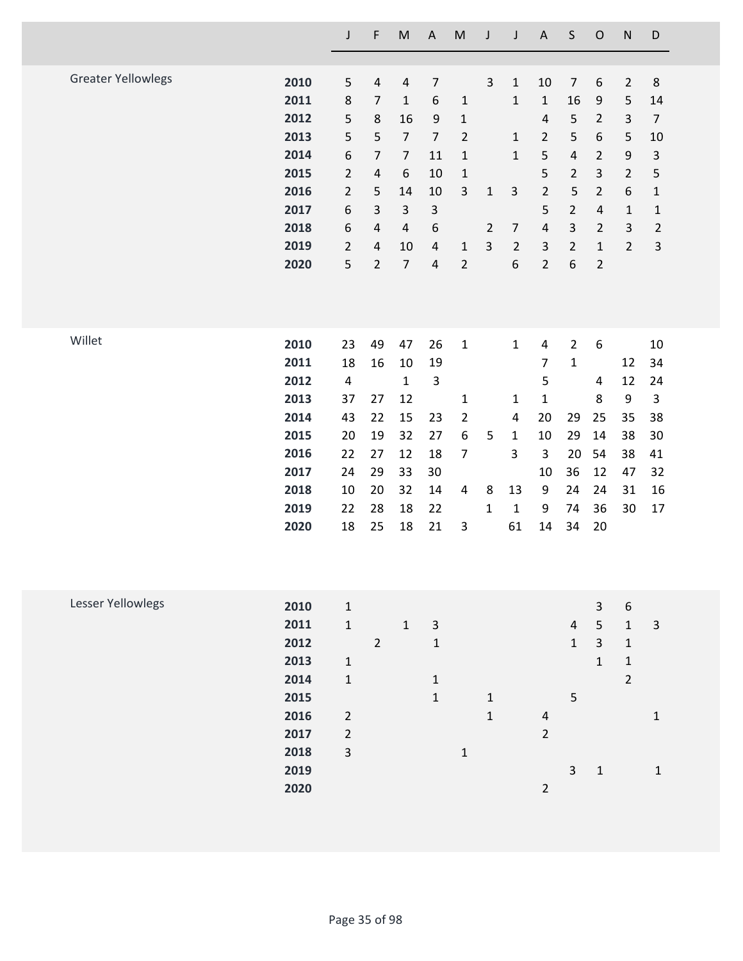|                           |      | J                       | F              | $\sf M$          | $\boldsymbol{\mathsf{A}}$ | ${\sf M}$        | J              | J              | $\boldsymbol{\mathsf{A}}$ | $\sf S$        | ${\mathsf O}$           | ${\sf N}$      | $\mathsf D$    |
|---------------------------|------|-------------------------|----------------|------------------|---------------------------|------------------|----------------|----------------|---------------------------|----------------|-------------------------|----------------|----------------|
|                           |      |                         |                |                  |                           |                  |                |                |                           |                |                         |                |                |
| <b>Greater Yellowlegs</b> | 2010 | 5                       | $\sqrt{4}$     | $\overline{4}$   | $\overline{7}$            |                  | 3              | $\mathbf 1$    | 10                        | $\overline{7}$ | $\boldsymbol{6}$        | $\overline{2}$ | 8              |
|                           | 2011 | 8                       | $\overline{7}$ | $\mathbf{1}$     | 6                         | $\mathbf{1}$     |                | $\mathbf 1$    | $\mathbf 1$               | 16             | 9                       | 5              | 14             |
|                           | 2012 | 5                       | $\,8$          | 16               | 9                         | $\mathbf 1$      |                |                | $\sqrt{4}$                | 5              | $\overline{2}$          | $\mathbf{3}$   | $\overline{7}$ |
|                           | 2013 | 5                       | 5              | $\overline{7}$   | $\overline{7}$            | $\overline{2}$   |                | $\mathbf{1}$   | $\overline{2}$            | 5              | 6                       | 5              | 10             |
|                           | 2014 | 6                       | 7              | $\overline{7}$   | 11                        | $\mathbf{1}$     |                | $\mathbf 1$    | 5                         | 4              | $\overline{2}$          | 9              | 3              |
|                           | 2015 | $\overline{2}$          | $\sqrt{4}$     | $\boldsymbol{6}$ | 10                        | $\mathbf{1}$     |                |                | 5                         | $\overline{2}$ | $\mathsf{3}$            | $\overline{2}$ | 5              |
|                           | 2016 | $\overline{2}$          | 5              | 14               | 10                        | $\mathbf{3}$     | $\mathbf 1$    | $\mathsf{3}$   | $\overline{2}$            | 5              | $\overline{2}$          | 6              | $\mathbf{1}$   |
|                           | 2017 | 6                       | 3              | $\mathsf{3}$     | 3                         |                  |                |                | 5                         | $\overline{2}$ | $\sqrt{4}$              | $1\,$          | $\mathbf{1}$   |
|                           | 2018 | 6                       | $\pmb{4}$      | $\sqrt{4}$       | $\boldsymbol{6}$          |                  | $\overline{2}$ | $\overline{7}$ | $\sqrt{4}$                | 3              | $\overline{2}$          | 3              | $\overline{2}$ |
|                           | 2019 | $\overline{2}$          | $\sqrt{4}$     | 10               | 4                         | $\mathbf{1}$     | 3              | $\overline{2}$ | 3                         | $\overline{2}$ | $\mathbf 1$             | $\overline{2}$ | $\mathsf{3}$   |
|                           | 2020 | 5                       | $\overline{2}$ | $\overline{7}$   | $\pmb{4}$                 | $\overline{2}$   |                | 6              | $\overline{2}$            | 6              | $\mathbf 2$             |                |                |
|                           |      |                         |                |                  |                           |                  |                |                |                           |                |                         |                |                |
|                           |      |                         |                |                  |                           |                  |                |                |                           |                |                         |                |                |
| Willet                    | 2010 | 23                      | 49             | 47               | 26                        | $\mathbf 1$      |                | $\mathbf 1$    | $\overline{\mathbf{4}}$   | $\overline{2}$ | $\boldsymbol{6}$        |                | 10             |
|                           | 2011 | 18                      | 16             | 10               | 19                        |                  |                |                | $\overline{7}$            | $\mathbf{1}$   |                         | 12             | 34             |
|                           | 2012 | $\overline{\mathbf{4}}$ |                | $\mathbf{1}$     | $\mathbf{3}$              |                  |                |                | 5                         |                | 4                       | 12             | 24             |
|                           | 2013 | 37                      | 27             | 12               |                           | 1                |                | 1              | $\mathbf{1}$              |                | 8                       | 9              | 3              |
|                           | 2014 | 43                      | 22             | 15               | 23                        | $\overline{2}$   |                | 4              | 20                        | 29             | 25                      | 35             | 38             |
|                           | 2015 | 20                      | 19             | 32               | 27                        | $\boldsymbol{6}$ | 5              | $\mathbf{1}$   | 10                        | 29             | 14                      | 38             | 30             |
|                           | 2016 | 22                      | 27             | 12               | 18                        | $\overline{7}$   |                | 3              | 3                         | 20             | 54                      | 38             | 41             |
|                           | 2017 | 24                      | 29             | 33               | 30                        |                  |                |                | 10                        | 36             | 12                      | 47             | 32             |
|                           | 2018 | 10                      | 20             | 32               | 14                        | 4                | 8              | 13             | 9                         | 24             | 24                      | 31             | 16             |
|                           | 2019 | 22                      | 28             | 18               | 22                        |                  | $\mathbf{1}$   | $\mathbf 1$    | 9                         | 74             | 36                      | 30             | 17             |
|                           | 2020 | 18                      | 25             | 18               | 21                        | $\mathsf 3$      |                | 61             | 14                        | 34             | 20                      |                |                |
|                           |      |                         |                |                  |                           |                  |                |                |                           |                |                         |                |                |
| Lesser Yellowlegs         | 2010 | $\mathbf 1$             |                |                  |                           |                  |                |                |                           |                | $\mathsf{3}$            | 6              |                |
|                           | 2011 | $\mathbf 1$             |                | $\mathbf{1}$     | $\mathsf{3}$              |                  |                |                |                           | $\overline{4}$ | $\mathsf S$             | $\mathbf 1$    | 3              |
|                           | 2012 |                         | $\overline{2}$ |                  | $\mathbf 1$               |                  |                |                |                           | $\mathbf{1}$   | $\overline{\mathbf{3}}$ | $\mathbf 1$    |                |
|                           | 2013 | $\mathbf 1$             |                |                  |                           |                  |                |                |                           |                | $\mathbf{1}$            | $\mathbf 1$    |                |
|                           | 2014 | $\mathbf 1$             |                |                  | $\mathbf 1$               |                  |                |                |                           |                |                         | $\overline{2}$ |                |
|                           | 2015 |                         |                |                  | $\mathbf{1}$              |                  | $\mathbf 1$    |                |                           | 5              |                         |                |                |
|                           | 2016 | $\overline{2}$          |                |                  |                           |                  | $\mathbf{1}$   |                | $\overline{\mathbf{4}}$   |                |                         |                | $\mathbf 1$    |
|                           | 2017 | $\overline{2}$          |                |                  |                           |                  |                |                | $\overline{2}$            |                |                         |                |                |
|                           | 2018 | 3                       |                |                  |                           | $\mathbf 1$      |                |                |                           |                |                         |                |                |
|                           | 2019 |                         |                |                  |                           |                  |                |                |                           | $\overline{3}$ | $\mathbf 1$             |                | $\mathbf 1$    |
|                           | 2020 |                         |                |                  |                           |                  |                |                | $\overline{2}$            |                |                         |                |                |
|                           |      |                         |                |                  |                           |                  |                |                |                           |                |                         |                |                |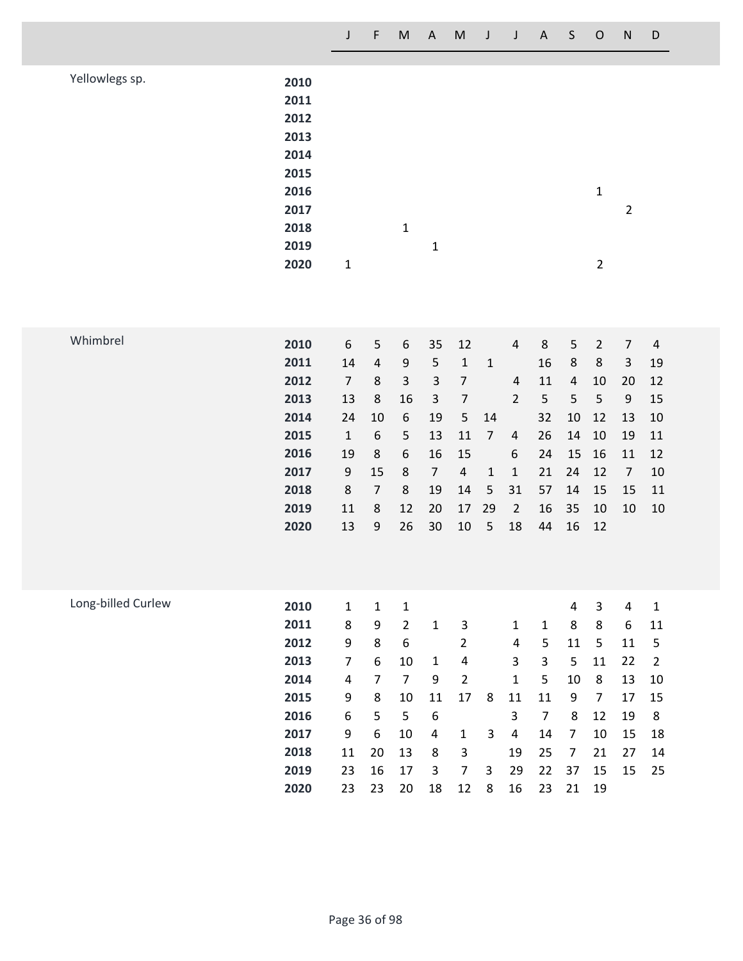Yellowlegs sp.

| 2010<br>2011 |   |   |   |  |   |   |
|--------------|---|---|---|--|---|---|
| 2012         |   |   |   |  |   |   |
| 2013         |   |   |   |  |   |   |
| 2014         |   |   |   |  |   |   |
| 2015         |   |   |   |  |   |   |
| 2016         |   |   |   |  | 1 |   |
| 2017         |   |   |   |  |   | 2 |
| 2018         |   | 1 |   |  |   |   |
| 2019         |   |   | 1 |  |   |   |
| 2020         | 1 |   |   |  | 2 |   |

| Whimbrel |      |    |                |    |    |       |              |                |    |       |       |    |    |
|----------|------|----|----------------|----|----|-------|--------------|----------------|----|-------|-------|----|----|
|          | 2010 | 6  | 5              | 6  |    | 35 12 |              | 4              | 8  | 5     | 2     | 7  | 4  |
|          | 2011 | 14 | 4              | 9  | 5  | 1     | 1            |                | 16 | 8     | 8     | 3  | 19 |
|          | 2012 | 7  | 8              | 3  | 3  | 7     |              | 4              | 11 | 4     | 10    | 20 | 12 |
|          | 2013 | 13 | 8              | 16 | 3  | 7     |              | $\overline{2}$ | 5  | 5     | 5     | 9  | 15 |
|          | 2014 | 24 | 10             | 6  | 19 | 5     | 14           |                | 32 | 10    | 12    | 13 | 10 |
|          | 2015 | 1  | 6              | 5  | 13 | 11    | 7            | 4              | 26 | 14    | 10    | 19 | 11 |
|          | 2016 | 19 | 8              | 6  | 16 | 15    |              | 6              | 24 |       | 15 16 | 11 | 12 |
|          | 2017 | 9  | 15             | 8  | 7  | 4     | $\mathbf{1}$ | 1              | 21 | 24    | 12    | 7  | 10 |
|          | 2018 | 8  | $\overline{7}$ | 8  | 19 | 14    | 5            | 31             | 57 | 14    | 15    | 15 | 11 |
|          | 2019 | 11 | 8              | 12 | 20 | 17    | - 29         | 2              | 16 | 35    | 10    | 10 | 10 |
|          | 2020 | 13 | 9              | 26 | 30 | 10    | 5            | 18             | 44 | 16 12 |       |    |    |
|          |      |    |                |    |    |       |              |                |    |       |       |    |    |
|          |      |    |                |    |    |       |              |                |    |       |       |    |    |

| Long-billed Curlew | 2010 | 1  | 1  | 1  |    |    |   |    |    | 4  | 3  | 4  | 1  |
|--------------------|------|----|----|----|----|----|---|----|----|----|----|----|----|
|                    | 2011 | 8  | 9  | 2  | 1  | 3  |   | 1  | 1  | 8  | 8  | 6  | 11 |
|                    | 2012 | 9  | 8  | 6  |    | 2  |   | 4  | 5  | 11 | 5  | 11 | -5 |
|                    | 2013 | 7  | 6  | 10 | 1  | 4  |   | 3  | 3  | 5  | 11 | 22 | -2 |
|                    | 2014 | 4  | 7  | 7  | 9  | 2  |   | 1  | 5  | 10 | 8  | 13 | 10 |
|                    | 2015 | 9  | 8  | 10 | 11 | 17 | 8 | 11 | 11 | 9  | 7  | 17 | 15 |
|                    | 2016 | 6  | 5  | 5  | 6  |    |   | 3  | 7  | 8  | 12 | 19 | 8  |
|                    | 2017 | 9  | 6  | 10 | 4  | 1  | 3 | 4  | 14 | 7  | 10 | 15 | 18 |
|                    | 2018 | 11 | 20 | 13 | 8  | 3  |   | 19 | 25 | 7  | 21 | 27 | 14 |
|                    | 2019 | 23 | 16 | 17 | 3  | 7  | 3 | 29 | 22 | 37 | 15 | 15 | 25 |
|                    | 2020 | 23 | 23 | 20 | 18 | 12 | 8 | 16 | 23 | 21 | 19 |    |    |
|                    |      |    |    |    |    |    |   |    |    |    |    |    |    |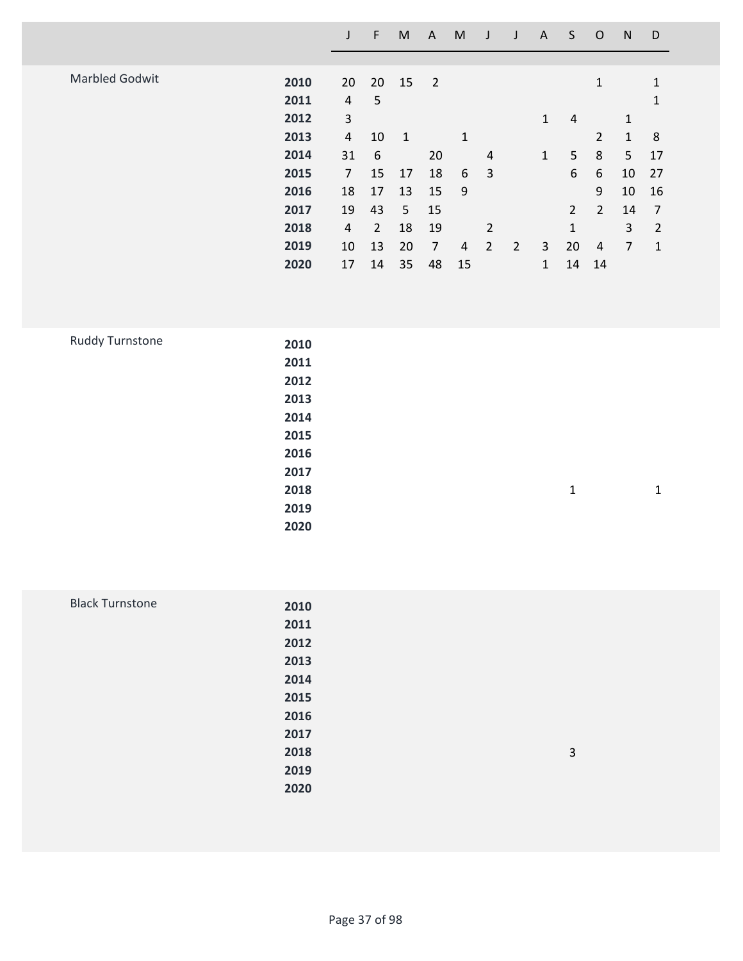|                       |      |    | F              | M            | A              | M  |                |                | A            | S              | O              | N  | D              |  |
|-----------------------|------|----|----------------|--------------|----------------|----|----------------|----------------|--------------|----------------|----------------|----|----------------|--|
|                       |      |    |                |              |                |    |                |                |              |                |                |    |                |  |
| <b>Marbled Godwit</b> | 2010 | 20 | 20             | 15           | $\overline{2}$ |    |                |                |              |                | 1              |    | $\mathbf{1}$   |  |
|                       | 2011 | 4  | 5              |              |                |    |                |                |              |                |                |    | 1              |  |
|                       | 2012 | 3  |                |              |                |    |                |                | $\mathbf{1}$ | 4              |                | 1  |                |  |
|                       | 2013 | 4  | 10             | $\mathbf{1}$ |                | 1  |                |                |              |                | $\overline{2}$ | 1  | 8              |  |
|                       | 2014 | 31 | 6              |              | 20             |    | $\overline{4}$ |                | $\mathbf{1}$ | 5              | 8              | 5  | 17             |  |
|                       | 2015 | 7  | 15             | 17           | 18             | 6  | 3              |                |              | 6              | 6              | 10 | 27             |  |
|                       | 2016 | 18 | 17             | 13           | 15             | 9  |                |                |              |                | 9              | 10 | 16             |  |
|                       | 2017 | 19 | 43             | 5            | 15             |    |                |                |              | $\overline{2}$ | $\overline{2}$ | 14 | 7              |  |
|                       | 2018 | 4  | $\overline{2}$ | 18           | 19             |    | $\overline{2}$ |                |              | $\mathbf{1}$   |                | 3  | $\overline{2}$ |  |
|                       | 2019 | 10 | 13             | 20           | 7              | 4  | $\overline{2}$ | $\overline{2}$ | 3            | 20             | 4              | 7  | $\mathbf{1}$   |  |
|                       | 2020 | 17 | 14             | 35           | 48             | 15 |                |                | $\mathbf{1}$ | 14             | 14             |    |                |  |
|                       |      |    |                |              |                |    |                |                |              |                |                |    |                |  |

| Ruddy Turnstone | 2010 |              |              |
|-----------------|------|--------------|--------------|
|                 | 2011 |              |              |
|                 | 2012 |              |              |
|                 | 2013 |              |              |
|                 | 2014 |              |              |
|                 | 2015 |              |              |
|                 | 2016 |              |              |
|                 | 2017 |              |              |
|                 | 2018 | $\mathbf{1}$ | $\mathbf{1}$ |
|                 | 2019 |              |              |
|                 | 2020 |              |              |

| <b>Black Turnstone</b> | 2010 |   |
|------------------------|------|---|
|                        | 2011 |   |
|                        | 2012 |   |
|                        | 2013 |   |
|                        | 2014 |   |
|                        | 2015 |   |
|                        | 2016 |   |
|                        | 2017 |   |
|                        | 2018 | 3 |
|                        | 2019 |   |
|                        | 2020 |   |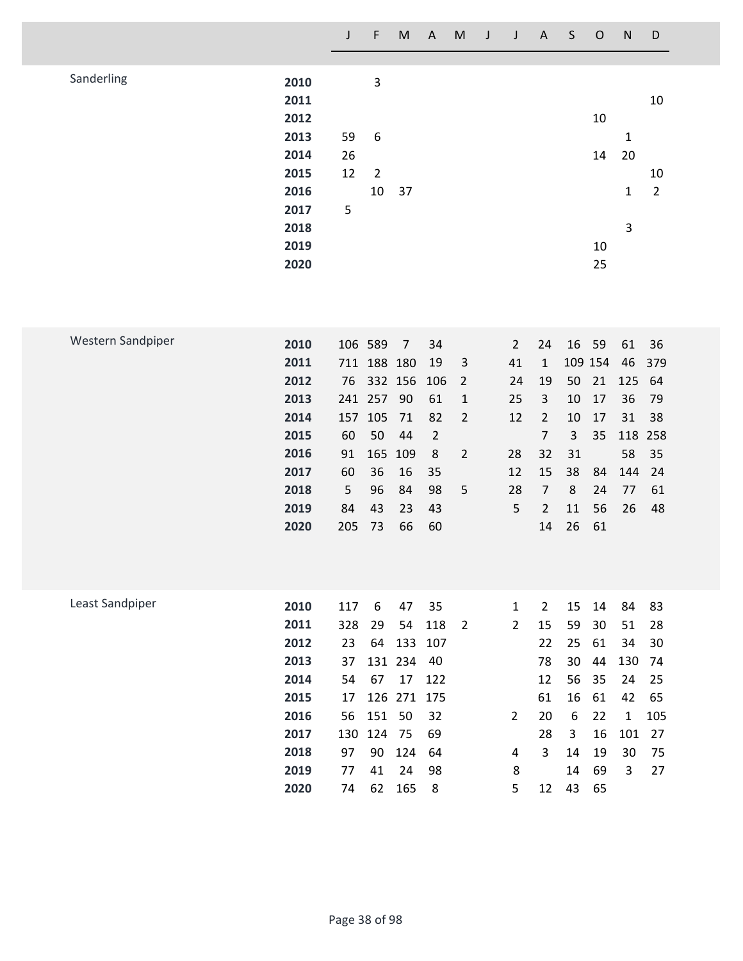|                   |                      | $\mathsf J$    | $\mathsf F$             | ${\sf M}$      | $\mathsf{A}$   | M                              | $\mathsf J$ | $\mathsf J$                    | $\mathsf{A}$         | $\sf S$               | $\mathsf O$ | ${\sf N}$         | $\mathsf D$          |
|-------------------|----------------------|----------------|-------------------------|----------------|----------------|--------------------------------|-------------|--------------------------------|----------------------|-----------------------|-------------|-------------------|----------------------|
|                   |                      |                |                         |                |                |                                |             |                                |                      |                       |             |                   |                      |
| Sanderling        | 2010<br>2011<br>2012 |                | $\overline{\mathbf{3}}$ |                |                |                                |             |                                |                      |                       | 10          |                   | 10                   |
|                   | 2013<br>2014         | 59<br>26       | 6                       |                |                |                                |             |                                |                      |                       | 14          | 1<br>20           |                      |
|                   | 2015<br>2016         | 12             | $\overline{2}$<br>10    |                |                |                                |             |                                |                      |                       |             |                   | 10<br>$\overline{2}$ |
|                   | 2017<br>2018         | 5              |                         | 37             |                |                                |             |                                |                      |                       |             | $\mathbf{1}$<br>3 |                      |
|                   | 2019<br>2020         |                |                         |                |                |                                |             |                                |                      |                       | 10<br>25    |                   |                      |
|                   |                      |                |                         |                |                |                                |             |                                |                      |                       |             |                   |                      |
| Western Sandpiper | 2010<br>2011         | 106 589<br>711 | 188 180                 | $\overline{7}$ | 34<br>19       | 3                              |             | $\overline{2}$<br>41           | 24<br>1              | 16<br>109 154         | 59          | 61<br>46          | 36<br>379            |
|                   | 2012                 | 76             | 332 156                 |                | 106            | $\overline{2}$                 |             | 24                             | 19                   | 50                    | 21          | 125               | 64                   |
|                   | 2013<br>2014         | 241 257<br>157 | 105                     | 90<br>71       | 61<br>82       | $\mathbf{1}$<br>$\overline{2}$ |             | 25<br>12                       | 3<br>$\overline{2}$  | 10<br>10              | 17<br>17    | 36<br>31          | 79<br>38             |
|                   | 2015                 | 60             | 50                      | 44             | $\overline{2}$ |                                |             |                                | $\overline{7}$       | 3                     | 35          | 118               | 258                  |
|                   | 2016<br>2017         | 91<br>60       | 165<br>36               | 109<br>16      | $\,8\,$<br>35  | $\overline{2}$                 |             | 28<br>12                       | 32<br>15             | 31<br>38              | 84          | 58<br>144         | 35<br>24             |
|                   | 2018<br>2019         | 5<br>84        | 96<br>43                | 84<br>23       | 98<br>43       | 5                              |             | 28<br>5                        | 7<br>$\overline{2}$  | 8<br>11               | 24<br>56    | 77<br>26          | 61<br>48             |
|                   | 2020                 | 205            | 73                      | 66             | 60             |                                |             |                                | 14                   | 26                    | 61          |                   |                      |
|                   |                      |                |                         |                |                |                                |             |                                |                      |                       |             |                   |                      |
| Least Sandpiper   | 2010<br>2011         | 117<br>328     | 6<br>29                 | 47<br>54       | 35<br>118      | $\overline{2}$                 |             | $\mathbf{1}$<br>$\overline{2}$ | $\overline{2}$<br>15 | 15<br>59              | 14<br>30    | 84<br>51          | 83<br>28             |
|                   | 2012                 | 23             | 64                      | 133            | 107            |                                |             |                                | 22                   | 25                    | 61          | 34                | 30                   |
|                   | 2013<br>2014         | 37<br>54       | 67                      | 131 234<br>17  | 40<br>122      |                                |             |                                | 78<br>12             | 30<br>56              | 44<br>35    | 130<br>24         | 74<br>25             |
|                   | 2015                 | 17             |                         | 126 271        | 175            |                                |             |                                | 61                   | 16                    | 61          | 42                | 65                   |
|                   | 2016<br>2017         | 56<br>130      | 151 50<br>124           | 75             | 32<br>69       |                                |             | $\overline{2}$                 | 20<br>28             | $\boldsymbol{6}$<br>3 | 22<br>16    | 1<br>101          | 105<br>27            |
|                   | 2018                 | 97             | 90                      | 124            | 64             |                                |             | 4                              | 3                    | 14                    | 19          | 30                | 75                   |
|                   | 2019<br>2020         | 77<br>74       | 41<br>62                | 24<br>165      | 98<br>8        |                                |             | 8<br>5                         | 12                   | 14<br>43              | 69<br>65    | 3                 | 27                   |
|                   |                      |                |                         |                |                |                                |             |                                |                      |                       |             |                   |                      |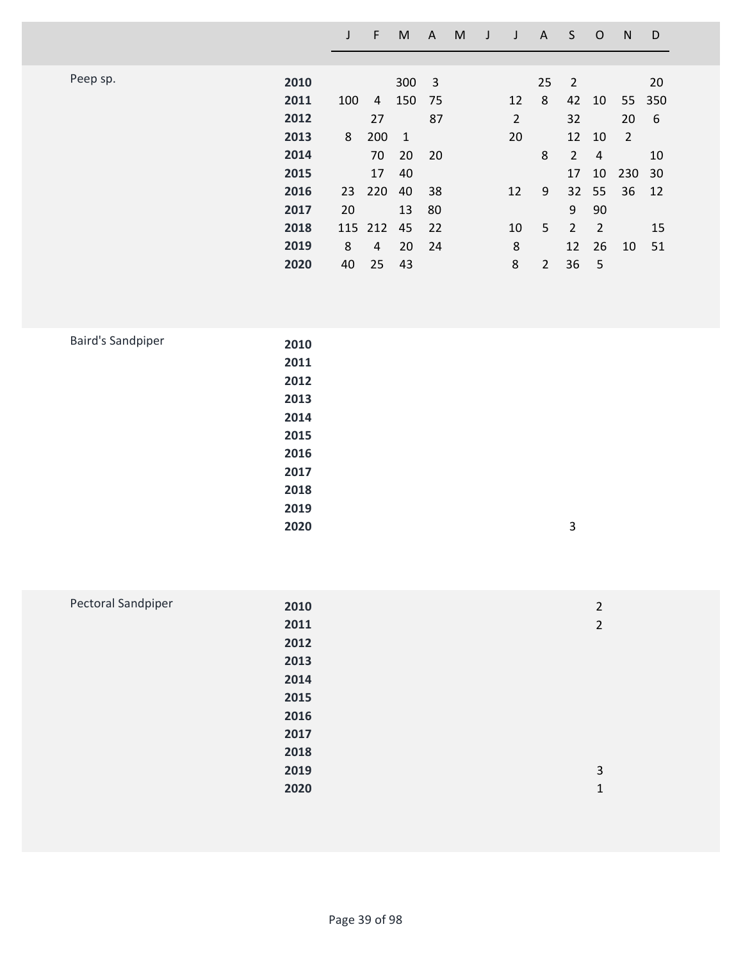|          |      |     | F       | M              | A                       | M |    | A              | S              | O              | N              | D      |
|----------|------|-----|---------|----------------|-------------------------|---|----|----------------|----------------|----------------|----------------|--------|
|          |      |     |         |                |                         |   |    |                |                |                |                |        |
| Peep sp. | 2010 |     |         | 300            | $\overline{\mathbf{3}}$ |   |    | 25             | 2              |                |                | 20     |
|          | 2011 | 100 | 4       | 150 75         |                         |   | 12 | 8              |                | 42 10          |                | 55 350 |
|          | 2012 |     | 27      |                | 87                      |   | 2  |                | 32             |                | 20             | 6      |
|          | 2013 | 8   | 200     | $\overline{1}$ |                         |   | 20 |                | 12             | 10             | $\overline{2}$ |        |
|          | 2014 |     | 70      | 20             | 20                      |   |    | 8              | $\overline{2}$ | $\overline{4}$ |                | 10     |
|          | 2015 |     | 17      | 40             |                         |   |    |                | 17             | 10             | 230            | 30     |
|          | 2016 |     | 23 220  | 40             | 38                      |   | 12 | 9              |                | 32 55          | 36             | 12     |
|          | 2017 | 20  |         | 13             | 80                      |   |    |                | 9              | 90             |                |        |
|          | 2018 |     | 115 212 | 45             | 22                      |   | 10 | 5              | $\overline{2}$ | $\overline{2}$ |                | 15     |
|          | 2019 | 8   | 4       | 20             | 24                      |   | 8  |                | 12             | 26             | 10             | 51     |
|          | 2020 | 40  | 25      | 43             |                         |   | 8  | $\overline{2}$ | 36             | 5              |                |        |

| 2010 |   |
|------|---|
| 2011 |   |
| 2012 |   |
| 2013 |   |
| 2014 |   |
| 2015 |   |
| 2016 |   |
| 2017 |   |
| 2018 |   |
| 2019 |   |
| 2020 | 3 |
|      |   |

| Pectoral Sandpiper | 2010 | $\overline{2}$ |
|--------------------|------|----------------|
|                    | 2011 | $\overline{2}$ |
|                    | 2012 |                |
|                    | 2013 |                |
|                    | 2014 |                |
|                    | 2015 |                |
|                    | 2016 |                |
|                    | 2017 |                |
|                    | 2018 |                |
|                    | 2019 | 3              |
|                    | 2020 | 1              |
|                    |      |                |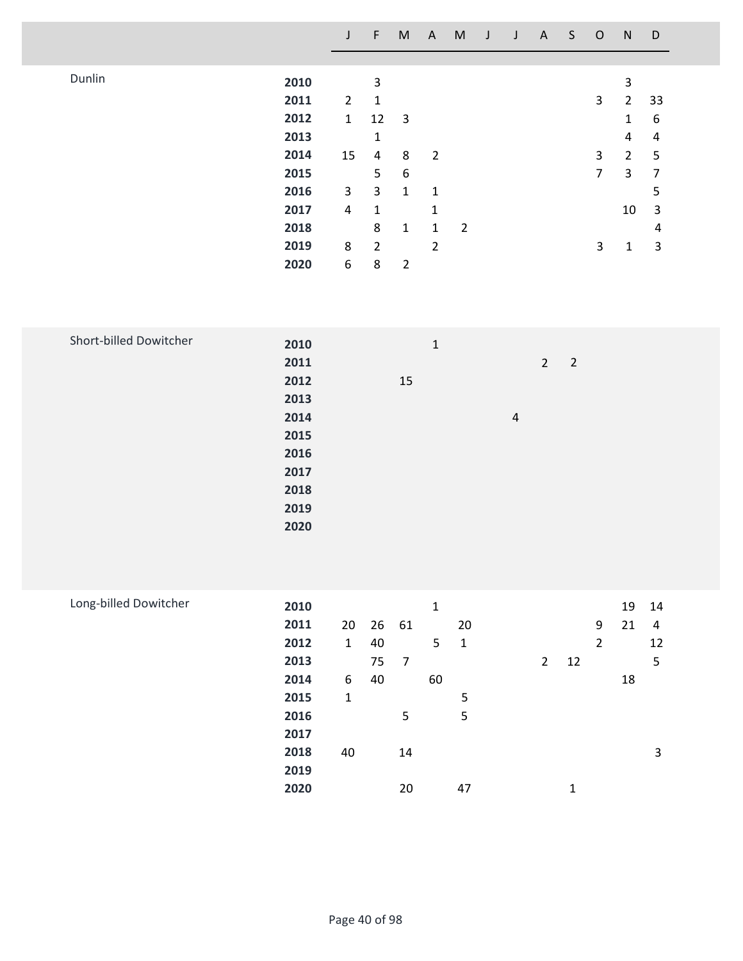|        |      | J              | F              | M              | A              | M              |  | A | S | $\circ$ | N              | D  |  |
|--------|------|----------------|----------------|----------------|----------------|----------------|--|---|---|---------|----------------|----|--|
|        |      |                |                |                |                |                |  |   |   |         |                |    |  |
| Dunlin | 2010 |                | 3              |                |                |                |  |   |   |         | 3              |    |  |
|        | 2011 | $\overline{2}$ | $\mathbf 1$    |                |                |                |  |   |   | 3       | $\overline{2}$ | 33 |  |
|        | 2012 | $\mathbf{1}$   | 12             | 3              |                |                |  |   |   |         | 1              | 6  |  |
|        | 2013 |                | 1              |                |                |                |  |   |   |         | 4              | 4  |  |
|        | 2014 | 15             | 4              | 8              | $\overline{2}$ |                |  |   |   | 3       | $\overline{2}$ | 5  |  |
|        | 2015 |                | 5              | 6              |                |                |  |   |   | 7       | 3              | 7  |  |
|        | 2016 | 3              | 3              | $\mathbf{1}$   | 1              |                |  |   |   |         |                | 5  |  |
|        | 2017 | 4              | 1              |                | 1              |                |  |   |   |         | 10             | 3  |  |
|        | 2018 |                | 8              | $\mathbf{1}$   | 1              | $\overline{2}$ |  |   |   |         |                | 4  |  |
|        | 2019 | 8              | $\overline{2}$ |                | 2              |                |  |   |   | 3       | 1              | 3  |  |
|        | 2020 | 6              | 8              | $\overline{2}$ |                |                |  |   |   |         |                |    |  |
|        |      |                |                |                |                |                |  |   |   |         |                |    |  |

| Short-billed Dowitcher | 2010 | $\mathbf{1}$ |                               |  |
|------------------------|------|--------------|-------------------------------|--|
|                        | 2011 |              | $2^{\circ}$<br>$\overline{2}$ |  |
|                        | 2012 | 15           |                               |  |
|                        | 2013 |              |                               |  |
|                        | 2014 |              | $\overline{4}$                |  |
|                        | 2015 |              |                               |  |
|                        | 2016 |              |                               |  |
|                        | 2017 |              |                               |  |
|                        | 2018 |              |                               |  |
|                        | 2019 |              |                               |  |
|                        | 2020 |              |                               |  |

| Long-billed Dowitcher | 2010 |              |    |                | 1  |              |             |    |   | 19 | 14 |
|-----------------------|------|--------------|----|----------------|----|--------------|-------------|----|---|----|----|
|                       | 2011 | 20           |    | 26 61          |    | 20           |             |    | 9 | 21 | 4  |
|                       | 2012 | $\mathbf{1}$ | 40 |                | 5  | $\mathbf{1}$ |             |    | 2 |    | 12 |
|                       | 2013 |              | 75 | $\overline{7}$ |    |              | $2^{\circ}$ | 12 |   |    | 5  |
|                       | 2014 | 6            | 40 |                | 60 |              |             |    |   | 18 |    |
|                       | 2015 | 1            |    |                |    | 5            |             |    |   |    |    |
|                       | 2016 |              |    | 5              |    | 5            |             |    |   |    |    |
|                       | 2017 |              |    |                |    |              |             |    |   |    |    |
|                       | 2018 | 40           |    | 14             |    |              |             |    |   |    | 3  |
|                       | 2019 |              |    |                |    |              |             |    |   |    |    |
|                       | 2020 |              |    | 20             |    | 47           |             | 1  |   |    |    |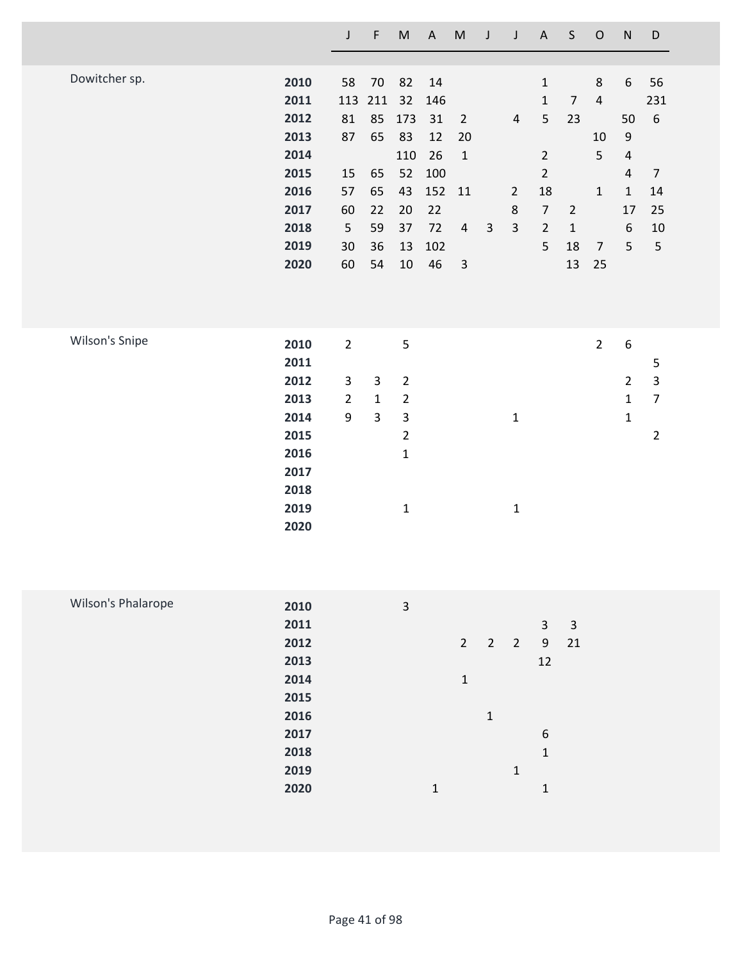|                |      | $\mathsf J$    | F              | M              | $\boldsymbol{\mathsf{A}}$ | M              | J              | $\mathsf J$             | $\mathsf A$    | $\mathsf S$    | $\mathsf O$    | ${\sf N}$        | $\mathsf D$             |
|----------------|------|----------------|----------------|----------------|---------------------------|----------------|----------------|-------------------------|----------------|----------------|----------------|------------------|-------------------------|
|                |      |                |                |                |                           |                |                |                         |                |                |                |                  |                         |
| Dowitcher sp.  | 2010 | 58             | 70             | 82             | 14                        |                |                |                         | $\mathbf 1$    |                | $\,8$          | 6                | 56                      |
|                | 2011 | 113            | 211            | 32             | 146                       |                |                |                         | $\mathbf{1}$   | $\overline{7}$ | $\sqrt{4}$     |                  | 231                     |
|                | 2012 | 81             | 85             | 173            | 31                        | $\overline{2}$ |                | $\overline{\mathbf{4}}$ | 5              | 23             |                | 50               | $\boldsymbol{6}$        |
|                | 2013 | 87             | 65             | 83             | 12                        | 20             |                |                         |                |                | 10             | $\mathsf 9$      |                         |
|                | 2014 |                |                | 110            | 26                        | $\mathbf 1$    |                |                         | $\overline{2}$ |                | 5              | $\sqrt{4}$       |                         |
|                | 2015 | 15             | 65             | 52             | 100                       |                |                |                         | $\overline{2}$ |                |                | 4                | $\overline{7}$          |
|                | 2016 | 57             | 65             | 43             | 152                       | 11             |                | $\overline{2}$          | 18             |                | $\mathbf 1$    | $\mathbf{1}$     | 14                      |
|                | 2017 | 60             | 22             | 20             | 22                        |                |                | 8                       | $\overline{7}$ | $\overline{2}$ |                | 17               | 25                      |
|                | 2018 | 5              | 59             | 37             | 72                        | $\overline{4}$ | $\overline{3}$ | $\overline{3}$          | $\overline{2}$ | $\mathbf{1}$   |                | $\boldsymbol{6}$ | 10                      |
|                | 2019 | 30             | 36             | 13             | 102                       |                |                |                         | 5              | 18             | $\overline{7}$ | 5                | 5                       |
|                | 2020 | 60             | 54             | 10             | 46                        | $\mathsf 3$    |                |                         |                | 13             | 25             |                  |                         |
|                |      |                |                |                |                           |                |                |                         |                |                |                |                  |                         |
|                |      |                |                |                |                           |                |                |                         |                |                |                |                  |                         |
|                |      |                |                |                |                           |                |                |                         |                |                |                |                  |                         |
| Wilson's Snipe | 2010 | $\overline{2}$ |                | 5              |                           |                |                |                         |                |                | $\overline{2}$ | $\boldsymbol{6}$ |                         |
|                | 2011 |                |                |                |                           |                |                |                         |                |                |                |                  | $\mathsf S$             |
|                | 2012 | 3              | 3              | $\overline{2}$ |                           |                |                |                         |                |                |                | $\overline{2}$   | $\overline{\mathbf{3}}$ |
|                | 2013 | $\overline{2}$ | $\mathbf 1$    | $\overline{2}$ |                           |                |                |                         |                |                |                | $\mathbf{1}$     | $\overline{7}$          |
|                | 2014 | 9              | $\overline{3}$ | $\mathsf 3$    |                           |                |                | $\mathbf 1$             |                |                |                | $\mathbf{1}$     |                         |
|                | 2015 |                |                | $\overline{2}$ |                           |                |                |                         |                |                |                |                  | $\overline{2}$          |
|                | 2016 |                |                | $\mathbf 1$    |                           |                |                |                         |                |                |                |                  |                         |
|                | 2017 |                |                |                |                           |                |                |                         |                |                |                |                  |                         |
|                | 2018 |                |                |                |                           |                |                |                         |                |                |                |                  |                         |
|                | 2019 |                |                | $\mathbf{1}$   |                           |                |                | $\mathbf{1}$            |                |                |                |                  |                         |
|                | 2020 |                |                |                |                           |                |                |                         |                |                |                |                  |                         |
|                |      |                |                |                |                           |                |                |                         |                |                |                |                  |                         |

| Wilson's Phalarope | 2010 | 3 |              |             |            |              |    |
|--------------------|------|---|--------------|-------------|------------|--------------|----|
|                    | 2011 |   |              |             |            | 3            | 3  |
|                    | 2012 |   | $2^{\circ}$  | $2^{\circ}$ | $\sqrt{2}$ | 9            | 21 |
|                    | 2013 |   |              |             |            | 12           |    |
|                    | 2014 |   | $\mathbf{1}$ |             |            |              |    |
|                    | 2015 |   |              |             |            |              |    |
|                    | 2016 |   |              | 1           |            |              |    |
|                    | 2017 |   |              |             |            | 6            |    |
|                    | 2018 |   |              |             |            | $\mathbf{1}$ |    |
|                    | 2019 |   |              |             | 1          |              |    |
|                    | 2020 | 1 |              |             |            | 1            |    |
|                    |      |   |              |             |            |              |    |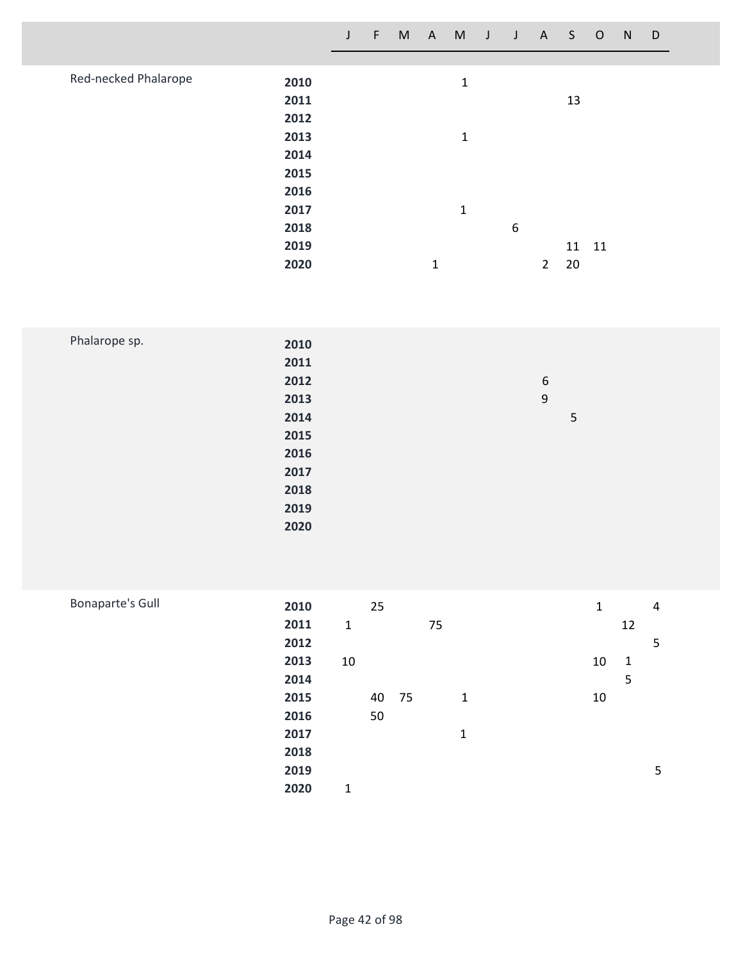|                              | J | F | M | $\mathsf{A}$ | M            | J | J | A              | S.    | $\circ$ | N | D |  |
|------------------------------|---|---|---|--------------|--------------|---|---|----------------|-------|---------|---|---|--|
|                              |   |   |   |              |              |   |   |                |       |         |   |   |  |
| Red-necked Phalarope<br>2010 |   |   |   |              | $\mathbf 1$  |   |   |                |       |         |   |   |  |
| 2011                         |   |   |   |              |              |   |   |                | 13    |         |   |   |  |
| 2012                         |   |   |   |              |              |   |   |                |       |         |   |   |  |
| 2013                         |   |   |   |              | 1            |   |   |                |       |         |   |   |  |
| 2014                         |   |   |   |              |              |   |   |                |       |         |   |   |  |
| 2015                         |   |   |   |              |              |   |   |                |       |         |   |   |  |
| 2016                         |   |   |   |              |              |   |   |                |       |         |   |   |  |
| 2017                         |   |   |   |              | $\mathbf{1}$ |   |   |                |       |         |   |   |  |
| 2018                         |   |   |   |              |              |   | 6 |                |       |         |   |   |  |
| 2019                         |   |   |   |              |              |   |   |                | 11 11 |         |   |   |  |
| 2020                         |   |   |   | 1            |              |   |   | $\overline{2}$ | 20    |         |   |   |  |

| Phalarope sp. | 2010 |                  |
|---------------|------|------------------|
|               | 2011 |                  |
|               | 2012 | $\boldsymbol{6}$ |
|               | 2013 | $\boldsymbol{9}$ |
|               | 2014 | 5                |
|               | 2015 |                  |
|               | 2016 |                  |
|               | 2017 |                  |
|               | 2018 |                  |
|               | 2019 |                  |
|               | 2020 |                  |
|               |      |                  |

| <b>Bonaparte's Gull</b> | 2010 |              | 25    |    |              | $\mathbf{1}$ |              | 4 |
|-------------------------|------|--------------|-------|----|--------------|--------------|--------------|---|
|                         | 2011 | $\mathbf{1}$ |       | 75 |              |              | 12           |   |
|                         | 2012 |              |       |    |              |              |              | 5 |
|                         | 2013 | 10           |       |    |              | 10           | $\mathbf{1}$ |   |
|                         | 2014 |              |       |    |              |              | 5            |   |
|                         | 2015 |              | 40 75 |    | $\mathbf{1}$ | 10           |              |   |
|                         | 2016 |              | 50    |    |              |              |              |   |
|                         | 2017 |              |       |    | 1            |              |              |   |
|                         | 2018 |              |       |    |              |              |              |   |
|                         | 2019 |              |       |    |              |              |              | 5 |
|                         | 2020 | 1            |       |    |              |              |              |   |
|                         |      |              |       |    |              |              |              |   |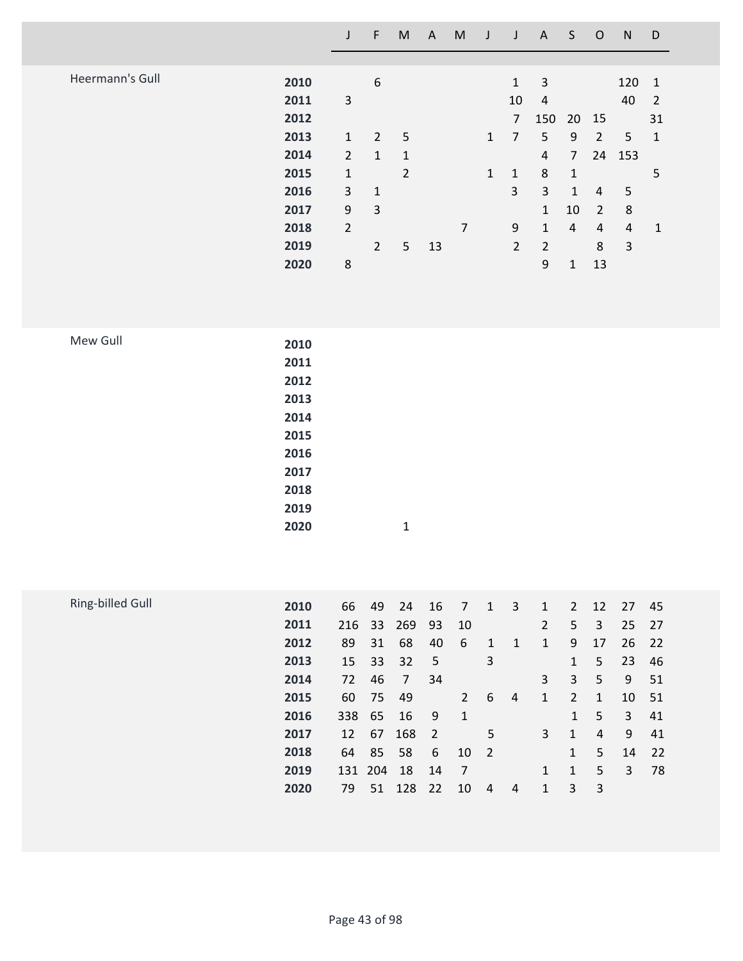|                 |      | J              | F              | M               | A  | M | J            | J              | A              | S            | $\circ$        | N              | D              |
|-----------------|------|----------------|----------------|-----------------|----|---|--------------|----------------|----------------|--------------|----------------|----------------|----------------|
|                 |      |                |                |                 |    |   |              |                |                |              |                |                |                |
| Heermann's Gull | 2010 |                | 6              |                 |    |   |              | 1              | 3              |              |                | 120            | -1             |
|                 | 2011 | 3              |                |                 |    |   |              | 10             | $\overline{4}$ |              |                | 40             | $\overline{2}$ |
|                 | 2012 |                |                |                 |    |   |              | 7              | 150            | 20           | 15             |                | 31             |
|                 | 2013 | $\mathbf{1}$   | $\overline{2}$ | $5\phantom{.0}$ |    |   | $\mathbf{1}$ | 7              | 5              | 9            | $\overline{2}$ | 5              | 1              |
|                 | 2014 | $\overline{2}$ | 1              | $\mathbf{1}$    |    |   |              |                | 4              | 7            | 24             | 153            |                |
|                 | 2015 | 1              |                | $\overline{2}$  |    |   | $\mathbf{1}$ | $\mathbf{1}$   | 8              | 1            |                |                | 5              |
|                 | 2016 | 3              | $\mathbf{1}$   |                 |    |   |              | 3              | 3              | 1            | 4              | 5              |                |
|                 | 2017 | 9              | 3              |                 |    |   |              |                | $\mathbf{1}$   | 10           | $\overline{2}$ | 8              |                |
|                 | 2018 | $\overline{2}$ |                |                 |    | 7 |              | 9              | 1              | 4            | $\overline{4}$ | $\overline{4}$ | 1              |
|                 | 2019 |                | $\overline{2}$ | 5               | 13 |   |              | $\overline{2}$ | 2              |              | 8              | 3              |                |
|                 | 2020 | 8              |                |                 |    |   |              |                | 9              | $\mathbf{1}$ | 13             |                |                |

| Mew Gull | 2010 |              |
|----------|------|--------------|
|          | 2011 |              |
|          | 2012 |              |
|          | 2013 |              |
|          | 2014 |              |
|          | 2015 |              |
|          | 2016 |              |
|          | 2017 |              |
|          | 2018 |              |
|          | 2019 |              |
|          | 2020 | $\mathbf{1}$ |

| Ring-billed Gull |      |         |    |     |                |              |                |                |   |                |              |    |    |
|------------------|------|---------|----|-----|----------------|--------------|----------------|----------------|---|----------------|--------------|----|----|
|                  | 2010 | 66      | 49 | 24  | 16             | 7            | 1              | 3              | 1 | $\overline{2}$ | 12           | 27 | 45 |
|                  | 2011 | 216     | 33 | 269 | 93             | 10           |                |                | 2 | 5              | 3            | 25 | 27 |
|                  | 2012 | 89      | 31 | 68  | 40             | 6            | 1              | 1              | 1 | 9              | 17           | 26 | 22 |
|                  | 2013 | 15      | 33 | 32  | 5              |              | 3              |                |   | 1              | 5.           | 23 | 46 |
|                  | 2014 | 72      | 46 | 7   | 34             |              |                |                | 3 | 3              | 5            | 9  | 51 |
|                  | 2015 | 60      | 75 | -49 |                | $2^{\circ}$  | -6             | 4              | 1 | $\overline{2}$ | $\mathbf{1}$ | 10 | 51 |
|                  | 2016 | 338 65  |    | 16  | 9              | $\mathbf{1}$ |                |                |   | 1              | 5            | 3  | 41 |
|                  | 2017 | 12      | 67 | 168 | $\overline{2}$ |              | 5              |                | 3 | 1              | 4            | 9  | 41 |
|                  | 2018 | 64      | 85 | 58  | 6              | 10           | $\overline{2}$ |                |   | $\mathbf{1}$   | 5.           | 14 | 22 |
|                  | 2019 | 131 204 |    | 18  | 14             | 7            |                |                | 1 | 1              | 5            | 3  | 78 |
|                  | 2020 | 79      | 51 | 128 | 22             | 10           | 4              | $\overline{4}$ | 1 | 3              | 3            |    |    |
|                  |      |         |    |     |                |              |                |                |   |                |              |    |    |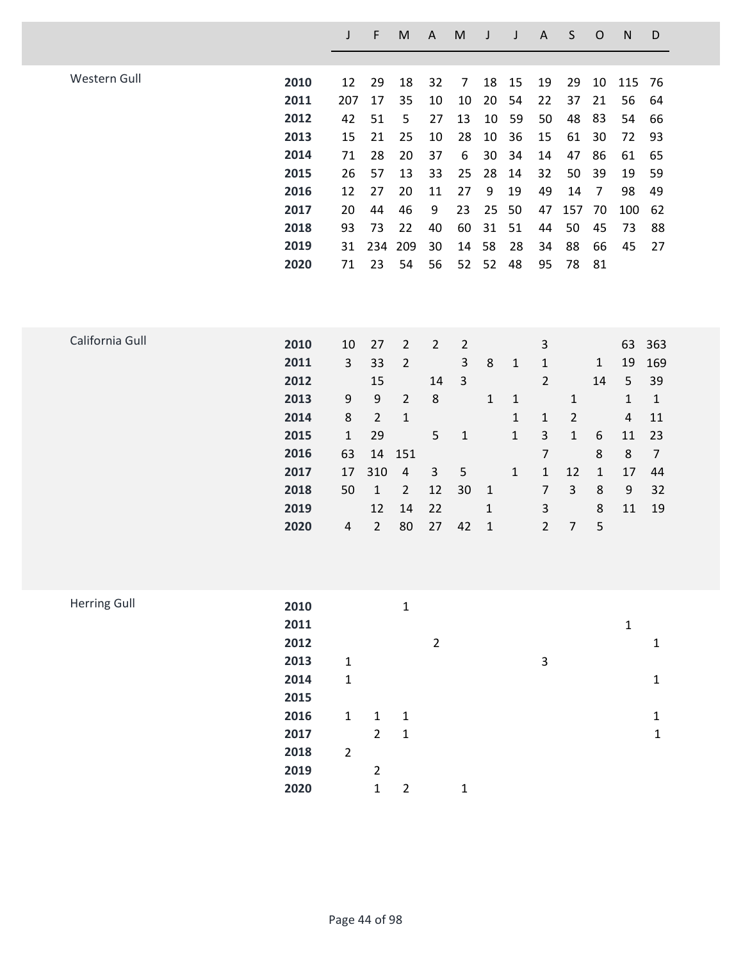|                     |      | J              | F              | M              | $\boldsymbol{\mathsf{A}}$ | ${\sf M}$      | J            | J            | $\boldsymbol{\mathsf{A}}$ | $\sf S$        | $\mathsf O$    | $\mathsf{N}$ | D              |
|---------------------|------|----------------|----------------|----------------|---------------------------|----------------|--------------|--------------|---------------------------|----------------|----------------|--------------|----------------|
| Western Gull        | 2010 | 12             | 29             | 18             | 32                        | $\overline{7}$ | 18           | 15           | 19                        | 29             | 10             | 115          | 76             |
|                     | 2011 | 207            | 17             | 35             | 10                        | 10             | 20           | 54           | 22                        | 37             | 21             | 56           | 64             |
|                     | 2012 |                |                |                |                           |                |              |              |                           |                |                |              |                |
|                     |      | 42             | 51             | 5              | 27                        | 13             | 10           | 59           | 50                        | 48             | 83             | 54           | 66             |
|                     | 2013 | 15             | 21             | 25             | 10                        | 28             | 10           | 36           | 15                        | 61             | 30             | 72           | 93             |
|                     | 2014 | 71             | 28             | 20             | 37                        | 6              | 30           | 34           | 14                        | 47             | 86             | 61           | 65             |
|                     | 2015 | 26             | 57             | 13             | 33                        | 25             | 28           | 14           | 32                        | 50             | 39             | 19           | 59             |
|                     | 2016 | 12             | 27             | 20             | 11                        | 27             | 9            | 19           | 49                        | 14             | $\overline{7}$ | 98           | 49             |
|                     | 2017 | 20             | 44             | 46             | 9                         | 23             | 25           | 50           | 47                        | 157            | 70             | 100          | 62             |
|                     | 2018 | 93             | 73             | 22             | 40                        | 60             | 31           | 51           | 44                        | 50             | 45             | 73           | 88             |
|                     | 2019 | 31             | 234            | 209            | 30                        | 14             | 58           | 28           | 34                        | 88             | 66             | 45           | 27             |
|                     | 2020 | 71             | 23             | 54             | 56                        | 52             | 52           | 48           | 95                        | 78             | 81             |              |                |
|                     |      |                |                |                |                           |                |              |              |                           |                |                |              |                |
| California Gull     | 2010 | 10             | 27             | $\overline{2}$ | $\overline{2}$            | $\overline{2}$ |              |              | $\mathsf{3}$              |                |                | 63           | 363            |
|                     | 2011 | $\mathsf{3}$   | 33             | $\overline{2}$ |                           | 3              | 8            | $\mathbf{1}$ | 1                         |                | $\mathbf{1}$   | 19           | 169            |
|                     | 2012 |                | 15             |                | 14                        | $\mathbf{3}$   |              |              | $\overline{2}$            |                | 14             | 5            | 39             |
|                     | 2013 | 9              | 9              | $\overline{2}$ | $\,8\,$                   |                | $\mathbf{1}$ | 1            |                           | $\mathbf{1}$   |                | $\mathbf{1}$ | $\mathbf{1}$   |
|                     | 2014 | 8              | $\overline{2}$ | $\mathbf{1}$   |                           |                |              | $\mathbf{1}$ | 1                         | $\overline{2}$ |                | 4            | 11             |
|                     | 2015 | $\mathbf{1}$   | 29             |                | 5                         | $\mathbf 1$    |              | $\mathbf{1}$ | $\mathsf{3}$              | $\mathbf{1}$   | 6              | 11           | 23             |
|                     | 2016 | 63             | 14             | 151            |                           |                |              |              | $\overline{7}$            |                | 8              | 8            | $\overline{7}$ |
|                     | 2017 | 17             | 310            | $\sqrt{4}$     | 3                         | 5              |              | $\mathbf{1}$ | $\mathbf{1}$              | 12             | $\mathbf{1}$   | 17           | 44             |
|                     | 2018 | 50             | $\mathbf{1}$   | $\overline{2}$ | 12                        | 30             | $\mathbf{1}$ |              | 7                         | 3              | 8              | 9            | 32             |
|                     | 2019 |                | 12             | 14             | 22                        |                | $\mathbf{1}$ |              | 3                         |                | 8              | 11           | 19             |
|                     | 2020 | $\pmb{4}$      | $\overline{2}$ | 80             | 27                        | 42             | $\mathbf{1}$ |              | $\overline{2}$            | 7              | 5              |              |                |
|                     |      |                |                |                |                           |                |              |              |                           |                |                |              |                |
| <b>Herring Gull</b> | 2010 |                |                | $\mathbf 1$    |                           |                |              |              |                           |                |                |              |                |
|                     | 2011 |                |                |                |                           |                |              |              |                           |                |                | $\mathbf 1$  |                |
|                     | 2012 |                |                |                | $\overline{2}$            |                |              |              |                           |                |                |              | $\mathbf{1}$   |
|                     | 2013 | $\mathbf{1}$   |                |                |                           |                |              |              | $\mathsf 3$               |                |                |              |                |
|                     | 2014 | $\mathbf 1$    |                |                |                           |                |              |              |                           |                |                |              | $\mathbf 1$    |
|                     | 2015 |                |                |                |                           |                |              |              |                           |                |                |              |                |
|                     | 2016 | $\mathbf 1$    | $\mathbf{1}$   | $\mathbf{1}$   |                           |                |              |              |                           |                |                |              | $\mathbf{1}$   |
|                     | 2017 |                | $\overline{2}$ | $\mathbf 1$    |                           |                |              |              |                           |                |                |              | $\mathbf 1$    |
|                     | 2018 | $\overline{2}$ |                |                |                           |                |              |              |                           |                |                |              |                |
|                     | 2019 |                | $\overline{2}$ |                |                           |                |              |              |                           |                |                |              |                |
|                     | 2020 |                | $\mathbf 1$    | $\overline{2}$ |                           | $\mathbf 1$    |              |              |                           |                |                |              |                |
|                     |      |                |                |                |                           |                |              |              |                           |                |                |              |                |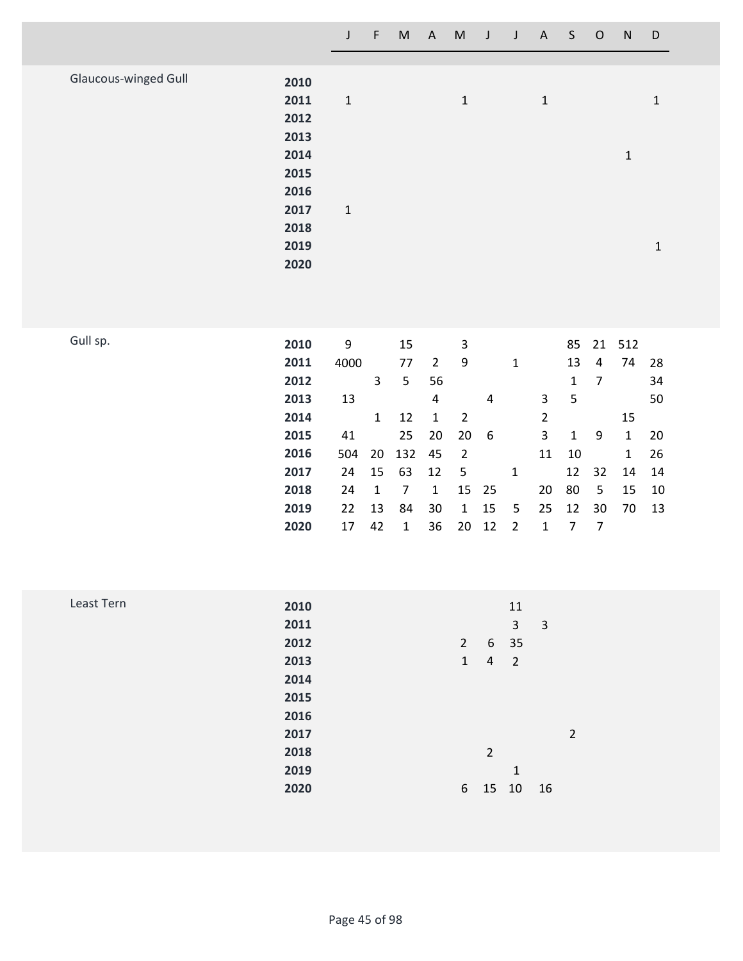|                             |      | $\mathsf{J}$ | F. | M | A M J        |  | J A S O      |  | N | D |
|-----------------------------|------|--------------|----|---|--------------|--|--------------|--|---|---|
|                             |      |              |    |   |              |  |              |  |   |   |
| <b>Glaucous-winged Gull</b> | 2010 |              |    |   |              |  |              |  |   |   |
|                             | 2011 | $\mathbf{1}$ |    |   | $\mathbf{1}$ |  | $\mathbf{1}$ |  |   | 1 |
|                             | 2012 |              |    |   |              |  |              |  |   |   |
|                             | 2013 |              |    |   |              |  |              |  |   |   |
|                             | 2014 |              |    |   |              |  |              |  | 1 |   |
|                             | 2015 |              |    |   |              |  |              |  |   |   |
|                             | 2016 |              |    |   |              |  |              |  |   |   |
|                             | 2017 | $\mathbf{1}$ |    |   |              |  |              |  |   |   |
|                             | 2018 |              |    |   |              |  |              |  |   |   |
|                             | 2019 |              |    |   |              |  |              |  |   | 1 |
|                             | 2020 |              |    |   |              |  |              |  |   |   |

| 2010 | 9    |              | 15 |              | 3            |     |       |                |    |    |              |           |
|------|------|--------------|----|--------------|--------------|-----|-------|----------------|----|----|--------------|-----------|
| 2011 | 4000 |              | 77 | 2            | 9            |     | 1     |                | 13 | 4  | 74           | 28        |
| 2012 |      | 3            | 5  | 56           |              |     |       |                | 1  | 7  |              | 34        |
| 2013 | 13   |              |    | 4            |              | 4   |       | $\mathbf{3}$   | 5  |    |              | 50        |
| 2014 |      | $\mathbf{1}$ | 12 | 1            | 2            |     |       | $\overline{2}$ |    |    | 15           |           |
| 2015 | 41   |              | 25 | 20           | 20           | - 6 |       | 3              | 1  | 9  | $\mathbf{1}$ | 20        |
| 2016 | 504  |              |    |              | -2           |     |       | 11             | 10 |    | $\mathbf{1}$ | 26        |
| 2017 | 24   | 15           | 63 | 12           | -5           |     | 1     |                |    |    | 14           | 14        |
| 2018 | 24   | 1            | 7  | $\mathbf{1}$ |              |     |       | 20             | 80 | 5  | 15           | 10        |
| 2019 | 22   | 13           | 84 | 30           | $\mathbf{1}$ | 15  | 5     | 25             | 12 | 30 | 70           | 13        |
| 2020 | 17   | 42           | 1  | 36           | 20           | 12  | 2     | 1              |    | 7  |              |           |
|      |      |              |    |              | 20 132 45    |     | 15 25 |                |    |    | 12 32        | 85 21 512 |

| Least Tern | 2010 |  |              |                | 11             |    |                |
|------------|------|--|--------------|----------------|----------------|----|----------------|
|            | 2011 |  |              |                | 3              | 3  |                |
|            | 2012 |  | $2^{\circ}$  | 6              | 35             |    |                |
|            | 2013 |  | $\mathbf{1}$ | 4              | $\overline{2}$ |    |                |
|            | 2014 |  |              |                |                |    |                |
|            | 2015 |  |              |                |                |    |                |
|            | 2016 |  |              |                |                |    |                |
|            | 2017 |  |              |                |                |    | $\overline{a}$ |
|            | 2018 |  |              | $\overline{2}$ |                |    |                |
|            | 2019 |  |              |                | $\mathbf{1}$   |    |                |
|            | 2020 |  | 6            | 15             | 10             | 16 |                |
|            |      |  |              |                |                |    |                |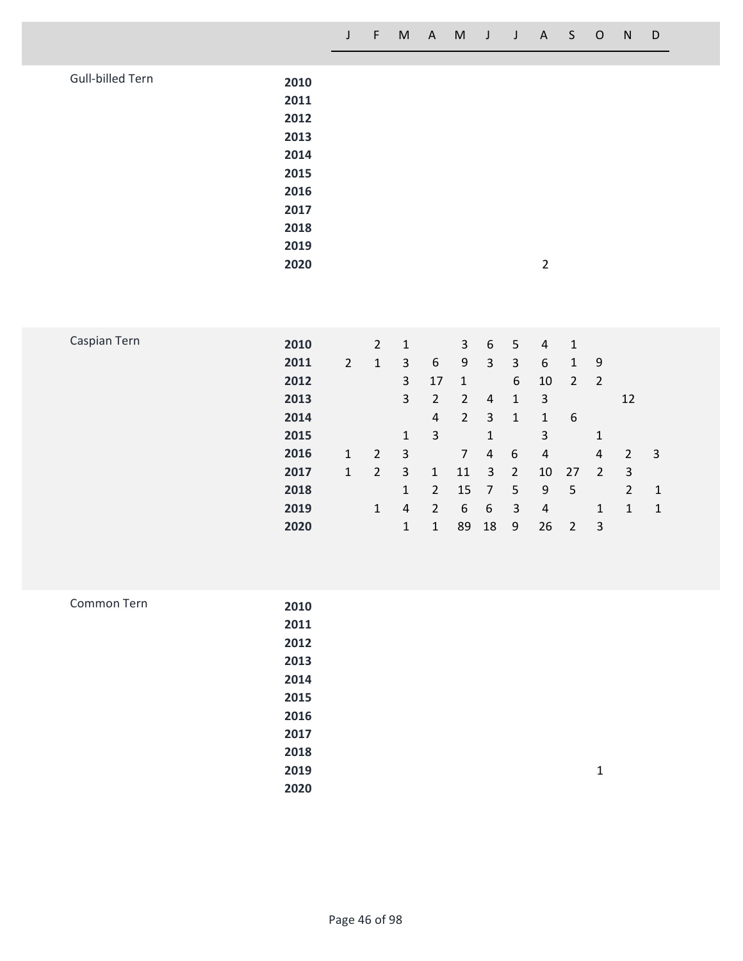|  | J F M A M J J A S O N D |  |  |  |  |  |
|--|-------------------------|--|--|--|--|--|
|  |                         |  |  |  |  |  |

| Gull-billed Tern | 2010 |                |  |
|------------------|------|----------------|--|
|                  | 2011 |                |  |
|                  | 2012 |                |  |
|                  | 2013 |                |  |
|                  | 2014 |                |  |
|                  | 2015 |                |  |
|                  | 2016 |                |  |
|                  | 2017 |                |  |
|                  | 2018 |                |  |
|                  | 2019 |                |  |
|                  | 2020 | $\overline{2}$ |  |

| Caspian Tern | 2010 |                | $\overline{2}$ | 1 |                | 3              | 6  | 5 | 4  | 1              |                |    |    |
|--------------|------|----------------|----------------|---|----------------|----------------|----|---|----|----------------|----------------|----|----|
|              | 2011 | $\overline{2}$ | 1              | 3 | 6              | 9              | 3  | 3 | 6  | $\mathbf{1}$   | 9              |    |    |
|              | 2012 |                |                | 3 | 17             | $\mathbf{1}$   |    | 6 | 10 | $\overline{2}$ | $\overline{2}$ |    |    |
|              | 2013 |                |                | 3 | 2              | 2              | 4  | 1 | 3  |                |                | 12 |    |
|              | 2014 |                |                |   | 4              | $\overline{2}$ | 3  | 1 | 1  | 6              |                |    |    |
|              | 2015 |                |                | 1 | 3              |                | 1  |   | 3  |                | $\mathbf{1}$   |    |    |
|              | 2016 | 1              | 2              | 3 |                | $\overline{7}$ | 4  | 6 | 4  |                | 4              | 2  | -3 |
|              | 2017 | 1              | $\overline{2}$ | 3 | 1              | 11             | 3  | 2 | 10 | 27             | 2              | 3  |    |
|              | 2018 |                |                | 1 | $\overline{2}$ | 15             | 7  | 5 | 9  | 5              |                | 2  | -1 |
|              | 2019 |                | 1              | 4 | 2              | 6              | 6  | 3 | 4  |                | $\mathbf{1}$   | 1  | -1 |
|              | 2020 |                |                | 1 | 1              | 89             | 18 | 9 | 26 | 2              | 3              |    |    |

| Common Tern | 2010 |   |
|-------------|------|---|
|             | 2011 |   |
|             | 2012 |   |
|             | 2013 |   |
|             | 2014 |   |
|             | 2015 |   |
|             | 2016 |   |
|             | 2017 |   |
|             | 2018 |   |
|             | 2019 | 1 |
|             | 2020 |   |
|             |      |   |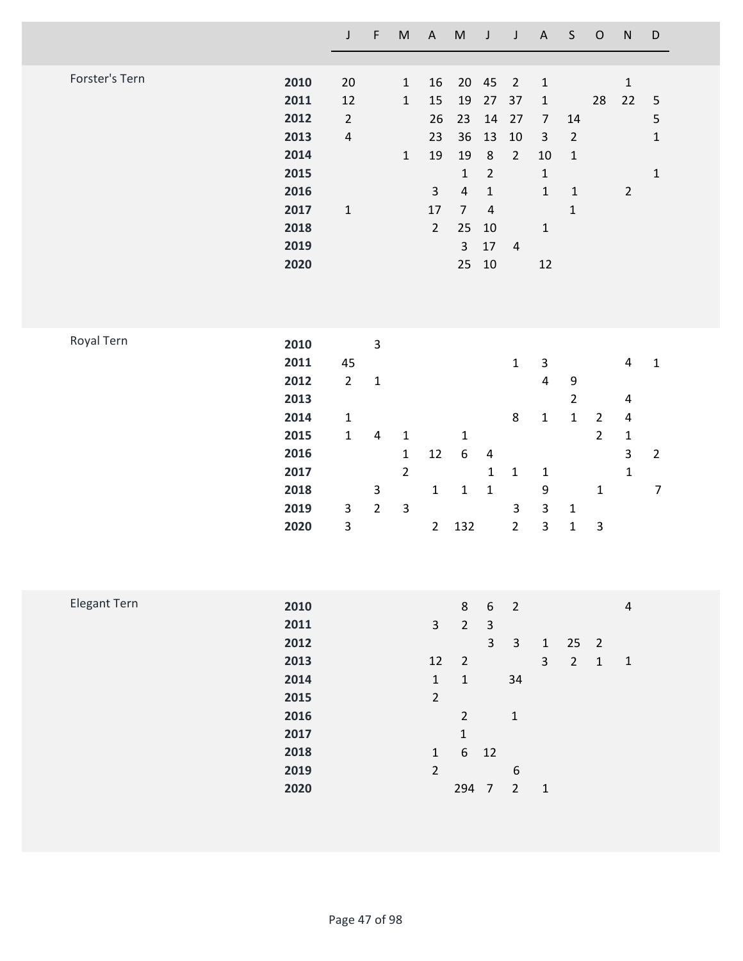|                |                                                                                      | $\mathsf J$                                                                                      | $\mathsf F$                                                               | $\mathsf{M}% _{T}=\mathsf{M}_{T}\!\left( a,b\right) ,\ \mathsf{M}_{T}=\mathsf{M}_{T}$ | $\boldsymbol{\mathsf{A}}$                                                           | $\mathsf{M}% _{T}=\mathsf{M}_{T}\!\left( a,b\right) ,\ \mathsf{M}_{T}=\mathsf{M}_{T}\!\left( a,b\right) ,$               | J                                                                                                      | $\mathsf J$                                                                               | $\mathsf A$                                                                                                            | $\mathsf S$                                                                     | $\mathsf O$                                                                  | ${\sf N}$                                                              | D                                                       |
|----------------|--------------------------------------------------------------------------------------|--------------------------------------------------------------------------------------------------|---------------------------------------------------------------------------|---------------------------------------------------------------------------------------|-------------------------------------------------------------------------------------|--------------------------------------------------------------------------------------------------------------------------|--------------------------------------------------------------------------------------------------------|-------------------------------------------------------------------------------------------|------------------------------------------------------------------------------------------------------------------------|---------------------------------------------------------------------------------|------------------------------------------------------------------------------|------------------------------------------------------------------------|---------------------------------------------------------|
| Forster's Tern | 2010<br>2011<br>2012<br>2013<br>2014<br>2015<br>2016<br>2017<br>2018<br>2019<br>2020 | 20<br>12<br>$\overline{2}$<br>$\overline{4}$<br>$\mathbf 1$                                      |                                                                           | $\mathbf 1$<br>$\mathbf 1$<br>$\mathbf 1$                                             | 16<br>15<br>26<br>23<br>19<br>$\overline{3}$<br>17<br>$\overline{2}$                | 20<br>19<br>23<br>36<br>19<br>$\mathbf 1$<br>$\sqrt{4}$<br>$\overline{7}$<br>25<br>$\overline{3}$<br>25                  | 45<br>$27$<br>14<br>13<br>$\,8\,$<br>$\overline{2}$<br>$\mathbf 1$<br>$\sqrt{4}$<br>10<br>17<br>$10\,$ | $\overline{2}$<br>37<br>27<br>$10\,$<br>$\overline{2}$<br>$\overline{4}$                  | $\mathbf 1$<br>$\mathbf 1$<br>$\overline{7}$<br>$\mathsf 3$<br>10<br>$\mathbf{1}$<br>$\mathbf{1}$<br>$\mathbf 1$<br>12 | $14\,$<br>$\mathbf 2$<br>$\mathbf 1$<br>$\mathbf 1$<br>$\mathbf 1$              | 28                                                                           | $\mathbf{1}$<br>22<br>$\overline{2}$                                   | $\sqrt{5}$<br>$\mathsf S$<br>$\mathbf 1$<br>$\mathbf 1$ |
| Royal Tern     | 2010<br>2011<br>2012<br>2013<br>2014<br>2015<br>2016<br>2017<br>2018<br>2019<br>2020 | 45<br>$\overline{2}$<br>$\mathbf{1}$<br>$\mathbf 1$<br>$\mathbf{3}$<br>$\ensuremath{\mathsf{3}}$ | $\mathsf 3$<br>$\mathbf 1$<br>$\pmb{4}$<br>$\mathbf{3}$<br>$\overline{2}$ | $\mathbf{1}$<br>$\mathbf{1}$<br>$\overline{2}$<br>$\overline{\mathbf{3}}$             | 12<br>$\mathbf 1$<br>$\overline{2}$                                                 | $\mathbf 1$<br>$\boldsymbol{6}$<br>$\mathbf 1$<br>132                                                                    | 4<br>$\mathbf 1$<br>$\mathbf 1$                                                                        | $\mathbf{1}$<br>8<br>$\mathbf 1$<br>$\mathsf{3}$<br>$\overline{2}$                        | $\ensuremath{\mathsf{3}}$<br>$\overline{4}$<br>$\mathbf 1$<br>$\mathbf 1$<br>9<br>$\mathsf{3}$<br>$\mathsf{3}$         | $\boldsymbol{9}$<br>$\overline{2}$<br>$\mathbf 1$<br>$\mathbf 1$<br>$\mathbf 1$ | $\overline{2}$<br>$\overline{2}$<br>$\mathbf 1$<br>$\ensuremath{\mathsf{3}}$ | $\overline{\mathbf{4}}$<br>4<br>4<br>$\mathbf{1}$<br>3<br>$\mathbf{1}$ | $\mathbf 1$<br>$\overline{2}$<br>$\overline{7}$         |
| Elegant Tern   | 2010<br>2011<br>2012<br>2013<br>2014<br>2015<br>2016<br>2017<br>2018<br>2019<br>2020 |                                                                                                  |                                                                           |                                                                                       | $\mathsf 3$<br>12<br>$\mathbf 1$<br>$\overline{2}$<br>$\mathbf 1$<br>$\overline{2}$ | $\,8\,$<br>$\overline{2}$<br>$\overline{2}$<br>$\mathbf 1$<br>$\overline{2}$<br>$\mathbf 1$<br>$\boldsymbol{6}$<br>294 7 | $\boldsymbol{6}$<br>$\mathsf 3$<br>$\overline{3}$<br>12                                                | $\overline{2}$<br>$\mathbf{3}$<br>34<br>$\mathbf 1$<br>$\boldsymbol{6}$<br>$\overline{2}$ | $\mathbf{1}$<br>$\overline{3}$<br>$\mathbf 1$                                                                          | 25<br>$\overline{2}$                                                            | $\overline{2}$<br>$\mathbf 1$                                                | $\overline{\mathbf{r}}$<br>$\mathbf 1$                                 |                                                         |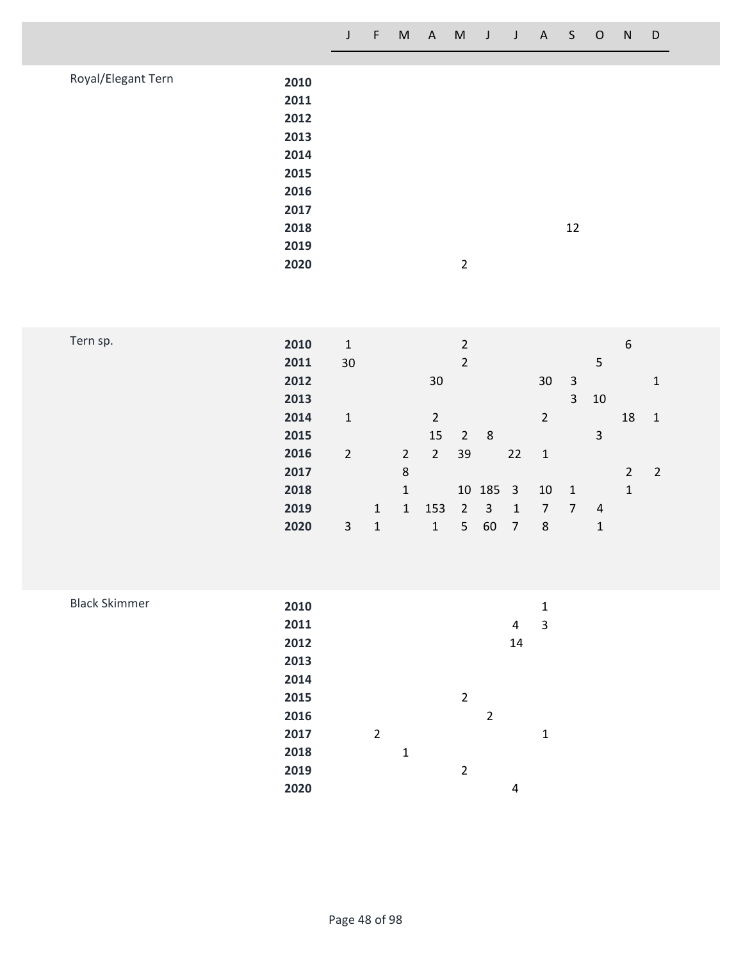| J F M A M J J A S O N D |  |  |  |  |  |  |  |  |  |  |  |  |
|-------------------------|--|--|--|--|--|--|--|--|--|--|--|--|
|-------------------------|--|--|--|--|--|--|--|--|--|--|--|--|

| Royal/Elegant Tern | 2010<br>2011<br>2012<br>2013 |                |    |
|--------------------|------------------------------|----------------|----|
|                    | 2014                         |                |    |
|                    | 2015                         |                |    |
|                    | 2016                         |                |    |
|                    | 2017                         |                |    |
|                    | 2018                         |                | 12 |
|                    | 2019                         |                |    |
|                    | 2020                         | $\overline{2}$ |    |
|                    |                              |                |    |

| Tern sp. | 2010 | 1              |              |                |                | $\overline{2}$ |                |                |                |                |                | 6              |                |
|----------|------|----------------|--------------|----------------|----------------|----------------|----------------|----------------|----------------|----------------|----------------|----------------|----------------|
|          | 2011 | 30             |              |                |                | $\overline{2}$ |                |                |                |                | 5              |                |                |
|          | 2012 |                |              |                | 30             |                |                |                | 30             | $\overline{3}$ |                |                | $\mathbf{1}$   |
|          | 2013 |                |              |                |                |                |                |                |                | 3 <sup>1</sup> | 10             |                |                |
|          | 2014 | 1              |              |                | $\overline{2}$ |                |                |                | $\overline{2}$ |                |                | 18             | $\mathbf{1}$   |
|          | 2015 |                |              |                | 15             | $\overline{2}$ | 8              |                |                |                | 3              |                |                |
|          | 2016 | $\overline{2}$ |              | $\overline{2}$ | $\overline{2}$ | 39             |                | 22             | $\mathbf{1}$   |                |                |                |                |
|          | 2017 |                |              | 8              |                |                |                |                |                |                |                | $\overline{2}$ | $\overline{2}$ |
|          | 2018 |                |              | 1              |                |                | 10 185 3       |                | 10             | $\boxed{1}$    |                | $\mathbf 1$    |                |
|          | 2019 |                | 1            | $\mathbf{1}$   | 153            | $\overline{2}$ | $\overline{3}$ | 1              | $\overline{7}$ | 7              | $\overline{4}$ |                |                |
|          | 2020 | 3              | $\mathbf{1}$ |                | $\mathbf{1}$   | 5              | 60             | $\overline{7}$ | 8              |                | 1              |                |                |
|          |      |                |              |                |                |                |                |                |                |                |                |                |                |

| <b>Black Skimmer</b> | 2010 |                |              |                |                |    | 1 |
|----------------------|------|----------------|--------------|----------------|----------------|----|---|
|                      | 2011 |                |              |                |                | 4  | 3 |
|                      | 2012 |                |              |                |                | 14 |   |
|                      | 2013 |                |              |                |                |    |   |
|                      | 2014 |                |              |                |                |    |   |
|                      | 2015 |                |              | $\overline{2}$ |                |    |   |
|                      | 2016 |                |              |                | $\overline{2}$ |    |   |
|                      | 2017 | $\overline{2}$ |              |                |                |    | 1 |
|                      | 2018 |                | $\mathbf{1}$ |                |                |    |   |
|                      | 2019 |                |              | $\overline{2}$ |                |    |   |
|                      | 2020 |                |              |                |                | 4  |   |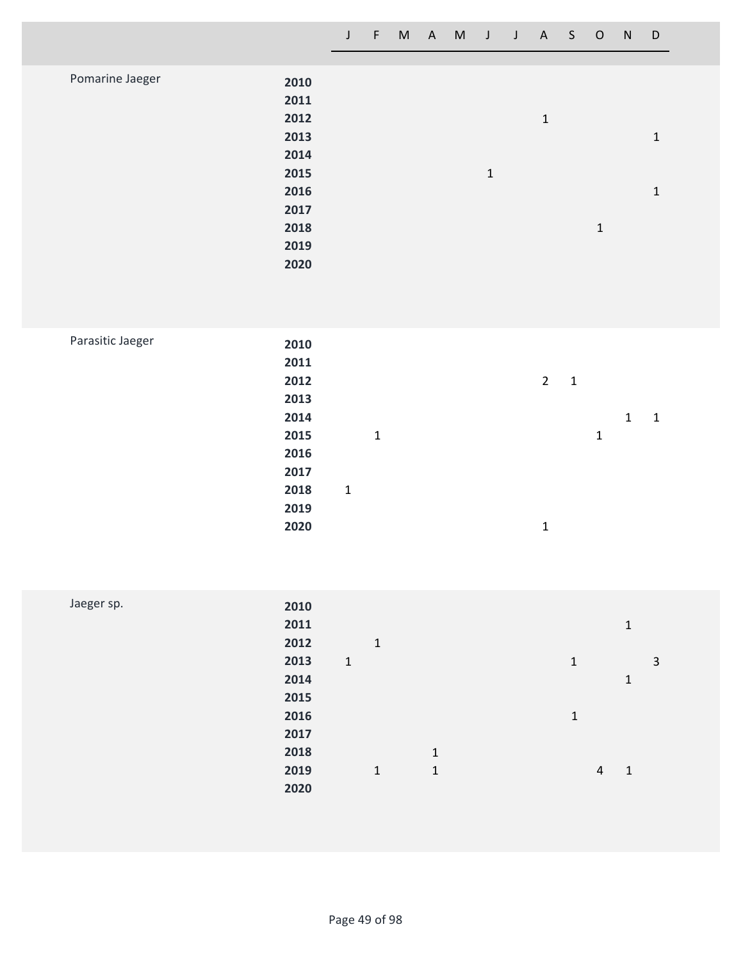|                 |      | J | F | M | A | M | $\mathbf{J}$ | $\mathsf{J}$ | A | S | $\mathsf{O}$ | N | D            |  |
|-----------------|------|---|---|---|---|---|--------------|--------------|---|---|--------------|---|--------------|--|
|                 |      |   |   |   |   |   |              |              |   |   |              |   |              |  |
| Pomarine Jaeger | 2010 |   |   |   |   |   |              |              |   |   |              |   |              |  |
|                 | 2011 |   |   |   |   |   |              |              |   |   |              |   |              |  |
|                 | 2012 |   |   |   |   |   |              |              | 1 |   |              |   |              |  |
|                 | 2013 |   |   |   |   |   |              |              |   |   |              |   | $\mathbf{1}$ |  |
|                 | 2014 |   |   |   |   |   |              |              |   |   |              |   |              |  |
|                 | 2015 |   |   |   |   |   | $\mathbf 1$  |              |   |   |              |   |              |  |
|                 | 2016 |   |   |   |   |   |              |              |   |   |              |   | $\mathbf{1}$ |  |
|                 | 2017 |   |   |   |   |   |              |              |   |   |              |   |              |  |
|                 | 2018 |   |   |   |   |   |              |              |   |   | $\mathbf{1}$ |   |              |  |
|                 | 2019 |   |   |   |   |   |              |              |   |   |              |   |              |  |
|                 | 2020 |   |   |   |   |   |              |              |   |   |              |   |              |  |
|                 |      |   |   |   |   |   |              |              |   |   |              |   |              |  |

| Parasitic Jaeger |  |
|------------------|--|
|------------------|--|

| 2010 |              |              |  |                |              |   |              |   |  |
|------|--------------|--------------|--|----------------|--------------|---|--------------|---|--|
| 2011 |              |              |  |                |              |   |              |   |  |
| 2012 |              |              |  | $\overline{2}$ | $\mathbf{1}$ |   |              |   |  |
| 2013 |              |              |  |                |              |   |              |   |  |
| 2014 |              |              |  |                |              |   | $\mathbf{1}$ | 1 |  |
| 2015 |              | $\mathbf{1}$ |  |                |              | 1 |              |   |  |
| 2016 |              |              |  |                |              |   |              |   |  |
| 2017 |              |              |  |                |              |   |              |   |  |
| 2018 | $\mathbf{1}$ |              |  |                |              |   |              |   |  |
| 2019 |              |              |  |                |              |   |              |   |  |
| 2020 |              |              |  | 1              |              |   |              |   |  |
|      |              |              |  |                |              |   |              |   |  |

| Jaeger sp. | 2010 |              |   |             |             |                |              |   |
|------------|------|--------------|---|-------------|-------------|----------------|--------------|---|
|            | 2011 |              |   |             |             |                | 1            |   |
|            | 2012 |              | 1 |             |             |                |              |   |
|            | 2013 | $\mathbf{1}$ |   |             | $\mathbf 1$ |                |              | 3 |
|            | 2014 |              |   |             |             |                | 1            |   |
|            | 2015 |              |   |             |             |                |              |   |
|            | 2016 |              |   |             | 1           |                |              |   |
|            | 2017 |              |   |             |             |                |              |   |
|            | 2018 |              |   | $\mathbf 1$ |             |                |              |   |
|            | 2019 |              | 1 | 1           |             | $\overline{4}$ | $\mathbf{1}$ |   |
|            | 2020 |              |   |             |             |                |              |   |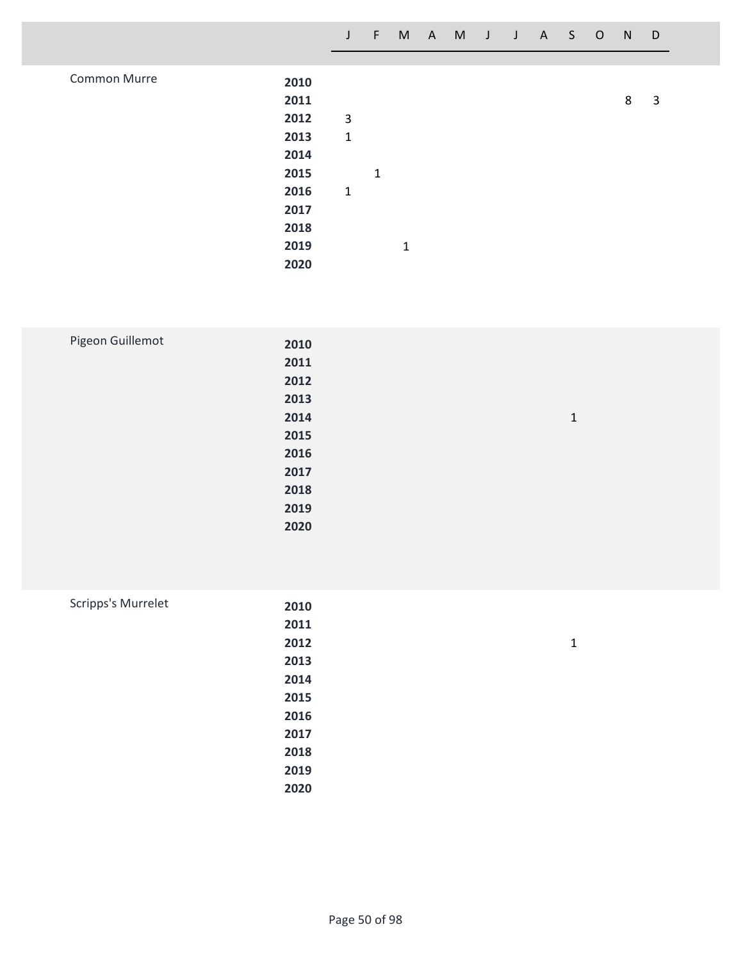|              |      | J           | $\leftarrow$ |              | M A M J J A S O |  |  | N | D |  |
|--------------|------|-------------|--------------|--------------|-----------------|--|--|---|---|--|
|              |      |             |              |              |                 |  |  |   |   |  |
| Common Murre | 2010 |             |              |              |                 |  |  |   |   |  |
|              | 2011 |             |              |              |                 |  |  | 8 | 3 |  |
|              | 2012 | 3           |              |              |                 |  |  |   |   |  |
|              | 2013 | $\mathbf 1$ |              |              |                 |  |  |   |   |  |
|              | 2014 |             |              |              |                 |  |  |   |   |  |
|              | 2015 |             | $\mathbf{1}$ |              |                 |  |  |   |   |  |
|              | 2016 | $\mathbf 1$ |              |              |                 |  |  |   |   |  |
|              | 2017 |             |              |              |                 |  |  |   |   |  |
|              | 2018 |             |              |              |                 |  |  |   |   |  |
|              | 2019 |             |              | $\mathbf{1}$ |                 |  |  |   |   |  |
|              | 2020 |             |              |              |                 |  |  |   |   |  |

| Pigeon Guillemot | 2010 |              |
|------------------|------|--------------|
|                  | 2011 |              |
|                  | 2012 |              |
|                  | 2013 |              |
|                  | 2014 | $\mathbf{1}$ |
|                  | 2015 |              |
|                  | 2016 |              |
|                  | 2017 |              |
|                  | 2018 |              |
|                  | 2019 |              |
|                  | 2020 |              |
|                  |      |              |

| Scripps's Murrelet | 2010 |              |
|--------------------|------|--------------|
|                    | 2011 |              |
|                    | 2012 | $\mathbf{1}$ |
|                    | 2013 |              |
|                    | 2014 |              |
|                    | 2015 |              |
|                    | 2016 |              |
|                    | 2017 |              |
|                    | 2018 |              |
|                    | 2019 |              |
|                    | 2020 |              |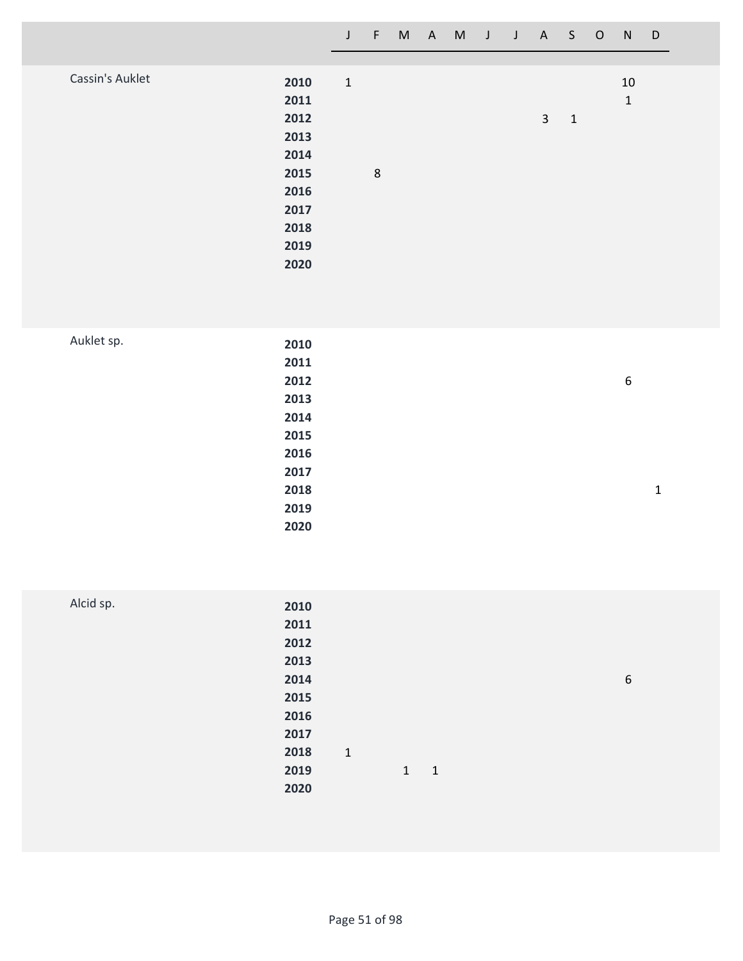|                 |              | $\mathsf{J}$ | F. | M A M |  | J J A S O |              | N                  | $\Box$ |
|-----------------|--------------|--------------|----|-------|--|-----------|--------------|--------------------|--------|
|                 |              |              |    |       |  |           |              |                    |        |
| Cassin's Auklet | 2010<br>2011 | $1\,$        |    |       |  |           |              | 10<br>$\mathbf{1}$ |        |
|                 | 2012         |              |    |       |  | 3         | $\mathbf{1}$ |                    |        |
|                 | 2013<br>2014 |              |    |       |  |           |              |                    |        |
|                 | 2015         |              | 8  |       |  |           |              |                    |        |
|                 | 2016         |              |    |       |  |           |              |                    |        |
|                 | 2017         |              |    |       |  |           |              |                    |        |
|                 | 2018         |              |    |       |  |           |              |                    |        |
|                 | 2019         |              |    |       |  |           |              |                    |        |
|                 | 2020         |              |    |       |  |           |              |                    |        |

| Auklet sp. | 2010 |   |              |
|------------|------|---|--------------|
|            | 2011 |   |              |
|            | 2012 | 6 |              |
|            | 2013 |   |              |
|            | 2014 |   |              |
|            | 2015 |   |              |
|            | 2016 |   |              |
|            | 2017 |   |              |
|            | 2018 |   | $\mathbf{1}$ |
|            | 2019 |   |              |
|            | 2020 |   |              |
|            |      |   |              |

| Alcid sp. | 2010 |              |              |                          |  |   |
|-----------|------|--------------|--------------|--------------------------|--|---|
|           | 2011 |              |              |                          |  |   |
|           | 2012 |              |              |                          |  |   |
|           | 2013 |              |              |                          |  |   |
|           | 2014 |              |              |                          |  | 6 |
|           | 2015 |              |              |                          |  |   |
|           | 2016 |              |              |                          |  |   |
|           | 2017 |              |              |                          |  |   |
|           | 2018 | $\mathbf{1}$ |              |                          |  |   |
|           | 2019 |              | $\mathbf{1}$ | $\overline{\phantom{0}}$ |  |   |
|           | 2020 |              |              |                          |  |   |
|           |      |              |              |                          |  |   |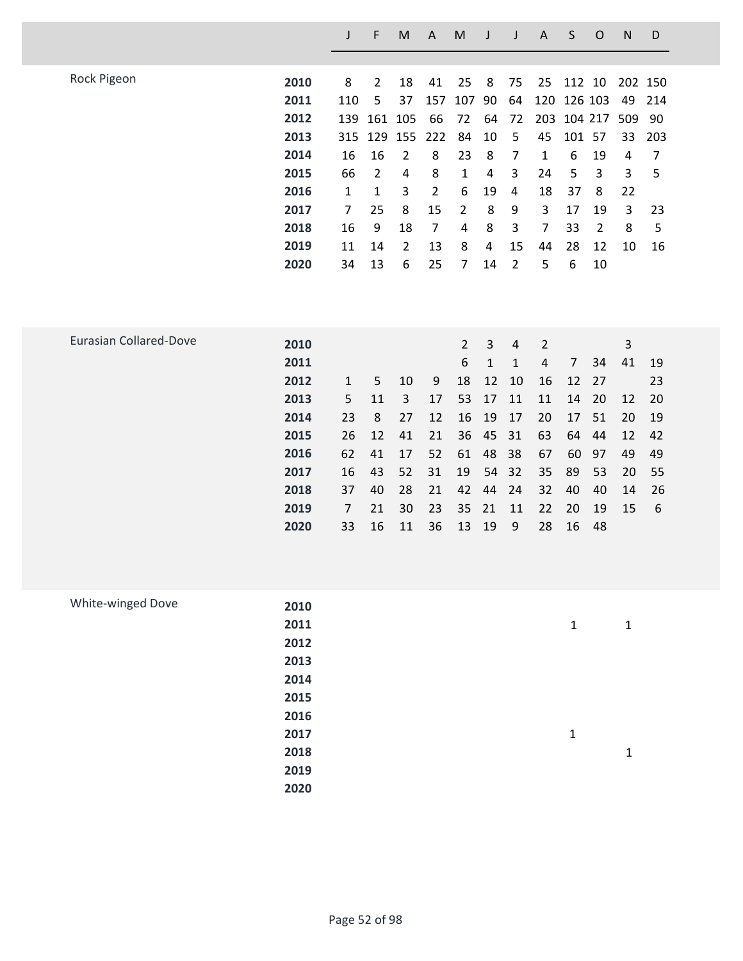|                               |      | J   | F              | M              | A              | M              | J  | J  | A              | S       | O              | N   | D   |
|-------------------------------|------|-----|----------------|----------------|----------------|----------------|----|----|----------------|---------|----------------|-----|-----|
|                               |      |     |                |                |                |                |    |    |                |         |                |     |     |
| Rock Pigeon                   | 2010 | 8   | $\overline{2}$ | 18             | 41             | 25             | 8  | 75 | 25             | 112     | 10             | 202 | 150 |
|                               | 2011 | 110 | 5              | 37             | 157            | 107            | 90 | 64 | 120            |         | 126 103        | 49  | 214 |
|                               | 2012 | 139 | 161            | 105            | 66             | 72             | 64 | 72 | 203            | 104 217 |                | 509 | 90  |
|                               | 2013 | 315 | 129            | 155            | 222            | 84             | 10 | 5  | 45             | 101     | 57             | 33  | 203 |
|                               | 2014 | 16  | 16             | 2              | 8              | 23             | 8  | 7  | 1              | 6       | 19             | 4   | 7   |
|                               | 2015 | 66  | $\overline{2}$ | 4              | 8              | 1              | 4  | 3  | 24             | 5       | 3              | 3   | 5   |
|                               | 2016 | 1   | 1              | 3              | $\overline{2}$ | 6              | 19 | 4  | 18             | 37      | 8              | 22  |     |
|                               | 2017 | 7   | 25             | 8              | 15             | 2              | 8  | 9  | 3              | 17      | 19             | 3   | 23  |
|                               | 2018 | 16  | 9              | 18             | $\overline{7}$ | 4              | 8  | 3  | 7              | 33      | $\overline{2}$ | 8   | 5   |
|                               | 2019 | 11  | 14             | $\overline{2}$ | 13             | 8              | 4  | 15 | 44             | 28      | 12             | 10  | 16  |
|                               | 2020 | 34  | 13             | 6              | 25             | 7              | 14 | 2  | 5              | 6       | 10             |     |     |
|                               |      |     |                |                |                |                |    |    |                |         |                |     |     |
|                               |      |     |                |                |                |                |    |    |                |         |                |     |     |
|                               |      |     |                |                |                |                |    |    |                |         |                |     |     |
| <b>Eurasian Collared-Dove</b> | 2010 |     |                |                |                | $\overline{2}$ | 3  | 4  | $\overline{2}$ |         |                | 3   |     |
|                               | 2011 |     |                |                |                | 6              | 1  | 1  | 4              | 7       | 34             | 41  | 19  |
|                               | 2012 | 1   | 5              | 10             | 9              | 18             | 12 | 10 | 16             | 12      | 27             |     | 23  |
|                               |      |     |                |                |                |                |    |    |                |         |                |     |     |

 

 **11 3 17 53 17 11 11 14 20 12 20 8 27 12 16 19 17 20 17 51 20 19 12 41 21 36 45 31 63 64 44 12 42**

 **62 41 17 52 61 48 38 67 60 97 49 49 16 43 52 31 19 54 32 35 89 53 20 55 37 40 28 21 42 44 24 32 40 40 14 26 7 21 30 23 35 21 11 22 20 19 15 6**

**33 16 11 36 13 19 9 28 16 48**

| White-winged Dove |      |              |   |
|-------------------|------|--------------|---|
|                   | 2010 |              |   |
|                   | 2011 | $\mathbf 1$  | 1 |
|                   | 2012 |              |   |
|                   | 2013 |              |   |
|                   | 2014 |              |   |
|                   | 2015 |              |   |
|                   | 2016 |              |   |
|                   | 2017 | $\mathbf{1}$ |   |
|                   | 2018 |              | 1 |
|                   | 2019 |              |   |
|                   | 2020 |              |   |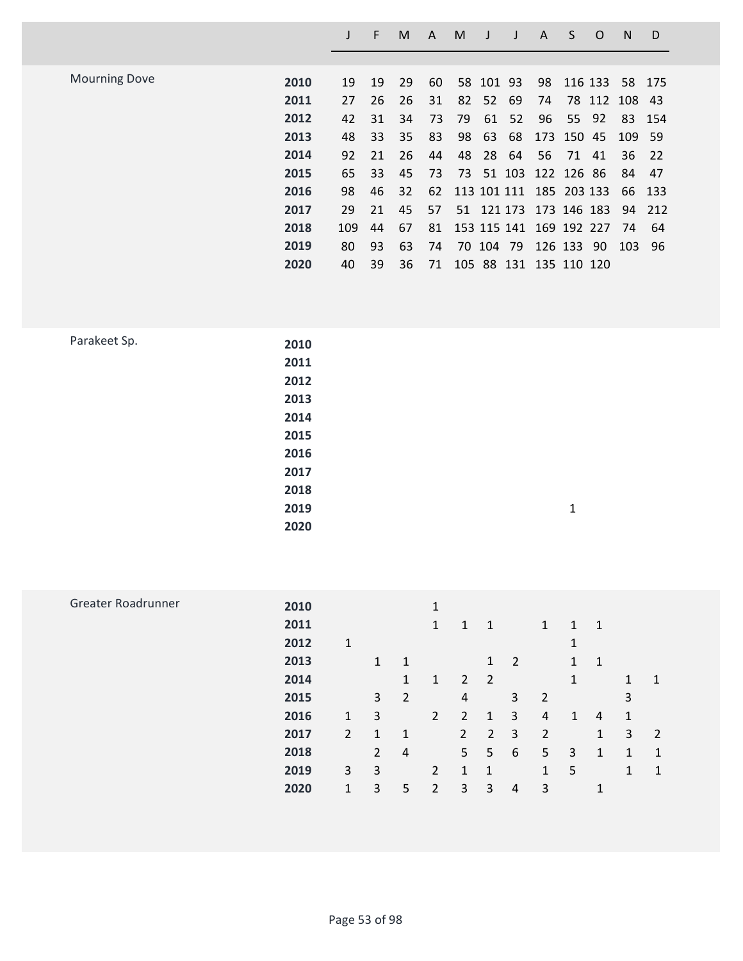|                      |      |     | E  | M  | A  | M  |           |    | A                       | S          | O       | N   | D      |
|----------------------|------|-----|----|----|----|----|-----------|----|-------------------------|------------|---------|-----|--------|
|                      |      |     |    |    |    |    |           |    |                         |            |         |     |        |
| <b>Mourning Dove</b> | 2010 | 19  | 19 | 29 | 60 |    | 58 101 93 |    | 98                      |            | 116 133 |     | 58 175 |
|                      | 2011 | 27  | 26 | 26 | 31 | 82 | 52        | 69 | 74                      |            | 78 112  | 108 | 43     |
|                      | 2012 | 42  | 31 | 34 | 73 | 79 | 61        | 52 | 96                      | 55 92      |         | 83  | - 154  |
|                      | 2013 | 48  | 33 | 35 | 83 | 98 | 63        | 68 |                         | 173 150 45 |         | 109 | - 59   |
|                      | 2014 | 92  | 21 | 26 | 44 | 48 | 28        | 64 | 56                      | 71 41      |         | 36  | 22     |
|                      | 2015 | 65  | 33 | 45 | 73 | 73 |           |    | 51 103 122 126 86       |            |         | 84  | 47     |
|                      | 2016 | 98  | 46 | 32 | 62 |    |           |    | 113 101 111 185 203 133 |            |         | 66  | 133    |
|                      | 2017 | 29  | 21 | 45 | 57 |    |           |    | 51 121 173 173 146 183  |            |         | 94  | 212    |
|                      | 2018 | 109 | 44 | 67 | 81 |    |           |    | 153 115 141 169 192 227 |            |         | 74  | 64     |
|                      | 2019 | 80  | 93 | 63 | 74 |    | 70 104 79 |    |                         | 126 133 90 |         | 103 | -96    |
|                      | 2020 | 40  | 39 | 36 | 71 |    |           |    | 105 88 131 135 110 120  |            |         |     |        |
|                      |      |     |    |    |    |    |           |    |                         |            |         |     |        |

| Parakeet Sp. | 2010 |              |
|--------------|------|--------------|
|              | 2011 |              |
|              | 2012 |              |
|              | 2013 |              |
|              | 2014 |              |
|              | 2015 |              |
|              | 2016 |              |
|              | 2017 |              |
|              | 2018 |              |
|              | 2019 | $\mathbf{1}$ |
|              | 2020 |              |
|              |      |              |

| 2011 |                |                |                | 1              | $\mathbf{1}$   | $\mathbf{1}$   |                      | 1              | 1              | $\mathbf{1}$   |   |   |
|------|----------------|----------------|----------------|----------------|----------------|----------------|----------------------|----------------|----------------|----------------|---|---|
| 2012 | 1              |                |                |                |                |                |                      |                | 1              |                |   |   |
| 2013 |                | $\mathbf{1}$   | -1             |                |                | $\mathbf{1}$   | $\overline{2}$       |                | $\mathbf{1}$   | $\mathbf{1}$   |   |   |
| 2014 |                |                | 1              | $\mathbf{1}$   |                |                |                      |                | 1              |                | 1 | 1 |
| 2015 |                | 3              | $\overline{2}$ |                | 4              |                | 3 <sup>7</sup>       | 2              |                |                | 3 |   |
| 2016 | $\mathbf{1}$   | 3              |                | $\overline{2}$ | $\overline{2}$ | 1              | 3                    | 4              | $\mathbf{1}$   | $\overline{4}$ | 1 |   |
| 2017 | $\overline{2}$ | $\mathbf{1}$   | $\mathbf{1}$   |                | $\overline{2}$ | $\overline{2}$ | 3                    | $\overline{2}$ |                | 1              | 3 | 2 |
| 2018 |                | $\overline{2}$ | 4              |                |                | 5              | 6                    | 5              | $\overline{3}$ | 1              | 1 | 1 |
| 2019 | 3              | 3              |                | $\overline{2}$ | $\mathbf{1}$   | $\overline{1}$ |                      | $\mathbf{1}$   | -5             |                | 1 | 1 |
| 2020 | $\mathbf{1}$   | 3              | 5              | 2              | 3              | 3              | 4                    | 3              |                | 1              |   |   |
|      | 2010           |                |                |                | 1              |                | $2 \quad 2$<br>$5 -$ |                |                |                |   |   |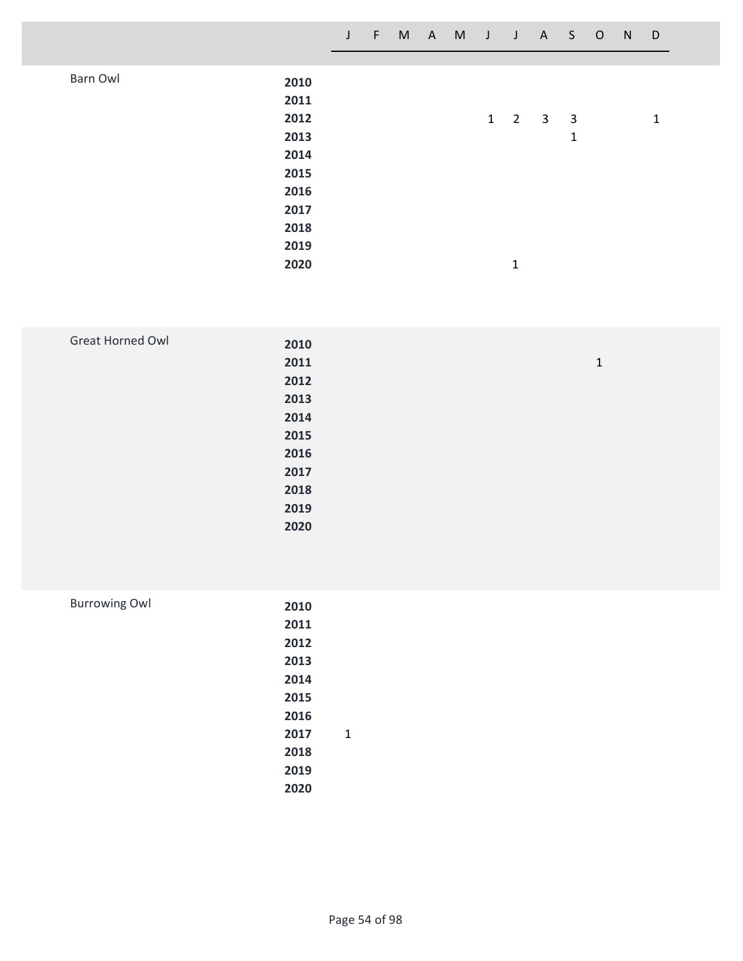|          |      | $\mathsf{J}$ | $-F$ |  | M A M J J A S O |                     |                         | N | D            |  |
|----------|------|--------------|------|--|-----------------|---------------------|-------------------------|---|--------------|--|
|          |      |              |      |  |                 |                     |                         |   |              |  |
| Barn Owl | 2010 |              |      |  |                 |                     |                         |   |              |  |
|          | 2011 |              |      |  |                 |                     |                         |   |              |  |
|          | 2012 |              |      |  |                 | $1 \quad 2 \quad 3$ | $\overline{\mathbf{3}}$ |   | $\mathbf{1}$ |  |
|          | 2013 |              |      |  |                 |                     | $\mathbf{1}$            |   |              |  |
|          | 2014 |              |      |  |                 |                     |                         |   |              |  |
|          | 2015 |              |      |  |                 |                     |                         |   |              |  |
|          | 2016 |              |      |  |                 |                     |                         |   |              |  |
|          | 2017 |              |      |  |                 |                     |                         |   |              |  |
|          | 2018 |              |      |  |                 |                     |                         |   |              |  |
|          | 2019 |              |      |  |                 |                     |                         |   |              |  |
|          | 2020 |              |      |  |                 | 1                   |                         |   |              |  |

| Great Horned Owl | 2010 |              |
|------------------|------|--------------|
|                  | 2011 | $\mathbf{1}$ |
|                  | 2012 |              |
|                  | 2013 |              |
|                  | 2014 |              |
|                  | 2015 |              |
|                  | 2016 |              |
|                  | 2017 |              |
|                  | 2018 |              |
|                  | 2019 |              |
|                  | 2020 |              |

| <b>Burrowing Owl</b> | 2010 |   |
|----------------------|------|---|
|                      | 2011 |   |
|                      | 2012 |   |
|                      | 2013 |   |
|                      | 2014 |   |
|                      | 2015 |   |
|                      | 2016 |   |
|                      | 2017 | 1 |
|                      | 2018 |   |
|                      | 2019 |   |
|                      | 2020 |   |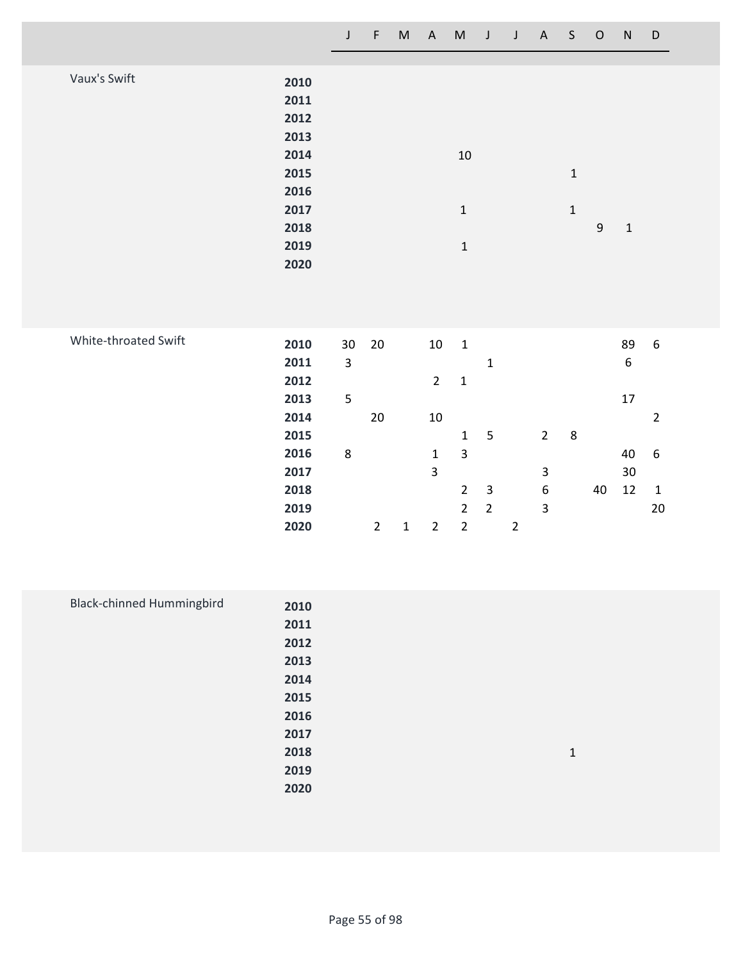|                              | $\mathsf J$ | $\mathsf F$    | $\sf M$     | $\boldsymbol{\mathsf{A}}$ | $\mathsf{M}% _{T}=\mathsf{M}_{T}\!\left( a,b\right) ,\ \mathsf{M}_{T}=\mathsf{M}_{T}\!\left( a,b\right) ,$ | J              | $\mathsf J$    | $\mathsf A$      | $\mathsf S$ | $\mathsf O$      | ${\sf N}$        | D                |
|------------------------------|-------------|----------------|-------------|---------------------------|------------------------------------------------------------------------------------------------------------|----------------|----------------|------------------|-------------|------------------|------------------|------------------|
|                              |             |                |             |                           |                                                                                                            |                |                |                  |             |                  |                  |                  |
| Vaux's Swift<br>2010         |             |                |             |                           |                                                                                                            |                |                |                  |             |                  |                  |                  |
| 2011                         |             |                |             |                           |                                                                                                            |                |                |                  |             |                  |                  |                  |
| 2012                         |             |                |             |                           |                                                                                                            |                |                |                  |             |                  |                  |                  |
| 2013                         |             |                |             |                           |                                                                                                            |                |                |                  |             |                  |                  |                  |
| 2014                         |             |                |             |                           | $10\,$                                                                                                     |                |                |                  |             |                  |                  |                  |
| 2015                         |             |                |             |                           |                                                                                                            |                |                |                  | $\mathbf 1$ |                  |                  |                  |
| 2016                         |             |                |             |                           |                                                                                                            |                |                |                  |             |                  |                  |                  |
| 2017                         |             |                |             |                           | $\mathbf 1$                                                                                                |                |                |                  | $\mathbf 1$ |                  |                  |                  |
| 2018                         |             |                |             |                           |                                                                                                            |                |                |                  |             | $\boldsymbol{9}$ | $\mathbf 1$      |                  |
| 2019                         |             |                |             |                           | $\mathbf 1$                                                                                                |                |                |                  |             |                  |                  |                  |
| 2020                         |             |                |             |                           |                                                                                                            |                |                |                  |             |                  |                  |                  |
|                              |             |                |             |                           |                                                                                                            |                |                |                  |             |                  |                  |                  |
|                              |             |                |             |                           |                                                                                                            |                |                |                  |             |                  |                  |                  |
|                              |             |                |             |                           |                                                                                                            |                |                |                  |             |                  |                  |                  |
| White-throated Swift<br>2010 | 30          | 20             |             | $10\,$                    | $\mathbf 1$                                                                                                |                |                |                  |             |                  | 89               | $\boldsymbol{6}$ |
| 2011                         | 3           |                |             |                           |                                                                                                            | $\mathbf 1$    |                |                  |             |                  | $\boldsymbol{6}$ |                  |
| 2012                         |             |                |             | $\overline{2}$            | $\mathbf 1$                                                                                                |                |                |                  |             |                  |                  |                  |
| 2013                         | 5           |                |             |                           |                                                                                                            |                |                |                  |             |                  | 17               |                  |
| 2014                         |             | $20\,$         |             | $10\,$                    |                                                                                                            |                |                |                  |             |                  |                  | $\overline{2}$   |
| 2015                         |             |                |             |                           | $\mathbf 1$                                                                                                | $\mathsf S$    |                | $\overline{2}$   | $\bf 8$     |                  |                  |                  |
| 2016                         | $\bf 8$     |                |             | $\mathbf 1$               | $\overline{\mathbf{3}}$                                                                                    |                |                |                  |             |                  | 40               | $\boldsymbol{6}$ |
| 2017                         |             |                |             | $\overline{\mathbf{3}}$   |                                                                                                            |                |                | $\mathsf 3$      |             |                  | $30\,$           |                  |
| 2018                         |             |                |             |                           | $\overline{2}$                                                                                             | $\overline{3}$ |                | $\boldsymbol{6}$ |             | 40               | 12               | $\mathbf{1}$     |
| 2019                         |             |                |             |                           | $\overline{2}$                                                                                             | $\overline{2}$ |                | $\mathbf{3}$     |             |                  |                  | $20\,$           |
| 2020                         |             | $\overline{2}$ | $\mathbf 1$ | $\overline{2}$            | $\overline{2}$                                                                                             |                | $\overline{2}$ |                  |             |                  |                  |                  |

| <b>Black-chinned Hummingbird</b> | 2010 |              |
|----------------------------------|------|--------------|
|                                  | 2011 |              |
|                                  | 2012 |              |
|                                  | 2013 |              |
|                                  | 2014 |              |
|                                  | 2015 |              |
|                                  | 2016 |              |
|                                  | 2017 |              |
|                                  | 2018 | $\mathbf{1}$ |
|                                  | 2019 |              |
|                                  | 2020 |              |
|                                  |      |              |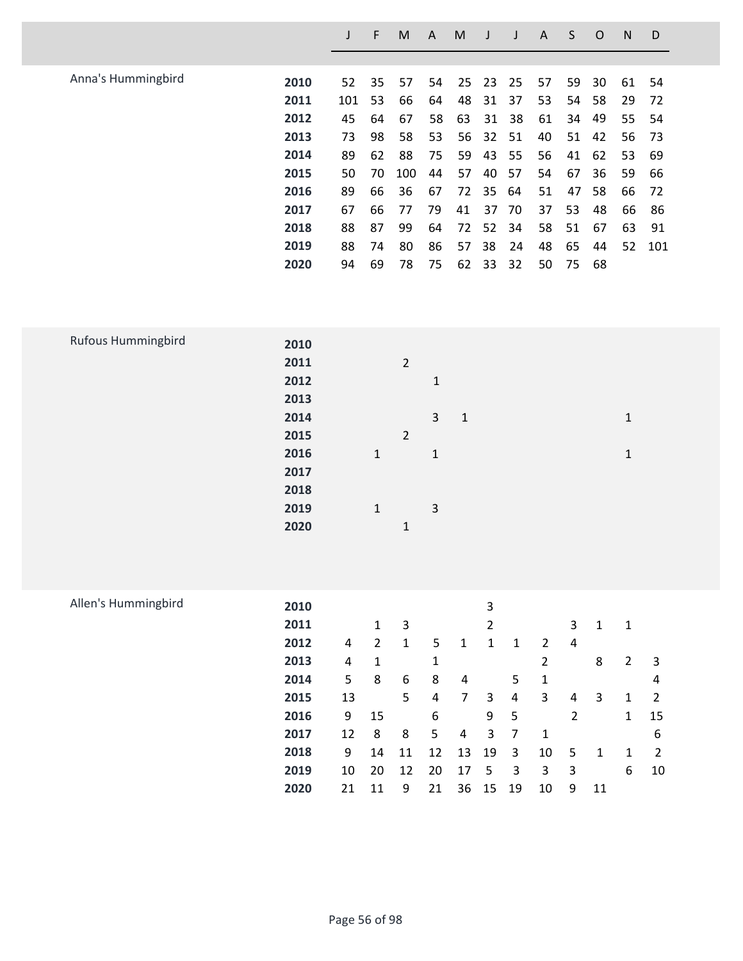|                    |      |     | F  | M   | A  | M  |    |    | A  | S  | O  | N  | D   |
|--------------------|------|-----|----|-----|----|----|----|----|----|----|----|----|-----|
|                    |      |     |    |     |    |    |    |    |    |    |    |    |     |
| Anna's Hummingbird | 2010 | 52  | 35 | 57  | 54 | 25 | 23 | 25 | 57 | 59 | 30 | 61 | 54  |
|                    | 2011 | 101 | 53 | 66  | 64 | 48 | 31 | 37 | 53 | 54 | 58 | 29 | 72  |
|                    | 2012 | 45  | 64 | 67  | 58 | 63 | 31 | 38 | 61 | 34 | 49 | 55 | 54  |
|                    | 2013 | 73  | 98 | 58  | 53 | 56 | 32 | 51 | 40 | 51 | 42 | 56 | -73 |
|                    | 2014 | 89  | 62 | 88  | 75 | 59 | 43 | 55 | 56 | 41 | 62 | 53 | -69 |
|                    | 2015 | 50  | 70 | 100 | 44 | 57 | 40 | 57 | 54 | 67 | 36 | 59 | 66  |
|                    | 2016 | 89  | 66 | 36  | 67 | 72 | 35 | 64 | 51 | 47 | 58 | 66 | 72  |
|                    | 2017 | 67  | 66 | 77  | 79 | 41 | 37 | 70 | 37 | 53 | 48 | 66 | 86  |
|                    | 2018 | 88  | 87 | 99  | 64 | 72 | 52 | 34 | 58 | 51 | 67 | 63 | 91  |
|                    | 2019 | 88  | 74 | 80  | 86 | 57 | 38 | 24 | 48 | 65 | 44 | 52 | 101 |
|                    | 2020 | 94  | 69 | 78  | 75 | 62 | 33 | 32 | 50 | 75 | 68 |    |     |
|                    |      |     |    |     |    |    |    |    |    |    |    |    |     |

| Rufous Hummingbird | 2010 |              |                |              |              |             |
|--------------------|------|--------------|----------------|--------------|--------------|-------------|
|                    | 2011 |              | $\overline{2}$ |              |              |             |
|                    | 2012 |              |                | $\mathbf{1}$ |              |             |
|                    | 2013 |              |                |              |              |             |
|                    | 2014 |              |                | $\mathbf{3}$ | $\mathbf{1}$ | 1           |
|                    | 2015 |              | $\overline{2}$ |              |              |             |
|                    | 2016 | $\mathbf{1}$ |                | $\mathbf{1}$ |              | $\mathbf 1$ |
|                    | 2017 |              |                |              |              |             |
|                    | 2018 |              |                |              |              |             |
|                    | 2019 | $\mathbf{1}$ |                | 3            |              |             |
|                    | 2020 |              | $\mathbf 1$    |              |              |             |
|                    |      |              |                |              |              |             |
|                    |      |              |                |              |              |             |

| Allen's Hummingbird | 2010 |    |    |    |    |    | 3  |    |    |   |    |   |    |
|---------------------|------|----|----|----|----|----|----|----|----|---|----|---|----|
|                     | 2011 |    | 1  | 3  |    |    | 2  |    |    | 3 | 1  | 1 |    |
|                     | 2012 | 4  | 2  | 1  | 5  | 1  | 1  | 1  | 2  | 4 |    |   |    |
|                     | 2013 | 4  | 1  |    | 1  |    |    |    | 2  |   | 8  | 2 | 3  |
|                     | 2014 | 5  | 8  | 6  | 8  | 4  |    | 5  | 1  |   |    |   | 4  |
|                     | 2015 | 13 |    | 5  | 4  | 7  | 3  | 4  | 3  | 4 | 3  | 1 | 2  |
|                     | 2016 | 9  | 15 |    | 6  |    | 9  | 5  |    | 2 |    | 1 | 15 |
|                     | 2017 | 12 | 8  | 8  | 5  | 4  | 3  | 7  | 1  |   |    |   | 6  |
|                     | 2018 | 9  | 14 | 11 | 12 | 13 | 19 | 3  | 10 | 5 | 1  | 1 | 2  |
|                     | 2019 | 10 | 20 | 12 | 20 | 17 | 5  | 3  | 3  | 3 |    | 6 | 10 |
|                     | 2020 | 21 | 11 | 9  | 21 | 36 | 15 | 19 | 10 | 9 | 11 |   |    |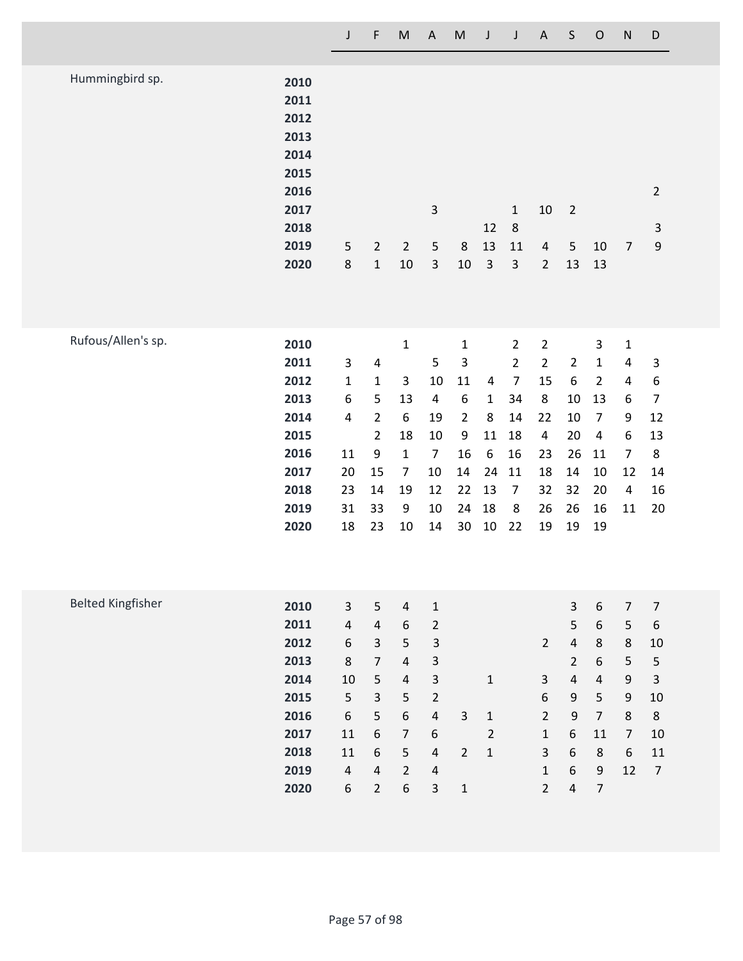|                          |                                                                                      | $\mathsf{J}$                                                                            | F                                                                                                                                                | M                                                                                                                                            | A                                                                                                                                         | M                                                                                               | J                                                                            | J                                                                                                             | A                                                                                                           | S                                                                                                                    | O                                                                                                                | N                                                                                                                             | D                                                                                                           |
|--------------------------|--------------------------------------------------------------------------------------|-----------------------------------------------------------------------------------------|--------------------------------------------------------------------------------------------------------------------------------------------------|----------------------------------------------------------------------------------------------------------------------------------------------|-------------------------------------------------------------------------------------------------------------------------------------------|-------------------------------------------------------------------------------------------------|------------------------------------------------------------------------------|---------------------------------------------------------------------------------------------------------------|-------------------------------------------------------------------------------------------------------------|----------------------------------------------------------------------------------------------------------------------|------------------------------------------------------------------------------------------------------------------|-------------------------------------------------------------------------------------------------------------------------------|-------------------------------------------------------------------------------------------------------------|
| Hummingbird sp.          | 2010<br>2011<br>2012<br>2013<br>2014<br>2015<br>2016<br>2017<br>2018<br>2019<br>2020 | 5<br>$\bf 8$                                                                            | $\overline{2}$<br>$\mathbf 1$                                                                                                                    | $\overline{2}$<br>$10\,$                                                                                                                     | $\mathsf 3$<br>$\mathsf S$<br>$\mathsf 3$                                                                                                 | $\,8\,$<br>$10\,$                                                                               | 12<br>13<br>$\mathsf 3$                                                      | $\mathbf{1}$<br>$\,8\,$<br>11<br>$\mathsf 3$                                                                  | $10\,$<br>4<br>$\overline{2}$                                                                               | $\sqrt{2}$<br>5<br>13                                                                                                | 10<br>13                                                                                                         | $\overline{7}$                                                                                                                | $\overline{2}$<br>$\ensuremath{\mathsf{3}}$<br>$\boldsymbol{9}$                                             |
| Rufous/Allen's sp.       | 2010<br>2011<br>2012<br>2013<br>2014<br>2015<br>2016<br>2017<br>2018<br>2019<br>2020 | 3<br>$\mathbf{1}$<br>$\boldsymbol{6}$<br>4<br>11<br>20<br>23<br>31<br>18                | $\overline{\mathbf{4}}$<br>$\mathbf 1$<br>5<br>$\overline{2}$<br>$\overline{2}$<br>$\boldsymbol{9}$<br>15<br>14<br>33<br>23                      | $\mathbf 1$<br>3<br>13<br>6<br>18<br>$\mathbf 1$<br>$\overline{7}$<br>19<br>9<br>$10\,$                                                      | 5<br>10<br>$\overline{\mathbf{4}}$<br>19<br>10<br>$\overline{7}$<br>10<br>12<br>10<br>14                                                  | $\mathbf 1$<br>3<br>11<br>$\boldsymbol{6}$<br>$\overline{2}$<br>9<br>16<br>14<br>22<br>24<br>30 | 4<br>$\mathbf{1}$<br>8<br>11<br>$\boldsymbol{6}$<br>24<br>13<br>18<br>$10\,$ | $\overline{2}$<br>$\overline{2}$<br>$\overline{7}$<br>34<br>14<br>18<br>16<br>11<br>$\overline{7}$<br>8<br>22 | $\mathbf 2$<br>$\overline{2}$<br>15<br>8<br>22<br>$\overline{\mathbf{4}}$<br>23<br>18<br>32<br>26<br>19     | $\overline{2}$<br>$\boldsymbol{6}$<br>10<br>10<br>20<br>26<br>14<br>32<br>26<br>19                                   | 3<br>$\mathbf 1$<br>$\overline{2}$<br>13<br>$\overline{7}$<br>4<br>11<br>10<br>20<br>16<br>19                    | $\mathbf 1$<br>$\overline{\mathbf{r}}$<br>4<br>6<br>9<br>$\boldsymbol{6}$<br>$\overline{7}$<br>12<br>4<br>$11\,$              | 3<br>$\boldsymbol{6}$<br>$\overline{7}$<br>12<br>13<br>8<br>14<br>16<br>20                                  |
| <b>Belted Kingfisher</b> | 2010<br>2011<br>2012<br>2013<br>2014<br>2015<br>2016<br>2017<br>2018<br>2019<br>2020 | $\mathbf{3}$<br>$\sqrt{4}$<br>6<br>8<br>10<br>5<br>6<br>11<br>11<br>$\overline{4}$<br>6 | 5<br>$\sqrt{4}$<br>$\overline{3}$<br>$\overline{7}$<br>$\mathsf S$<br>$\overline{3}$<br>5<br>$\sqrt{6}$<br>6<br>$\overline{4}$<br>$\overline{2}$ | $\overline{4}$<br>$\boldsymbol{6}$<br>5<br>$\overline{4}$<br>$\overline{\mathbf{4}}$<br>5<br>6<br>$\overline{7}$<br>5<br>$\overline{2}$<br>6 | $\mathbf 1$<br>$\overline{2}$<br>3<br>3<br>3<br>$\sqrt{2}$<br>$\pmb{4}$<br>$\boldsymbol{6}$<br>$\pmb{4}$<br>$\overline{a}$<br>$\mathsf 3$ | $\mathbf{3}$<br>$\overline{2}$<br>$1\,$                                                         | $\mathbf 1$<br>$\mathbf 1$<br>$\overline{2}$<br>$\mathbf 1$                  |                                                                                                               | $\overline{2}$<br>$\mathbf{3}$<br>6<br>$\overline{2}$<br>$\mathbf 1$<br>3<br>$\mathbf{1}$<br>$\overline{2}$ | 3<br>5<br>$\overline{4}$<br>$\overline{2}$<br>$\sqrt{4}$<br>$\boldsymbol{9}$<br>$\boldsymbol{9}$<br>6<br>6<br>6<br>4 | 6<br>6<br>8<br>6<br>$\overline{\mathbf{4}}$<br>5<br>$\overline{7}$<br>11<br>8<br>$\mathsf 9$<br>$\boldsymbol{7}$ | $\overline{7}$<br>$\mathsf S$<br>$\,8\,$<br>$\mathsf S$<br>$\mathsf 9$<br>$\mathsf 9$<br>$\,8\,$<br>$\overline{7}$<br>6<br>12 | $\overline{7}$<br>$\boldsymbol{6}$<br>10<br>5<br>$\mathsf 3$<br>10<br>$\,8\,$<br>10<br>$11\,$<br>$\sqrt{ }$ |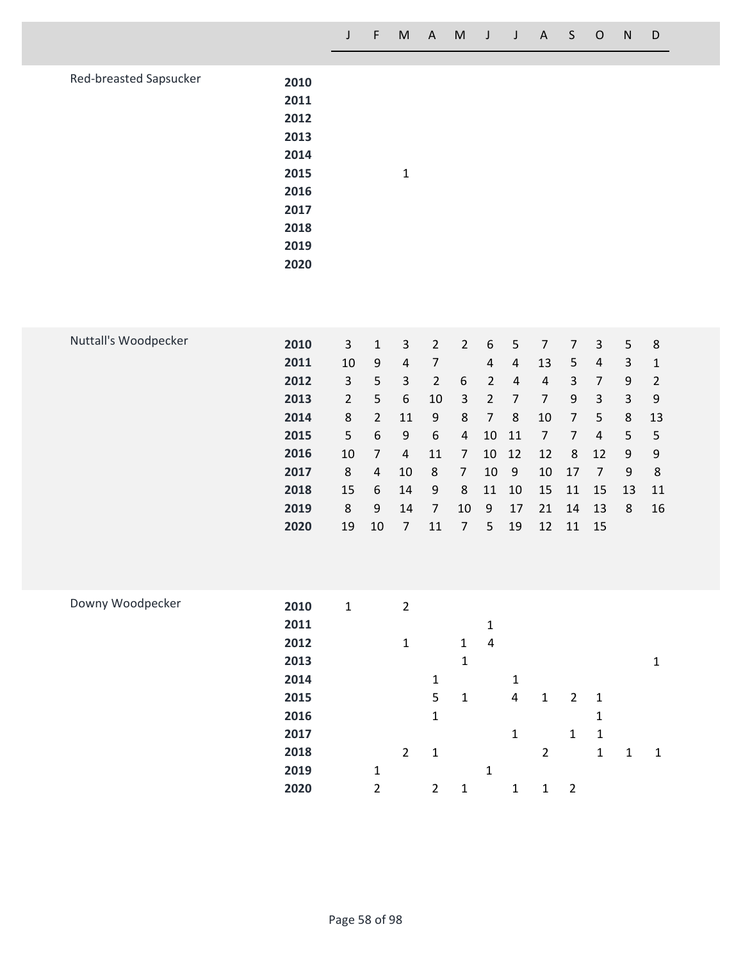**8 4 10 8 7 10 9 10 17 7 9 8**

 **15 6 14 9 8 11 10 15 11 15 13 11 8 9 14 7 10 9 17 21 14 13 8 16**

**19 10 7 11 7 5 19 12 11 15**

| Red-breasted Sapsucker | 2010<br>2011<br>2012<br>2013<br>2014<br>2015<br>2016<br>2017<br>2018<br>2019<br>2020 |                      |                                 | $\mathbf 1$                      |                                  |                  |                |                     |                      |                               |                |                   |                        |  |
|------------------------|--------------------------------------------------------------------------------------|----------------------|---------------------------------|----------------------------------|----------------------------------|------------------|----------------|---------------------|----------------------|-------------------------------|----------------|-------------------|------------------------|--|
| Nuttall's Woodpecker   | 2010<br>2011                                                                         | $\overline{3}$<br>10 | $\mathbf 1$<br>$\boldsymbol{9}$ | $\overline{3}$<br>$\overline{4}$ | $\overline{2}$<br>$\overline{7}$ | $\overline{2}$   | 6<br>4         | 5<br>$\overline{4}$ | $\overline{7}$<br>13 | $\overline{7}$<br>$\mathsf S$ | 3<br>4         | 5<br>$\mathsf{3}$ | $\,8\,$<br>$\mathbf 1$ |  |
|                        | 2012                                                                                 | 3                    | 5                               | $\overline{3}$                   | $\overline{2}$                   | $\boldsymbol{6}$ | $\overline{2}$ | $\overline{4}$      | $\sqrt{4}$           | $\mathsf{3}$                  | $\overline{7}$ | $\boldsymbol{9}$  | $\mathbf 2$            |  |
|                        | 2013                                                                                 | $\overline{2}$       | 5                               | $\boldsymbol{6}$                 | 10                               | $\mathbf{3}$     | $\overline{2}$ | $\overline{7}$      | $\overline{7}$       | $\boldsymbol{9}$              | 3              | $\mathsf{3}$      | $\mathsf 9$            |  |
|                        |                                                                                      |                      |                                 |                                  |                                  |                  |                |                     |                      |                               |                |                   |                        |  |
|                        | 2014                                                                                 | 8                    | $\overline{2}$                  | 11                               | $\boldsymbol{9}$                 | $\,8\,$          | $\overline{7}$ | $\,8\,$             | 10                   | $\overline{7}$                | 5              | $\,8\,$           | 13                     |  |
|                        | 2015                                                                                 | 5                    | 6                               | $\boldsymbol{9}$                 | 6                                | $\overline{a}$   | 10             | 11                  | $\overline{7}$       | $\overline{7}$                | 4              | 5                 | $\mathsf S$            |  |
|                        | 2016                                                                                 | 10                   | $\overline{7}$                  | 4                                | 11                               | $\overline{7}$   | 10             | 12                  | 12                   | 8                             | 12             | $\boldsymbol{9}$  | $\boldsymbol{9}$       |  |

| Downy Woodpecker | 2010 | $\mathbf{1}$ |              | $\overline{2}$ |                |              |   |   |                |                |             |   |    |
|------------------|------|--------------|--------------|----------------|----------------|--------------|---|---|----------------|----------------|-------------|---|----|
|                  | 2011 |              |              |                |                |              | 1 |   |                |                |             |   |    |
|                  | 2012 |              |              | $\mathbf{1}$   |                | $\mathbf{1}$ | 4 |   |                |                |             |   |    |
|                  | 2013 |              |              |                |                | 1            |   |   |                |                |             |   | 1  |
|                  | 2014 |              |              |                | $\mathbf{1}$   |              |   | 1 |                |                |             |   |    |
|                  | 2015 |              |              |                | 5              | $\mathbf{1}$ |   | 4 | $\mathbf{1}$   | $\overline{2}$ | -1          |   |    |
|                  | 2016 |              |              |                | $\mathbf{1}$   |              |   |   |                |                | 1           |   |    |
|                  | 2017 |              |              |                |                |              |   | 1 |                | 1              | $\mathbf 1$ |   |    |
|                  | 2018 |              |              | $\overline{2}$ | 1              |              |   |   | $\overline{2}$ |                | 1           | 1 | -1 |
|                  | 2019 |              | $\mathbf{1}$ |                |                |              | 1 |   |                |                |             |   |    |
|                  | 2020 |              | 2            |                | $\overline{2}$ | $\mathbf{1}$ |   | 1 | $\mathbf{1}$   | 2              |             |   |    |
|                  |      |              |              |                |                |              |   |   |                |                |             |   |    |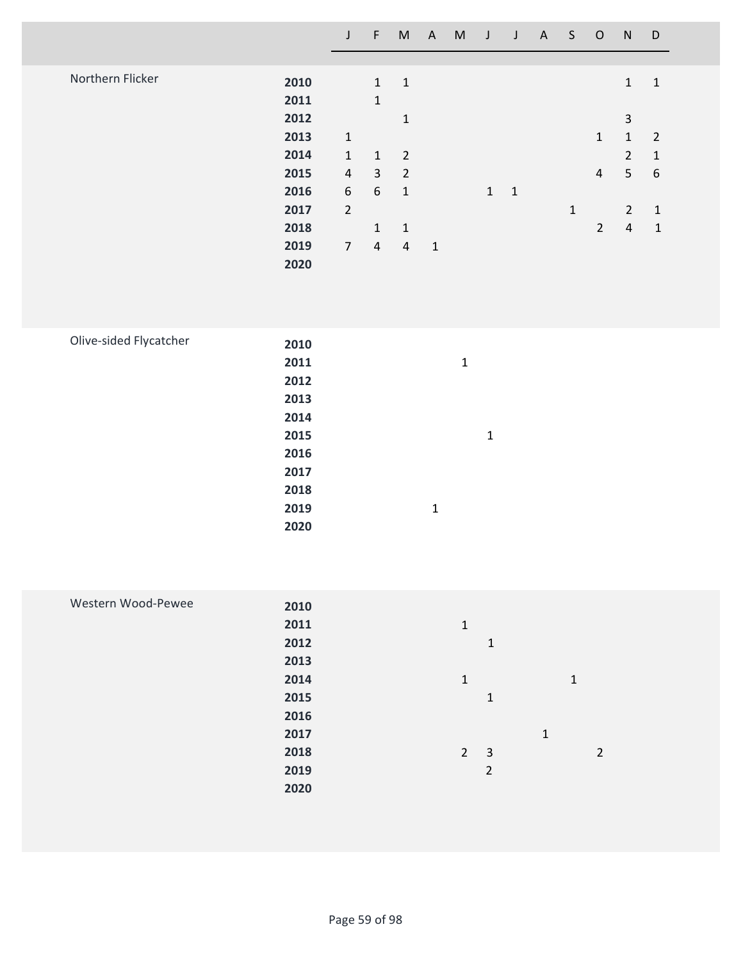|                  |      | $\overline{\mathsf{J}}$ | F              | M              | $A^{\prime}$ | M | $\mathsf{J}$ | $\mathsf{J}$ | $\mathsf{A}$ | S            | $\circ$        | N              | D                |  |
|------------------|------|-------------------------|----------------|----------------|--------------|---|--------------|--------------|--------------|--------------|----------------|----------------|------------------|--|
|                  |      |                         |                |                |              |   |              |              |              |              |                |                |                  |  |
| Northern Flicker | 2010 |                         | $\mathbf{1}$   | $\mathbf{1}$   |              |   |              |              |              |              |                | $\mathbf{1}$   | $\mathbf{1}$     |  |
|                  | 2011 |                         | $\mathbf{1}$   |                |              |   |              |              |              |              |                |                |                  |  |
|                  | 2012 |                         |                | $\mathbf{1}$   |              |   |              |              |              |              |                | 3              |                  |  |
|                  | 2013 | $\mathbf{1}$            |                |                |              |   |              |              |              |              | $\mathbf{1}$   | 1              | $\overline{2}$   |  |
|                  | 2014 | $\mathbf{1}$            | $\mathbf{1}$   | $\overline{2}$ |              |   |              |              |              |              |                | $\overline{2}$ | $\mathbf{1}$     |  |
|                  | 2015 | 4                       | $\mathbf{3}$   | $\overline{2}$ |              |   |              |              |              |              | $\overline{4}$ | 5              | $\boldsymbol{6}$ |  |
|                  | 2016 | 6                       | 6              | 1              |              |   | 1            | 1            |              |              |                |                |                  |  |
|                  | 2017 | $\overline{2}$          |                |                |              |   |              |              |              | $\mathbf{1}$ |                | $\overline{2}$ | $\mathbf{1}$     |  |
|                  | 2018 |                         | 1              | $\mathbf{1}$   |              |   |              |              |              |              | $\overline{2}$ | 4              | 1                |  |
|                  | 2019 | $\overline{7}$          | $\overline{4}$ | $\overline{4}$ | $\mathbf{1}$ |   |              |              |              |              |                |                |                  |  |
|                  | 2020 |                         |                |                |              |   |              |              |              |              |                |                |                  |  |

| Olive-sided Flycatcher | 2010 |             |              |
|------------------------|------|-------------|--------------|
|                        | 2011 | 1           |              |
|                        | 2012 |             |              |
|                        | 2013 |             |              |
|                        | 2014 |             |              |
|                        | 2015 |             | $\mathbf{1}$ |
|                        | 2016 |             |              |
|                        | 2017 |             |              |
|                        | 2018 |             |              |
|                        | 2019 | $\mathbf 1$ |              |
|                        | 2020 |             |              |
|                        |      |             |              |

| Western Wood-Pewee | 2010 |                     |               |
|--------------------|------|---------------------|---------------|
|                    | 2011 | $\mathbf{1}$        |               |
|                    | 2012 | 1                   |               |
|                    | 2013 |                     |               |
|                    | 2014 | $\mathbf{1}$        | 1             |
|                    | 2015 | 1                   |               |
|                    | 2016 |                     |               |
|                    | 2017 |                     | $\mathbf{1}$  |
|                    | 2018 | $\overline{2}$<br>3 | $\mathcal{P}$ |
|                    | 2019 | $\overline{2}$      |               |
|                    | 2020 |                     |               |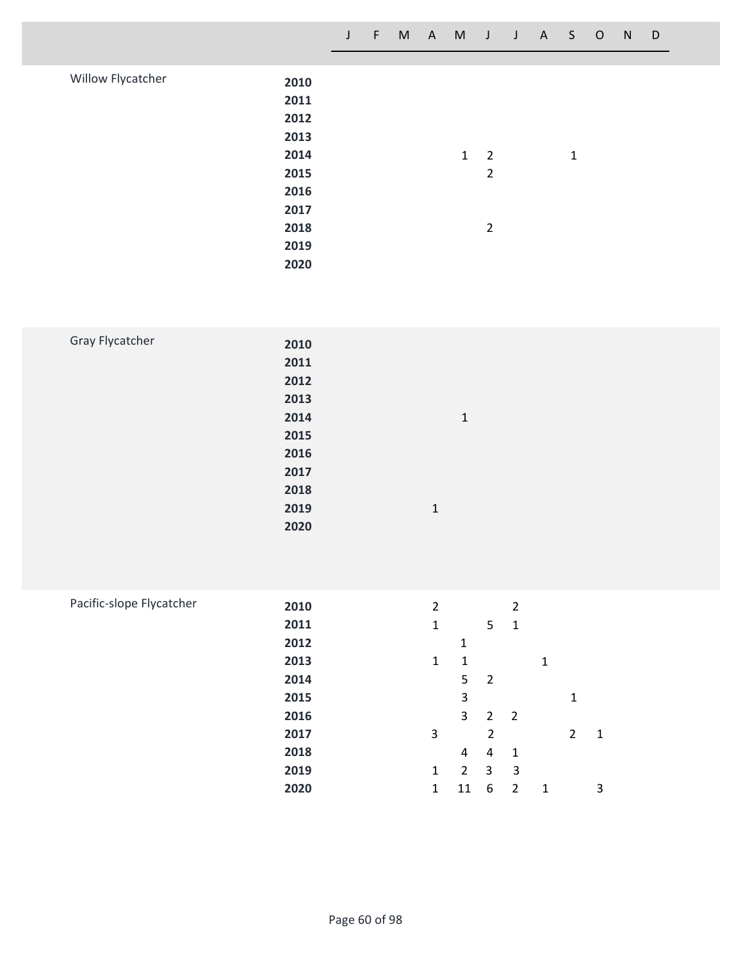|                   |      | J | F. | M | A | M | J              | $\mathsf{J}$ | A — | S.           | $\overline{O}$ | N | D |  |
|-------------------|------|---|----|---|---|---|----------------|--------------|-----|--------------|----------------|---|---|--|
|                   |      |   |    |   |   |   |                |              |     |              |                |   |   |  |
| Willow Flycatcher | 2010 |   |    |   |   |   |                |              |     |              |                |   |   |  |
|                   | 2011 |   |    |   |   |   |                |              |     |              |                |   |   |  |
|                   | 2012 |   |    |   |   |   |                |              |     |              |                |   |   |  |
|                   | 2013 |   |    |   |   |   |                |              |     |              |                |   |   |  |
|                   | 2014 |   |    |   |   | 1 | $\overline{2}$ |              |     | $\mathbf{1}$ |                |   |   |  |
|                   | 2015 |   |    |   |   |   | $\overline{2}$ |              |     |              |                |   |   |  |
|                   | 2016 |   |    |   |   |   |                |              |     |              |                |   |   |  |
|                   | 2017 |   |    |   |   |   |                |              |     |              |                |   |   |  |
|                   | 2018 |   |    |   |   |   | 2              |              |     |              |                |   |   |  |
|                   | 2019 |   |    |   |   |   |                |              |     |              |                |   |   |  |
|                   | 2020 |   |    |   |   |   |                |              |     |              |                |   |   |  |
|                   |      |   |    |   |   |   |                |              |     |              |                |   |   |  |

| <b>Gray Flycatcher</b> |      |              |  |
|------------------------|------|--------------|--|
|                        | 2010 |              |  |
|                        | 2011 |              |  |
|                        | 2012 |              |  |
|                        | 2013 |              |  |
|                        | 2014 | $\mathbf{1}$ |  |
|                        | 2015 |              |  |
|                        | 2016 |              |  |
|                        | 2017 |              |  |
|                        | 2018 |              |  |
|                        | 2019 | $\mathbf{1}$ |  |
|                        | 2020 |              |  |
|                        |      |              |  |

| Pacific-slope Flycatcher | 2010 | 2            |                |                | 2              |   |                |   |
|--------------------------|------|--------------|----------------|----------------|----------------|---|----------------|---|
|                          | 2011 | 1            |                | 5              | $\mathbf{1}$   |   |                |   |
|                          | 2012 |              | 1              |                |                |   |                |   |
|                          | 2013 | $\mathbf{1}$ | 1              |                |                | 1 |                |   |
|                          | 2014 |              | 5              | $\overline{2}$ |                |   |                |   |
|                          | 2015 |              | 3              |                |                |   | 1              |   |
|                          | 2016 |              | $\mathbf{3}$   | $\overline{2}$ | $\overline{2}$ |   |                |   |
|                          | 2017 | 3            |                | 2              |                |   | $\overline{2}$ | 1 |
|                          | 2018 |              | 4              | 4              | 1              |   |                |   |
|                          | 2019 | $\mathbf{1}$ | $\overline{2}$ | 3              | 3              |   |                |   |
|                          | 2020 | 1            | 11             | 6              | $\overline{2}$ | 1 |                | 3 |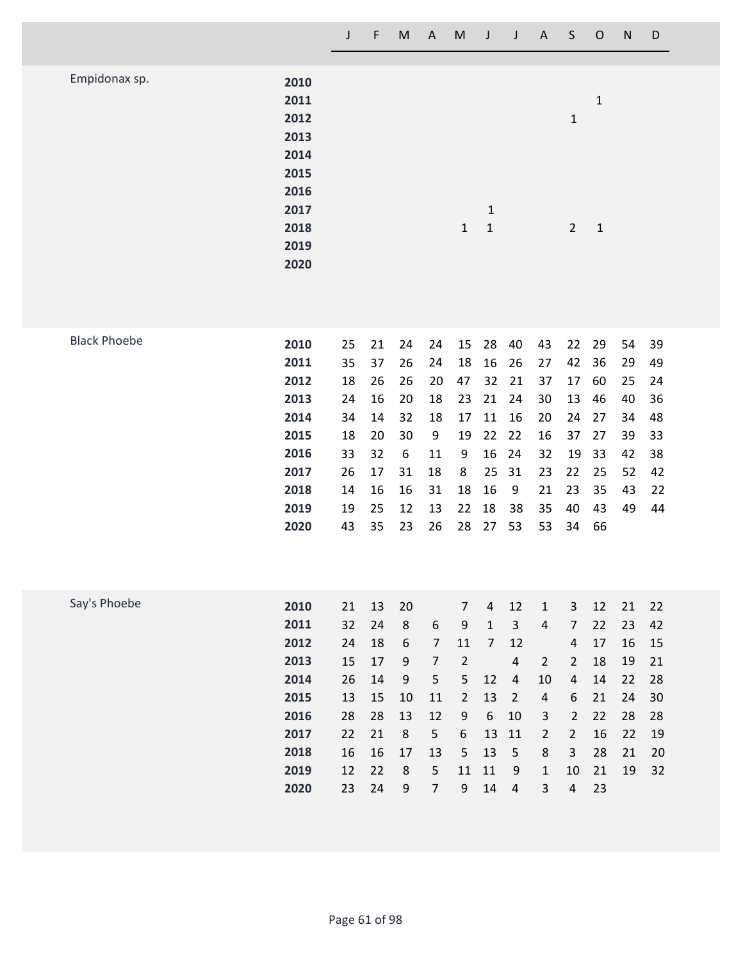|                     |                                                                                      | $\mathsf J$                                                    | $\mathsf F$                                                    | M                                                                                     | A                                                                                                       | ${\sf M}$                                                                                              | $\mathsf J$                                                                                              | $\mathsf J$                                                                                                         | $\overline{A}$                                                                                                          | $\mathsf S$                                                                                                           | $\mathsf{O}$                                                   | $\mathsf{N}$                                             | D                                                        |
|---------------------|--------------------------------------------------------------------------------------|----------------------------------------------------------------|----------------------------------------------------------------|---------------------------------------------------------------------------------------|---------------------------------------------------------------------------------------------------------|--------------------------------------------------------------------------------------------------------|----------------------------------------------------------------------------------------------------------|---------------------------------------------------------------------------------------------------------------------|-------------------------------------------------------------------------------------------------------------------------|-----------------------------------------------------------------------------------------------------------------------|----------------------------------------------------------------|----------------------------------------------------------|----------------------------------------------------------|
| Empidonax sp.       | 2010<br>2011<br>2012<br>2013<br>2014<br>2015<br>2016<br>2017<br>2018<br>2019<br>2020 |                                                                |                                                                |                                                                                       |                                                                                                         | $\mathbf{1}$                                                                                           | $1\,$<br>$\mathbf{1}$                                                                                    |                                                                                                                     |                                                                                                                         | $\mathbf{1}$<br>$\overline{2}$                                                                                        | $\mathbf{1}$<br>$\mathbf 1$                                    |                                                          |                                                          |
| <b>Black Phoebe</b> | 2010<br>2011<br>2012<br>2013<br>2014<br>2015<br>2016<br>2017<br>2018<br>2019<br>2020 | 25<br>35<br>18<br>24<br>34<br>18<br>33<br>26<br>14<br>19<br>43 | 21<br>37<br>26<br>16<br>14<br>20<br>32<br>17<br>16<br>25<br>35 | 24<br>26<br>26<br>20<br>32<br>30<br>6<br>31<br>16<br>12<br>23                         | 24<br>24<br>20<br>18<br>18<br>9<br>11<br>18<br>31<br>13<br>26                                           | 15<br>18<br>47<br>23<br>17<br>19<br>9<br>8<br>18<br>22<br>28                                           | 28<br>16<br>32<br>21<br>11<br>22<br>16<br>25<br>16<br>18<br>27                                           | 40<br>26<br>21<br>24<br>16<br>22<br>24<br>31<br>9<br>38<br>53                                                       | 43<br>27<br>37<br>30<br>20<br>16<br>32<br>23<br>21<br>35<br>53                                                          | 22<br>42<br>17<br>13<br>24<br>37<br>19<br>22<br>23<br>40<br>34                                                        | 29<br>36<br>60<br>46<br>27<br>27<br>33<br>25<br>35<br>43<br>66 | 54<br>29<br>25<br>40<br>34<br>39<br>42<br>52<br>43<br>49 | 39<br>49<br>24<br>36<br>48<br>33<br>38<br>42<br>22<br>44 |
| Say's Phoebe        | 2010<br>2011<br>2012<br>2013<br>2014<br>2015<br>2016<br>2017<br>2018<br>2019<br>2020 | 21<br>32<br>24<br>15<br>26<br>13<br>28<br>22<br>16<br>12<br>23 | 13<br>24<br>18<br>17<br>14<br>15<br>28<br>21<br>16<br>22<br>24 | 20<br>8<br>$\boldsymbol{6}$<br>9<br>$\boldsymbol{9}$<br>10<br>13<br>8<br>17<br>8<br>9 | $\boldsymbol{6}$<br>$\overline{7}$<br>$\overline{7}$<br>5<br>11<br>12<br>5<br>13<br>5<br>$\overline{7}$ | $\overline{7}$<br>9<br>11<br>$\overline{2}$<br>$\mathsf S$<br>$\overline{2}$<br>9<br>6<br>5<br>11<br>9 | $\overline{4}$<br>$\mathbf{1}$<br>$\overline{7}$<br>12<br>13<br>$\boldsymbol{6}$<br>13<br>13<br>11<br>14 | 12<br>$\overline{3}$<br>12<br>$\overline{4}$<br>$\overline{4}$<br>$\overline{2}$<br>10<br>11<br>5<br>9<br>$\pmb{4}$ | $\mathbf{1}$<br>$\overline{4}$<br>$\overline{2}$<br>10<br>4<br>$\mathsf{3}$<br>$\overline{2}$<br>8<br>$\mathbf{1}$<br>3 | 3<br>$\overline{7}$<br>4<br>$\overline{2}$<br>4<br>6<br>$\overline{2}$<br>$\overline{2}$<br>3<br>10<br>$\overline{4}$ | 12<br>22<br>17<br>18<br>14<br>21<br>22<br>16<br>28<br>21<br>23 | 21<br>23<br>16<br>19<br>22<br>24<br>28<br>22<br>21<br>19 | 22<br>42<br>15<br>21<br>28<br>30<br>28<br>19<br>20<br>32 |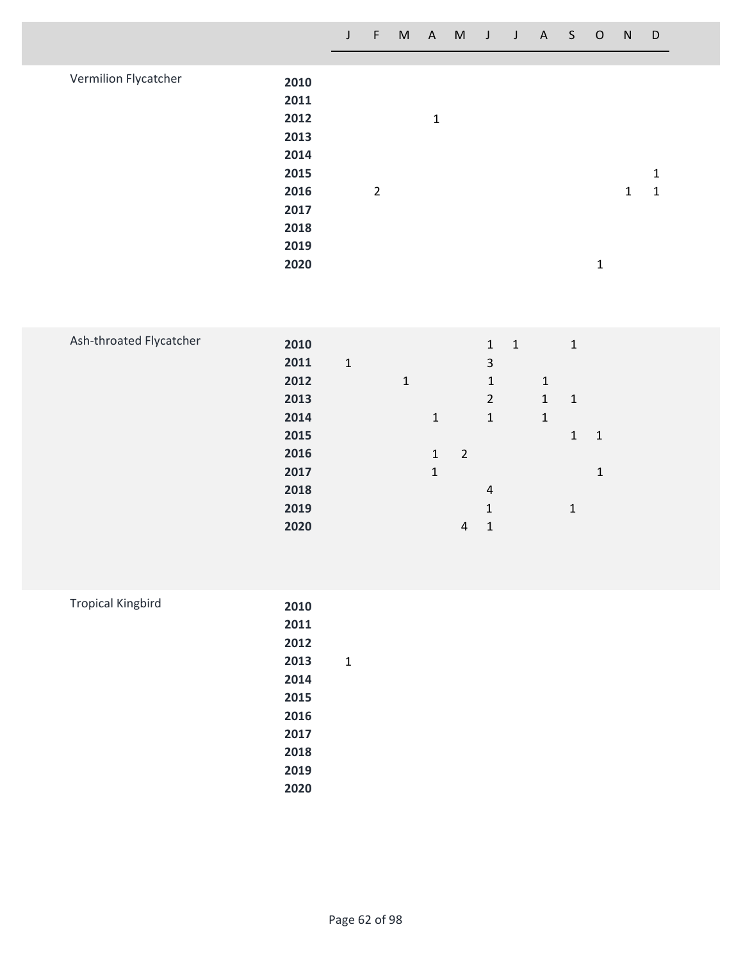|                      |      | J | F              | M | A | M | J | J | $\mathsf{A}$ | S. | $\circ$ | N | D |
|----------------------|------|---|----------------|---|---|---|---|---|--------------|----|---------|---|---|
|                      |      |   |                |   |   |   |   |   |              |    |         |   |   |
| Vermilion Flycatcher | 2010 |   |                |   |   |   |   |   |              |    |         |   |   |
|                      | 2011 |   |                |   |   |   |   |   |              |    |         |   |   |
|                      | 2012 |   |                |   | 1 |   |   |   |              |    |         |   |   |
|                      | 2013 |   |                |   |   |   |   |   |              |    |         |   |   |
|                      | 2014 |   |                |   |   |   |   |   |              |    |         |   |   |
|                      | 2015 |   |                |   |   |   |   |   |              |    |         |   | 1 |
|                      | 2016 |   | $\overline{2}$ |   |   |   |   |   |              |    |         | 1 | 1 |
|                      | 2017 |   |                |   |   |   |   |   |              |    |         |   |   |
|                      | 2018 |   |                |   |   |   |   |   |              |    |         |   |   |
|                      | 2019 |   |                |   |   |   |   |   |              |    |         |   |   |
|                      | 2020 |   |                |   |   |   |   |   |              |    | 1       |   |   |

| Ash-throated Flycatcher | 2010 |              |   |              |                | $\mathbf{1}$   | $\mathbf{1}$ |              | $\mathbf 1$  |              |  |  |
|-------------------------|------|--------------|---|--------------|----------------|----------------|--------------|--------------|--------------|--------------|--|--|
|                         | 2011 | $\mathbf{1}$ |   |              |                | 3              |              |              |              |              |  |  |
|                         | 2012 |              | 1 |              |                | $\mathbf{1}$   |              | 1            |              |              |  |  |
|                         | 2013 |              |   |              |                | $\overline{2}$ |              | $\mathbf{1}$ | $\mathbf{1}$ |              |  |  |
|                         | 2014 |              |   | $\mathbf{1}$ |                | 1              |              | 1            |              |              |  |  |
|                         | 2015 |              |   |              |                |                |              |              | $\mathbf{1}$ | $\mathbf{1}$ |  |  |
|                         | 2016 |              |   | 1            | $\overline{2}$ |                |              |              |              |              |  |  |
|                         | 2017 |              |   | 1            |                |                |              |              |              | 1            |  |  |
|                         | 2018 |              |   |              |                | 4              |              |              |              |              |  |  |
|                         | 2019 |              |   |              |                | 1              |              |              | 1            |              |  |  |
|                         | 2020 |              |   |              | 4              | $\mathbf{1}$   |              |              |              |              |  |  |

| <b>Tropical Kingbird</b> | 2010 |   |
|--------------------------|------|---|
|                          | 2011 |   |
|                          | 2012 |   |
|                          | 2013 | 1 |
|                          | 2014 |   |
|                          | 2015 |   |
|                          | 2016 |   |
|                          | 2017 |   |
|                          | 2018 |   |
|                          | 2019 |   |
|                          | 2020 |   |
|                          |      |   |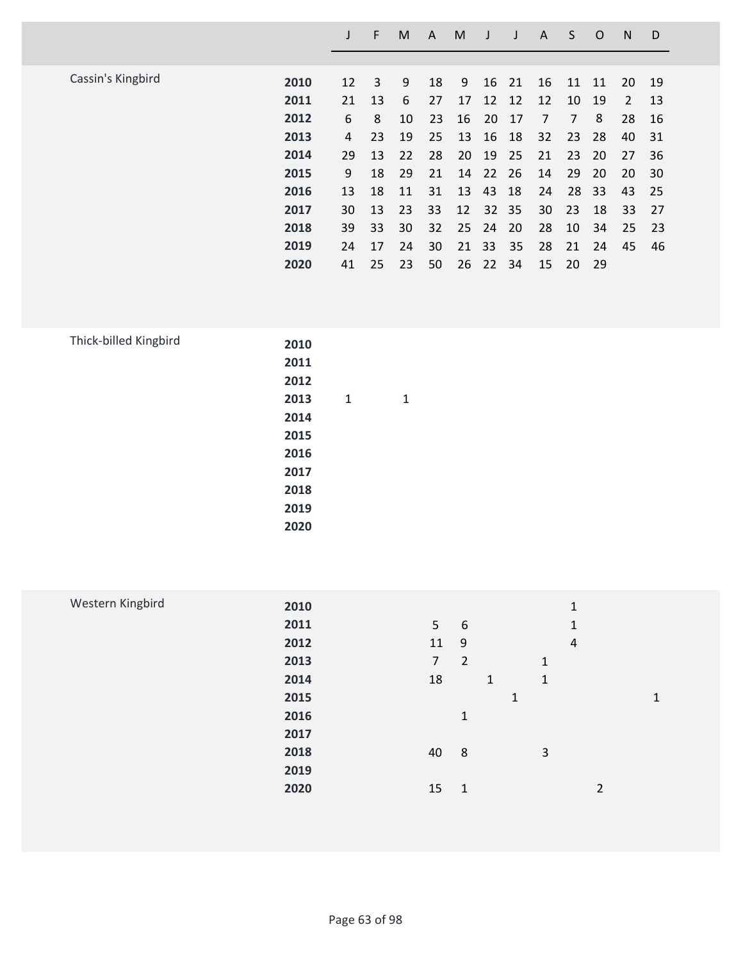|                   |      |    | F  | M  | A  | M  | J  | J  | A  | S  | O   | N  | D  |
|-------------------|------|----|----|----|----|----|----|----|----|----|-----|----|----|
|                   |      |    |    |    |    |    |    |    |    |    |     |    |    |
| Cassin's Kingbird | 2010 | 12 | 3  | 9  | 18 | 9  | 16 | 21 | 16 | 11 | 11  | 20 | 19 |
|                   | 2011 | 21 | 13 | 6  | 27 | 17 | 12 | 12 | 12 | 10 | 19  | 2  | 13 |
|                   | 2012 | 6  | 8  | 10 | 23 | 16 | 20 | 17 | 7  | 7  | 8   | 28 | 16 |
|                   | 2013 | 4  | 23 | 19 | 25 | 13 | 16 | 18 | 32 | 23 | 28  | 40 | 31 |
|                   | 2014 | 29 | 13 | 22 | 28 | 20 | 19 | 25 | 21 | 23 | 20  | 27 | 36 |
|                   | 2015 | 9  | 18 | 29 | 21 | 14 | 22 | 26 | 14 | 29 | 20  | 20 | 30 |
|                   | 2016 | 13 | 18 | 11 | 31 | 13 | 43 | 18 | 24 | 28 | -33 | 43 | 25 |
|                   | 2017 | 30 | 13 | 23 | 33 | 12 | 32 | 35 | 30 | 23 | 18  | 33 | 27 |
|                   | 2018 | 39 | 33 | 30 | 32 | 25 | 24 | 20 | 28 | 10 | 34  | 25 | 23 |
|                   | 2019 | 24 | 17 | 24 | 30 | 21 | 33 | 35 | 28 | 21 | 24  | 45 | 46 |
|                   | 2020 | 41 | 25 | 23 | 50 | 26 | 22 | 34 | 15 | 20 | -29 |    |    |

| 2011 |      |   |  |
|------|------|---|--|
| 2012 |      |   |  |
| 2013 | 1    | 1 |  |
| 2014 |      |   |  |
| 2015 |      |   |  |
| 2016 |      |   |  |
| 2017 |      |   |  |
| 2018 |      |   |  |
| 2019 |      |   |  |
| 2020 |      |   |  |
|      | 2010 |   |  |

| Western Kingbird | 2010 |                |                |   |   |              | 1              |                |   |
|------------------|------|----------------|----------------|---|---|--------------|----------------|----------------|---|
|                  | 2011 | 5              | 6              |   |   |              | $\mathbf{1}$   |                |   |
|                  | 2012 | 11             | 9              |   |   |              | $\overline{4}$ |                |   |
|                  | 2013 | $\overline{7}$ | $\overline{2}$ |   |   | $\mathbf{1}$ |                |                |   |
|                  | 2014 | 18             |                | 1 |   | 1            |                |                |   |
|                  | 2015 |                |                |   | 1 |              |                |                | 1 |
|                  | 2016 |                | 1              |   |   |              |                |                |   |
|                  | 2017 |                |                |   |   |              |                |                |   |
|                  | 2018 | 40             | 8              |   |   | 3            |                |                |   |
|                  | 2019 |                |                |   |   |              |                |                |   |
|                  | 2020 | 15             | $\mathbf{1}$   |   |   |              |                | $\overline{2}$ |   |
|                  |      |                |                |   |   |              |                |                |   |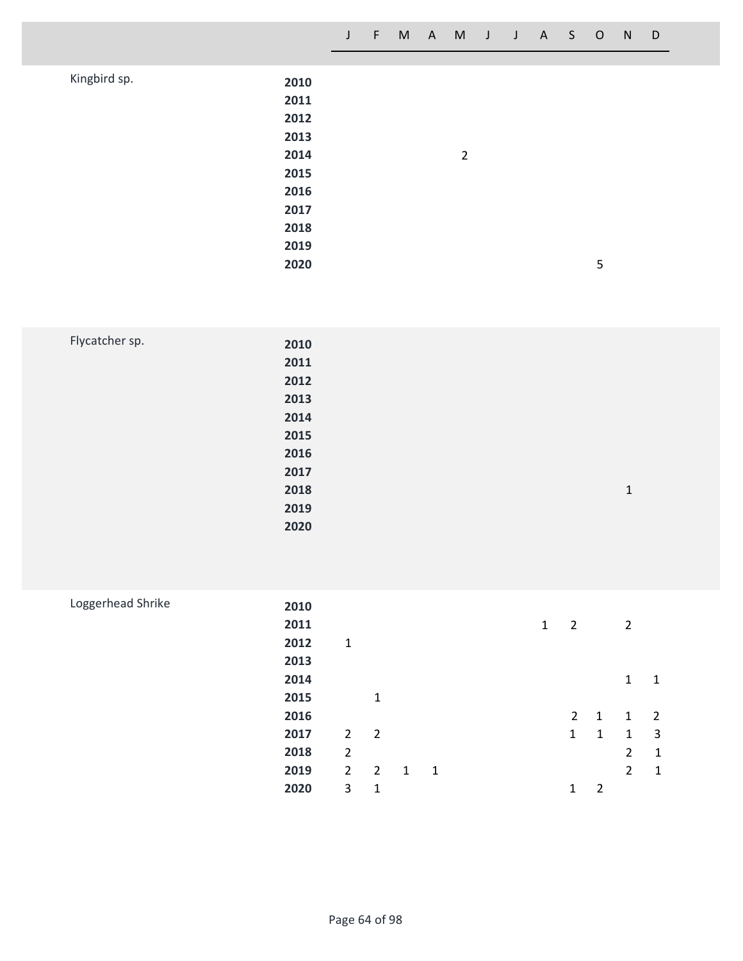|              |      | J | $\P$ |  | M A M J J A S O |  |  |   | N | $\Box$ |
|--------------|------|---|------|--|-----------------|--|--|---|---|--------|
|              |      |   |      |  |                 |  |  |   |   |        |
| Kingbird sp. | 2010 |   |      |  |                 |  |  |   |   |        |
|              | 2011 |   |      |  |                 |  |  |   |   |        |
|              | 2012 |   |      |  |                 |  |  |   |   |        |
|              | 2013 |   |      |  |                 |  |  |   |   |        |
|              | 2014 |   |      |  | $\overline{2}$  |  |  |   |   |        |
|              | 2015 |   |      |  |                 |  |  |   |   |        |
|              | 2016 |   |      |  |                 |  |  |   |   |        |
|              | 2017 |   |      |  |                 |  |  |   |   |        |
|              | 2018 |   |      |  |                 |  |  |   |   |        |
|              | 2019 |   |      |  |                 |  |  |   |   |        |
|              | 2020 |   |      |  |                 |  |  | 5 |   |        |

| Flycatcher sp. | 2010 |       |
|----------------|------|-------|
|                | 2011 |       |
|                | 2012 |       |
|                | 2013 |       |
|                | 2014 |       |
|                | 2015 |       |
|                | 2016 |       |
|                | 2017 |       |
|                | 2018 | $1\,$ |
|                | 2019 |       |
|                | 2020 |       |
|                |      |       |

| Loggerhead Shrike |      |                |                |   |              |  |   |                |                |                |   |
|-------------------|------|----------------|----------------|---|--------------|--|---|----------------|----------------|----------------|---|
|                   | 2010 |                |                |   |              |  |   |                |                |                |   |
|                   | 2011 |                |                |   |              |  | 1 | $\overline{2}$ |                | $\overline{2}$ |   |
|                   | 2012 | $\mathbf 1$    |                |   |              |  |   |                |                |                |   |
|                   | 2013 |                |                |   |              |  |   |                |                |                |   |
|                   | 2014 |                |                |   |              |  |   |                |                | 1              | 1 |
|                   | 2015 |                | $\mathbf{1}$   |   |              |  |   |                |                |                |   |
|                   | 2016 |                |                |   |              |  |   | $\overline{2}$ | $\overline{1}$ | $\mathbf{1}$   | 2 |
|                   | 2017 | $2^{\circ}$    | $\overline{2}$ |   |              |  |   | 1              | 1              | $\mathbf{1}$   | 3 |
|                   | 2018 | $\overline{2}$ |                |   |              |  |   |                |                | $\overline{2}$ | 1 |
|                   | 2019 | $\overline{2}$ | $\overline{2}$ | 1 | $\mathbf{1}$ |  |   |                |                | $\overline{2}$ | 1 |
|                   | 2020 | 3              | 1              |   |              |  |   | 1              | 2              |                |   |
|                   |      |                |                |   |              |  |   |                |                |                |   |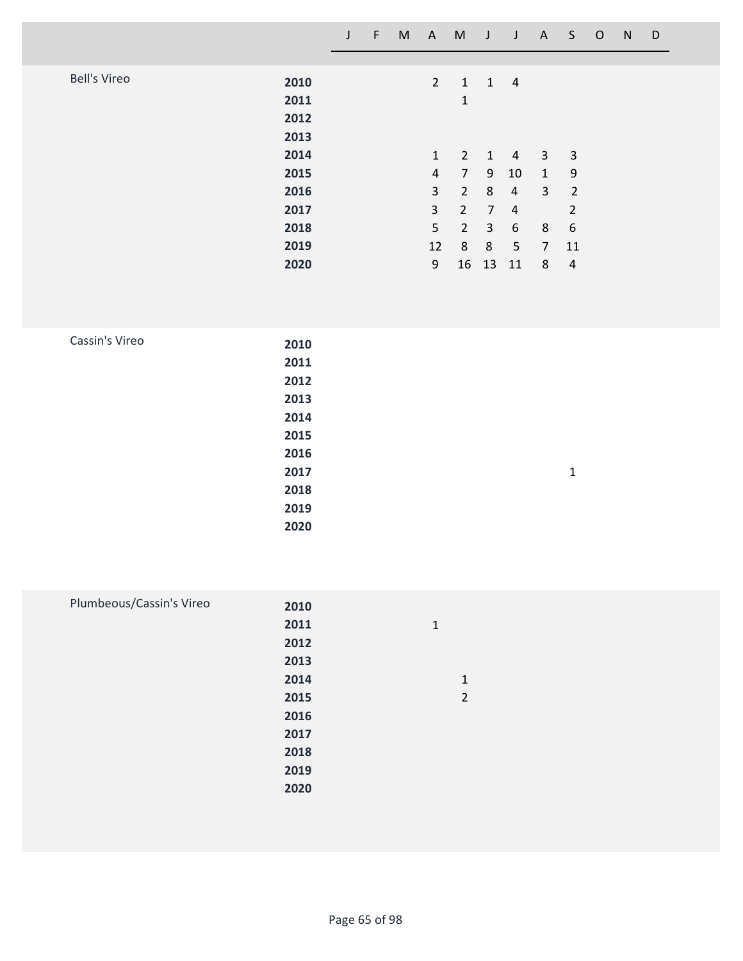|                                                                                                                  | $\mathsf J$ | $\mathsf F$ | M | $\mathsf{A}$                                                                                                      | $M$ J                                                                                                                                         |                                                                                 | $\mathsf J$                                                                                                   | A                                                                              | S                                                                                                                | $\mathsf O$ | ${\sf N}$ | $\mathsf D$ |  |
|------------------------------------------------------------------------------------------------------------------|-------------|-------------|---|-------------------------------------------------------------------------------------------------------------------|-----------------------------------------------------------------------------------------------------------------------------------------------|---------------------------------------------------------------------------------|---------------------------------------------------------------------------------------------------------------|--------------------------------------------------------------------------------|------------------------------------------------------------------------------------------------------------------|-------------|-----------|-------------|--|
| <b>Bell's Vireo</b><br>2010<br>2011<br>2012<br>2013<br>2014<br>2015<br>2016<br>2017<br>2018<br>2019<br>2020      |             |             |   | $\overline{2}$<br>$\mathbf{1}$<br>$\overline{a}$<br>$\mathbf{3}$<br>$\overline{3}$<br>5<br>12<br>$\boldsymbol{9}$ | $\mathbf{1}$<br>$\mathbf 1$<br>$\overline{2}$<br>$\overline{7}$<br>$\overline{2}$<br>$\overline{2}$<br>$\overline{2}$<br>$8\phantom{1}$<br>16 | $\mathbf{1}$<br>9<br>$\,8\,$<br>$\overline{7}$<br>$\mathbf{3}$<br>$\,8\,$<br>13 | $1 \quad 4$<br>$\overline{a}$<br>$10\,$<br>$\overline{a}$<br>$\overline{4}$<br>$6\,$<br>$5\phantom{.0}$<br>11 | $\mathbf{3}$<br>$\mathbf{1}$<br>$\mathbf{3}$<br>8<br>$\overline{7}$<br>$\bf 8$ | $\mathsf{3}$<br>$\boldsymbol{9}$<br>$\overline{2}$<br>$\overline{2}$<br>$\boldsymbol{6}$<br>11<br>$\overline{4}$ |             |           |             |  |
| Cassin's Vireo<br>2010<br>2011<br>2012<br>2013<br>2014<br>2015<br>2016<br>2017<br>2018<br>2019<br>2020           |             |             |   |                                                                                                                   |                                                                                                                                               |                                                                                 |                                                                                                               |                                                                                | $\mathbf 1$                                                                                                      |             |           |             |  |
| Plumbeous/Cassin's Vireo<br>2010<br>2011<br>2012<br>2013<br>2014<br>2015<br>2016<br>2017<br>2018<br>2019<br>2020 |             |             |   | $\mathbf 1$                                                                                                       | $\mathbf 1$<br>$\overline{2}$                                                                                                                 |                                                                                 |                                                                                                               |                                                                                |                                                                                                                  |             |           |             |  |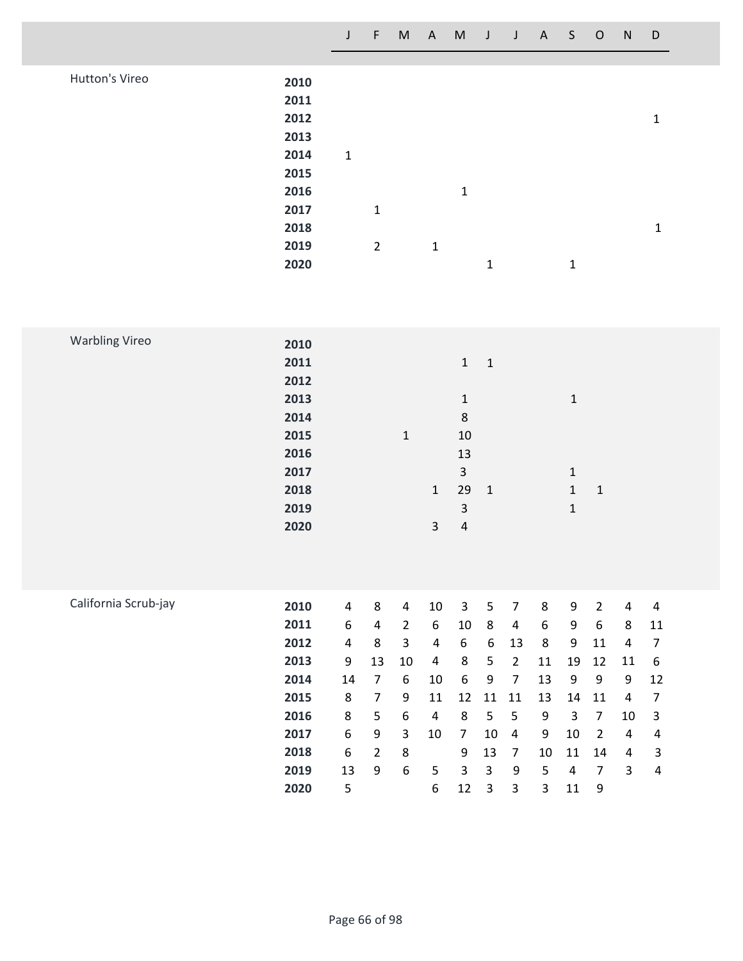|                |      | J           | $-F$           | M | A M          |              | $\mathsf{J}$ | J A S O |   | ${\sf N}$ | D |
|----------------|------|-------------|----------------|---|--------------|--------------|--------------|---------|---|-----------|---|
|                |      |             |                |   |              |              |              |         |   |           |   |
| Hutton's Vireo | 2010 |             |                |   |              |              |              |         |   |           |   |
|                | 2011 |             |                |   |              |              |              |         |   |           |   |
|                | 2012 |             |                |   |              |              |              |         |   |           | 1 |
|                | 2013 |             |                |   |              |              |              |         |   |           |   |
|                | 2014 | $\mathbf 1$ |                |   |              |              |              |         |   |           |   |
|                | 2015 |             |                |   |              |              |              |         |   |           |   |
|                | 2016 |             |                |   |              | $\mathbf{1}$ |              |         |   |           |   |
|                | 2017 |             | $\mathbf{1}$   |   |              |              |              |         |   |           |   |
|                | 2018 |             |                |   |              |              |              |         |   |           | 1 |
|                | 2019 |             | $\overline{2}$ |   | $\mathbf{1}$ |              |              |         |   |           |   |
|                |      |             |                |   |              |              |              |         |   |           |   |
|                | 2020 |             |                |   |              |              | $\mathbf{1}$ |         | 1 |           |   |

| <b>Warbling Vireo</b> | 2010 |                         |                         |                |                         |                |                  |                |                  |                  |                |                         |                  |  |
|-----------------------|------|-------------------------|-------------------------|----------------|-------------------------|----------------|------------------|----------------|------------------|------------------|----------------|-------------------------|------------------|--|
|                       | 2011 |                         |                         |                |                         | $\mathbf{1}$   | $\mathbf{1}$     |                |                  |                  |                |                         |                  |  |
|                       | 2012 |                         |                         |                |                         |                |                  |                |                  |                  |                |                         |                  |  |
|                       | 2013 |                         |                         |                |                         | $\mathbf 1$    |                  |                |                  | $\mathbf 1$      |                |                         |                  |  |
|                       | 2014 |                         |                         |                |                         | $\bf 8$        |                  |                |                  |                  |                |                         |                  |  |
|                       | 2015 |                         |                         | $\mathbf{1}$   |                         | $10\,$         |                  |                |                  |                  |                |                         |                  |  |
|                       | 2016 |                         |                         |                |                         | 13             |                  |                |                  |                  |                |                         |                  |  |
|                       | 2017 |                         |                         |                |                         | 3              |                  |                |                  | $\mathbf{1}$     |                |                         |                  |  |
|                       | 2018 |                         |                         |                | $\mathbf 1$             | 29             | $\mathbf 1$      |                |                  | $\mathbf 1$      | $\mathbf 1$    |                         |                  |  |
|                       | 2019 |                         |                         |                |                         | $\mathsf{3}$   |                  |                |                  | $\mathbf 1$      |                |                         |                  |  |
|                       | 2020 |                         |                         |                | $\overline{3}$          | $\overline{4}$ |                  |                |                  |                  |                |                         |                  |  |
|                       |      |                         |                         |                |                         |                |                  |                |                  |                  |                |                         |                  |  |
|                       |      |                         |                         |                |                         |                |                  |                |                  |                  |                |                         |                  |  |
|                       |      |                         |                         |                |                         |                |                  |                |                  |                  |                |                         |                  |  |
| California Scrub-jay  |      |                         |                         |                |                         |                |                  |                |                  |                  |                |                         |                  |  |
|                       | 2010 | $\overline{\mathbf{4}}$ | 8                       | $\overline{4}$ | $10\,$                  | 3              | 5                | $\overline{7}$ | 8                | $\boldsymbol{9}$ | $\overline{2}$ | $\pmb{4}$               | $\overline{a}$   |  |
|                       | 2011 | $\boldsymbol{6}$        | $\overline{\mathbf{4}}$ | $\overline{2}$ | $\boldsymbol{6}$        | 10             | $\,8\,$          | 4              | $\boldsymbol{6}$ | $\boldsymbol{9}$ | 6              | 8                       | $11\,$           |  |
|                       | 2012 | $\pmb{4}$               | 8                       | 3              | $\overline{a}$          | 6              | 6                | 13             | 8                | 9                | 11             | $\overline{a}$          | $\overline{7}$   |  |
|                       | 2013 | 9                       | 13                      | 10             | $\overline{\mathbf{4}}$ | 8              | 5                | $\overline{2}$ | 11               | 19               | 12             | $11\,$                  | $\boldsymbol{6}$ |  |
|                       | 2014 | 14                      | $\overline{7}$          | 6              | $10\,$                  | 6              | $\boldsymbol{9}$ | $\overline{7}$ | 13               | $\boldsymbol{9}$ | 9              | $\boldsymbol{9}$        | 12               |  |
|                       | 2015 | 8                       | $\overline{7}$          | 9              | 11                      | 12             | 11               | 11             | 13               | 14               | 11             | $\overline{\mathbf{4}}$ | 7                |  |
|                       |      |                         |                         |                |                         |                |                  |                |                  |                  |                |                         |                  |  |

 **8 5 6 4 8 5 5 9 3 7 10 3 6 9 3 10 7 10 4 9 10 2 4 4 6 2 8 9 13 7 10 11 14 4 3 13 9 6 5 3 3 9 5 4 7 3 4**

**5 6 12 3 3 3 11 9**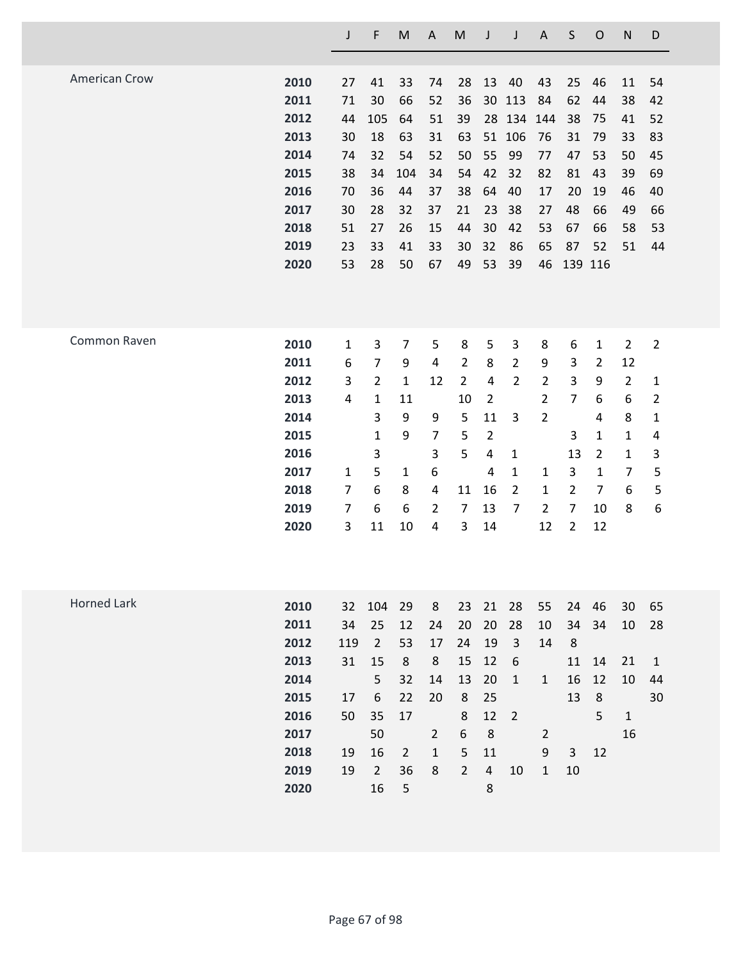|                      |      | J            | F              | ${\sf M}$      | A              | M              | J              | J                | $\mathsf{A}$   | $\sf S$        | $\mathsf O$    | $\mathsf{N}$   | D              |
|----------------------|------|--------------|----------------|----------------|----------------|----------------|----------------|------------------|----------------|----------------|----------------|----------------|----------------|
| <b>American Crow</b> |      |              |                |                |                |                |                |                  |                |                |                |                |                |
|                      | 2010 | 27           | 41             | 33             | 74             | 28             | 13             | 40               | 43             | 25             | 46             | 11             | 54             |
|                      | 2011 | 71           | 30             | 66             | 52             | 36             | 30             | 113              | 84             | 62             | 44             | 38             | 42             |
|                      | 2012 | 44           | 105            | 64             | 51             | 39             | 28             | 134              | 144            | 38             | 75             | 41             | 52             |
|                      | 2013 | 30           | 18             | 63             | 31             | 63             |                | 51 106           | 76             | 31             | 79             | 33             | 83             |
|                      | 2014 | 74           | 32             | 54             | 52             | 50             | 55             | 99               | 77             | 47             | 53             | 50             | 45             |
|                      | 2015 | 38           | 34             | 104            | 34             | 54             | 42             | 32               | 82             | 81             | 43             | 39             | 69             |
|                      | 2016 | 70           | 36             | 44             | 37             | 38             | 64             | 40               | 17             | 20             | 19             | 46             | 40             |
|                      | 2017 | 30           | 28             | 32             | 37             | 21             | 23             | 38               | 27             | 48             | 66             | 49             | 66             |
|                      | 2018 | 51           | 27             | 26             | 15             | 44             | 30             | 42               | 53             | 67             | 66             | 58             | 53             |
|                      | 2019 | 23           | 33             | 41             | 33             | 30             | 32             | 86               | 65             | 87             | 52             | 51             | 44             |
|                      | 2020 | 53           | 28             | 50             | 67             | 49             | 53             | 39               | 46             | 139 116        |                |                |                |
|                      |      |              |                |                |                |                |                |                  |                |                |                |                |                |
| Common Raven         | 2010 | $\mathbf{1}$ | 3              | $\overline{7}$ | 5              | 8              | 5              | 3                | 8              | 6              | $\mathbf{1}$   | $\overline{2}$ | $\overline{2}$ |
|                      | 2011 | 6            | $\overline{7}$ | 9              | 4              | $\overline{2}$ | 8              | $\overline{2}$   | 9              | 3              | $\overline{2}$ | 12             |                |
|                      | 2012 | 3            | $\overline{2}$ | $\mathbf{1}$   | 12             | $\overline{2}$ | $\overline{4}$ | $\overline{2}$   | $\overline{2}$ | 3              | 9              | $\overline{2}$ | 1              |
|                      | 2013 | 4            | $\mathbf{1}$   | 11             |                | 10             | $\overline{2}$ |                  | $\overline{2}$ | $\overline{7}$ | 6              | 6              | $\overline{2}$ |
|                      | 2014 |              | 3              | 9              | 9              | 5              | 11             | 3                | $\overline{2}$ |                | $\overline{4}$ | 8              | 1              |
|                      | 2015 |              | 1              | 9              | $\overline{7}$ | 5              | $\overline{2}$ |                  |                | 3              | $\mathbf{1}$   | $\mathbf 1$    | 4              |
|                      | 2016 |              | 3              |                | 3              | 5              | 4              | $\mathbf{1}$     |                | 13             | $\overline{2}$ | $\mathbf 1$    | 3              |
|                      | 2017 | 1            | 5              | 1              | 6              |                | 4              | $\mathbf{1}$     | 1              | 3              | $\mathbf{1}$   | $\overline{7}$ | 5              |
|                      | 2018 | 7            | 6              | 8              | 4              | 11             | 16             | $\overline{2}$   | $\mathbf{1}$   | $\overline{2}$ | $\overline{7}$ | 6              | 5              |
|                      | 2019 | 7            | 6              | 6              | $\overline{2}$ | 7              | 13             | $\overline{7}$   | $\overline{2}$ | 7              | 10             | 8              | 6              |
|                      | 2020 | 3            | 11             | 10             | 4              | 3              | 14             |                  | 12             | $\overline{2}$ | 12             |                |                |
|                      |      |              |                |                |                |                |                |                  |                |                |                |                |                |
| <b>Horned Lark</b>   | 2010 | 32           | 104            | 29             | 8              | 23             | 21             | 28               | 55             | 24             | 46             | 30             | 65             |
|                      | 2011 | 34           | 25             | 12             | 24             | 20             | 20             | 28               | 10             | 34             | 34             | 10             | 28             |
|                      | 2012 | 119          | $\overline{2}$ | 53             | 17             | 24             | 19             | $\mathbf{3}$     | 14             | $\,8\,$        |                |                |                |
|                      | 2013 | 31           | 15             | 8              | 8              | 15             | 12             | $\boldsymbol{6}$ |                | 11             | 14             | 21             | $\mathbf{1}$   |
|                      | 2014 |              | 5              | 32             | 14             | 13             | 20             | $\mathbf 1$      | $\mathbf{1}$   | 16             | 12             | 10             | 44             |
|                      | 2015 | 17           | 6              | 22             | 20             | 8              | 25             |                  |                | 13             | $\,8\,$        |                | 30             |
|                      | 2016 | 50           | 35             | 17             |                | $\,8\,$        | 12             | $\overline{2}$   |                |                | 5              | $\mathbf{1}$   |                |
|                      | 2017 |              | 50             |                | $\overline{2}$ | 6              | $\,8\,$        |                  | $\overline{2}$ |                |                | 16             |                |
|                      | 2018 | 19           | 16             | $\overline{2}$ | $\mathbf 1$    | 5              | 11             |                  | 9              | $\overline{3}$ | 12             |                |                |
|                      | 2019 | 19           | $\overline{2}$ | 36             | 8              | $\overline{2}$ | $\overline{4}$ | 10               | $\mathbf{1}$   | 10             |                |                |                |
|                      | 2020 |              | 16             | 5              |                |                | 8              |                  |                |                |                |                |                |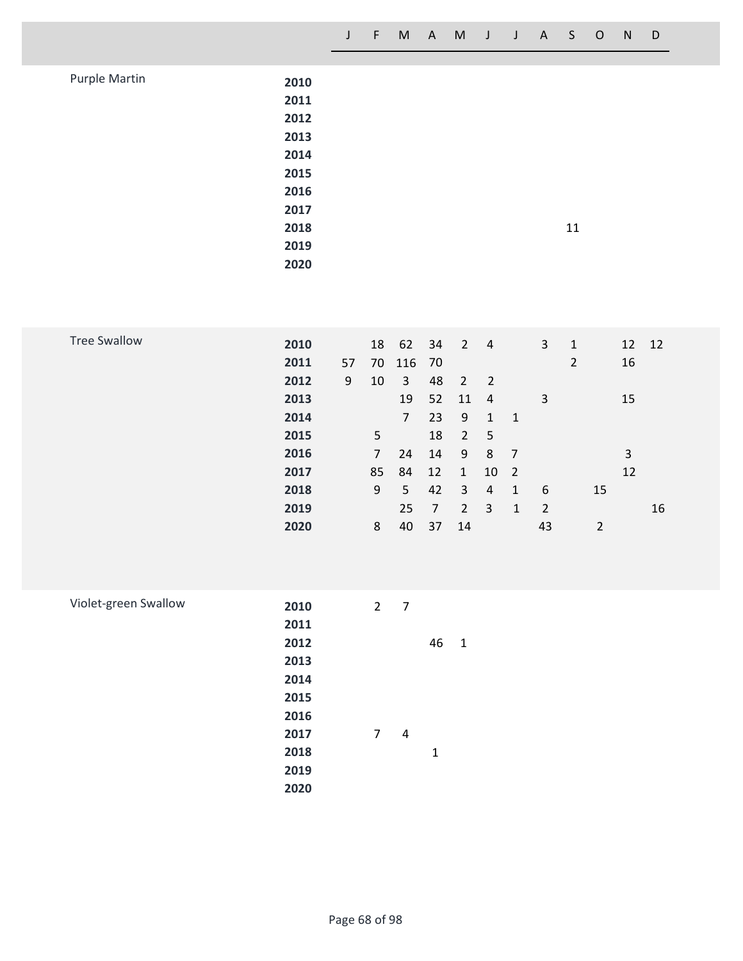|  | J F M A M J J A S O N D |  |  |  |  |  |
|--|-------------------------|--|--|--|--|--|
|  |                         |  |  |  |  |  |

| Purple Martin | 2010 |    |
|---------------|------|----|
|               | 2011 |    |
|               | 2012 |    |
|               | 2013 |    |
|               | 2014 |    |
|               | 2015 |    |
|               | 2016 |    |
|               | 2017 |    |
|               | 2018 | 11 |
|               | 2019 |    |
|               | 2020 |    |

| <b>Tree Swallow</b> | 2010 |    | 18             | 62             | 34 | $\overline{2}$ | 4              |                | 3  | $\mathbf{1}$   | 12 | 12 |
|---------------------|------|----|----------------|----------------|----|----------------|----------------|----------------|----|----------------|----|----|
|                     | 2011 | 57 | 70             | 116 70         |    |                |                |                |    | $\overline{2}$ | 16 |    |
|                     | 2012 | 9  | 10             | 3              | 48 | $\overline{2}$ | - 2            |                |    |                |    |    |
|                     | 2013 |    |                | 19             | 52 | 11             | $\overline{a}$ |                | 3  |                | 15 |    |
|                     | 2014 |    |                | $\overline{7}$ | 23 | 9              | 1              | 1              |    |                |    |    |
|                     | 2015 |    | 5              |                | 18 | $\overline{2}$ | 5              |                |    |                |    |    |
|                     | 2016 |    | $\overline{7}$ | 24             | 14 | 9              | 8              | 7              |    |                | 3  |    |
|                     | 2017 |    | 85             | 84             | 12 | $\mathbf{1}$   | 10             | $\overline{2}$ |    |                | 12 |    |
|                     | 2018 |    | 9              | 5              | 42 | 3              | 4              | 1              | 6  | 15             |    |    |
|                     | 2019 |    |                | 25             | 7  | $\overline{2}$ | 3              | 1              | 2  |                |    | 16 |
|                     | 2020 |    | 8              | 40             | 37 | 14             |                |                | 43 | 2              |    |    |
|                     |      |    |                |                |    |                |                |                |    |                |    |    |

| Violet-green Swallow | 2010 | $\overline{2}$ | 7 |    |   |
|----------------------|------|----------------|---|----|---|
|                      | 2011 |                |   |    |   |
|                      | 2012 |                |   | 46 | 1 |
|                      | 2013 |                |   |    |   |
|                      | 2014 |                |   |    |   |
|                      | 2015 |                |   |    |   |
|                      | 2016 |                |   |    |   |
|                      | 2017 | 7              | 4 |    |   |
|                      | 2018 |                |   | 1  |   |
|                      | 2019 |                |   |    |   |
|                      | 2020 |                |   |    |   |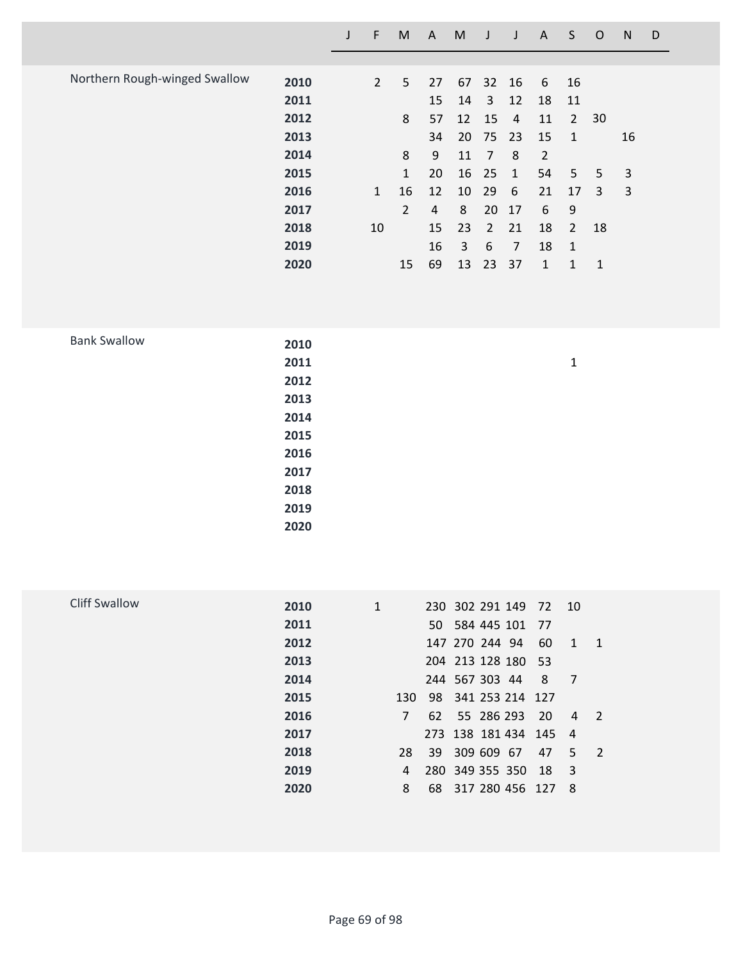| Northern Rough-winged Swallow | 2010 | $2^{\circ}$  | 5              | 27 | 67 |                | 32 16        | 6  | 16             |    |    |
|-------------------------------|------|--------------|----------------|----|----|----------------|--------------|----|----------------|----|----|
|                               | 2011 |              |                | 15 | 14 | 3              | 12           | 18 | 11             |    |    |
|                               | 2012 |              | 8              | 57 | 12 | 15             | 4            | 11 | $\overline{2}$ | 30 |    |
|                               | 2013 |              |                | 34 | 20 | 75 23          |              | 15 | 1              |    | 16 |
|                               | 2014 |              | 8              | 9  | 11 | 7              | 8            | 2  |                |    |    |
|                               | 2015 |              | 1              | 20 | 16 | 25             | $\mathbf{1}$ | 54 | 5              | 5  | 3  |
|                               | 2016 | $\mathbf{1}$ | 16             | 12 | 10 | 29             | 6            | 21 | 17             | 3  | 3  |
|                               | 2017 |              | $\overline{2}$ | 4  | 8  | 20             | 17           | 6  | 9              |    |    |
|                               | 2018 | 10           |                | 15 | 23 | $\overline{2}$ | 21           | 18 | $\overline{2}$ | 18 |    |
|                               | 2019 |              |                | 16 | 3  | 6              | 7            | 18 | 1              |    |    |
|                               | 2020 |              | 15             | 69 | 13 | 23             | 37           | 1  | 1              | 1  |    |

**J F M A M J J A S O N D**

| <b>Bank Swallow</b> | 2010 |              |
|---------------------|------|--------------|
|                     | 2011 | $\mathbf{1}$ |
|                     | 2012 |              |
|                     | 2013 |              |
|                     | 2014 |              |
|                     | 2015 |              |
|                     | 2016 |              |
|                     | 2017 |              |
|                     | 2018 |              |
|                     | 2019 |              |
|                     | 2020 |              |
|                     |      |              |

| Cliff Swallow | 2010 | $\mathbf{1}$ |      | 230 302 291 149 72 10 |     |                |                            |
|---------------|------|--------------|------|-----------------------|-----|----------------|----------------------------|
|               | 2011 |              |      | 50 584 445 101 77     |     |                |                            |
|               | 2012 |              |      | 147 270 244 94        | 60  | $\sim$ 1       | $\overline{1}$             |
|               | 2013 |              |      | 204 213 128 180 53    |     |                |                            |
|               | 2014 |              |      | 244 567 303 44        | 8   | $\overline{7}$ |                            |
|               | 2015 | 130          |      | 98 341 253 214 127    |     |                |                            |
|               | 2016 | 7            |      | 62 55 286 293         | -20 | 4              | - 2                        |
|               | 2017 |              |      | 273 138 181 434 145   |     | 4              |                            |
|               | 2018 | 28           | 39 · | 309 609 67            | 47  | 5              | $\overline{\phantom{0}}^2$ |
|               | 2019 | 4            |      | 280 349 355 350       | 18  | 3              |                            |
|               | 2020 | 8            | 68   | 317 280 456 127       |     | 8              |                            |
|               |      |              |      |                       |     |                |                            |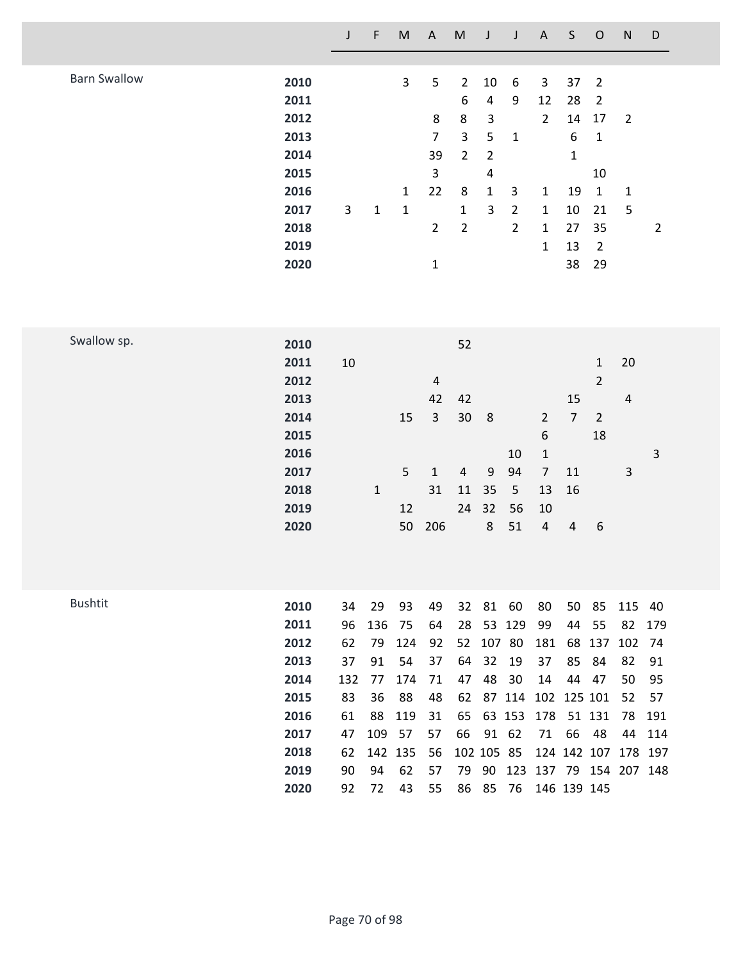|                     |                                                                                      | J                                                               | F                                                                     | M                                                           | $\mathsf A$                                                                | ${\sf M}$                                                                                                          | J                                                                                                         | J                                                                             | $\mathsf A$                                                                                       | $\sf S$                                                                          | $\mathsf O$                                                                                                     | ${\sf N}$                                                                           | D                                               |
|---------------------|--------------------------------------------------------------------------------------|-----------------------------------------------------------------|-----------------------------------------------------------------------|-------------------------------------------------------------|----------------------------------------------------------------------------|--------------------------------------------------------------------------------------------------------------------|-----------------------------------------------------------------------------------------------------------|-------------------------------------------------------------------------------|---------------------------------------------------------------------------------------------------|----------------------------------------------------------------------------------|-----------------------------------------------------------------------------------------------------------------|-------------------------------------------------------------------------------------|-------------------------------------------------|
| <b>Barn Swallow</b> | 2010<br>2011<br>2012<br>2013<br>2014<br>2015<br>2016<br>2017<br>2018<br>2019<br>2020 | 3                                                               | $\mathbf 1$                                                           | 3<br>$\mathbf{1}$<br>$\mathbf 1$                            | 5<br>8<br>$\overline{7}$<br>39<br>3<br>22<br>$\overline{2}$<br>$\mathbf 1$ | $\overline{2}$<br>$\boldsymbol{6}$<br>8<br>$\overline{3}$<br>$\overline{2}$<br>8<br>$\mathbf{1}$<br>$\overline{2}$ | 10<br>4<br>$\ensuremath{\mathsf{3}}$<br>5<br>$\overline{2}$<br>$\pmb{4}$<br>$\mathbf 1$<br>$\overline{3}$ | $\boldsymbol{6}$<br>9<br>$\mathbf 1$<br>3<br>$\overline{2}$<br>$\overline{2}$ | 3<br>12<br>$\overline{2}$<br>$\mathbf{1}$<br>$\mathbf{1}$<br>$\mathbf{1}$<br>$\mathbf{1}$         | 37<br>28<br>14<br>$\boldsymbol{6}$<br>$\mathbf{1}$<br>19<br>10<br>27<br>13<br>38 | $\overline{2}$<br>$\overline{2}$<br>17<br>$\mathbf{1}$<br>10<br>$\mathbf 1$<br>21<br>35<br>$\overline{2}$<br>29 | $\overline{2}$<br>$\mathbf{1}$<br>5                                                 | $\overline{2}$                                  |
| Swallow sp.         | 2010<br>2011<br>2012<br>2013<br>2014<br>2015<br>2016<br>2017<br>2018<br>2019<br>2020 | 10                                                              | $\mathbf{1}$                                                          | 15<br>5<br>12<br>50                                         | $\sqrt{4}$<br>42<br>$\overline{3}$<br>$\mathbf{1}$<br>31<br>206            | 52<br>42<br>30<br>$\overline{4}$<br>$11\,$<br>24                                                                   | 8<br>9<br>35<br>32<br>8                                                                                   | 10<br>94<br>5<br>56<br>51                                                     | $\overline{2}$<br>$\boldsymbol{6}$<br>$\mathbf 1$<br>$\overline{7}$<br>13<br>10<br>$\overline{4}$ | 15<br>$\overline{7}$<br>11<br>16<br>$\overline{4}$                               | $\mathbf{1}$<br>$\overline{2}$<br>$\overline{2}$<br>18<br>$\boldsymbol{6}$                                      | 20<br>$\overline{4}$<br>3                                                           | 3                                               |
| <b>Bushtit</b>      | 2010<br>2011<br>2012<br>2013<br>2014<br>2015<br>2016<br>2017<br>2018<br>2019<br>2020 | 34<br>96<br>62<br>37<br>132<br>83<br>61<br>47<br>62<br>90<br>92 | 29<br>136<br>79<br>91<br>77<br>36<br>88<br>109<br>142 135<br>94<br>72 | 93<br>75<br>124<br>54<br>174<br>88<br>119<br>57<br>62<br>43 | 49<br>64<br>92<br>37<br>71<br>48<br>31<br>57<br>56<br>57<br>55             | 32<br>28<br>52<br>64<br>47<br>62<br>65<br>66<br>79<br>86                                                           | 81<br>107 80<br>32<br>48<br>102 105 85<br>90<br>85                                                        | 60<br>53 129<br>19<br>30<br>87 114<br>63 153<br>91 62<br>76                   | 80<br>99<br>181<br>37<br>14<br>178<br>71                                                          | 50<br>44<br>68<br>85<br>44<br>102 125 101<br>66<br>124 142 107<br>146 139 145    | 85<br>55<br>137<br>84<br>47<br>51 131<br>48                                                                     | 115<br>82<br>102<br>82<br>50<br>52<br>78<br>44<br>178 197<br>123 137 79 154 207 148 | 40<br>179<br>74<br>91<br>95<br>57<br>191<br>114 |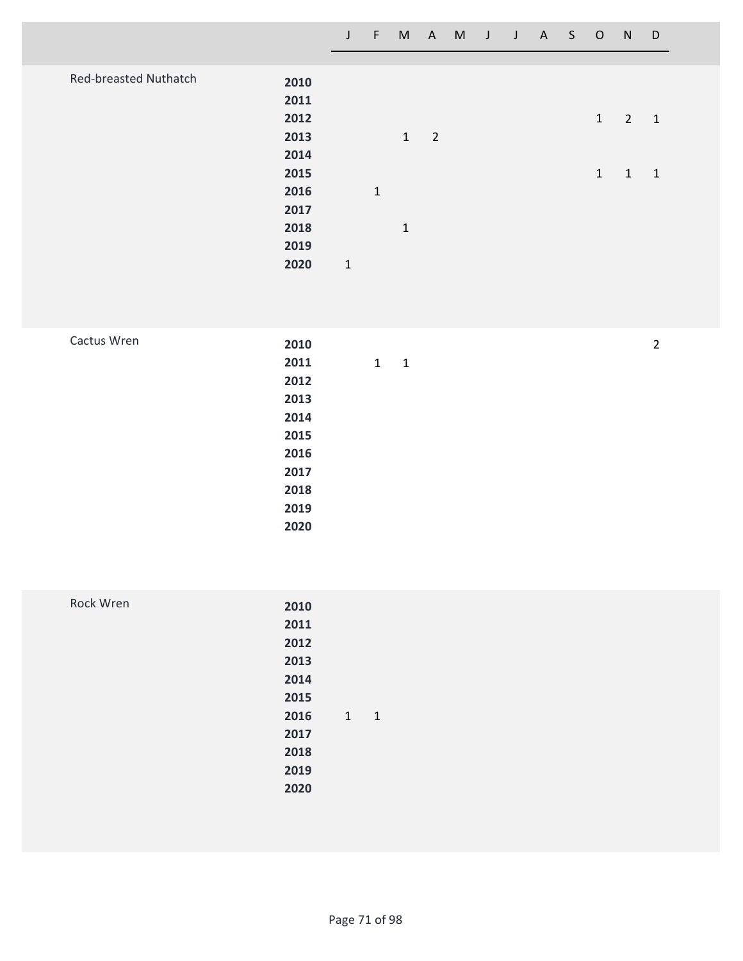|                              |      | $\mathsf{J}$ | $\mathsf{F}$ | M            |                          | A M J J A S O |  |  |              | N              | D            |
|------------------------------|------|--------------|--------------|--------------|--------------------------|---------------|--|--|--------------|----------------|--------------|
|                              |      |              |              |              |                          |               |  |  |              |                |              |
| <b>Red-breasted Nuthatch</b> | 2010 |              |              |              |                          |               |  |  |              |                |              |
|                              | 2011 |              |              |              |                          |               |  |  |              |                |              |
|                              | 2012 |              |              |              |                          |               |  |  | $\mathbf{1}$ | $\overline{2}$ | $\mathbf{1}$ |
|                              | 2013 |              |              | $\mathbf{1}$ | $\overline{\phantom{0}}$ |               |  |  |              |                |              |
|                              | 2014 |              |              |              |                          |               |  |  |              |                |              |
|                              | 2015 |              |              |              |                          |               |  |  | $\mathbf{1}$ | $\mathbf{1}$   | 1            |
|                              | 2016 |              | $1\,$        |              |                          |               |  |  |              |                |              |
|                              | 2017 |              |              |              |                          |               |  |  |              |                |              |
|                              | 2018 |              |              | $\mathbf{1}$ |                          |               |  |  |              |                |              |
|                              | 2019 |              |              |              |                          |               |  |  |              |                |              |
|                              | 2020 | $\mathbf{1}$ |              |              |                          |               |  |  |              |                |              |

| Cactus Wren | 2010 |                              | $\overline{2}$ |
|-------------|------|------------------------------|----------------|
|             | 2011 | $\mathbf{1}$<br>$\mathbf{1}$ |                |
|             | 2012 |                              |                |
|             | 2013 |                              |                |
|             | 2014 |                              |                |
|             | 2015 |                              |                |
|             | 2016 |                              |                |
|             | 2017 |                              |                |
|             | 2018 |                              |                |
|             | 2019 |                              |                |
|             | 2020 |                              |                |

| Rock Wren | 2010                |  |
|-----------|---------------------|--|
|           | 2011                |  |
|           | 2012                |  |
|           | 2013                |  |
|           | 2014                |  |
|           | 2015                |  |
|           | 2016<br>$1 \quad 1$ |  |
|           | 2017                |  |
|           | 2018                |  |
|           | 2019                |  |
|           | 2020                |  |
|           |                     |  |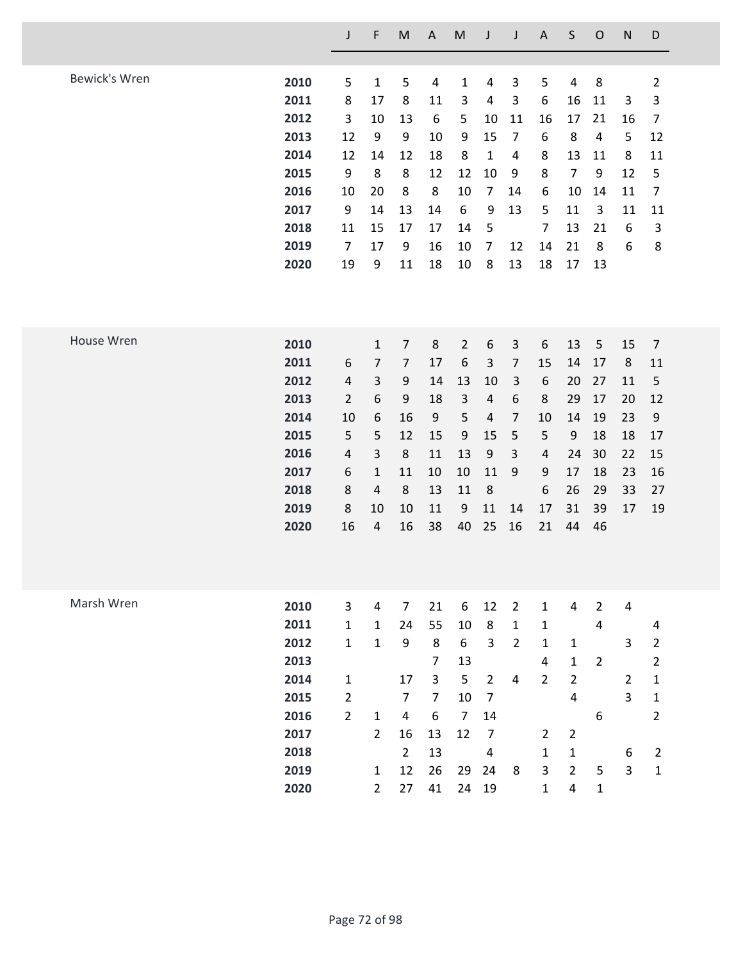|               |      | $\mathsf J$    | F                       | M              | $\boldsymbol{\mathsf{A}}$ | ${\sf M}$      | J                       | $\mathsf J$    | $\mathsf A$             | S                       | $\mathsf O$    | ${\sf N}$      | D              |
|---------------|------|----------------|-------------------------|----------------|---------------------------|----------------|-------------------------|----------------|-------------------------|-------------------------|----------------|----------------|----------------|
|               |      |                |                         |                |                           |                |                         |                |                         |                         |                |                |                |
| Bewick's Wren | 2010 | 5              | $\mathbf{1}$            | 5              | $\overline{\mathbf{4}}$   | $\mathbf 1$    | $\overline{4}$          | 3              | 5                       | $\overline{\mathbf{4}}$ | 8              |                | $\overline{2}$ |
|               | 2011 | 8              | 17                      | 8              | 11                        | 3              | $\overline{4}$          | 3              | 6                       | 16                      | 11             | 3              | 3              |
|               | 2012 | 3              | 10                      | 13             | 6                         | 5              | 10                      | 11             | 16                      | 17                      | 21             | 16             | $\overline{7}$ |
|               | 2013 | 12             | 9                       | 9              | 10                        | 9              | 15                      | $\overline{7}$ | 6                       | 8                       | $\overline{4}$ | 5              | 12             |
|               | 2014 | 12             | 14                      | 12             | 18                        | 8              | $\mathbf{1}$            | 4              | 8                       | 13                      | 11             | 8              | 11             |
|               | 2015 | 9              | 8                       | 8              | 12                        | 12             | 10                      | 9              | 8                       | $\overline{7}$          | 9              | 12             | 5              |
|               | 2016 | 10             | 20                      | 8              | 8                         | 10             | $\overline{7}$          | 14             | 6                       | 10                      | 14             | 11             | $\overline{7}$ |
|               | 2017 | 9              | 14                      | 13             | 14                        | 6              | 9                       | 13             | 5                       | 11                      | 3              | 11             | 11             |
|               | 2018 | 11             | 15                      | 17             | 17                        | 14             | 5                       |                | $\overline{7}$          | 13                      | 21             | 6              | 3              |
|               | 2019 | $\overline{7}$ | 17                      | 9              | 16                        | 10             | $\overline{7}$          | 12             | 14                      | 21                      | 8              | 6              | 8              |
|               | 2020 | 19             | 9                       | 11             | 18                        | 10             | 8                       | 13             | 18                      | 17                      | 13             |                |                |
|               |      |                |                         |                |                           |                |                         |                |                         |                         |                |                |                |
| House Wren    | 2010 |                | $\mathbf{1}$            | $\overline{7}$ | 8                         | $\overline{2}$ | 6                       | 3              | 6                       | 13                      | 5              | 15             | $\overline{7}$ |
|               | 2011 | 6              | $\overline{7}$          | $\overline{7}$ | 17                        | 6              | $\mathsf{3}$            | $\overline{7}$ | 15                      | 14                      | 17             | 8              | 11             |
|               | 2012 | $\overline{4}$ | 3                       | 9              | 14                        | 13             | 10                      | $\mathsf{3}$   | 6                       | 20                      | 27             | 11             | 5              |
|               | 2013 | $\overline{2}$ | 6                       | 9              | 18                        | $\mathbf{3}$   | $\overline{4}$          | $6\,$          | 8                       | 29                      | 17             | 20             | 12             |
|               | 2014 | 10             | 6                       | 16             | 9                         | 5              | $\overline{4}$          | $\overline{7}$ | 10                      | 14                      | 19             | 23             | 9              |
|               | 2015 | 5              | 5                       | 12             | 15                        | 9              | 15                      | 5              | 5                       | 9                       | 18             | 18             | 17             |
|               | 2016 | $\overline{4}$ | 3                       | 8              | 11                        | 13             | 9                       | 3              | $\overline{\mathbf{4}}$ | 24                      | 30             | 22             | 15             |
|               | 2017 | 6              | $\mathbf{1}$            | 11             | 10                        | 10             | 11                      | 9              | 9                       | 17                      | 18             | 23             | 16             |
|               | 2018 | 8              | $\overline{\mathbf{4}}$ | 8              | 13                        | 11             | 8                       |                | 6                       | 26                      | 29             | 33             | 27             |
|               | 2019 | 8              | 10                      | 10             | 11                        | 9              | 11                      | 14             | 17                      | 31                      | 39             | 17             | 19             |
|               | 2020 | 16             | $\overline{\mathbf{4}}$ | 16             | 38                        | 40             | 25                      | 16             | 21                      | 44                      | 46             |                |                |
|               |      |                |                         |                |                           |                |                         |                |                         |                         |                |                |                |
| Marsh Wren    | 2010 | $\mathbf{3}$   | $\overline{4}$          | $\overline{7}$ | 21                        | 6              | 12                      | $\overline{2}$ | $\mathbf 1$             | $\overline{4}$          | $\overline{2}$ | $\overline{4}$ |                |
|               | 2011 | $\mathbf{1}$   | $\mathbf{1}$            | 24             | 55                        | 10             | 8                       | $\mathbf 1$    | $\mathbf{1}$            |                         | $\overline{4}$ |                | 4              |
|               | 2012 | $\mathbf{1}$   | $\mathbf{1}$            | 9              | 8                         | 6              | 3                       | $\overline{2}$ | $\mathbf{1}$            | $\mathbf{1}$            |                | 3              | $\overline{2}$ |
|               | 2013 |                |                         |                | $\overline{7}$            | 13             |                         |                | 4                       | $\mathbf 1$             | $\overline{2}$ |                | $\overline{2}$ |
|               | 2014 | $\mathbf{1}$   |                         | 17             | $\mathsf{3}$              | 5              | $\overline{2}$          | $\overline{4}$ | $\overline{2}$          | $\overline{2}$          |                | $\overline{2}$ | 1              |
|               | 2015 | $\overline{2}$ |                         | $\overline{7}$ | $\overline{7}$            | 10             | $\overline{7}$          |                |                         | $\overline{4}$          |                | $\overline{3}$ | $\mathbf{1}$   |
|               | 2016 | $\overline{2}$ | $\mathbf{1}$            | 4              | 6                         | $\overline{7}$ | 14                      |                |                         |                         | 6              |                | $\overline{2}$ |
|               | 2017 |                | $\overline{2}$          | 16             | 13                        | 12             | $\overline{7}$          |                | $2^{\circ}$             | $\overline{2}$          |                |                |                |
|               | 2018 |                |                         | $\overline{2}$ | 13                        |                | $\overline{\mathbf{4}}$ |                | $\mathbf{1}$            | $\mathbf{1}$            |                | 6              | $\overline{2}$ |
|               | 2019 |                | $\mathbf{1}$            | 12             | 26                        | 29             | 24                      | 8              | 3                       | $\overline{2}$          | 5              | $\overline{3}$ | $\mathbf 1$    |
|               | 2020 |                | $\overline{2}$          | 27             | 41                        | 24             | 19                      |                | $\mathbf{1}$            | 4                       | $\mathbf{1}$   |                |                |
|               |      |                |                         |                |                           |                |                         |                |                         |                         |                |                |                |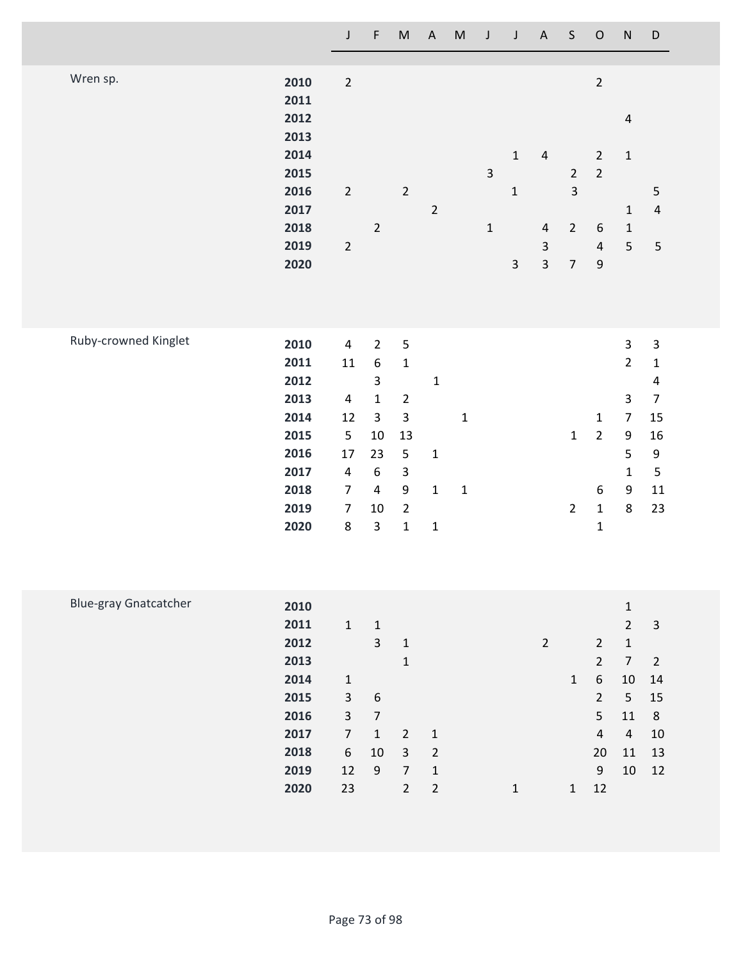|                              |                                                                                      | J                                                                                                                                     | F                                                                                                                                      | $\sf M$                                                                                                                                                   | $\boldsymbol{\mathsf{A}}$                                   | ${\sf M}$                  | J                             | J                                           | $\boldsymbol{\mathsf{A}}$                                                  | $\sf S$                                                            | ${\mathsf O}$                                                                                                | ${\sf N}$                                                                                                                               | $\mathsf D$                                                                                                             |
|------------------------------|--------------------------------------------------------------------------------------|---------------------------------------------------------------------------------------------------------------------------------------|----------------------------------------------------------------------------------------------------------------------------------------|-----------------------------------------------------------------------------------------------------------------------------------------------------------|-------------------------------------------------------------|----------------------------|-------------------------------|---------------------------------------------|----------------------------------------------------------------------------|--------------------------------------------------------------------|--------------------------------------------------------------------------------------------------------------|-----------------------------------------------------------------------------------------------------------------------------------------|-------------------------------------------------------------------------------------------------------------------------|
| Wren sp.                     | 2010<br>2011<br>2012<br>2013<br>2014<br>2015<br>2016<br>2017<br>2018<br>2019<br>2020 | $\overline{2}$<br>$\overline{2}$<br>$\overline{2}$                                                                                    | $\overline{2}$                                                                                                                         | $\overline{2}$                                                                                                                                            | $\overline{2}$                                              |                            | $\overline{3}$<br>$\mathbf 1$ | $\mathbf{1}$<br>$\mathbf 1$<br>$\mathsf{3}$ | $\overline{4}$<br>$\overline{4}$<br>$\mathsf 3$<br>$\overline{\mathbf{3}}$ | $\overline{2}$<br>$\mathsf{3}$<br>$\overline{2}$<br>$\overline{7}$ | $\overline{2}$<br>$\overline{2}$<br>$\overline{2}$<br>$\boldsymbol{6}$<br>$\overline{4}$<br>$\boldsymbol{9}$ | $\overline{4}$<br>$\mathbf 1$<br>$\mathbf{1}$<br>$\mathbf{1}$<br>5                                                                      | 5<br>$\overline{4}$<br>$\overline{\mathbf{5}}$                                                                          |
| Ruby-crowned Kinglet         | 2010<br>2011<br>2012<br>2013<br>2014<br>2015<br>2016<br>2017<br>2018<br>2019<br>2020 | $\pmb{4}$<br>$11\,$<br>$\overline{\mathbf{4}}$<br>12<br>5<br>17<br>$\overline{\mathbf{4}}$<br>$\boldsymbol{7}$<br>$\overline{7}$<br>8 | $2^{1}$<br>$\boldsymbol{6}$<br>$\mathsf{3}$<br>$\mathbf{1}$<br>$\overline{3}$<br>10<br>23<br>6<br>$\overline{4}$<br>10<br>$\mathsf{3}$ | $\mathsf S$<br>$\mathbf 1$<br>$\overline{2}$<br>$\mathbf{3}$<br>13<br>5<br>$\ensuremath{\mathsf{3}}$<br>$\boldsymbol{9}$<br>$\overline{2}$<br>$\mathbf 1$ | $\mathbf 1$<br>$\mathbf 1$<br>$\mathbf 1$<br>$\mathbf 1$    | $\mathbf 1$<br>$\mathbf 1$ |                               |                                             |                                                                            | $\mathbf 1$<br>$\overline{2}$                                      | $\mathbf{1}$<br>$\overline{2}$<br>$\boldsymbol{6}$<br>$\mathbf 1$<br>$\mathbf{1}$                            | $\mathsf{3}$<br>$\overline{2}$<br>$\overline{3}$<br>$\overline{7}$<br>9<br>5<br>$\mathbf{1}$<br>9<br>8                                  | $\mathsf 3$<br>$\mathbf 1$<br>$\overline{\mathbf{4}}$<br>$\overline{7}$<br>15<br>16<br>$\mathsf 9$<br>5<br>$11\,$<br>23 |
| <b>Blue-gray Gnatcatcher</b> | 2010<br>2011<br>2012<br>2013<br>2014<br>2015<br>2016<br>2017<br>2018<br>2019<br>2020 | $1\,$<br>$\mathbf 1$<br>$\mathbf{3}$<br>$\mathsf{3}$<br>$\boldsymbol{7}$<br>$\boldsymbol{6}$<br>12<br>23                              | $\mathbf{1}$<br>$\overline{3}$<br>$\boldsymbol{6}$<br>$\sqrt{ }$<br>$\mathbf 1$<br>10<br>$9\,$                                         | $\mathbf 1$<br>$\mathbf 1$<br>$\overline{2}$<br>$\mathbf{3}$<br>$\overline{7}$<br>$\overline{2}$                                                          | $\mathbf 1$<br>$\mathbf 2$<br>$\mathbf 1$<br>$\overline{2}$ |                            |                               | $\mathbf 1$                                 | $\overline{2}$                                                             | $\mathbf{1}$<br>$\mathbf{1}$                                       | $\overline{2}$<br>$\overline{2}$<br>$\sqrt{6}$<br>$\overline{2}$<br>5<br>$\overline{4}$<br>20<br>9<br>12     | $\mathbf 1$<br>$\overline{2}$<br>$\mathbf 1$<br>$\overline{7}$<br>$10\,$<br>$5\phantom{.0}$<br>$11\,$<br>$\overline{4}$<br>11<br>$10\,$ | 3<br>$\overline{2}$<br>14<br>15<br>$\,$ 8 $\,$<br>10<br>$13\,$<br>$12\,$                                                |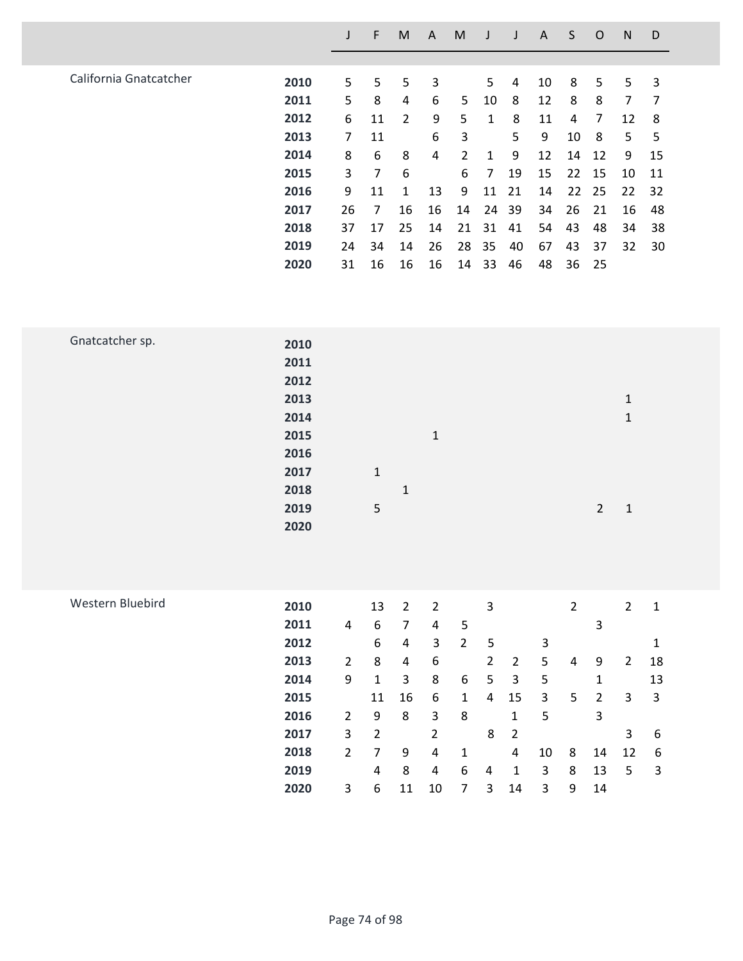|      | J  | F              | M  | A  | M  |    | J  | A  | S  | O   | N  | D  |
|------|----|----------------|----|----|----|----|----|----|----|-----|----|----|
|      |    |                |    |    |    |    |    |    |    |     |    |    |
| 2010 | 5  | 5              | 5  | 3  |    | 5  | 4  | 10 | 8  | 5   | 5  | 3  |
| 2011 | 5  | 8              | 4  | 6  | 5  | 10 | 8  | 12 | 8  | 8   | 7  | 7  |
| 2012 | 6  | 11             | 2  | 9  | 5  | 1  | 8  | 11 | 4  | 7   | 12 | 8  |
| 2013 | 7  | 11             |    | 6  | 3  |    | 5  | 9  | 10 | 8   | 5  | 5  |
| 2014 | 8  | 6              | 8  | 4  | 2  | 1  | 9  | 12 | 14 | 12  | 9  | 15 |
| 2015 | 3  | 7              | 6  |    | 6  | 7  | 19 | 15 | 22 | 15  | 10 | 11 |
| 2016 | 9  | 11             | 1  | 13 | 9  | 11 | 21 | 14 |    | -25 | 22 | 32 |
| 2017 | 26 | $\overline{7}$ | 16 | 16 | 14 | 24 | 39 | 34 | 26 | 21  | 16 | 48 |
| 2018 | 37 | 17             | 25 | 14 | 21 | 31 | 41 | 54 | 43 | 48  | 34 | 38 |
| 2019 | 24 | 34             | 14 | 26 | 28 | 35 | 40 | 67 | 43 | 37  | 32 | 30 |
| 2020 | 31 | 16             | 16 | 16 | 14 | 33 | 46 | 48 | 36 | 25  |    |    |
|      |    |                |    |    |    |    |    |    |    | 22  |    |    |

| Gnatcatcher sp. | 2010 |              |                                |
|-----------------|------|--------------|--------------------------------|
|                 | 2011 |              |                                |
|                 | 2012 |              |                                |
|                 | 2013 |              | $\mathbf{1}$                   |
|                 | 2014 |              | $\mathbf{1}$                   |
|                 | 2015 | $\mathbf{1}$ |                                |
|                 | 2016 |              |                                |
|                 | 2017 | $\mathbf 1$  |                                |
|                 | 2018 | $\mathbf 1$  |                                |
|                 | 2019 | 5            | $\overline{2}$<br>$\mathbf{1}$ |
|                 | 2020 |              |                                |
|                 |      |              |                                |

| Western Bluebird | 2010 |                | 13 | 2  | 2  |   | 3              |                |    | 2 |    | 2  | 1  |
|------------------|------|----------------|----|----|----|---|----------------|----------------|----|---|----|----|----|
|                  | 2011 | 4              | 6  | 7  | 4  | 5 |                |                |    |   | 3  |    |    |
|                  | 2012 |                | 6  | 4  | 3  | 2 | 5              |                | 3  |   |    |    | 1  |
|                  | 2013 | $\overline{2}$ | 8  | 4  | 6  |   | $\overline{2}$ | $\overline{2}$ | 5  | 4 | 9  | 2  | 18 |
|                  | 2014 | 9              | 1  | 3  | 8  | 6 | 5              | 3              | 5  |   | 1  |    | 13 |
|                  | 2015 |                | 11 | 16 | 6  | 1 | 4              | 15             | 3  | 5 | 2  | 3  | 3  |
|                  | 2016 | 2              | 9  | 8  | 3  | 8 |                | 1              | 5  |   | 3  |    |    |
|                  | 2017 | 3              | 2  |    | 2  |   | 8              | 2              |    |   |    | 3  | 6  |
|                  | 2018 | 2              | 7  | 9  | 4  | 1 |                | 4              | 10 | 8 | 14 | 12 | -6 |
|                  | 2019 |                | 4  | 8  | 4  | 6 | 4              | 1              | 3  | 8 | 13 | 5  | 3  |
|                  | 2020 | 3              | 6  | 11 | 10 | 7 | 3              | 14             | 3  | 9 | 14 |    |    |
|                  |      |                |    |    |    |   |                |                |    |   |    |    |    |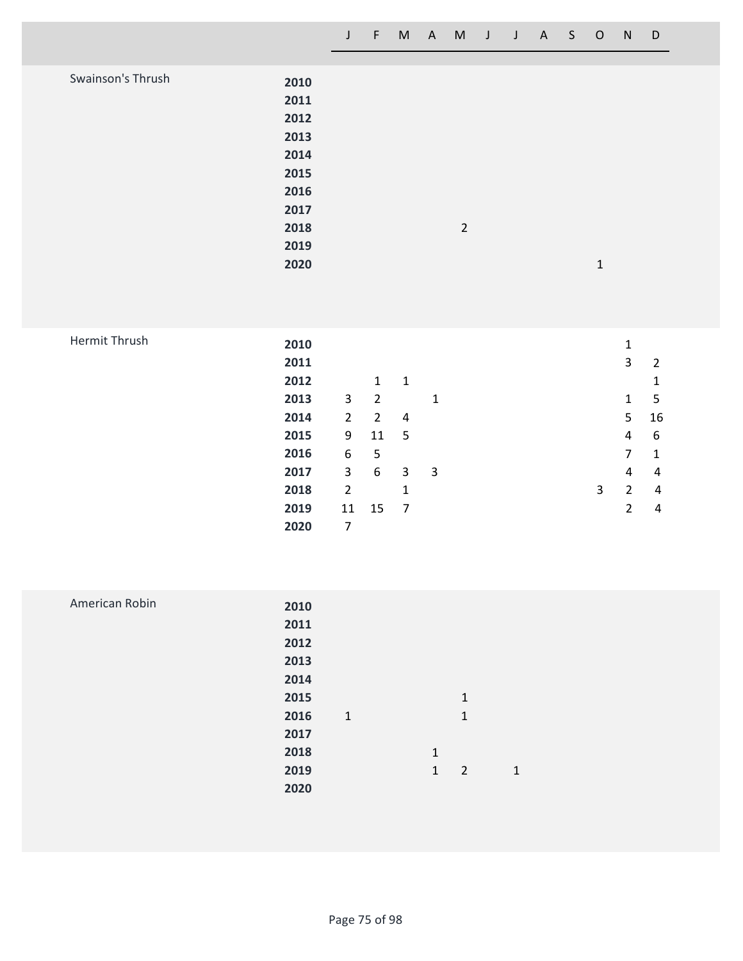| Swainson's Thrush | 2010<br>2011 |                |              |
|-------------------|--------------|----------------|--------------|
|                   | 2012         |                |              |
|                   | 2013         |                |              |
|                   | 2014         |                |              |
|                   | 2015         |                |              |
|                   | 2016         |                |              |
|                   | 2017         |                |              |
|                   | 2018         | $\overline{2}$ |              |
|                   | 2019         |                |              |
|                   | 2020         |                | $\mathbf{1}$ |
|                   |              |                |              |

|  |  | <b>Hermit Thrush</b> |  |
|--|--|----------------------|--|
|--|--|----------------------|--|

| Hermit Thrush | 2010 |                |                |                |   |  |   | 1              |    |
|---------------|------|----------------|----------------|----------------|---|--|---|----------------|----|
|               | 2011 |                |                |                |   |  |   | 3              | 2  |
|               | 2012 |                | 1              | 1              |   |  |   |                | 1  |
|               | 2013 | 3              | 2              |                | 1 |  |   | 1              | -5 |
|               | 2014 | $\overline{2}$ | $\overline{2}$ | $\overline{a}$ |   |  |   | 5              | 16 |
|               | 2015 | 9              | 11             | 5              |   |  |   | 4              | 6  |
|               | 2016 | 6              | 5              |                |   |  |   | 7              | 1  |
|               | 2017 | 3              | 6              | 3              | 3 |  |   | 4              | 4  |
|               | 2018 | 2              |                | 1              |   |  | 3 | $\overline{2}$ | 4  |
|               | 2019 | 11             | 15             | $\overline{7}$ |   |  |   | 2              | 4  |
|               | 2020 | 7              |                |                |   |  |   |                |    |

| American Robin | 2010 |       |              |                |              |  |
|----------------|------|-------|--------------|----------------|--------------|--|
|                | 2011 |       |              |                |              |  |
|                | 2012 |       |              |                |              |  |
|                | 2013 |       |              |                |              |  |
|                | 2014 |       |              |                |              |  |
|                | 2015 |       |              | $\mathbf{1}$   |              |  |
|                | 2016 | $1\,$ |              | 1              |              |  |
|                | 2017 |       |              |                |              |  |
|                | 2018 |       | $\mathbf{1}$ |                |              |  |
|                | 2019 |       | $\mathbf{1}$ | $\overline{2}$ | $\mathbf{1}$ |  |
|                | 2020 |       |              |                |              |  |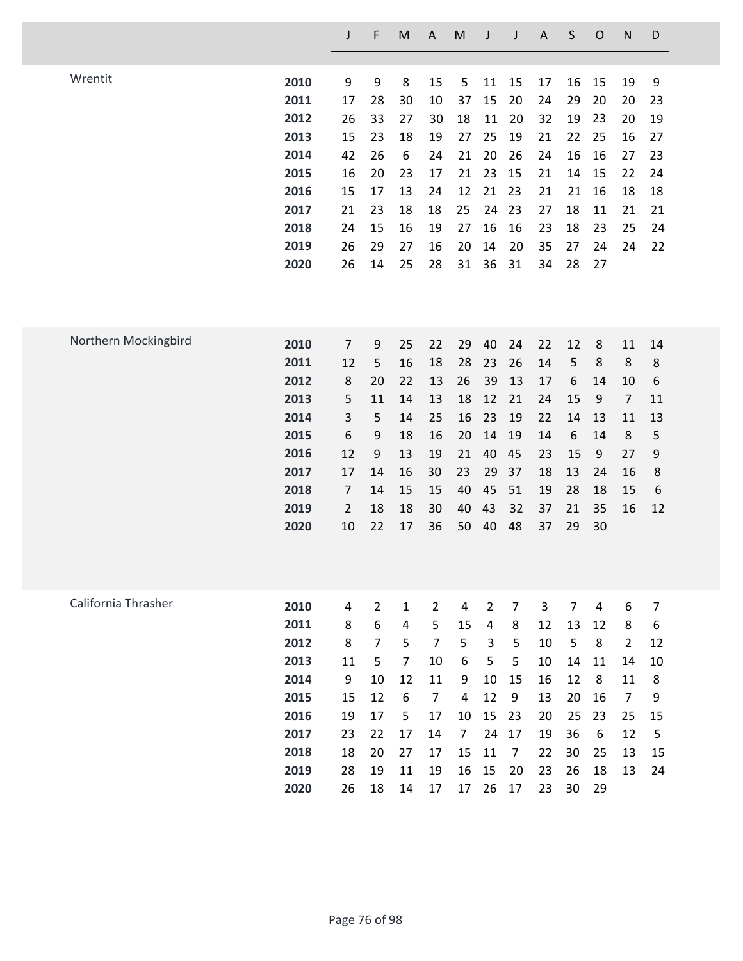|                      |      | J              | F              | M              | $\mathsf A$    | M              | J              | J              | $\mathsf A$ | S              | $\mathsf{O}$   | $\mathsf{N}$     | D  |
|----------------------|------|----------------|----------------|----------------|----------------|----------------|----------------|----------------|-------------|----------------|----------------|------------------|----|
|                      |      |                |                |                |                |                |                |                |             |                |                |                  |    |
| Wrentit              | 2010 | 9              | 9              | 8              | 15             | 5              | 11             | 15             | 17          | 16             | 15             | 19               | 9  |
|                      | 2011 | 17             | 28             | 30             | 10             | 37             | 15             | 20             | 24          | 29             | 20             | 20               | 23 |
|                      | 2012 | 26             | 33             | 27             | 30             | 18             | 11             | 20             | 32          | 19             | 23             | 20               | 19 |
|                      | 2013 | 15             | 23             | 18             | 19             | 27             | 25             | 19             | 21          | 22             | 25             | 16               | 27 |
|                      | 2014 | 42             | 26             | 6              | 24             | 21             | 20             | 26             | 24          | 16             | 16             | 27               | 23 |
|                      | 2015 | 16             | 20             | 23             | 17             | 21             | 23             | 15             | 21          | 14             | 15             | 22               | 24 |
|                      | 2016 | 15             | 17             | 13             | 24             | 12             | 21             | 23             | 21          | 21             | 16             | 18               | 18 |
|                      | 2017 | 21             | 23             | 18             | 18             | 25             | 24             | 23             | 27          | 18             | 11             | 21               | 21 |
|                      | 2018 | 24             | 15             | 16             | 19             | 27             | 16             | 16             | 23          | 18             | 23             | 25               | 24 |
|                      | 2019 | 26             | 29             | 27             | 16             | 20             | 14             | 20             | 35          | 27             | 24             | 24               | 22 |
|                      | 2020 | 26             | 14             | 25             | 28             | 31             | 36             | 31             | 34          | 28             | 27             |                  |    |
|                      |      |                |                |                |                |                |                |                |             |                |                |                  |    |
| Northern Mockingbird | 2010 | $\overline{7}$ | 9              | 25             | 22             | 29             | 40             | 24             | 22          | 12             | 8              | 11               | 14 |
|                      | 2011 | 12             | 5              | 16             | 18             | 28             | 23             | 26             | 14          | 5              | 8              | 8                | 8  |
|                      | 2012 | 8              | 20             | 22             | 13             | 26             | 39             | 13             | 17          | $6\,$          | 14             | 10               | 6  |
|                      | 2013 | 5              | 11             | 14             | 13             | 18             | 12             | 21             | 24          | 15             | 9              | $\overline{7}$   | 11 |
|                      | 2014 | 3              | 5              | 14             | 25             | 16             | 23             | 19             | 22          | 14             | 13             | 11               | 13 |
|                      | 2015 | 6              | 9              | 18             | 16             | 20             | 14             | 19             | 14          | 6              | 14             | 8                | 5  |
|                      | 2016 | 12             | 9              | 13             | 19             | 21             | 40             | 45             | 23          | 15             | 9              | 27               | 9  |
|                      | 2017 | 17             | 14             | 16             | 30             | 23             | 29             | 37             | 18          | 13             | 24             | 16               | 8  |
|                      | 2018 | $\overline{7}$ | 14             | 15             | 15             | 40             | 45             | 51             | 19          | 28             | 18             | 15               | 6  |
|                      | 2019 | $\overline{2}$ | 18             | 18             | 30             | 40             | 43             | 32             | 37          | 21             | 35             | 16               | 12 |
|                      | 2020 | 10             | 22             | 17             | 36             | 50             | 40             | 48             | 37          | 29             | 30             |                  |    |
|                      |      |                |                |                |                |                |                |                |             |                |                |                  |    |
| California Thrasher  | 2010 | 4              | $\overline{2}$ | $\mathbf{1}$   | $\overline{2}$ | $\overline{4}$ | $\overline{2}$ | $\overline{7}$ | 3           | $\overline{7}$ | $\overline{4}$ | $\boldsymbol{6}$ | 7  |
|                      | 2011 | 8              | 6              | 4              | 5              | 15             | 4              | 8              | 12          | 13             | 12             | 8                | 6  |
|                      | 2012 | 8              | $\overline{7}$ | 5              | $\overline{7}$ | 5              | 3              | 5              | 10          | 5              | 8              | $\overline{2}$   | 12 |
|                      | 2013 | 11             | 5              | $\overline{7}$ | 10             | 6              | 5              | 5              | 10          | 14             | 11             | 14               | 10 |
|                      | 2014 | 9              | 10             | 12             | 11             | 9              | 10             | 15             | 16          | 12             | 8              | 11               | 8  |
|                      | 2015 | 15             | 12             | 6              | $\overline{7}$ | 4              | 12             | 9              | 13          | 20             | 16             | $\overline{7}$   | 9  |
|                      | 2016 | 19             | 17             | 5              | 17             | 10             | 15             | 23             | 20          | 25             | 23             | 25               | 15 |
|                      | 2017 | 23             | 22             | 17             | 14             | $\overline{7}$ | 24             | 17             | 19          | 36             | 6              | 12               | 5  |
|                      | 2018 | 18             | 20             | 27             | 17             | 15             | 11             | $\overline{7}$ | 22          | 30             | 25             | 13               | 15 |
|                      | 2019 | 28             | 19             | 11             | 19             | 16             | 15             | 20             | 23          | 26             | 18             | 13               | 24 |
|                      | 2020 | 26             | 18             | 14             | 17             | 17             | 26             | 17             | 23          | 30             | 29             |                  |    |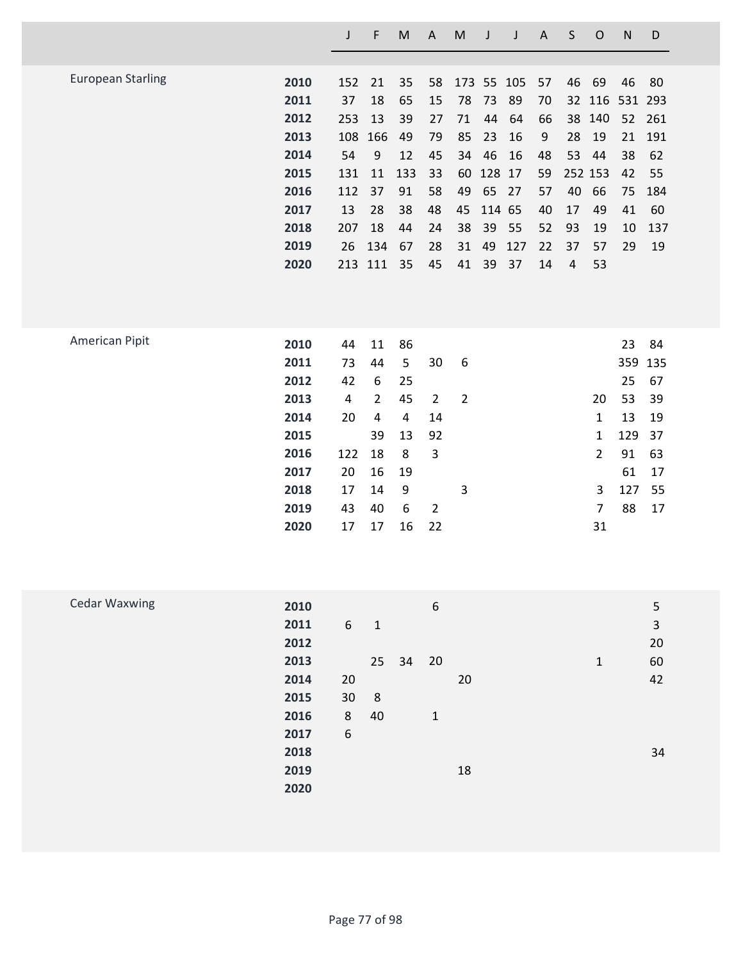|                          |      |     | F         | M   | A  | M  |           |            | A  | S  | O       | N              | D      |
|--------------------------|------|-----|-----------|-----|----|----|-----------|------------|----|----|---------|----------------|--------|
|                          |      |     |           |     |    |    |           |            |    |    |         |                |        |
| <b>European Starling</b> | 2010 | 152 | 21        | 35  | 58 |    |           | 173 55 105 | 57 | 46 | 69      | 46             | 80     |
|                          | 2011 | 37  | 18        | 65  | 15 | 78 | 73        | 89         | 70 |    |         | 32 116 531 293 |        |
|                          | 2012 | 253 | 13        | 39  | 27 | 71 | 44        | 64         | 66 |    | 38 140  | 52             | 261    |
|                          | 2013 |     | 108 166   | 49  | 79 | 85 | 23        | 16         | 9  | 28 | 19      |                | 21 191 |
|                          | 2014 | 54  | 9         | 12  | 45 | 34 | 46        | 16         | 48 |    | 53 44   | 38             | - 62   |
|                          | 2015 | 131 | 11        | 133 | 33 |    | 60 128 17 |            | 59 |    | 252 153 | 42             | 55     |
|                          | 2016 | 112 | 37        | 91  | 58 | 49 | 65 27     |            | 57 | 40 | 66      | 75             | 184    |
|                          | 2017 | 13  | 28        | 38  | 48 | 45 | 114 65    |            | 40 | 17 | 49      | 41             | 60     |
|                          | 2018 | 207 | 18        | 44  | 24 | 38 | 39        | 55         | 52 | 93 | 19      | 10             | 137    |
|                          | 2019 |     | 26 134 67 |     | 28 | 31 | 49        | 127        | 22 | 37 | 57      | 29             | 19     |
|                          | 2020 |     | 213 111   | 35  | 45 | 41 | 39        | 37         | 14 | 4  | 53      |                |        |
|                          |      |     |           |     |    |    |           |            |    |    |         |                |        |
|                          |      |     |           |     |    |    |           |            |    |    |         |                |        |

| American Pipit | 2010 | 44  | 11           | 86 |              |   |                | 23      | 84  |
|----------------|------|-----|--------------|----|--------------|---|----------------|---------|-----|
|                | 2011 | 73  | 44           | 5  | 30           | 6 |                | 359 135 |     |
|                | 2012 | 42  | 6            | 25 |              |   |                | 25      | 67  |
|                | 2013 | 4   | $\mathbf{2}$ | 45 | $\mathbf{2}$ | 2 | 20             | 53      | -39 |
|                | 2014 | 20  | 4            | 4  | 14           |   | 1              | 13      | -19 |
|                | 2015 |     | 39           | 13 | 92           |   | 1              | 129 37  |     |
|                | 2016 | 122 | 18           | 8  | 3            |   | $\overline{2}$ | 91      | 63  |
|                | 2017 | 20  | 16           | 19 |              |   |                | 61      | 17  |
|                | 2018 | 17  | 14           | 9  |              | 3 | 3              | 127     | 55  |
|                | 2019 | 43  | 40           | 6  | 2            |   | 7              | 88      | 17  |
|                | 2020 | 17  | 17           | 16 | 22           |   | 31             |         |     |
|                |      |     |              |    |              |   |                |         |     |

| <b>Cedar Waxwing</b> | 2010 |    |              |       | 6           |    |   | 5  |
|----------------------|------|----|--------------|-------|-------------|----|---|----|
|                      |      |    |              |       |             |    |   |    |
|                      | 2011 | 6  | $\mathbf{1}$ |       |             |    |   | 3  |
|                      | 2012 |    |              |       |             |    |   | 20 |
|                      | 2013 |    |              | 25 34 | 20          |    | 1 | 60 |
|                      | 2014 | 20 |              |       |             | 20 |   | 42 |
|                      | 2015 | 30 | 8            |       |             |    |   |    |
|                      | 2016 | 8  | 40           |       | $\mathbf 1$ |    |   |    |
|                      | 2017 | 6  |              |       |             |    |   |    |
|                      | 2018 |    |              |       |             |    |   | 34 |
|                      | 2019 |    |              |       |             | 18 |   |    |
|                      | 2020 |    |              |       |             |    |   |    |
|                      |      |    |              |       |             |    |   |    |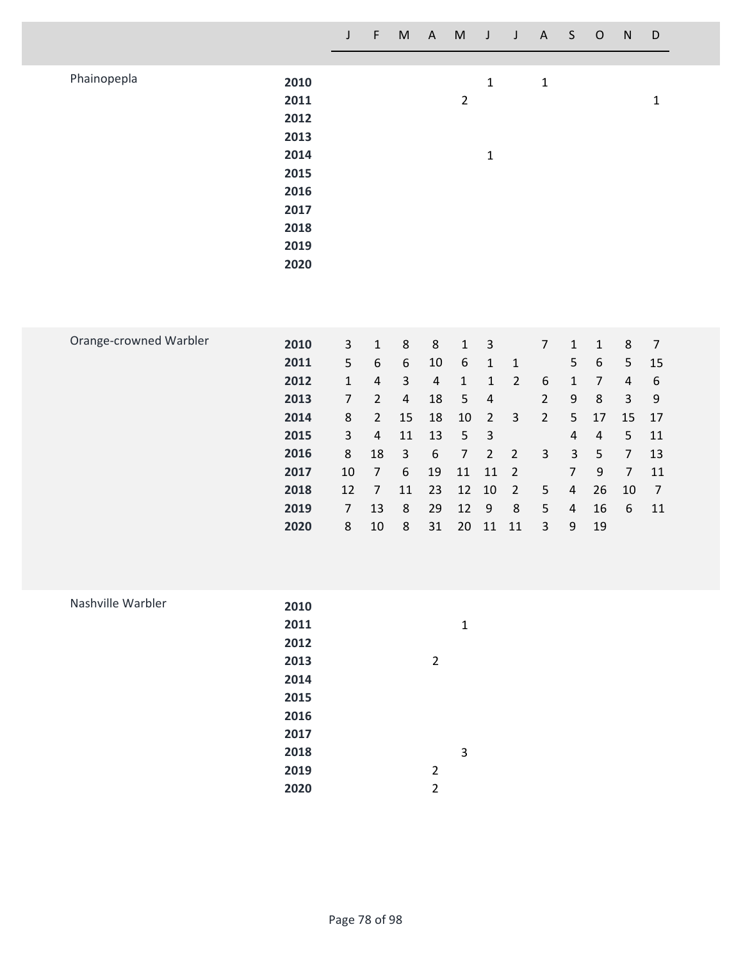|                        |                                                                                      | $\mathsf J$                                                                                                              | $\mathsf F$                                                                                                                                                   | $\mathsf{M}% _{T}=\mathsf{M}_{T}\!\left( a,b\right) ,\ \mathsf{M}_{T}=\mathsf{M}_{T}\!\left( a,b\right) ,$                            | $\mathsf{A}$                                                                        | $\mathsf{M}% _{T}=\mathsf{M}_{T}\!\left( a,b\right) ,\ \mathsf{M}_{T}=\mathsf{M}_{T}\!\left( a,b\right) ,$                  | $\mathsf J$                                                                                                                                       | $\mathsf J$                                                                                                              | $\mathsf{A}$                                                                                                           | $\mathsf{S}$                                                                                                                                            | $\mathsf O$                                                                                                  | ${\sf N}$                                                                                                            | $\mathsf D$                                                                                                      |
|------------------------|--------------------------------------------------------------------------------------|--------------------------------------------------------------------------------------------------------------------------|---------------------------------------------------------------------------------------------------------------------------------------------------------------|---------------------------------------------------------------------------------------------------------------------------------------|-------------------------------------------------------------------------------------|-----------------------------------------------------------------------------------------------------------------------------|---------------------------------------------------------------------------------------------------------------------------------------------------|--------------------------------------------------------------------------------------------------------------------------|------------------------------------------------------------------------------------------------------------------------|---------------------------------------------------------------------------------------------------------------------------------------------------------|--------------------------------------------------------------------------------------------------------------|----------------------------------------------------------------------------------------------------------------------|------------------------------------------------------------------------------------------------------------------|
| Phainopepla            | 2010<br>2011<br>2012<br>2013<br>2014<br>2015<br>2016<br>2017<br>2018<br>2019<br>2020 |                                                                                                                          |                                                                                                                                                               |                                                                                                                                       |                                                                                     | $\overline{2}$                                                                                                              | $\mathbf 1$<br>$\mathbf 1$                                                                                                                        |                                                                                                                          | $\mathbf 1$                                                                                                            |                                                                                                                                                         |                                                                                                              |                                                                                                                      | $\mathbf 1$                                                                                                      |
| Orange-crowned Warbler | 2010<br>2011<br>2012<br>2013<br>2014<br>2015<br>2016<br>2017<br>2018<br>2019<br>2020 | $\overline{3}$<br>5<br>$\mathbf 1$<br>$\overline{7}$<br>$\,8\,$<br>3<br>$\,8\,$<br>10<br>12<br>$\overline{7}$<br>$\,8\,$ | $\mathbf 1$<br>$\boldsymbol{6}$<br>$\overline{4}$<br>$\overline{2}$<br>$\overline{2}$<br>$\overline{4}$<br>18<br>$\overline{7}$<br>$\overline{7}$<br>13<br>10 | $\,8\,$<br>$\boldsymbol{6}$<br>$\mathsf{3}$<br>$\sqrt{4}$<br>15<br>11<br>$\mathsf{3}$<br>$\boldsymbol{6}$<br>11<br>$\,8\,$<br>$\bf 8$ | $\,8\,$<br>$10\,$<br>$\sqrt{4}$<br>18<br>18<br>13<br>$\,$ 6<br>19<br>23<br>29<br>31 | $\mathbf 1$<br>$\boldsymbol{6}$<br>$\mathbf 1$<br>$\sqrt{5}$<br>10<br>$\mathsf S$<br>$\overline{7}$<br>11<br>12<br>12<br>20 | $\mathsf 3$<br>$\mathbf 1$<br>$\mathbf 1$<br>$\sqrt{4}$<br>$\overline{2}$<br>$\ensuremath{\mathsf{3}}$<br>$\overline{2}$<br>11<br>10<br>$9$<br>11 | $\mathbf 1$<br>$\overline{2}$<br>$\mathsf{3}$<br>$\overline{2}$<br>$\overline{2}$<br>$\overline{2}$<br>$\,8\,$<br>$11\,$ | $\boldsymbol{7}$<br>$\boldsymbol{6}$<br>$\overline{2}$<br>$\overline{2}$<br>$\overline{3}$<br>5<br>5<br>$\overline{3}$ | $\mathbf{1}$<br>5<br>$\mathbf 1$<br>$\boldsymbol{9}$<br>5<br>4<br>$\mathsf 3$<br>$\overline{7}$<br>$\overline{4}$<br>$\overline{4}$<br>$\boldsymbol{9}$ | $\mathbf 1$<br>6<br>$\overline{7}$<br>$\,8\,$<br>17<br>$\sqrt{4}$<br>5<br>$\boldsymbol{9}$<br>26<br>16<br>19 | $\,8\,$<br>5<br>$\sqrt{4}$<br>$\overline{3}$<br>15<br>$\sqrt{5}$<br>$\overline{7}$<br>$\overline{7}$<br>10<br>$\,$ 6 | $\overline{7}$<br>15<br>$\boldsymbol{6}$<br>$\boldsymbol{9}$<br>17<br>11<br>13<br>11<br>$\overline{7}$<br>$11\,$ |
| Nashville Warbler      | 2010<br>2011<br>2012<br>2013<br>2014<br>2015<br>2016<br>2017<br>2018<br>2019<br>2020 |                                                                                                                          |                                                                                                                                                               |                                                                                                                                       | $\overline{2}$<br>$\overline{2}$<br>$\overline{2}$                                  | $\mathbf 1$<br>$\overline{3}$                                                                                               |                                                                                                                                                   |                                                                                                                          |                                                                                                                        |                                                                                                                                                         |                                                                                                              |                                                                                                                      |                                                                                                                  |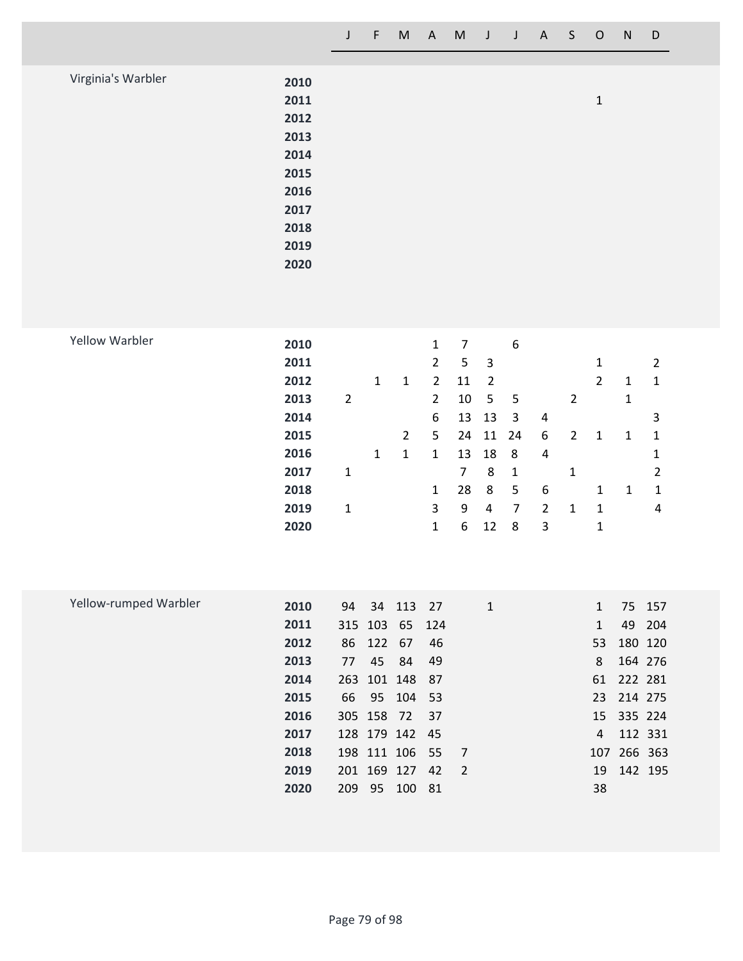| Virginia's Warbler | 2010 |   |
|--------------------|------|---|
|                    | 2011 | 1 |
|                    | 2012 |   |
|                    | 2013 |   |
|                    | 2014 |   |
|                    | 2015 |   |
|                    | 2016 |   |
|                    | 2017 |   |
|                    | 2018 |   |
|                    | 2019 |   |
|                    | 2020 |   |

| 2011 |                |              |   | $\overline{2}$ | 5  | 3  |     |   |                | 1              |   | 2              |
|------|----------------|--------------|---|----------------|----|----|-----|---|----------------|----------------|---|----------------|
| 2012 |                | $\mathbf{1}$ | 1 | 2              | 11 | 2  |     |   |                | $\overline{2}$ | 1 | -1             |
| 2013 | $\overline{2}$ |              |   | $\overline{2}$ | 10 | 5  | - 5 |   | $\overline{2}$ |                | 1 |                |
| 2014 |                |              |   | 6              | 13 | 13 | -3  | 4 |                |                |   | 3              |
| 2015 |                |              | 2 | 5              | 24 | 11 | 24  | 6 | 2              | 1              | 1 | -1             |
| 2016 |                | $\mathbf{1}$ | 1 | 1              | 13 | 18 | 8   | 4 |                |                |   | 1              |
| 2017 | 1              |              |   |                | 7  | 8  | 1   |   | 1              |                |   | $\overline{2}$ |
| 2018 |                |              |   | 1              | 28 | 8  | 5   | 6 |                | 1              | 1 | 1              |
| 2019 | 1              |              |   | 3              | 9  | 4  | 7   | 2 | $\mathbf{1}$   | -1             |   | 4              |
| 2020 |                |              |   | 1              | 6  | 12 | 8   | 3 |                | 1              |   |                |
|      | 2010           |              |   |                | 1  | 7  |     | 6 |                |                |   |                |

| Yellow-rumped Warbler | 2010 | 94 |           | 34 113 27      |    | $\mathbf{1}$   |              |             | 75 157 |
|-----------------------|------|----|-----------|----------------|----|----------------|--------------|-------------|--------|
|                       | 2011 |    |           | 315 103 65 124 |    |                | $\mathbf{1}$ |             | 49 204 |
|                       | 2012 |    | 86 122 67 |                | 46 |                | 53           | 180 120     |        |
|                       | 2013 | 77 |           | 45 84          | 49 |                | 8            | 164 276     |        |
|                       | 2014 |    |           | 263 101 148 87 |    |                |              | 61 222 281  |        |
|                       | 2015 |    |           | 66 95 104 53   |    |                |              | 23 214 275  |        |
|                       | 2016 |    |           | 305 158 72 37  |    |                |              | 15 335 224  |        |
|                       | 2017 |    |           | 128 179 142 45 |    |                | 4            | 112 331     |        |
|                       | 2018 |    |           | 198 111 106 55 |    | $\overline{7}$ |              | 107 266 363 |        |
|                       | 2019 |    |           | 201 169 127    | 42 | $\overline{2}$ | 19           | 142 195     |        |
|                       | 2020 |    | 209 95    | 100 81         |    |                | 38           |             |        |
|                       |      |    |           |                |    |                |              |             |        |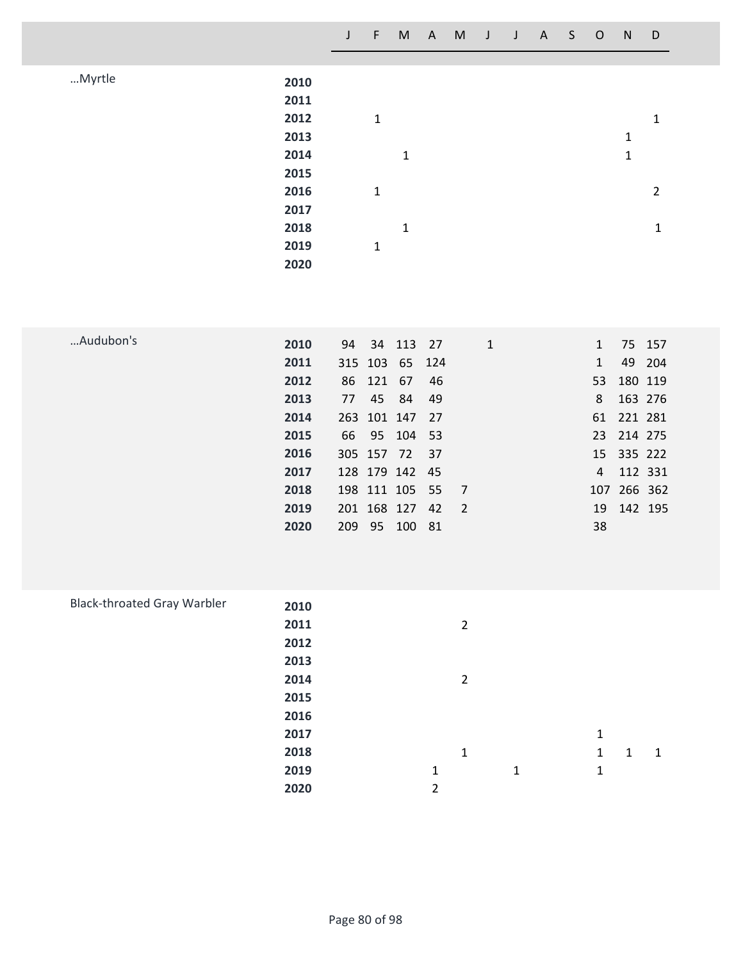|      | J | F            | M            | $\mathsf{A}$ | M | $\mathsf{J}$ | J | $\mathsf{A}$ | S. | $\circ$ | N | D              |
|------|---|--------------|--------------|--------------|---|--------------|---|--------------|----|---------|---|----------------|
|      |   |              |              |              |   |              |   |              |    |         |   |                |
| 2010 |   |              |              |              |   |              |   |              |    |         |   |                |
| 2011 |   |              |              |              |   |              |   |              |    |         |   |                |
| 2012 |   | $\mathbf{1}$ |              |              |   |              |   |              |    |         |   | $\mathbf{1}$   |
| 2013 |   |              |              |              |   |              |   |              |    |         | 1 |                |
| 2014 |   |              | $\mathbf{1}$ |              |   |              |   |              |    |         | 1 |                |
| 2015 |   |              |              |              |   |              |   |              |    |         |   |                |
| 2016 |   | 1            |              |              |   |              |   |              |    |         |   | $\overline{2}$ |
| 2017 |   |              |              |              |   |              |   |              |    |         |   |                |
| 2018 |   |              | $\mathbf{1}$ |              |   |              |   |              |    |         |   | 1              |
| 2019 |   | $\mathbf{1}$ |              |              |   |              |   |              |    |         |   |                |
| 2020 |   |              |              |              |   |              |   |              |    |         |   |                |
|      |   |              |              |              |   |              |   |              |    |         |   |                |

| Audubon's | 2010 |     |           | 94 34 113 27   |     | 1              |              |             | 75 157 |
|-----------|------|-----|-----------|----------------|-----|----------------|--------------|-------------|--------|
|           | 2011 |     |           | 315 103 65 124 |     |                | $\mathbf{1}$ |             | 49 204 |
|           | 2012 |     | 86 121 67 |                | -46 |                |              | 53 180 119  |        |
|           | 2013 | 77  |           | 45 84          | -49 |                | 8            | 163 276     |        |
|           | 2014 |     |           | 263 101 147 27 |     |                |              | 61 221 281  |        |
|           | 2015 |     |           | 66 95 104 53   |     |                |              | 23 214 275  |        |
|           | 2016 |     |           | 305 157 72 37  |     |                |              | 15 335 222  |        |
|           | 2017 |     |           | 128 179 142 45 |     |                |              | 4 112 331   |        |
|           | 2018 |     |           | 198 111 105 55 |     | $\overline{7}$ |              | 107 266 362 |        |
|           | 2019 |     |           | 201 168 127 42 |     | $\overline{2}$ |              | 19 142 195  |        |
|           | 2020 | 209 | 95        | 100 81         |     |                | 38           |             |        |

| <b>Black-throated Gray Warbler</b> | 2010 |   |                |   |   |   |   |
|------------------------------------|------|---|----------------|---|---|---|---|
|                                    | 2011 |   | $\overline{2}$ |   |   |   |   |
|                                    | 2012 |   |                |   |   |   |   |
|                                    | 2013 |   |                |   |   |   |   |
|                                    | 2014 |   | $\overline{2}$ |   |   |   |   |
|                                    | 2015 |   |                |   |   |   |   |
|                                    | 2016 |   |                |   |   |   |   |
|                                    | 2017 |   |                |   | 1 |   |   |
|                                    | 2018 |   | 1              |   | 1 | 1 | 1 |
|                                    | 2019 | 1 |                | 1 | 1 |   |   |
|                                    | 2020 | 2 |                |   |   |   |   |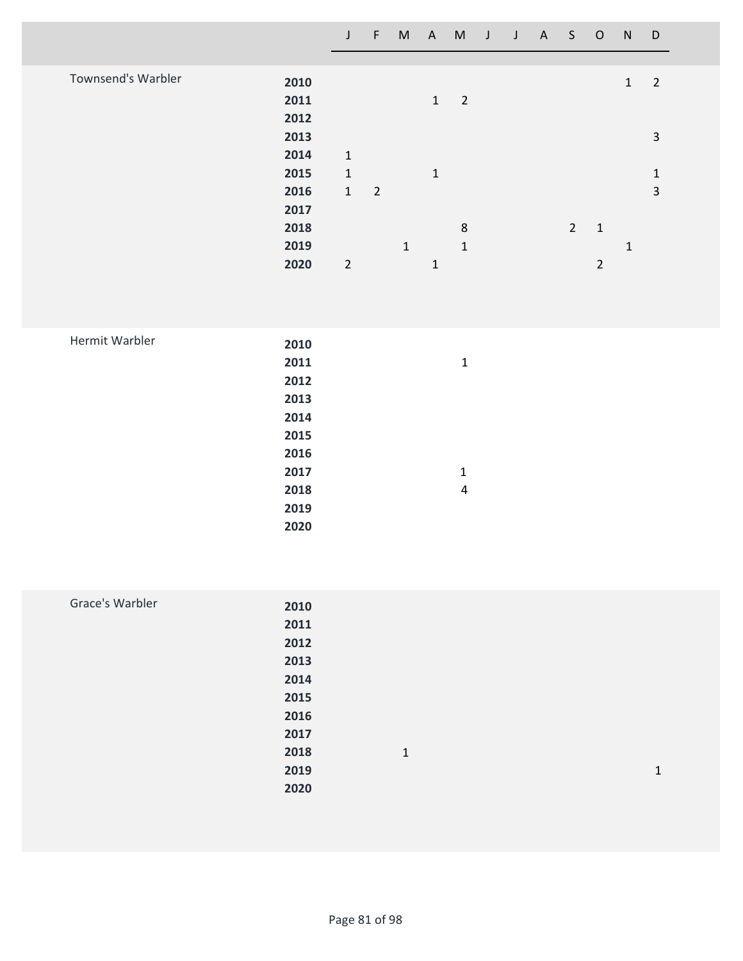|                           |      | J              | F              | M            | A            | M              |  | J J A S O |                |                | N            | D              |
|---------------------------|------|----------------|----------------|--------------|--------------|----------------|--|-----------|----------------|----------------|--------------|----------------|
|                           |      |                |                |              |              |                |  |           |                |                |              |                |
| <b>Townsend's Warbler</b> | 2010 |                |                |              |              |                |  |           |                |                | $\mathbf{1}$ | $\overline{2}$ |
|                           | 2011 |                |                |              | $\mathbf{1}$ | $\overline{2}$ |  |           |                |                |              |                |
|                           | 2012 |                |                |              |              |                |  |           |                |                |              |                |
|                           | 2013 |                |                |              |              |                |  |           |                |                |              | 3              |
|                           | 2014 | $\mathbf{1}$   |                |              |              |                |  |           |                |                |              |                |
|                           | 2015 | $\mathbf{1}$   |                |              | $\mathbf{1}$ |                |  |           |                |                |              | $\mathbf{1}$   |
|                           | 2016 | $\mathbf{1}$   | $\overline{2}$ |              |              |                |  |           |                |                |              | 3              |
|                           | 2017 |                |                |              |              |                |  |           |                |                |              |                |
|                           | 2018 |                |                |              |              | 8              |  |           | $\overline{2}$ | $\mathbf{1}$   |              |                |
|                           |      |                |                |              |              |                |  |           |                |                |              |                |
|                           | 2019 |                |                | $\mathbf{1}$ |              | $\mathbf{1}$   |  |           |                |                | 1            |                |
|                           | 2020 | $\overline{2}$ |                |              | $\mathbf{1}$ |                |  |           |                | $\overline{2}$ |              |                |

| Hermit Warbler | 2010 |   |
|----------------|------|---|
|                | 2011 | 1 |
|                | 2012 |   |
|                | 2013 |   |
|                | 2014 |   |
|                | 2015 |   |
|                | 2016 |   |
|                | 2017 | 1 |
|                | 2018 | 4 |
|                | 2019 |   |
|                | 2020 |   |
|                |      |   |

| Grace's Warbler | 2010 |              |   |
|-----------------|------|--------------|---|
|                 | 2011 |              |   |
|                 | 2012 |              |   |
|                 | 2013 |              |   |
|                 | 2014 |              |   |
|                 | 2015 |              |   |
|                 | 2016 |              |   |
|                 | 2017 |              |   |
|                 | 2018 | $\mathbf{1}$ |   |
|                 | 2019 |              | 1 |
|                 | 2020 |              |   |
|                 |      |              |   |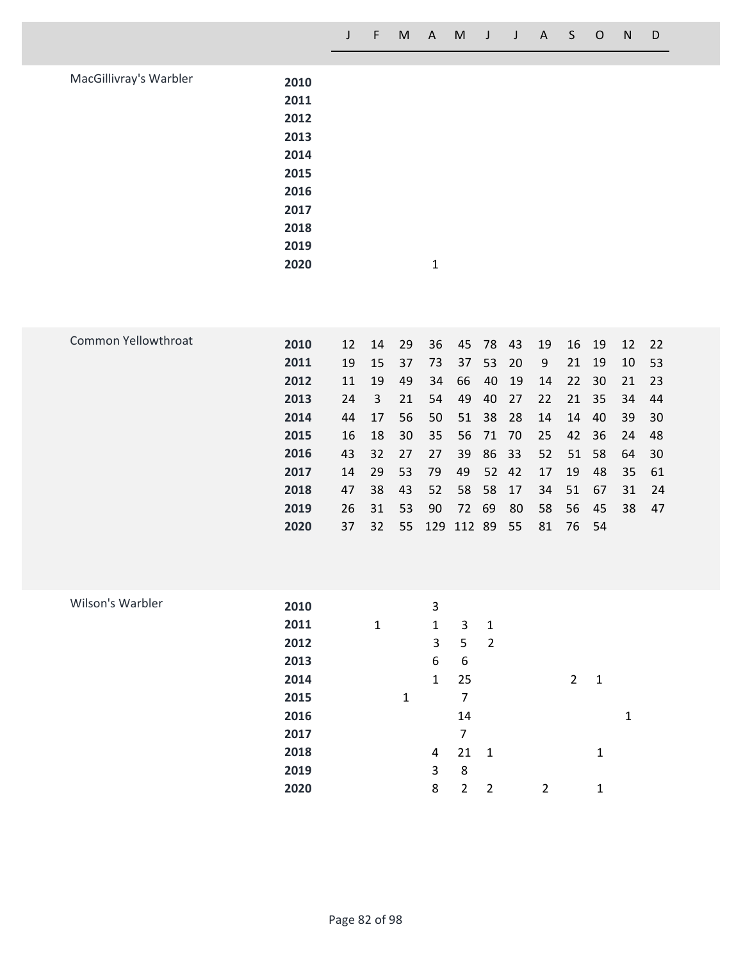| MacGillivray's Warbler | 2010 |   |  |
|------------------------|------|---|--|
|                        | 2011 |   |  |
|                        | 2012 |   |  |
|                        | 2013 |   |  |
|                        | 2014 |   |  |
|                        | 2015 |   |  |
|                        | 2016 |   |  |
|                        | 2017 |   |  |
|                        | 2018 |   |  |
|                        | 2019 |   |  |
|                        | 2020 | 1 |  |

| Common Yellowthroat | 2010 | 12 | 14  | -29 | 36         | 45    | 78    | -43   | 19 | 16 | - 19  | 12 | 22  |
|---------------------|------|----|-----|-----|------------|-------|-------|-------|----|----|-------|----|-----|
|                     | 2011 | 19 | 15  | 37  | 73         | 37    | 53    | -20   | 9  | 21 | - 19  | 10 | 53  |
|                     | 2012 | 11 | 19  | 49  | 34         | 66    | 40    | 19    | 14 |    | 22 30 | 21 | 23  |
|                     | 2013 | 24 | 3   | 21  | 54         | 49    | 40    | 27    | 22 |    | 21 35 | 34 | 44  |
|                     | 2014 | 44 | 17  | 56  | 50         | 51    | 38    | -28   | 14 | 14 | -40   | 39 | 30  |
|                     | 2015 | 16 | 18  | 30  | 35         | 56    | 71 70 |       | 25 |    | 42 36 | 24 | 48  |
|                     | 2016 | 43 | 32  | 27  | 27         | 39    | 86 33 |       | 52 |    | 51 58 | 64 | 30  |
|                     | 2017 | 14 | -29 | 53  | -79        | 49    |       | 52 42 | 17 | 19 | - 48  | 35 | -61 |
|                     | 2018 | 47 | 38  | 43  | -52        | 58    | 58 17 |       | 34 | 51 | - 67  | 31 | 24  |
|                     | 2019 | 26 | -31 | 53  | 90         | 72 69 |       | 80    | 58 | 56 | - 45  | 38 | 47  |
|                     | 2020 | 37 | 32  | 55  | 129 112 89 |       |       | 55    | 81 |    | 76 54 |    |     |
|                     |      |    |     |     |            |       |       |       |    |    |       |    |     |

| Wilson's Warbler | 2010 |              |   | 3              |    |                |   |   |   |   |
|------------------|------|--------------|---|----------------|----|----------------|---|---|---|---|
|                  | 2011 | $\mathbf{1}$ |   | $\mathbf{1}$   | 3  | $\mathbf{1}$   |   |   |   |   |
|                  | 2012 |              |   | 3              | 5  | $\overline{2}$ |   |   |   |   |
|                  | 2013 |              |   | 6              | 6  |                |   |   |   |   |
|                  | 2014 |              |   | $\mathbf{1}$   | 25 |                |   | 2 | 1 |   |
|                  | 2015 |              | 1 |                | 7  |                |   |   |   |   |
|                  | 2016 |              |   |                | 14 |                |   |   |   | 1 |
|                  | 2017 |              |   |                | 7  |                |   |   |   |   |
|                  | 2018 |              |   | $\overline{a}$ | 21 | $\mathbf{1}$   |   |   | 1 |   |
|                  | 2019 |              |   | 3              | 8  |                |   |   |   |   |
|                  | 2020 |              |   | 8              | 2  | $\overline{2}$ | 2 |   | 1 |   |
|                  |      |              |   |                |    |                |   |   |   |   |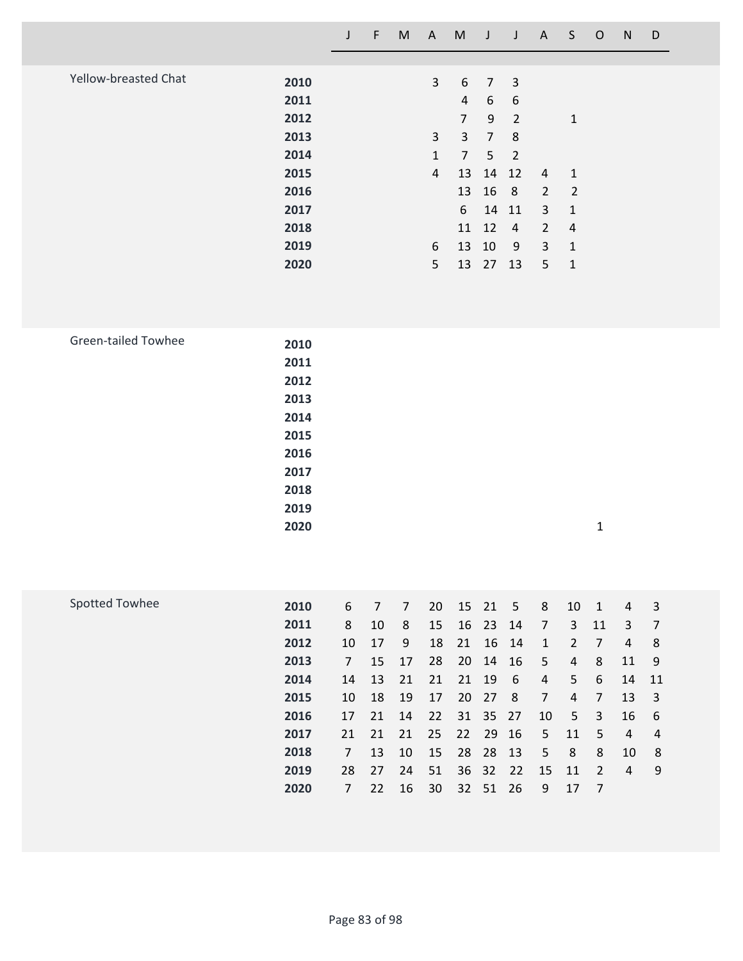|                            |                                                                                      | $\mathsf J$                                                                                      | $\mathsf F$                                                                | ${\sf M}$                                                                | $\mathsf{A}$                                                   | M                                                                                                                         | $\mathsf{J}$                                                                                     | $\mathsf{J}$                                                                     | A                                                                                                       | S                                                                                                             | $\mathsf{O}$                                                                                                       | ${\sf N}$                                                                                                      | D                                                                         |  |
|----------------------------|--------------------------------------------------------------------------------------|--------------------------------------------------------------------------------------------------|----------------------------------------------------------------------------|--------------------------------------------------------------------------|----------------------------------------------------------------|---------------------------------------------------------------------------------------------------------------------------|--------------------------------------------------------------------------------------------------|----------------------------------------------------------------------------------|---------------------------------------------------------------------------------------------------------|---------------------------------------------------------------------------------------------------------------|--------------------------------------------------------------------------------------------------------------------|----------------------------------------------------------------------------------------------------------------|---------------------------------------------------------------------------|--|
| Yellow-breasted Chat       | 2010<br>2011<br>2012<br>2013<br>2014<br>2015<br>2016<br>2017<br>2018<br>2019<br>2020 |                                                                                                  |                                                                            |                                                                          | $\overline{3}$<br>3<br>$\mathbf{1}$<br>4<br>6<br>5             | 6<br>$\overline{4}$<br>$\overline{7}$<br>$\mathsf{3}$<br>$\overline{7}$<br>13<br>13<br>$\boldsymbol{6}$<br>11<br>13<br>13 | $\overline{7}$<br>6<br>9<br>$\overline{7}$<br>$5\phantom{.}$<br>14<br>16<br>14<br>12<br>10<br>27 | 3<br>6<br>$\overline{2}$<br>8<br>$\overline{2}$<br>12<br>8<br>11<br>4<br>9<br>13 | $\overline{4}$<br>$\overline{2}$<br>3<br>$\overline{2}$<br>$\mathbf{3}$<br>5                            | $\mathbf{1}$<br>$\mathbf{1}$<br>$\overline{2}$<br>$\mathbf 1$<br>$\overline{4}$<br>$\mathbf 1$<br>$\mathbf 1$ |                                                                                                                    |                                                                                                                |                                                                           |  |
| <b>Green-tailed Towhee</b> | 2010<br>2011<br>2012<br>2013<br>2014<br>2015<br>2016<br>2017<br>2018<br>2019<br>2020 |                                                                                                  |                                                                            |                                                                          |                                                                |                                                                                                                           |                                                                                                  |                                                                                  |                                                                                                         |                                                                                                               | $\mathbf{1}$                                                                                                       |                                                                                                                |                                                                           |  |
| <b>Spotted Towhee</b>      | 2010<br>2011<br>2012<br>2013<br>2014<br>2015<br>2016<br>2017<br>2018<br>2019<br>2020 | 6<br>8<br>10<br>$\overline{7}$<br>14<br>10<br>17<br>21<br>$\overline{7}$<br>28<br>$\overline{7}$ | $\overline{7}$<br>10<br>17<br>15<br>13<br>18<br>21<br>21<br>13<br>27<br>22 | $\overline{7}$<br>8<br>9<br>17<br>21<br>19<br>14<br>21<br>10<br>24<br>16 | 20<br>15<br>18<br>28<br>21<br>17<br>22<br>25<br>15<br>51<br>30 | 15<br>16<br>21<br>20<br>21<br>20<br>31<br>22<br>28<br>36<br>32                                                            | 21<br>23<br>16<br>14<br>19<br>27<br>35<br>29<br>28<br>32<br>51                                   | 5<br>14<br>14<br>16<br>$\boldsymbol{6}$<br>$\,8\,$<br>27<br>16<br>13<br>22<br>26 | 8<br>$\overline{7}$<br>$\mathbf{1}$<br>5<br>$\overline{4}$<br>$\overline{7}$<br>10<br>5<br>5<br>15<br>9 | 10<br>$\overline{3}$<br>$\overline{2}$<br>$\overline{4}$<br>5<br>$\sqrt{4}$<br>5<br>11<br>$\,8\,$<br>11<br>17 | $\mathbf 1$<br>11<br>$\overline{7}$<br>8<br>6<br>$\overline{7}$<br>3<br>5<br>8<br>$\overline{2}$<br>$\overline{7}$ | $\sqrt{4}$<br>$\mathbf{3}$<br>$\overline{4}$<br>11<br>14<br>13<br>16<br>$\overline{4}$<br>10<br>$\overline{4}$ | 3<br>$\overline{7}$<br>8<br>9<br>11<br>3<br>6<br>$\overline{4}$<br>8<br>9 |  |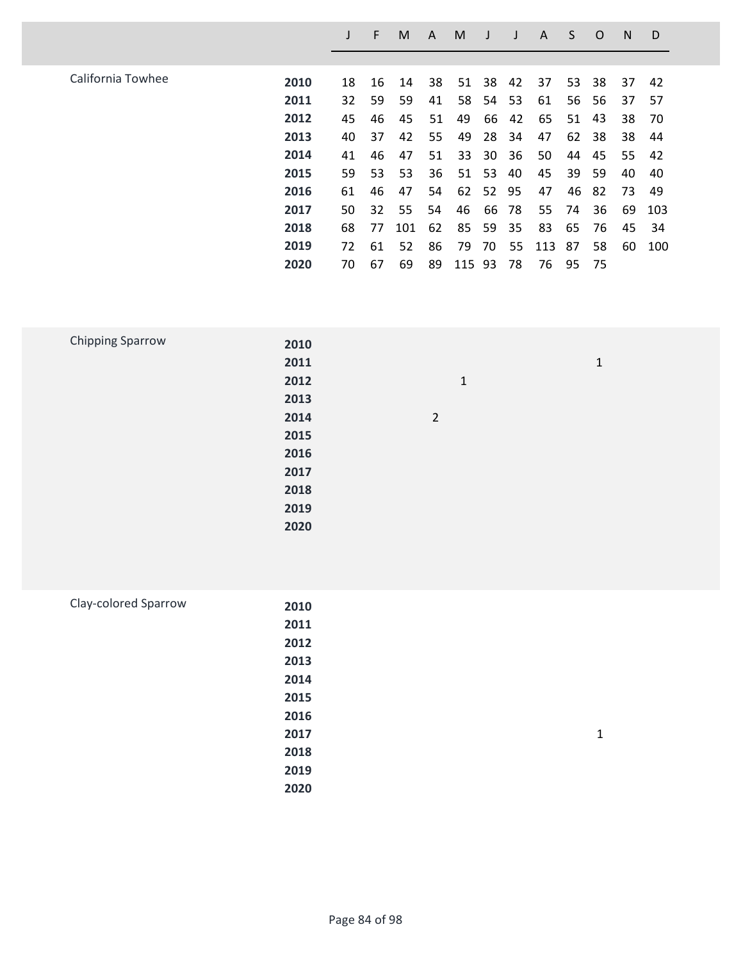|                   |      |    | F  | M   | A  | M   |    |    | A   | S  | O   | N  | D   |
|-------------------|------|----|----|-----|----|-----|----|----|-----|----|-----|----|-----|
|                   |      |    |    |     |    |     |    |    |     |    |     |    |     |
| California Towhee | 2010 | 18 | 16 | 14  | 38 | 51  | 38 | 42 | 37  | 53 | 38  | 37 | 42  |
|                   | 2011 | 32 | 59 | 59  | 41 | 58  | 54 | 53 | 61  | 56 | -56 | 37 | 57  |
|                   | 2012 | 45 | 46 | 45  | 51 | 49  | 66 | 42 | 65  | 51 | 43  | 38 | 70  |
|                   | 2013 | 40 | 37 | 42  | 55 | 49  | 28 | 34 | 47  | 62 | 38  | 38 | 44  |
|                   | 2014 | 41 | 46 | 47  | 51 | 33  | 30 | 36 | 50  | 44 | 45  | 55 | 42  |
|                   | 2015 | 59 | 53 | 53  | 36 | 51  | 53 | 40 | 45  | 39 | 59  | 40 | 40  |
|                   | 2016 | 61 | 46 | 47  | 54 | 62  | 52 | 95 | 47  | 46 | -82 | 73 | 49  |
|                   | 2017 | 50 | 32 | 55  | 54 | 46  | 66 | 78 | 55  | 74 | 36  | 69 | 103 |
|                   | 2018 | 68 | 77 | 101 | 62 | 85  | 59 | 35 | 83  | 65 | 76  | 45 | 34  |
|                   | 2019 | 72 | 61 | 52  | 86 | 79  | 70 | 55 | 113 | 87 | 58  | 60 | 100 |
|                   | 2020 | 70 | 67 | 69  | 89 | 115 | 93 | 78 | 76  | 95 | 75  |    |     |
|                   |      |    |    |     |    |     |    |    |     |    |     |    |     |

| <b>Chipping Sparrow</b> | 2010 |                |              |  |
|-------------------------|------|----------------|--------------|--|
|                         | 2011 |                | $\mathbf{1}$ |  |
|                         | 2012 | $\mathbf{1}$   |              |  |
|                         | 2013 |                |              |  |
|                         | 2014 | $\overline{2}$ |              |  |
|                         | 2015 |                |              |  |
|                         | 2016 |                |              |  |
|                         | 2017 |                |              |  |
|                         | 2018 |                |              |  |
|                         | 2019 |                |              |  |
|                         | 2020 |                |              |  |
|                         |      |                |              |  |

| Clay-colored Sparrow | 2010 |   |
|----------------------|------|---|
|                      | 2011 |   |
|                      | 2012 |   |
|                      | 2013 |   |
|                      | 2014 |   |
|                      | 2015 |   |
|                      | 2016 |   |
|                      | 2017 | 1 |
|                      | 2018 |   |
|                      | 2019 |   |
|                      | 2020 |   |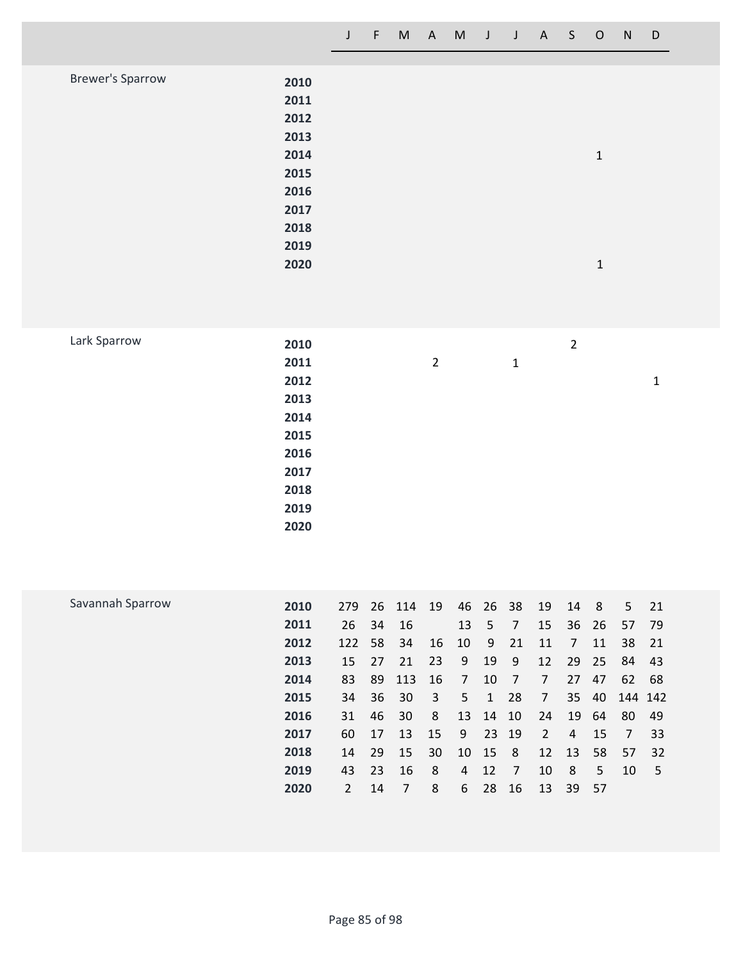|                  |      | J | F | M | A, | M | J | J | A | S. | $\circ$      | N | D |
|------------------|------|---|---|---|----|---|---|---|---|----|--------------|---|---|
|                  |      |   |   |   |    |   |   |   |   |    |              |   |   |
| Brewer's Sparrow | 2010 |   |   |   |    |   |   |   |   |    |              |   |   |
|                  | 2011 |   |   |   |    |   |   |   |   |    |              |   |   |
|                  | 2012 |   |   |   |    |   |   |   |   |    |              |   |   |
|                  | 2013 |   |   |   |    |   |   |   |   |    |              |   |   |
|                  | 2014 |   |   |   |    |   |   |   |   |    | 1            |   |   |
|                  | 2015 |   |   |   |    |   |   |   |   |    |              |   |   |
|                  | 2016 |   |   |   |    |   |   |   |   |    |              |   |   |
|                  | 2017 |   |   |   |    |   |   |   |   |    |              |   |   |
|                  | 2018 |   |   |   |    |   |   |   |   |    |              |   |   |
|                  | 2019 |   |   |   |    |   |   |   |   |    |              |   |   |
|                  | 2020 |   |   |   |    |   |   |   |   |    | $\mathbf{1}$ |   |   |

| Lark Sparrow |  |
|--------------|--|
|--------------|--|

|                |              | $\overline{2}$ |   |
|----------------|--------------|----------------|---|
| $\overline{2}$ | $\mathbf{1}$ |                |   |
|                |              |                | 1 |
|                |              |                |   |
|                |              |                |   |
|                |              |                |   |
|                |              |                |   |
|                |              |                |   |
|                |              |                |   |
|                |              |                |   |
|                |              |                |   |
|                |              |                |   |

| Savannah Sparrow | 2010 | 279 |    | 26 114 | 19 | 46             | 26 38        |       | 19             | 14    | - 8   | 5.      | 21   |
|------------------|------|-----|----|--------|----|----------------|--------------|-------|----------------|-------|-------|---------|------|
|                  | 2011 | 26  | 34 | - 16   |    | 13             | 5            | 7     | 15             |       | 36 26 | 57      | - 79 |
|                  | 2012 | 122 | 58 | 34     | 16 | 10             | 9            | 21    | 11             | 7     | 11    | 38      | 21   |
|                  | 2013 | 15  | 27 | 21     | 23 | 9              | 19           | 9     | 12             | 29    | -25   | 84      | 43   |
|                  | 2014 | 83  | 89 | 113    | 16 | $\overline{7}$ | 10           | 7     | 7              | 27    | 47    | 62      | 68   |
|                  | 2015 | 34  | 36 | -30    | 3  | 5              | $\mathbf{1}$ | 28    | $\overline{7}$ |       | 35 40 | 144 142 |      |
|                  | 2016 | 31  | 46 | 30     | 8  | 13             | 14           | 10    | 24             |       | 19 64 | 80      | 49   |
|                  | 2017 | 60  | 17 | 13     | 15 | 9              |              | 23 19 | $\overline{2}$ | 4     | 15    | 7       | 33   |
|                  | 2018 | 14  | 29 | 15     | 30 | 10             | 15           | 8     | 12             | 13    | 58    | 57      | 32   |
|                  | 2019 | 43  | 23 | 16     | 8  | 4              | 12           | 7     | 10             | 8     | 5     | 10      | 5    |
|                  | 2020 | 2   | 14 | 7      | 8  | 6              | 28           | 16    | 13             | 39 57 |       |         |      |
|                  |      |     |    |        |    |                |              |       |                |       |       |         |      |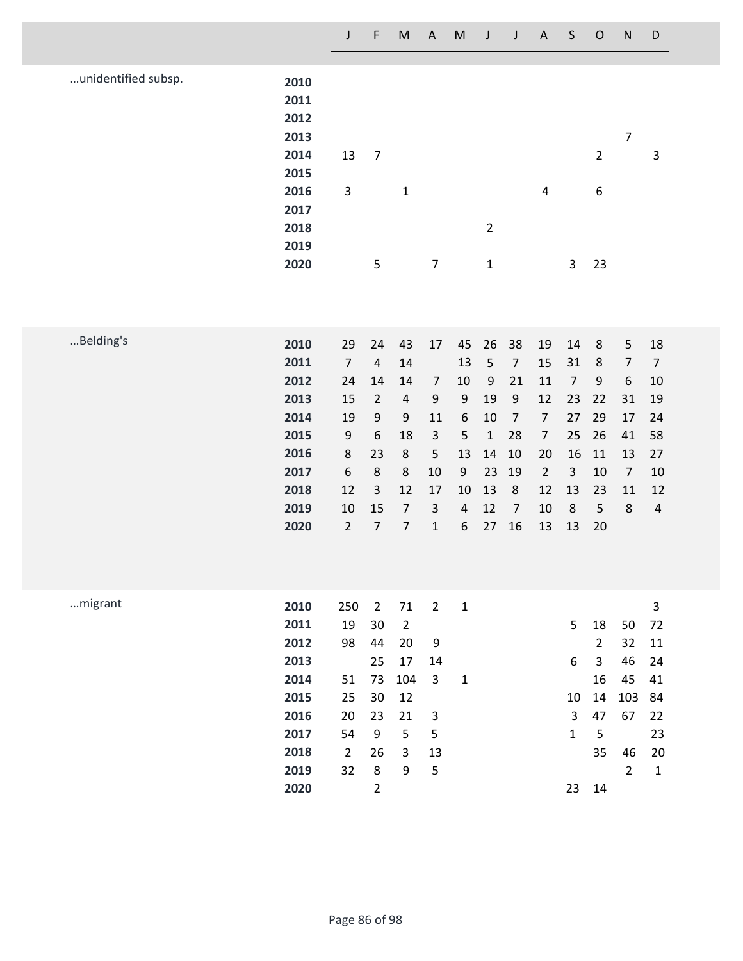|                     |                                                                                      | $\mathsf J$                                                                                                  | F                                                                                                             | $\mathsf{M}% _{T}=\mathsf{M}_{T}\!\left( a,b\right) ,\ \mathsf{M}_{T}=\mathsf{M}_{T}\!\left( a,b\right) ,$     | $\boldsymbol{\mathsf{A}}$                                                                                 | ${\sf M}$                                                             | J                                                                                             | J                                                                                                                | $\mathsf A$                                                                                        | $\sf S$                                                                               | $\mathsf{O}$                                                              | ${\sf N}$                                                                                          | D                                                                                          |
|---------------------|--------------------------------------------------------------------------------------|--------------------------------------------------------------------------------------------------------------|---------------------------------------------------------------------------------------------------------------|----------------------------------------------------------------------------------------------------------------|-----------------------------------------------------------------------------------------------------------|-----------------------------------------------------------------------|-----------------------------------------------------------------------------------------------|------------------------------------------------------------------------------------------------------------------|----------------------------------------------------------------------------------------------------|---------------------------------------------------------------------------------------|---------------------------------------------------------------------------|----------------------------------------------------------------------------------------------------|--------------------------------------------------------------------------------------------|
| unidentified subsp. | 2010<br>2011<br>2012<br>2013<br>2014<br>2015<br>2016<br>2017<br>2018<br>2019<br>2020 | 13<br>$\mathsf 3$                                                                                            | $\overline{7}$<br>5                                                                                           | $\mathbf 1$                                                                                                    | $\overline{7}$                                                                                            |                                                                       | $\overline{2}$<br>$\mathbf{1}$                                                                |                                                                                                                  | $\pmb{4}$                                                                                          | 3                                                                                     | $\overline{2}$<br>$\boldsymbol{6}$<br>23                                  | $\overline{7}$                                                                                     | 3                                                                                          |
|                     |                                                                                      |                                                                                                              |                                                                                                               |                                                                                                                |                                                                                                           |                                                                       |                                                                                               |                                                                                                                  |                                                                                                    |                                                                                       |                                                                           |                                                                                                    |                                                                                            |
| Belding's           | 2010<br>2011<br>2012<br>2013<br>2014<br>2015<br>2016<br>2017<br>2018<br>2019<br>2020 | 29<br>$\overline{7}$<br>24<br>15<br>19<br>$\boldsymbol{9}$<br>$\bf 8$<br>6<br>12<br>$10\,$<br>$\overline{2}$ | 24<br>$\overline{4}$<br>14<br>$\overline{2}$<br>9<br>$\boldsymbol{6}$<br>23<br>8<br>3<br>15<br>$\overline{7}$ | 43<br>14<br>14<br>$\overline{\mathbf{4}}$<br>9<br>18<br>$\,8\,$<br>8<br>12<br>$\overline{7}$<br>$\overline{7}$ | 17<br>$\overline{7}$<br>$\mathsf 9$<br>11<br>$\mathsf 3$<br>5<br>10<br>17<br>$\mathsf{3}$<br>$\mathbf{1}$ | 45<br>13<br>10<br>9<br>6<br>5<br>13<br>9<br>10<br>$\overline{4}$<br>6 | 26<br>$\sqrt{5}$<br>$\boldsymbol{9}$<br>19<br>10<br>$\mathbf 1$<br>14<br>23<br>13<br>12<br>27 | 38<br>$\overline{7}$<br>21<br>$\mathsf g$<br>$\overline{7}$<br>28<br>10<br>19<br>$\,8\,$<br>$\overline{7}$<br>16 | 19<br>15<br>11<br>12<br>$\overline{7}$<br>$\overline{7}$<br>20<br>$\overline{2}$<br>12<br>10<br>13 | 14<br>31<br>$\overline{7}$<br>23<br>27<br>25<br>16<br>$\overline{3}$<br>13<br>8<br>13 | $\,8\,$<br>$\,8$<br>$9\,$<br>22<br>29<br>26<br>11<br>10<br>23<br>5<br>20  | 5<br>$\overline{7}$<br>$\boldsymbol{6}$<br>31<br>17<br>41<br>13<br>$\overline{7}$<br>11<br>$\bf 8$ | 18<br>$\boldsymbol{7}$<br>10<br>19<br>24<br>58<br>27<br>10<br>12<br>$\overline{4}$         |
| migrant             | 2010<br>2011<br>2012<br>2013<br>2014<br>2015<br>2016<br>2017<br>2018<br>2019<br>2020 | 250<br>19<br>98<br>51<br>25<br>20<br>54<br>$\overline{2}$<br>32                                              | $\overline{2}$<br>30<br>44<br>25<br>73<br>30<br>23<br>$\boldsymbol{9}$<br>26<br>8<br>$\overline{2}$           | 71<br>$\overline{2}$<br>20<br>17<br>104<br>12<br>21<br>5<br>$\overline{3}$<br>9                                | $2^{\circ}$<br>9<br>14<br>$\mathbf{3}$<br>3<br>5<br>13<br>5                                               | $\mathbf 1$<br>$\mathbf 1$                                            |                                                                                               |                                                                                                                  |                                                                                                    | 5<br>6<br>10<br>$\overline{3}$<br>$\mathbf 1$<br>23                                   | 18<br>$\overline{2}$<br>$\overline{3}$<br>16<br>14<br>47<br>5<br>35<br>14 | 50<br>32<br>46<br>45<br>103<br>67<br>46<br>$\overline{2}$                                          | $\overline{\mathbf{3}}$<br>72<br>11<br>24<br>41<br>84<br>22<br>23<br>$20\,$<br>$\mathbf 1$ |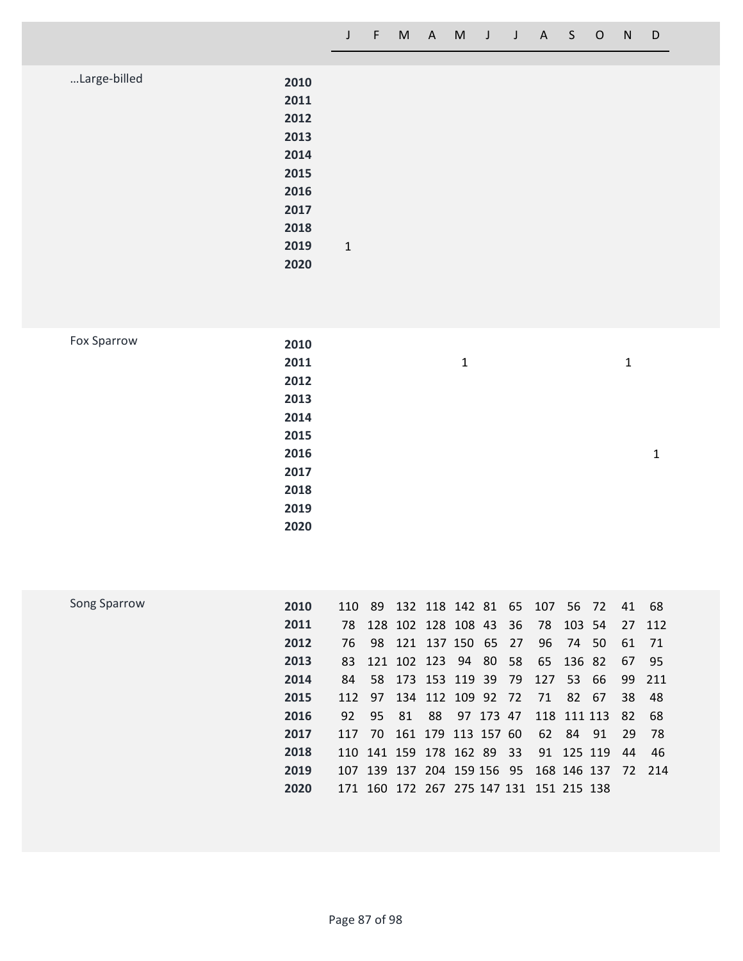|  |  |  | J F M A M J J A S O N D |  |  |
|--|--|--|-------------------------|--|--|
|  |  |  |                         |  |  |

| Large-billed | 2010 |              |  |
|--------------|------|--------------|--|
|              | 2011 |              |  |
|              |      |              |  |
|              | 2012 |              |  |
|              | 2013 |              |  |
|              | 2014 |              |  |
|              | 2015 |              |  |
|              | 2016 |              |  |
|              | 2017 |              |  |
|              | 2018 |              |  |
|              | 2019 | $\mathbf{1}$ |  |
|              | 2020 |              |  |
|              |      |              |  |

|  | <b>Fox Sparrow</b> |
|--|--------------------|
|--|--------------------|

| 2010 |             |              |   |
|------|-------------|--------------|---|
| 2011 | $\mathbf 1$ | $\mathbf{1}$ |   |
| 2012 |             |              |   |
| 2013 |             |              |   |
| 2014 |             |              |   |
| 2015 |             |              |   |
| 2016 |             |              | 1 |
| 2017 |             |              |   |
| 2018 |             |              |   |
| 2019 |             |              |   |
| 2020 |             |              |   |
|      |             |              |   |

| Song Sparrow | 2010 |      |    |      | 110 89 132 118 142 81 65 107            |              |      |     |             | 56 72 41 |     | - 68                                          |
|--------------|------|------|----|------|-----------------------------------------|--------------|------|-----|-------------|----------|-----|-----------------------------------------------|
|              | 2011 |      |    |      | 78 128 102 128 108 43                   |              | - 36 |     | 78 103 54   |          |     | 27 112                                        |
|              | 2012 | 76 - |    |      | 98 121 137 150 65 27                    |              |      |     | 96 74 50    |          | 61  | 71                                            |
|              | 2013 | 83   |    |      | 121 102 123 94 80 58 65 136 82          |              |      |     |             |          | 67  | - 95                                          |
|              | 2014 | 84   |    |      | 58 173 153 119 39                       |              | - 79 | 127 | 53 66       |          |     | 99 211                                        |
|              | 2015 |      |    |      | 112 97 134 112 109 92 72                |              |      | 71  |             | 82 67    | 38  | - 48                                          |
|              | 2016 | 92   | 95 | - 81 |                                         | 88 97 173 47 |      |     | 118 111 113 |          | -82 | -68                                           |
|              | 2017 | 117  |    |      | 70 161 179 113 157 60                   |              |      |     | 62 84 91    |          | 29  | - 78                                          |
|              | 2018 |      |    |      | 110 141 159 178 162 89 33               |              |      |     | 91 125 119  |          | 44  | 46                                            |
|              | 2019 |      |    |      |                                         |              |      |     |             |          |     | 107 139 137 204 159 156 95 168 146 137 72 214 |
|              | 2020 |      |    |      | 171 160 172 267 275 147 131 151 215 138 |              |      |     |             |          |     |                                               |
|              |      |      |    |      |                                         |              |      |     |             |          |     |                                               |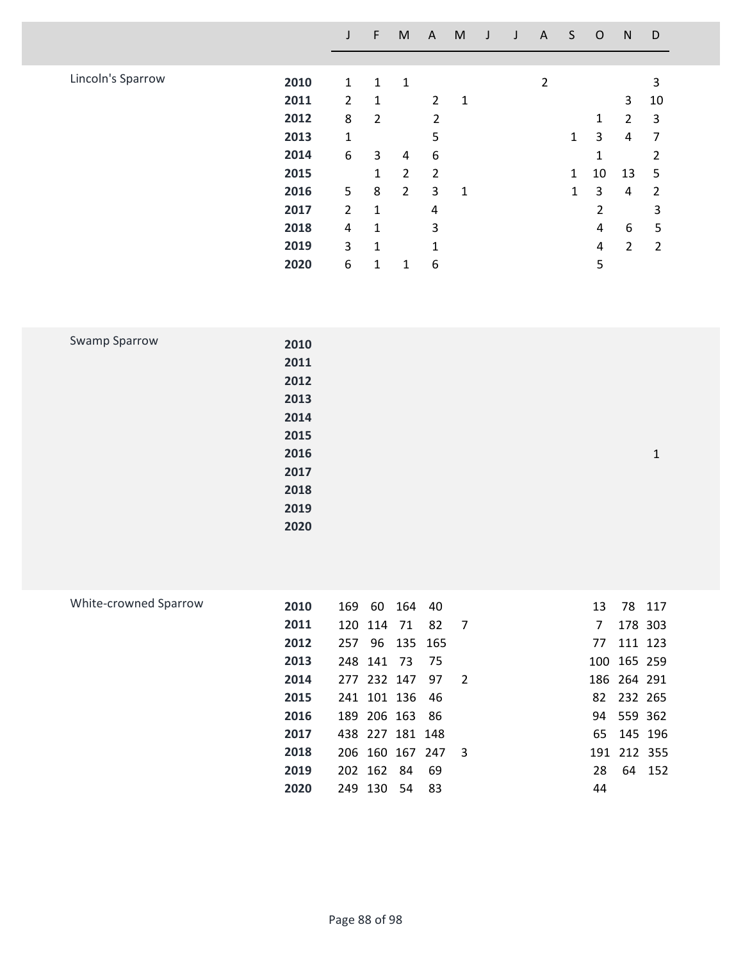|                   |      |                | F              | M              | A              | M | J | A              | S            | $\circ$        | N              | D              |
|-------------------|------|----------------|----------------|----------------|----------------|---|---|----------------|--------------|----------------|----------------|----------------|
|                   |      |                |                |                |                |   |   |                |              |                |                |                |
| Lincoln's Sparrow | 2010 | $\mathbf 1$    | 1              | 1              |                |   |   | $\overline{2}$ |              |                |                | 3              |
|                   | 2011 | $\overline{2}$ | 1              |                | $\overline{2}$ | 1 |   |                |              |                | 3              | 10             |
|                   | 2012 | 8              | $\overline{2}$ |                | 2              |   |   |                |              | 1              | $\overline{2}$ | 3              |
|                   | 2013 | $\mathbf{1}$   |                |                | 5              |   |   |                | 1            | 3              | 4              | 7              |
|                   | 2014 | 6              | 3              | 4              | 6              |   |   |                |              | 1              |                | 2              |
|                   | 2015 |                | $\mathbf{1}$   | 2              | $\overline{2}$ |   |   |                | $\mathbf{1}$ | 10             | 13             | 5              |
|                   | 2016 | 5              | 8              | $\overline{2}$ | 3              | 1 |   |                | 1            | 3              | 4              | 2              |
|                   | 2017 | $\overline{2}$ | 1              |                | $\overline{4}$ |   |   |                |              | $\overline{2}$ |                | 3              |
|                   | 2018 | 4              | 1              |                | 3              |   |   |                |              | 4              | 6              | 5              |
|                   | 2019 | 3              | 1              |                | 1              |   |   |                |              | 4              | $\overline{2}$ | $\overline{2}$ |
|                   | 2020 | 6              | 1              | 1              | 6              |   |   |                |              | 5              |                |                |

| Swamp Sparrow | 2010 |   |
|---------------|------|---|
|               | 2011 |   |
|               | 2012 |   |
|               | 2013 |   |
|               | 2014 |   |
|               | 2015 |   |
|               | 2016 | 1 |
|               | 2017 |   |
|               | 2018 |   |
|               | 2019 |   |
|               | 2020 |   |

| White-crowned Sparrow | 2010 | 169     | 60         | 164             | -40             |                | 13 |             | 78 117 |
|-----------------------|------|---------|------------|-----------------|-----------------|----------------|----|-------------|--------|
|                       | 2011 |         | 120 114 71 |                 | 82              | $\overline{7}$ | 7  | 178 303     |        |
|                       | 2012 |         |            | 257 96 135 165  |                 |                | 77 | 111 123     |        |
|                       | 2013 |         | 248 141 73 |                 | - 75            |                |    | 100 165 259 |        |
|                       | 2014 |         |            | 277 232 147 97  |                 | $\overline{2}$ |    | 186 264 291 |        |
|                       | 2015 |         |            | 241 101 136 46  |                 |                |    | 82 232 265  |        |
|                       | 2016 |         |            | 189 206 163     | - 86            |                |    | 94 559 362  |        |
|                       | 2017 |         |            | 438 227 181 148 |                 |                |    | 65 145 196  |        |
|                       | 2018 |         |            |                 | 206 160 167 247 | - 3            |    | 191 212 355 |        |
|                       | 2019 |         | 202 162 84 |                 | 69              |                | 28 |             | 64 152 |
|                       | 2020 | 249 130 |            | - 54            | -83             |                | 44 |             |        |
|                       |      |         |            |                 |                 |                |    |             |        |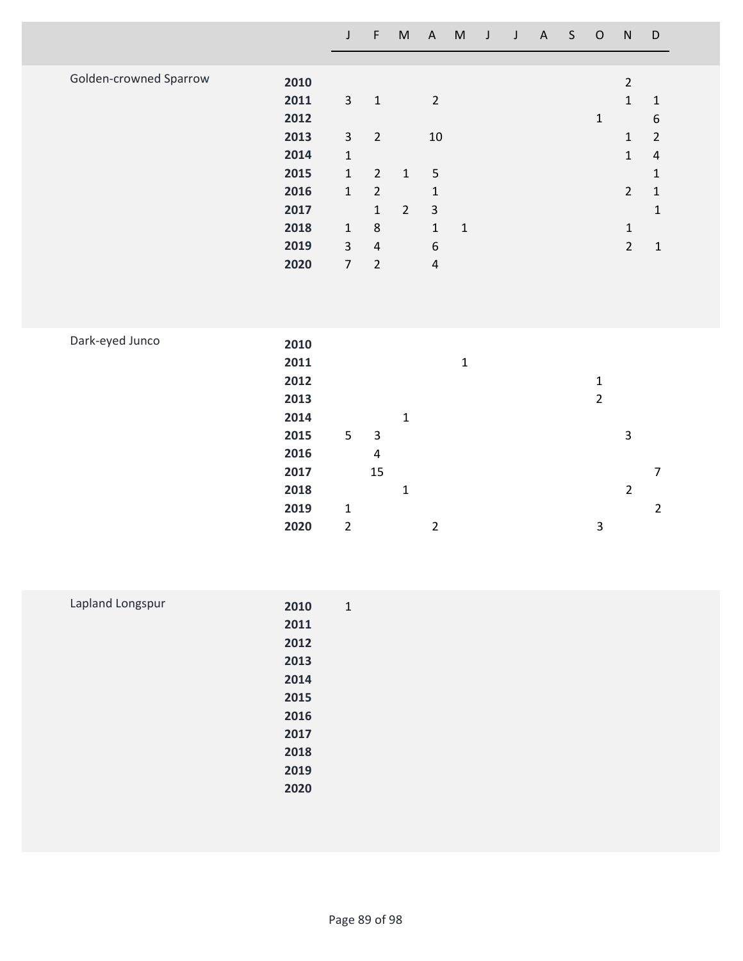|                        |                                                                                      | $\mathsf J$                                                                                                                      | F                                                                                                                                 | M                             |                                                                                                                             | A M J       | $\mathsf J$ | A | S | $\circ$                       | ${\sf N}$                                                                                                        | $\mathsf D$                                                                                                                  |  |
|------------------------|--------------------------------------------------------------------------------------|----------------------------------------------------------------------------------------------------------------------------------|-----------------------------------------------------------------------------------------------------------------------------------|-------------------------------|-----------------------------------------------------------------------------------------------------------------------------|-------------|-------------|---|---|-------------------------------|------------------------------------------------------------------------------------------------------------------|------------------------------------------------------------------------------------------------------------------------------|--|
| Golden-crowned Sparrow | 2010<br>2011<br>2012<br>2013<br>2014<br>2015<br>2016<br>2017<br>2018<br>2019<br>2020 | $\overline{3}$<br>$\overline{3}$<br>$\mathbf 1$<br>$\mathbf 1$<br>$\mathbf 1$<br>$\mathbf 1$<br>$\overline{3}$<br>$\overline{7}$ | $\mathbf{1}$<br>$\overline{2}$<br>$\overline{2}$<br>$\overline{2}$<br>$\mathbf{1}$<br>$\,8\,$<br>$\overline{4}$<br>$\overline{2}$ | $\mathbf 1$<br>$\overline{2}$ | $\overline{2}$<br>$10\,$<br>$\sqrt{5}$<br>$\mathbf 1$<br>$\mathsf{3}$<br>$\mathbf{1}$<br>$\boldsymbol{6}$<br>$\overline{4}$ | $\mathbf 1$ |             |   |   | $\mathbf{1}$                  | $\overline{2}$<br>$\mathbf{1}$<br>$\mathbf 1$<br>$\mathbf{1}$<br>$\overline{2}$<br>$\mathbf 1$<br>$\overline{2}$ | $\mathbf 1$<br>$\boldsymbol{6}$<br>$\overline{2}$<br>$\sqrt{4}$<br>$\mathbf 1$<br>$\mathbf 1$<br>$\mathbf{1}$<br>$\mathbf 1$ |  |
| Dark-eyed Junco        | 2010<br>2011<br>2012<br>2013<br>2014<br>2015<br>2016                                 | 5                                                                                                                                | $\mathsf 3$<br>$\overline{\mathbf{4}}$                                                                                            | $\mathbf{1}$                  |                                                                                                                             | $\mathbf 1$ |             |   |   | $\mathbf 1$<br>$\overline{2}$ | 3                                                                                                                |                                                                                                                              |  |

 **15 7 1 2 1 2**

**2 2 3**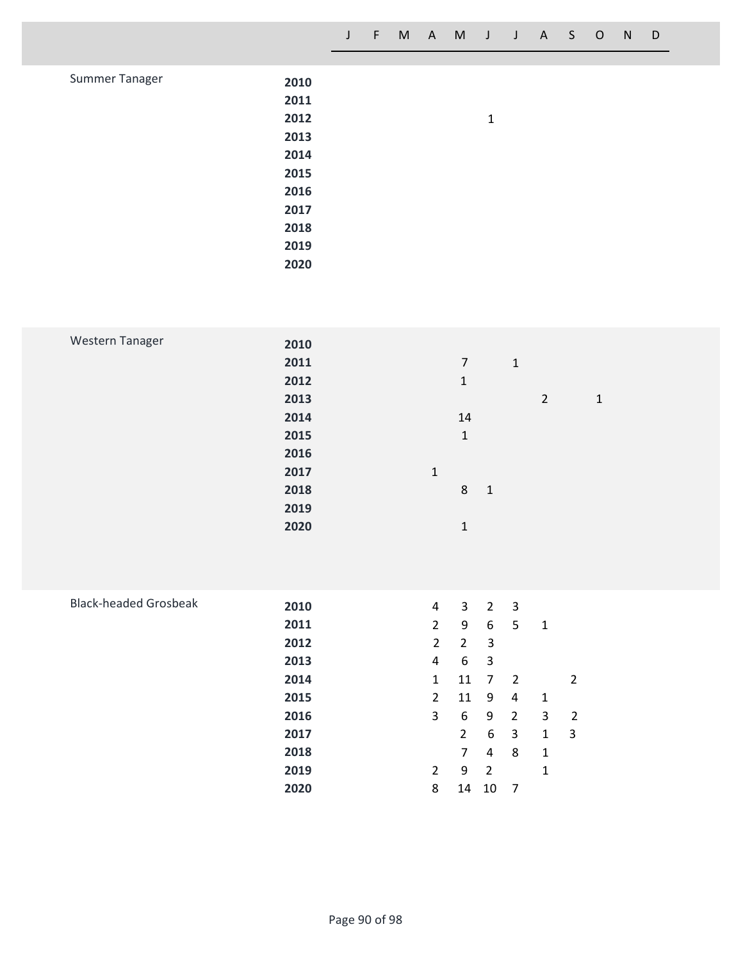| Summer Tanager | 2010 |              |  |
|----------------|------|--------------|--|
|                | 2011 |              |  |
|                | 2012 | $\mathbf{1}$ |  |
|                | 2013 |              |  |
|                | 2014 |              |  |
|                | 2015 |              |  |
|                | 2016 |              |  |
|                | 2017 |              |  |
|                | 2018 |              |  |
|                | 2019 |              |  |
|                | 2020 |              |  |

| Western Tanager              | 2010<br>2011<br>2012<br>2013<br>2014<br>2015<br>2016<br>2017<br>2018<br>2019<br>2020 | $\mathbf 1$<br>$\overline{7}$<br>$\mathbf 1$<br>$\mathbf 2$<br>$\mathbf 1$<br>$14\,$<br>$\mathbf 1$<br>$\mathbf 1$<br>8<br>$\mathbf 1$<br>$\mathbf 1$                                                                                                                                                                                                                                                                                                                                                                                                                                                                                                                                                                                                                                       |
|------------------------------|--------------------------------------------------------------------------------------|---------------------------------------------------------------------------------------------------------------------------------------------------------------------------------------------------------------------------------------------------------------------------------------------------------------------------------------------------------------------------------------------------------------------------------------------------------------------------------------------------------------------------------------------------------------------------------------------------------------------------------------------------------------------------------------------------------------------------------------------------------------------------------------------|
| <b>Black-headed Grosbeak</b> | 2010<br>2011<br>2012<br>2013<br>2014<br>2015<br>2016<br>2017<br>2018<br>2019<br>2020 | $\mathsf{3}$<br>$2^{\circ}$<br>$\mathbf{3}$<br>$\overline{4}$<br>$\overline{2}$<br>9<br>$6\phantom{.}6$<br>$5\phantom{.}$<br>$\mathbf 1$<br>$\overline{2}$<br>$\overline{3}$<br>$\overline{2}$<br>$\boldsymbol{6}$<br>$\mathsf 3$<br>$\overline{4}$<br>11<br>$\overline{2}$<br>$\mathbf{1}$<br>$\overline{7}$<br>$\overline{2}$<br>11<br>$\overline{2}$<br>$\boldsymbol{9}$<br>$\sqrt{4}$<br>$\mathbf 1$<br>$\overline{3}$<br>$\boldsymbol{6}$<br>$\boldsymbol{9}$<br>$\overline{2}$<br>$\mathbf{3}$<br>$\sqrt{2}$<br>$\boldsymbol{6}$<br>$\mathbf{3}$<br>$\mathbf{1}$<br>$\mathbf{3}$<br>$\overline{2}$<br>$\overline{7}$<br>$\overline{\mathbf{4}}$<br>8<br>$\mathbf 1$<br>$\boldsymbol{9}$<br>$\overline{2}$<br>$\overline{2}$<br>$\mathbf 1$<br>8<br>$14\,$<br>$10\,$<br>$\overline{7}$ |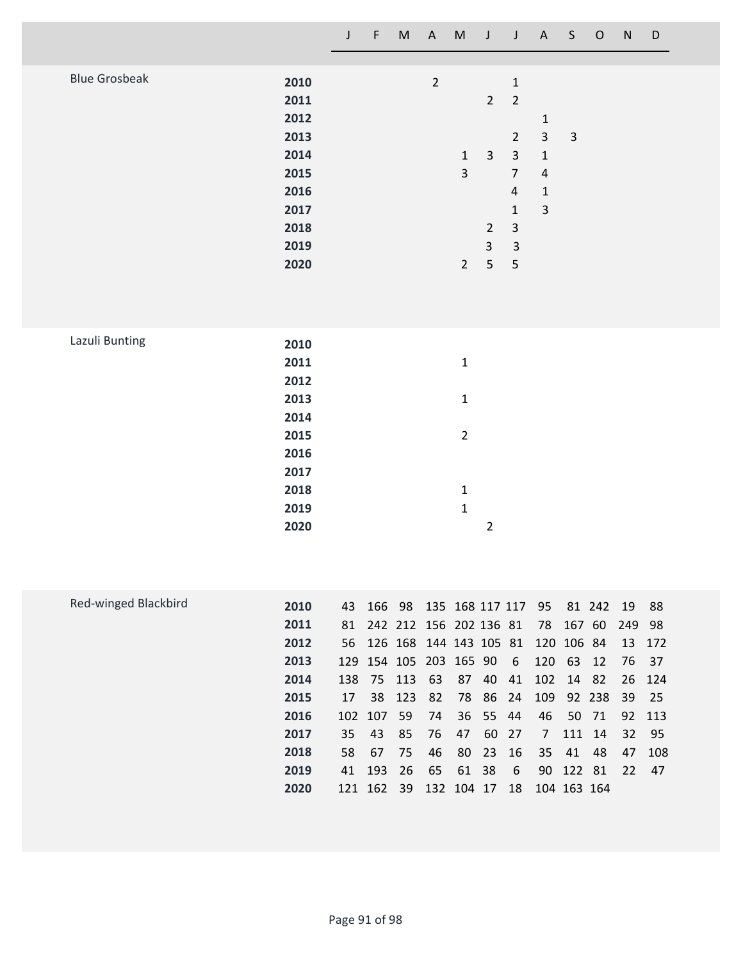|                      |                                                                                      | $\mathsf{J}$ | $\mathsf F$ | $\mathsf{M}% _{T}=\mathsf{M}_{T}\!\left( a,b\right) ,\ \mathsf{M}_{T}=\mathsf{M}_{T}\!\left( a,b\right) ,$ | $\mathsf{A}$                              | $\mathsf{M}% _{H}=\mathsf{M}_{H}$                                          | $\mathsf J$                                                                      | $\mathsf J$                                                                                                                                                      | $\mathsf{A}$                                                                                                  | S           | $\mathsf O$ | ${\sf N}$ | $\mathsf D$ |  |
|----------------------|--------------------------------------------------------------------------------------|--------------|-------------|------------------------------------------------------------------------------------------------------------|-------------------------------------------|----------------------------------------------------------------------------|----------------------------------------------------------------------------------|------------------------------------------------------------------------------------------------------------------------------------------------------------------|---------------------------------------------------------------------------------------------------------------|-------------|-------------|-----------|-------------|--|
| <b>Blue Grosbeak</b> | 2010<br>2011<br>2012<br>2013<br>2014<br>2015<br>2016<br>2017<br>2018<br>2019<br>2020 |              |             |                                                                                                            | $\overline{2}$                            | $\mathbf 1$<br>$\overline{3}$<br>$2^{\circ}$                               | $\overline{2}$<br>$\mathbf{3}$<br>$\overline{2}$<br>$\overline{\mathbf{3}}$<br>5 | $\mathbf 1$<br>$\overline{2}$<br>$\overline{2}$<br>$\overline{\mathbf{3}}$<br>$\overline{7}$<br>$\sqrt{4}$<br>$\mathbf 1$<br>$\mathsf{3}$<br>$\overline{3}$<br>5 | $\mathbf 1$<br>$\overline{\mathbf{3}}$<br>$\mathbf 1$<br>$\sqrt{4}$<br>$\mathbf 1$<br>$\overline{\mathbf{3}}$ | $\mathsf 3$ |             |           |             |  |
| Lazuli Bunting       | 2010<br>2011<br>2012<br>2013<br>2014<br>2015<br>2016<br>2017<br>2018<br>2019<br>2020 |              |             |                                                                                                            |                                           | $\mathbf 1$<br>$\mathbf 1$<br>$\overline{2}$<br>$\mathbf 1$<br>$\mathbf 1$ | $\overline{2}$                                                                   |                                                                                                                                                                  |                                                                                                               |             |             |           |             |  |
| Red-winged Blackbird | 2010                                                                                 |              |             |                                                                                                            | 43 166 98 135 168 117 117 95 81 242 19 88 |                                                                            |                                                                                  |                                                                                                                                                                  |                                                                                                               |             |             |           |             |  |

| Red-winged Blackbird | 2010 | 43  |            |               | 166 98 135 168 117 117 95            |     |          |      |             |           | 81 242 19 88 |        |        |
|----------------------|------|-----|------------|---------------|--------------------------------------|-----|----------|------|-------------|-----------|--------------|--------|--------|
|                      | 2011 |     |            |               | 81 242 212 156 202 136 81 78 167 60  |     |          |      |             |           |              | 249 98 |        |
|                      | 2012 |     |            |               | 56 126 168 144 143 105 81 120 106 84 |     |          |      |             |           |              | 13 172 |        |
|                      | 2013 |     |            |               | 129 154 105 203 165 90               |     |          | $-6$ | 120 63 12   |           |              | 76 37  |        |
|                      | 2014 |     |            | 138 75 113 63 |                                      | -87 | -40      | 41   | 102 14 82   |           |              |        | 26 124 |
|                      | 2015 | 17  |            |               | 38 123 82 78 86 24 109 92 238 39 25  |     |          |      |             |           |              |        |        |
|                      | 2016 |     | 102 107 59 |               | 74 36 55 44                          |     |          |      |             | 46 50 71  |              |        | 92 113 |
|                      | 2017 | 35  | - 43       | 85            | - 76                                 | 47  | 60 27    |      |             | 7 111 14  |              | 32     | - 95   |
|                      | 2018 | 58. | - 67       | - 75          | 46                                   |     | 80 23 16 |      |             | 35 41     | -48          | 47     | 108    |
|                      | 2019 | 41  |            |               | 193 26 65 61 38                      |     |          | - 6  |             | 90 122 81 |              | 22 47  |        |
|                      | 2020 |     |            |               | 121 162 39 132 104 17                |     |          | 18   | 104 163 164 |           |              |        |        |
|                      |      |     |            |               |                                      |     |          |      |             |           |              |        |        |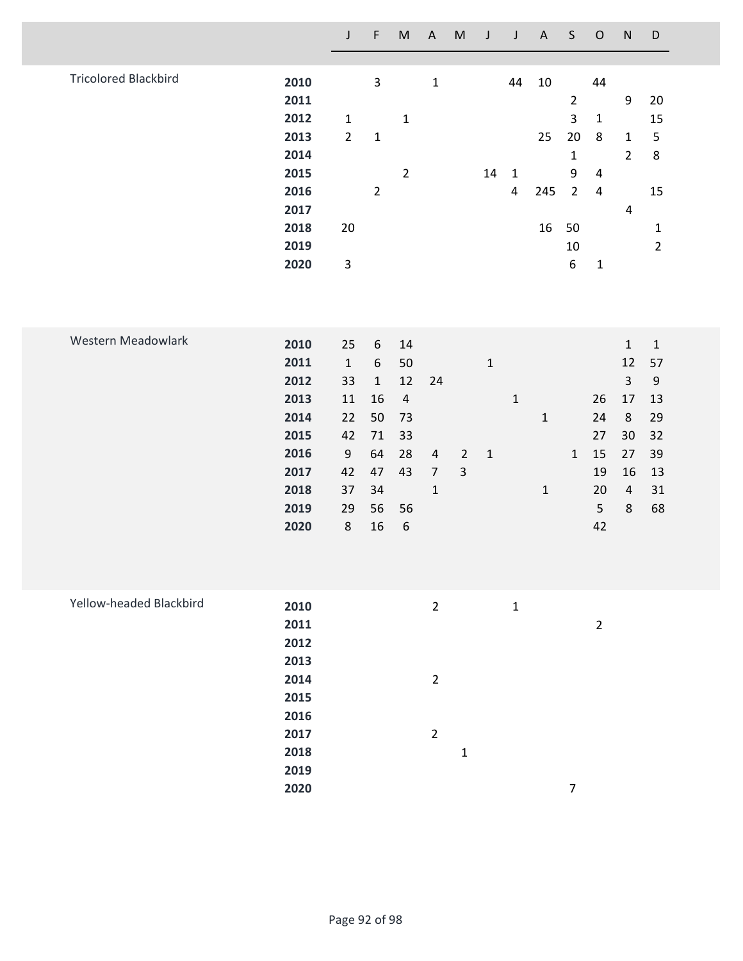|                             |                                                                                      | $\mathsf J$                                                                                    | $\mathsf F$                                                                | ${\sf M}$                                                                          | $\mathsf{A}$                                       | ${\sf M}$                                 | $\mathsf J$                 | J                                            | $\mathsf{A}$               | $\sf S$                                                                                       | $\mathsf O$                                                   | $\mathsf{N}$                                                                                  | D                                                                          |
|-----------------------------|--------------------------------------------------------------------------------------|------------------------------------------------------------------------------------------------|----------------------------------------------------------------------------|------------------------------------------------------------------------------------|----------------------------------------------------|-------------------------------------------|-----------------------------|----------------------------------------------|----------------------------|-----------------------------------------------------------------------------------------------|---------------------------------------------------------------|-----------------------------------------------------------------------------------------------|----------------------------------------------------------------------------|
| <b>Tricolored Blackbird</b> | 2010<br>2011<br>2012<br>2013<br>2014<br>2015<br>2016<br>2017<br>2018<br>2019<br>2020 | $\mathbf{1}$<br>$\overline{2}$<br>20<br>3                                                      | $\mathsf{3}$<br>$\mathbf 1$<br>$\overline{2}$                              | $\mathbf{1}$<br>$\overline{2}$                                                     | $\mathbf 1$                                        |                                           | 14                          | 44<br>$\mathbf 1$<br>$\overline{\mathbf{4}}$ | $10\,$<br>25<br>245<br>16  | $\overline{2}$<br>$\overline{3}$<br>20<br>$\mathbf 1$<br>9<br>$\overline{2}$<br>50<br>10<br>6 | 44<br>$\mathbf 1$<br>8<br>$\overline{a}$<br>4<br>$\mathbf{1}$ | $\boldsymbol{9}$<br>$\mathbf{1}$<br>$\overline{2}$<br>$\overline{\mathbf{4}}$                 | 20<br>15<br>5<br>$\bf 8$<br>15<br>$\mathbf{1}$<br>$\overline{2}$           |
| Western Meadowlark          | 2010<br>2011<br>2012<br>2013<br>2014<br>2015<br>2016<br>2017<br>2018<br>2019<br>2020 | 25<br>$\mathbf 1$<br>33<br>$11\,$<br>22<br>42<br>$\boldsymbol{9}$<br>42<br>37<br>29<br>$\bf 8$ | 6<br>$6\,$<br>$\mathbf{1}$<br>16<br>50<br>71<br>64<br>47<br>34<br>56<br>16 | 14<br>50<br>12<br>$\overline{4}$<br>73<br>33<br>28<br>43<br>56<br>$\boldsymbol{6}$ | 24<br>4<br>$\overline{7}$<br>$1\,$                 | $\overline{2}$<br>$\overline{\mathbf{3}}$ | $\mathbf 1$<br>$\mathbf{1}$ | $\mathbf 1$                                  | $\mathbf 1$<br>$\mathbf 1$ | $\mathbf{1}$                                                                                  | 26<br>24<br>27<br>15<br>19<br>20<br>5<br>42                   | $\mathbf 1$<br>12<br>$\overline{3}$<br>17<br>8<br>30<br>27<br>16<br>$\overline{4}$<br>$\,8\,$ | $\mathbf 1$<br>57<br>$\mathsf 9$<br>13<br>29<br>32<br>39<br>13<br>31<br>68 |
| Yellow-headed Blackbird     | 2010<br>2011<br>2012<br>2013<br>2014<br>2015<br>2016<br>2017<br>2018<br>2019<br>2020 |                                                                                                |                                                                            |                                                                                    | $\overline{2}$<br>$\overline{2}$<br>$\overline{2}$ | $\mathbf 1$                               |                             | $\mathbf{1}$                                 |                            | $\overline{7}$                                                                                | $\overline{2}$                                                |                                                                                               |                                                                            |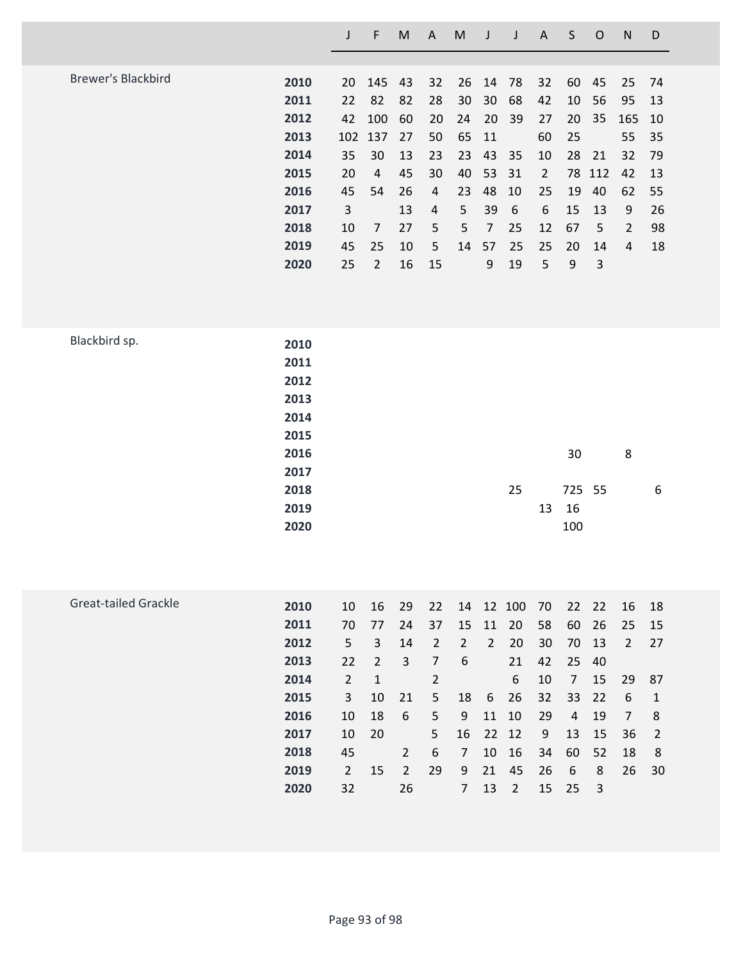|                           |                                      | $\mathsf J$ | F              | $\mathsf{M}% _{T}=\mathsf{M}_{T}\!\left( a,b\right) ,\ \mathsf{M}_{T}=\mathsf{M}_{T}\!\left( a,b\right) ,$ | $\boldsymbol{\mathsf{A}}$ | $\mathsf{M}% _{T}=\mathsf{M}_{T}\!\left( a,b\right) ,\ \mathsf{M}_{T}=\mathsf{M}_{T}\!\left( a,b\right) ,$ | J              | $\mathsf J$      | $\boldsymbol{\mathsf{A}}$ | $\sf S$          | $\mathsf{O}$ | ${\sf N}$        | D  |
|---------------------------|--------------------------------------|-------------|----------------|------------------------------------------------------------------------------------------------------------|---------------------------|------------------------------------------------------------------------------------------------------------|----------------|------------------|---------------------------|------------------|--------------|------------------|----|
|                           |                                      |             |                |                                                                                                            |                           |                                                                                                            |                |                  |                           |                  |              |                  |    |
| <b>Brewer's Blackbird</b> | 2010                                 | 20          | 145            | 43                                                                                                         | 32                        | 26                                                                                                         | 14             | 78               | 32                        | 60               | 45           | 25               | 74 |
|                           | 2011                                 | 22          | 82             | 82                                                                                                         | 28                        | 30                                                                                                         | 30             | 68               | 42                        | 10               | 56           | 95               | 13 |
|                           | 2012                                 | 42          | 100            | 60                                                                                                         | 20                        | 24                                                                                                         | 20             | 39               | 27                        | 20               | 35           | 165              | 10 |
|                           | 2013                                 | 102         | 137            | 27                                                                                                         | 50                        | 65                                                                                                         | 11             |                  | 60                        | 25               |              | 55               | 35 |
|                           | 2014                                 | 35          | 30             | 13                                                                                                         | 23                        | 23                                                                                                         | 43             | 35               | 10                        | 28               | 21           | 32               | 79 |
|                           | 2015                                 | 20          | $\overline{4}$ | 45                                                                                                         | 30                        | 40                                                                                                         | 53             | 31               | $\overline{2}$            | 78               | 112          | 42               | 13 |
|                           | 2016                                 | 45          | 54             | 26                                                                                                         | $\overline{4}$            | 23                                                                                                         | 48             | 10               | 25                        | 19               | 40           | 62               | 55 |
|                           | 2017                                 | 3           |                | 13                                                                                                         | $\overline{4}$            | 5                                                                                                          | 39             | $\boldsymbol{6}$ | $\boldsymbol{6}$          | 15               | 13           | $\boldsymbol{9}$ | 26 |
|                           | 2018                                 | 10          | $\overline{7}$ | 27                                                                                                         | 5                         | 5                                                                                                          | $\overline{7}$ | 25               | 12                        | 67               | 5            | $\overline{2}$   | 98 |
|                           | 2019                                 | 45          | 25             | 10                                                                                                         | 5                         | 14                                                                                                         | 57             | 25               | 25                        | 20               | 14           | $\overline{4}$   | 18 |
|                           | 2020                                 | 25          | $\overline{2}$ | 16                                                                                                         | 15                        |                                                                                                            | 9              | 19               | 5                         | $\boldsymbol{9}$ | $\mathsf 3$  |                  |    |
|                           |                                      |             |                |                                                                                                            |                           |                                                                                                            |                |                  |                           |                  |              |                  |    |
| Blackbird sp.             | 2010<br>2011<br>2012<br>2013<br>2014 |             |                |                                                                                                            |                           |                                                                                                            |                |                  |                           |                  |              |                  |    |
|                           | 2015                                 |             |                |                                                                                                            |                           |                                                                                                            |                |                  |                           |                  |              |                  |    |
|                           | 2016                                 |             |                |                                                                                                            |                           |                                                                                                            |                |                  |                           | 30               |              | 8                |    |
|                           | 2017                                 |             |                |                                                                                                            |                           |                                                                                                            |                |                  |                           |                  |              |                  |    |
|                           | 2018                                 |             |                |                                                                                                            |                           |                                                                                                            |                | 25               |                           | 725 55           |              |                  | 6  |
|                           | 2019                                 |             |                |                                                                                                            |                           |                                                                                                            |                |                  | 13                        | 16               |              |                  |    |
|                           | 2020                                 |             |                |                                                                                                            |                           |                                                                                                            |                |                  |                           | 100              |              |                  |    |

| Great-tailed Grackle | 2010 | 10             | 16 | 29             | 22             | 14             |    | 12 100    | 70 |    | 22 22 | 16             | 18             |
|----------------------|------|----------------|----|----------------|----------------|----------------|----|-----------|----|----|-------|----------------|----------------|
|                      | 2011 | 70             | 77 | 24             | 37             | 15             | 11 | <b>20</b> | 58 | 60 | -26   | 25             | 15             |
|                      | 2012 | 5.             | 3  | 14             | $\overline{2}$ | $\overline{2}$ | 2  | 20        | 30 | 70 | - 13  | $\overline{2}$ | 27             |
|                      | 2013 | 22             | 2  | 3              | 7              | 6              |    | 21        | 42 |    | 25 40 |                |                |
|                      | 2014 | $\overline{2}$ | 1  |                | 2              |                |    | 6         | 10 | 7  | 15    | 29             | -87            |
|                      | 2015 | 3              | 10 | 21             | 5              | 18             | 6  | 26        | 32 | 33 | 22    | 6              | 1              |
|                      | 2016 | 10             | 18 | 6              | 5              | 9              | 11 | 10        | 29 | 4  | 19    | 7              | 8              |
|                      | 2017 | 10             | 20 |                | 5              | 16             | 22 | 12        | 9  | 13 | -15   | 36             | $\overline{2}$ |
|                      | 2018 | 45             |    | 2              | 6              | 7              | 10 | 16        | 34 | 60 | 52    | 18             | -8             |
|                      | 2019 | $\overline{2}$ | 15 | $\overline{2}$ | 29             | 9              | 21 | 45        | 26 | 6  | 8     | 26             | 30             |
|                      | 2020 | 32             |    | 26             |                |                | 13 | 2         | 15 | 25 | 3     |                |                |
|                      |      |                |    |                |                |                |    |           |    |    |       |                |                |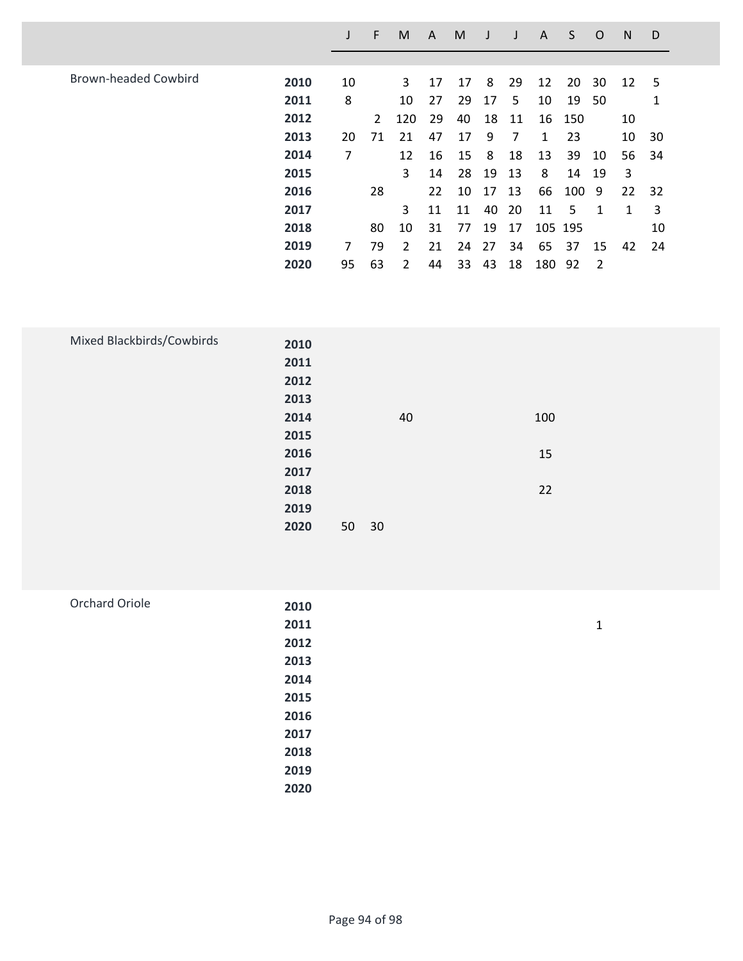|                             |      |    | F  | M   | A  | M  |    |    | A   | S       | O  | N  | D   |
|-----------------------------|------|----|----|-----|----|----|----|----|-----|---------|----|----|-----|
|                             |      |    |    |     |    |    |    |    |     |         |    |    |     |
| <b>Brown-headed Cowbird</b> | 2010 | 10 |    | 3   | 17 | 17 | 8  | 29 | 12  | 20      | 30 | 12 | 5   |
|                             | 2011 | 8  |    | 10  | 27 | 29 | 17 | 5  | 10  | 19      | 50 |    |     |
|                             | 2012 |    | 2  | 120 | 29 | 40 | 18 | 11 | 16  | 150     |    | 10 |     |
|                             | 2013 | 20 | 71 | 21  | 47 | 17 | 9  | 7  | 1   | 23      |    | 10 | 30  |
|                             | 2014 | 7  |    | 12  | 16 | 15 | 8  | 18 | 13  | 39      | 10 | 56 | -34 |
|                             | 2015 |    |    | 3   | 14 | 28 | 19 | 13 | 8   | 14      | 19 | 3  |     |
|                             | 2016 |    | 28 |     | 22 | 10 | 17 | 13 | 66  | 100 9   |    | 22 | 32  |
|                             | 2017 |    |    | 3   | 11 | 11 | 40 | 20 | 11  | 5       | 1  | 1  | 3   |
|                             | 2018 |    | 80 | 10  | 31 | 77 | 19 | 17 |     | 105 195 |    |    | 10  |
|                             | 2019 | 7  | 79 | 2   | 21 | 24 | 27 | 34 | 65  | 37      | 15 | 42 | 24  |
|                             | 2020 | 95 | 63 | 2   | 44 | 33 | 43 | 18 | 180 | 92      | 2  |    |     |

| Mixed Blackbirds/Cowbirds |      |    |    |     |
|---------------------------|------|----|----|-----|
|                           | 2010 |    |    |     |
|                           | 2011 |    |    |     |
|                           | 2012 |    |    |     |
|                           | 2013 |    |    |     |
|                           | 2014 |    | 40 | 100 |
|                           | 2015 |    |    |     |
|                           | 2016 |    |    | 15  |
|                           | 2017 |    |    |     |
|                           | 2018 |    |    | 22  |
|                           | 2019 |    |    |     |
|                           | 2020 | 50 | 30 |     |
|                           |      |    |    |     |

| Orchard Oriole | 2010 |   |
|----------------|------|---|
|                | 2011 | 1 |
|                | 2012 |   |
|                | 2013 |   |
|                | 2014 |   |
|                | 2015 |   |
|                | 2016 |   |
|                | 2017 |   |
|                | 2018 |   |
|                | 2019 |   |
|                | 2020 |   |
|                |      |   |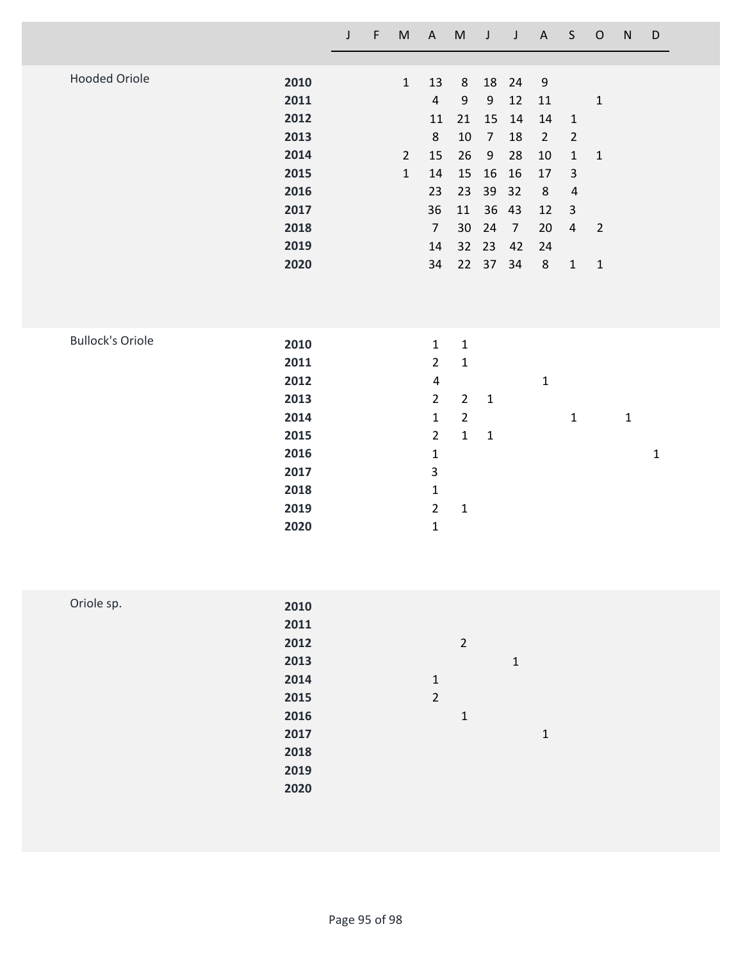|                         |                                                                                      | $\mathsf J$ | $\mathsf F$ | ${\sf M}$                                    | $\boldsymbol{\mathsf{A}}$                                                                                                                                                                    | ${\sf M}$                                                                                    | J                                                                                                      | $\mathsf J$                                                                | $\mathsf{A}$                                                                                                       | $\sf S$                                                                                                              | $\mathsf O$                                                 | ${\sf N}$    | $\mathsf D$  |  |
|-------------------------|--------------------------------------------------------------------------------------|-------------|-------------|----------------------------------------------|----------------------------------------------------------------------------------------------------------------------------------------------------------------------------------------------|----------------------------------------------------------------------------------------------|--------------------------------------------------------------------------------------------------------|----------------------------------------------------------------------------|--------------------------------------------------------------------------------------------------------------------|----------------------------------------------------------------------------------------------------------------------|-------------------------------------------------------------|--------------|--------------|--|
| <b>Hooded Oriole</b>    | 2010<br>2011<br>2012<br>2013<br>2014<br>2015<br>2016<br>2017<br>2018<br>2019<br>2020 |             |             | $\mathbf 1$<br>$\overline{2}$<br>$\mathbf 1$ | 13<br>$\overline{4}$<br>11<br>$\,8\,$<br>15<br>14<br>23<br>36<br>$\overline{7}$<br>14<br>34                                                                                                  | 8<br>$\boldsymbol{9}$<br>21<br>$10\,$<br>26<br>15<br>23<br>11<br>30<br>32<br>22              | 18<br>$\boldsymbol{9}$<br>15<br>$\overline{7}$<br>$\boldsymbol{9}$<br>16<br>39<br>36<br>24<br>23<br>37 | 24<br>12<br>14<br>18<br>28<br>16<br>32<br>43<br>$\overline{7}$<br>42<br>34 | $\boldsymbol{9}$<br>$11\,$<br>$14\,$<br>$\overline{2}$<br>$10\,$<br>$17\,$<br>$\bf 8$<br>12<br>20<br>24<br>$\,8\,$ | $\mathbf 1$<br>$\overline{2}$<br>$\mathbf 1$<br>$\mathbf{3}$<br>$\pmb{4}$<br>$\mathsf{3}$<br>$\overline{4}$<br>$1\,$ | $\mathbf 1$<br>$\mathbf 1$<br>$\overline{2}$<br>$\mathbf 1$ |              |              |  |
| <b>Bullock's Oriole</b> | 2010<br>2011<br>2012<br>2013<br>2014<br>2015<br>2016<br>2017<br>2018<br>2019<br>2020 |             |             |                                              | $\mathbf{1}$<br>$\overline{2}$<br>$\overline{\mathbf{4}}$<br>$\overline{2}$<br>$\mathbf{1}$<br>$\overline{2}$<br>$\mathbf 1$<br>$\mathbf{3}$<br>$\mathbf 1$<br>$\overline{2}$<br>$\mathbf 1$ | $\mathbf 1$<br>$\mathbf 1$<br>$\overline{2}$<br>$\overline{2}$<br>$\mathbf 1$<br>$\mathbf 1$ | $\mathbf 1$<br>$\mathbf 1$                                                                             |                                                                            | $\mathbf 1$                                                                                                        | $\mathbf 1$                                                                                                          |                                                             | $\mathbf{1}$ | $\mathbf{1}$ |  |
| Oriole sp.              | 2010<br>2011<br>2012<br>2013<br>2014<br>2015<br>2016<br>2017                         |             |             |                                              | $\mathbf 1$<br>$\overline{2}$                                                                                                                                                                | $\overline{2}$<br>$\mathbf 1$                                                                |                                                                                                        | $\mathbf 1$                                                                | $\mathbf{1}$                                                                                                       |                                                                                                                      |                                                             |              |              |  |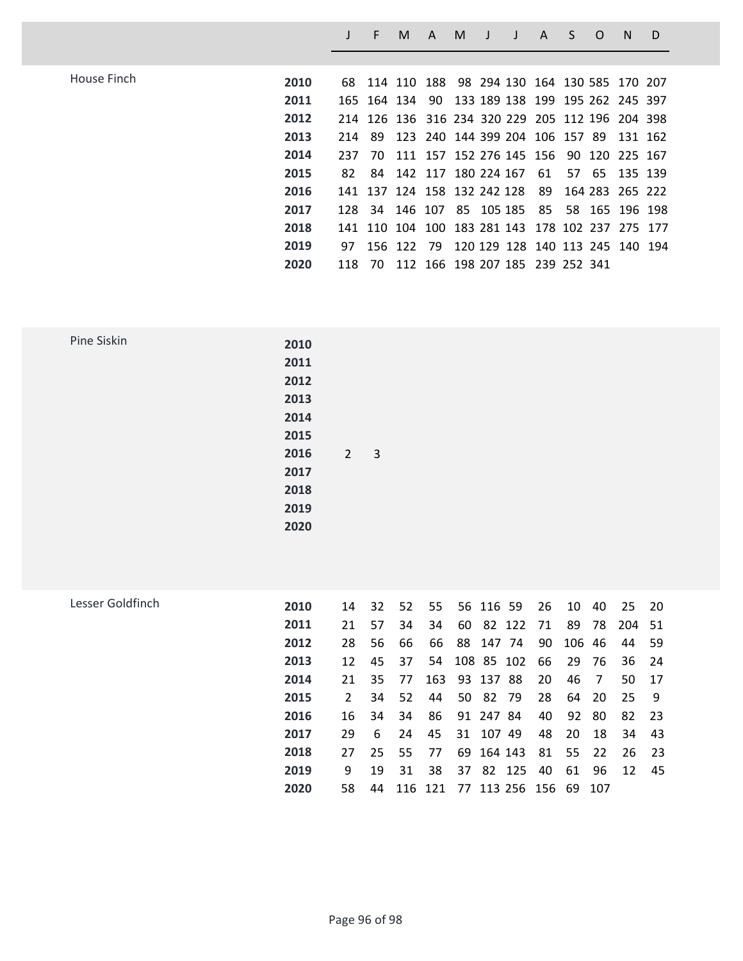| House Finch | 2010 |     | 68 114 110 188 98 294 130 164 130 585 170 207   |                                    |  |  |  |                                            |  |
|-------------|------|-----|-------------------------------------------------|------------------------------------|--|--|--|--------------------------------------------|--|
|             | 2011 |     | 165 164 134 90 133 189 138 199 195 262 245 397  |                                    |  |  |  |                                            |  |
|             | 2012 |     | 214 126 136 316 234 320 229 205 112 196 204 398 |                                    |  |  |  |                                            |  |
|             | 2013 |     | 214 89 123 240 144 399 204 106 157 89 131 162   |                                    |  |  |  |                                            |  |
|             | 2014 | 237 | - 70                                            |                                    |  |  |  | 111 157 152 276 145 156 90 120 225 167     |  |
|             | 2015 | 82  |                                                 |                                    |  |  |  | 84 142 117 180 224 167 61 57 65 135 139    |  |
|             | 2016 |     | 141 137 124 158 132 242 128 89                  |                                    |  |  |  | 164 283 265 222                            |  |
|             | 2017 |     | 128 34 146 107 85 105 185 85 58 165 196 198     |                                    |  |  |  |                                            |  |
|             | 2018 |     | 141 110 104 100 183 281 143 178 102 237 275 177 |                                    |  |  |  |                                            |  |
|             | 2019 | 97. |                                                 |                                    |  |  |  | 156 122 79 120 129 128 140 113 245 140 194 |  |
|             | 2020 | 118 |                                                 | 70 112 166 198 207 185 239 252 341 |  |  |  |                                            |  |

**J F M A M J J A S O N D**

| Pine Siskin | 2010 |            |                          |  |  |
|-------------|------|------------|--------------------------|--|--|
|             | 2011 |            |                          |  |  |
|             | 2012 |            |                          |  |  |
|             | 2013 |            |                          |  |  |
|             | 2014 |            |                          |  |  |
|             | 2015 |            |                          |  |  |
|             | 2016 | $\sqrt{2}$ | $\overline{\phantom{a}}$ |  |  |
|             | 2017 |            |                          |  |  |
|             | 2018 |            |                          |  |  |
|             | 2019 |            |                          |  |  |
|             | 2020 |            |                          |  |  |
|             |      |            |                          |  |  |

| Lesser Goldfinch | 2010 | 14            | 32 | 52 | 55  |    | 56 116 59                     | 26   | 10     | 40    | 25     | - 20 |
|------------------|------|---------------|----|----|-----|----|-------------------------------|------|--------|-------|--------|------|
|                  | 2011 | 21            | 57 | 34 | 34  | 60 | 82 122                        | - 71 | 89     | 78    | 204 51 |      |
|                  | 2012 | 28            | 56 | 66 | -66 |    | 88 147 74                     | 90   | 106 46 |       | 44     | -59  |
|                  | 2013 | 12            | 45 | 37 |     |    | 54 108 85 102                 | 66   |        | 29 76 | 36     | - 24 |
|                  | 2014 | 21            | 35 | 77 | 163 |    | 93 137 88                     | 20   | 46     | - 7   | 50     | -17  |
|                  | 2015 | $\mathcal{P}$ | 34 | 52 | 44  | 50 | 82 79                         | 28   |        | 64 20 | -25    | - 9  |
|                  | 2016 | 16            | 34 | 34 | -86 |    | 91 247 84                     | 40   | 92     | -80   | 82     | - 23 |
|                  | 2017 | 29            | 6  | 24 | 45  |    | 31 107 49                     | 48   | 20     | 18    | 34     | 43   |
|                  | 2018 | 27            | 25 | 55 | 77  |    | 69 164 143                    | 81   | 55     | 22    | -26    | - 23 |
|                  | 2019 | 9             | 19 | 31 | 38  | 37 | 82 125                        | 40   | 61     | -96   | 12     | -45  |
|                  | 2020 | 58            | 44 |    |     |    | 116 121 77 113 256 156 69 107 |      |        |       |        |      |
|                  |      |               |    |    |     |    |                               |      |        |       |        |      |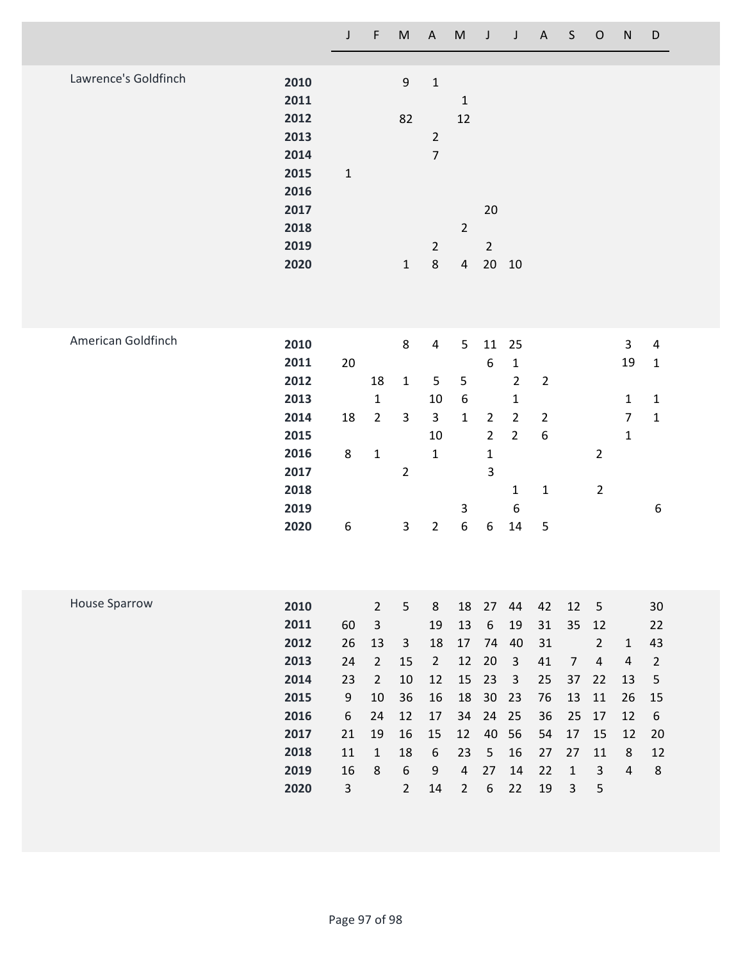|                      |                                                                                      | J                                                                               | F                                                                                                                 | ${\sf M}$                                                                                                | $\mathsf{A}$                                                                           | ${\sf M}$                                                                              | J                                                                                                      | J                                                                                                                                 | A                                                              | $\mathsf{S}$                                                                  | $\circ$                                                                                    | ${\sf N}$                                                            | D                                                                                                |  |
|----------------------|--------------------------------------------------------------------------------------|---------------------------------------------------------------------------------|-------------------------------------------------------------------------------------------------------------------|----------------------------------------------------------------------------------------------------------|----------------------------------------------------------------------------------------|----------------------------------------------------------------------------------------|--------------------------------------------------------------------------------------------------------|-----------------------------------------------------------------------------------------------------------------------------------|----------------------------------------------------------------|-------------------------------------------------------------------------------|--------------------------------------------------------------------------------------------|----------------------------------------------------------------------|--------------------------------------------------------------------------------------------------|--|
| Lawrence's Goldfinch | 2010<br>2011<br>2012<br>2013<br>2014<br>2015<br>2016<br>2017<br>2018<br>2019<br>2020 | $\mathbf 1$                                                                     |                                                                                                                   | 9<br>82<br>$\mathbf{1}$                                                                                  | $\mathbf 1$<br>$\overline{2}$<br>$\overline{7}$<br>$\overline{2}$<br>8                 | $\mathbf{1}$<br>12<br>$\overline{2}$<br>$\overline{4}$                                 | 20<br>$\overline{2}$<br>20                                                                             | 10                                                                                                                                |                                                                |                                                                               |                                                                                            |                                                                      |                                                                                                  |  |
| American Goldfinch   | 2010<br>2011<br>2012<br>2013<br>2014<br>2015<br>2016<br>2017<br>2018<br>2019<br>2020 | 20<br>18<br>8<br>$\boldsymbol{6}$                                               | 18<br>$\mathbf 1$<br>$\overline{2}$<br>$\mathbf 1$                                                                | 8<br>$\mathbf{1}$<br>$\mathsf{3}$<br>$\overline{2}$<br>$\overline{3}$                                    | $\overline{4}$<br>5<br>10<br>$\overline{3}$<br>10<br>$\mathbf{1}$<br>$\overline{2}$    | 5<br>$\mathsf S$<br>6<br>$\mathbf{1}$<br>3<br>6                                        | 11<br>6<br>$\overline{2}$<br>$\overline{2}$<br>$\mathbf 1$<br>3<br>6                                   | 25<br>$\mathbf 1$<br>$\overline{2}$<br>$\mathbf{1}$<br>$\overline{2}$<br>$\overline{2}$<br>$\mathbf{1}$<br>$\boldsymbol{6}$<br>14 | $\overline{2}$<br>$\overline{2}$<br>6<br>$\mathbf 1$<br>5      |                                                                               | $\overline{2}$<br>$\overline{2}$                                                           | $\mathbf{3}$<br>19<br>$\mathbf{1}$<br>$\overline{7}$<br>$\mathbf{1}$ | $\overline{\mathbf{4}}$<br>$\mathbf{1}$<br>$\mathbf{1}$<br>$\mathbf 1$<br>6                      |  |
| <b>House Sparrow</b> | 2010<br>2011<br>2012<br>2013<br>2014<br>2015<br>2016<br>2017<br>2018<br>2019<br>2020 | 60<br>26<br>24<br>23<br>9<br>$\boldsymbol{6}$<br>21<br>11<br>16<br>$\mathsf{3}$ | $\overline{2}$<br>$\overline{3}$<br>13<br>$\overline{2}$<br>$\overline{2}$<br>10<br>24<br>19<br>$\mathbf{1}$<br>8 | $5\phantom{.}$<br>$\mathbf{3}$<br>15<br>10<br>36<br>12<br>16<br>18<br>$\boldsymbol{6}$<br>$\overline{2}$ | 8<br>19<br>18<br>$\overline{2}$<br>12<br>16<br>17<br>15<br>$\boldsymbol{6}$<br>9<br>14 | 18<br>13<br>17<br>12<br>15<br>18<br>34<br>12<br>23<br>$\overline{4}$<br>$\overline{2}$ | 27<br>$\boldsymbol{6}$<br>74<br>20<br>23<br>$30\,$<br>24<br>40<br>$\sqrt{5}$<br>27<br>$\boldsymbol{6}$ | 44<br>19<br>40<br>$\mathbf{3}$<br>$\mathbf{3}$<br>23<br>25<br>56<br>16<br>14<br>22                                                | 42<br>31<br>31<br>41<br>25<br>76<br>36<br>54<br>27<br>22<br>19 | 12<br>35<br>$\overline{7}$<br>37<br>13<br>25<br>17<br>27<br>$\mathbf{1}$<br>3 | 5<br>12<br>$\overline{2}$<br>$\sqrt{4}$<br>22<br>11<br>17<br>15<br>11<br>$\mathsf{3}$<br>5 | $\mathbf{1}$<br>$\sqrt{4}$<br>13<br>26<br>12<br>12<br>8<br>$\pmb{4}$ | 30<br>22<br>43<br>$\overline{2}$<br>$\mathsf S$<br>15<br>$\boldsymbol{6}$<br>20<br>12<br>$\bf 8$ |  |